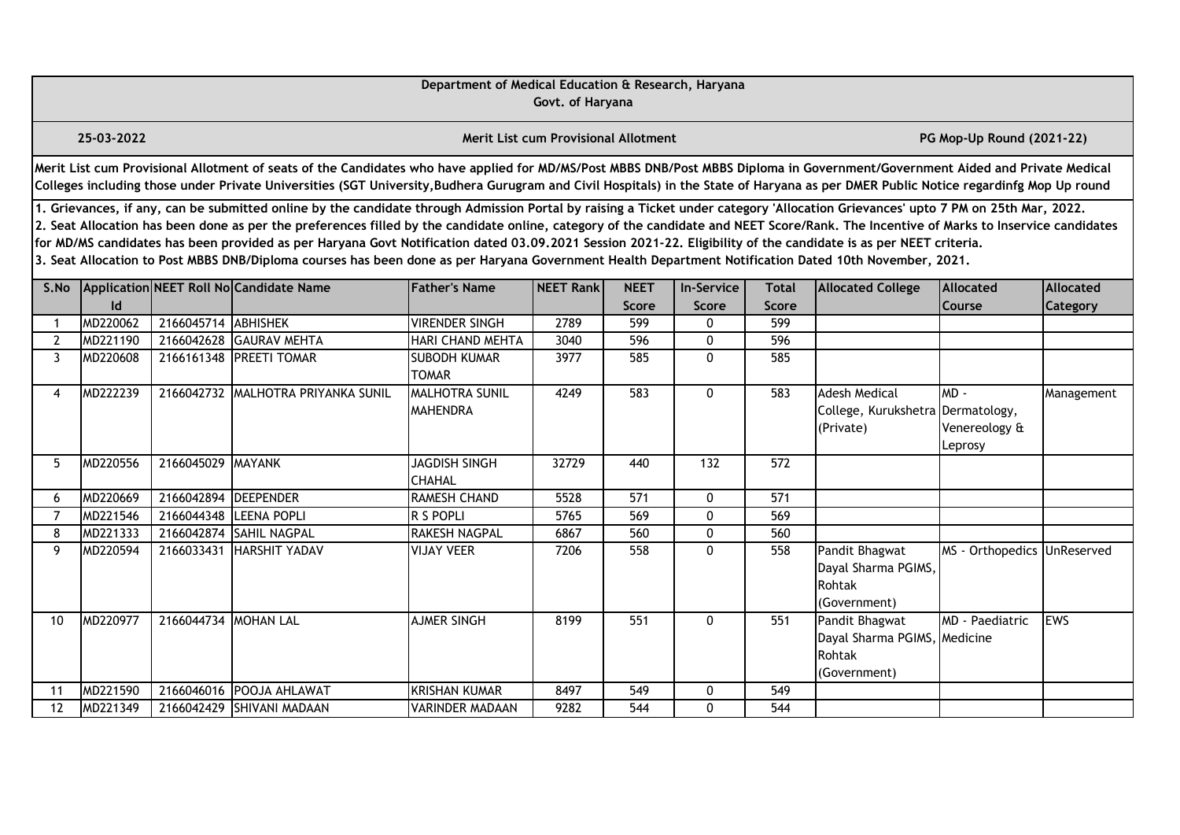|                |                                                                                                                                                                                                                                                                                                                                                                                                                                                                                                                                                                                                                                                                                                                                                                                                                                                                            |                      |                                                                                                                                                                                                                                                                                                                                                                       | Department of Medical Education & Research, Haryana | Govt. of Haryana                     |              |              |              |                                                                          |                                    |             |  |  |
|----------------|----------------------------------------------------------------------------------------------------------------------------------------------------------------------------------------------------------------------------------------------------------------------------------------------------------------------------------------------------------------------------------------------------------------------------------------------------------------------------------------------------------------------------------------------------------------------------------------------------------------------------------------------------------------------------------------------------------------------------------------------------------------------------------------------------------------------------------------------------------------------------|----------------------|-----------------------------------------------------------------------------------------------------------------------------------------------------------------------------------------------------------------------------------------------------------------------------------------------------------------------------------------------------------------------|-----------------------------------------------------|--------------------------------------|--------------|--------------|--------------|--------------------------------------------------------------------------|------------------------------------|-------------|--|--|
|                | 25-03-2022                                                                                                                                                                                                                                                                                                                                                                                                                                                                                                                                                                                                                                                                                                                                                                                                                                                                 |                      |                                                                                                                                                                                                                                                                                                                                                                       |                                                     | Merit List cum Provisional Allotment |              |              |              |                                                                          | PG Mop-Up Round (2021-22)          |             |  |  |
|                |                                                                                                                                                                                                                                                                                                                                                                                                                                                                                                                                                                                                                                                                                                                                                                                                                                                                            |                      | Merit List cum Provisional Allotment of seats of the Candidates who have applied for MD/MS/Post MBBS DNB/Post MBBS Diploma in Government/Government Aided and Private Medical<br>Colleges including those under Private Universities (SGT University, Budhera Gurugram and Civil Hospitals) in the State of Haryana as per DMER Public Notice regardinfg Mop Up round |                                                     |                                      |              |              |              |                                                                          |                                    |             |  |  |
|                | 1. Grievances, if any, can be submitted online by the candidate through Admission Portal by raising a Ticket under category 'Allocation Grievances' upto 7 PM on 25th Mar, 2022.<br>2. Seat Allocation has been done as per the preferences filled by the candidate online, category of the candidate and NEET Score/Rank. The Incentive of Marks to Inservice candidates<br>for MD/MS candidates has been provided as per Haryana Govt Notification dated 03.09.2021 Session 2021-22. Eligibility of the candidate is as per NEET criteria.<br>3. Seat Allocation to Post MBBS DNB/Diploma courses has been done as per Haryana Government Health Department Notification Dated 10th November, 2021.<br>Application NEET Roll No Candidate Name<br><b>Father's Name</b><br>NEET Rank<br><b>NEET</b><br><b>Allocated</b><br>Allocated<br><b>In-Service</b><br><b>Total</b> |                      |                                                                                                                                                                                                                                                                                                                                                                       |                                                     |                                      |              |              |              |                                                                          |                                    |             |  |  |
| S.No           | $\mathsf{Id}$                                                                                                                                                                                                                                                                                                                                                                                                                                                                                                                                                                                                                                                                                                                                                                                                                                                              |                      |                                                                                                                                                                                                                                                                                                                                                                       |                                                     |                                      | <b>Score</b> | Score        | <b>Score</b> | <b>Allocated College</b>                                                 |                                    |             |  |  |
|                | MD220062                                                                                                                                                                                                                                                                                                                                                                                                                                                                                                                                                                                                                                                                                                                                                                                                                                                                   | 2166045714 ABHISHEK  |                                                                                                                                                                                                                                                                                                                                                                       | <b>VIRENDER SINGH</b>                               | 2789                                 | 599          | 0            | 599          |                                                                          | Course                             | Category    |  |  |
| $\overline{2}$ | MD221190                                                                                                                                                                                                                                                                                                                                                                                                                                                                                                                                                                                                                                                                                                                                                                                                                                                                   | 2166042628           | <b>GAURAV MEHTA</b>                                                                                                                                                                                                                                                                                                                                                   | <b>HARI CHAND MEHTA</b>                             | 3040                                 | 596          | $\mathbf{0}$ | 596          |                                                                          |                                    |             |  |  |
| $\mathbf{3}$   | MD220608                                                                                                                                                                                                                                                                                                                                                                                                                                                                                                                                                                                                                                                                                                                                                                                                                                                                   |                      | 2166161348 PREETI TOMAR                                                                                                                                                                                                                                                                                                                                               | <b>SUBODH KUMAR</b><br><b>TOMAR</b>                 | 3977                                 | 585          | $\mathbf{0}$ | 585          |                                                                          |                                    |             |  |  |
| 4              | MD222239                                                                                                                                                                                                                                                                                                                                                                                                                                                                                                                                                                                                                                                                                                                                                                                                                                                                   |                      | 2166042732 MALHOTRA PRIYANKA SUNIL                                                                                                                                                                                                                                                                                                                                    | <b>MALHOTRA SUNIL</b><br><b>MAHENDRA</b>            | 4249                                 | 583          | $\mathbf{0}$ | 583          | <b>Adesh Medical</b><br>College, Kurukshetra Dermatology,<br>(Private)   | $MD -$<br>Venereology &<br>Leprosy | Management  |  |  |
| 5              | MD220556                                                                                                                                                                                                                                                                                                                                                                                                                                                                                                                                                                                                                                                                                                                                                                                                                                                                   | 2166045029 MAYANK    |                                                                                                                                                                                                                                                                                                                                                                       | <b>JAGDISH SINGH</b><br><b>CHAHAL</b>               | 32729                                | 440          | 132          | 572          |                                                                          |                                    |             |  |  |
| 6              | MD220669                                                                                                                                                                                                                                                                                                                                                                                                                                                                                                                                                                                                                                                                                                                                                                                                                                                                   | 2166042894           | <b>IDEEPENDER</b>                                                                                                                                                                                                                                                                                                                                                     | <b>RAMESH CHAND</b>                                 | 5528                                 | 571          | $\mathbf{0}$ | 571          |                                                                          |                                    |             |  |  |
| $\overline{7}$ | MD221546                                                                                                                                                                                                                                                                                                                                                                                                                                                                                                                                                                                                                                                                                                                                                                                                                                                                   | 2166044348           | <b>LEENA POPLI</b>                                                                                                                                                                                                                                                                                                                                                    | R S POPLI                                           | 5765                                 | 569          | $\mathbf{0}$ | 569          |                                                                          |                                    |             |  |  |
| 8              | MD221333                                                                                                                                                                                                                                                                                                                                                                                                                                                                                                                                                                                                                                                                                                                                                                                                                                                                   | 2166042874           | <b>SAHIL NAGPAL</b>                                                                                                                                                                                                                                                                                                                                                   | <b>RAKESH NAGPAL</b>                                | 6867                                 | 560          | 0            | 560          |                                                                          |                                    |             |  |  |
| 9              | MD220594                                                                                                                                                                                                                                                                                                                                                                                                                                                                                                                                                                                                                                                                                                                                                                                                                                                                   | 2166033431           | HARSHIT YADAV                                                                                                                                                                                                                                                                                                                                                         | <b>VIJAY VEER</b>                                   | 7206                                 | 558          | 0            | 558          | Pandit Bhagwat<br>Dayal Sharma PGIMS,<br>Rohtak<br>(Government)          | MS - Orthopedics                   | UnReserved  |  |  |
| 10             | MD220977                                                                                                                                                                                                                                                                                                                                                                                                                                                                                                                                                                                                                                                                                                                                                                                                                                                                   | 2166044734 MOHAN LAL |                                                                                                                                                                                                                                                                                                                                                                       | <b>AJMER SINGH</b>                                  | 8199                                 | 551          | $\mathbf{0}$ | 551          | Pandit Bhagwat<br>Dayal Sharma PGIMS, Medicine<br>Rohtak<br>(Government) | MD - Paediatric                    | <b>IEWS</b> |  |  |
| 11             | MD221590                                                                                                                                                                                                                                                                                                                                                                                                                                                                                                                                                                                                                                                                                                                                                                                                                                                                   |                      | 2166046016 POOJA AHLAWAT                                                                                                                                                                                                                                                                                                                                              | <b>KRISHAN KUMAR</b>                                | 8497                                 | 549          | 0            | 549          |                                                                          |                                    |             |  |  |
| 12             | MD221349                                                                                                                                                                                                                                                                                                                                                                                                                                                                                                                                                                                                                                                                                                                                                                                                                                                                   |                      | 2166042429 SHIVANI MADAAN                                                                                                                                                                                                                                                                                                                                             | <b>VARINDER MADAAN</b>                              | 9282                                 | 544          | 0            | 544          |                                                                          |                                    |             |  |  |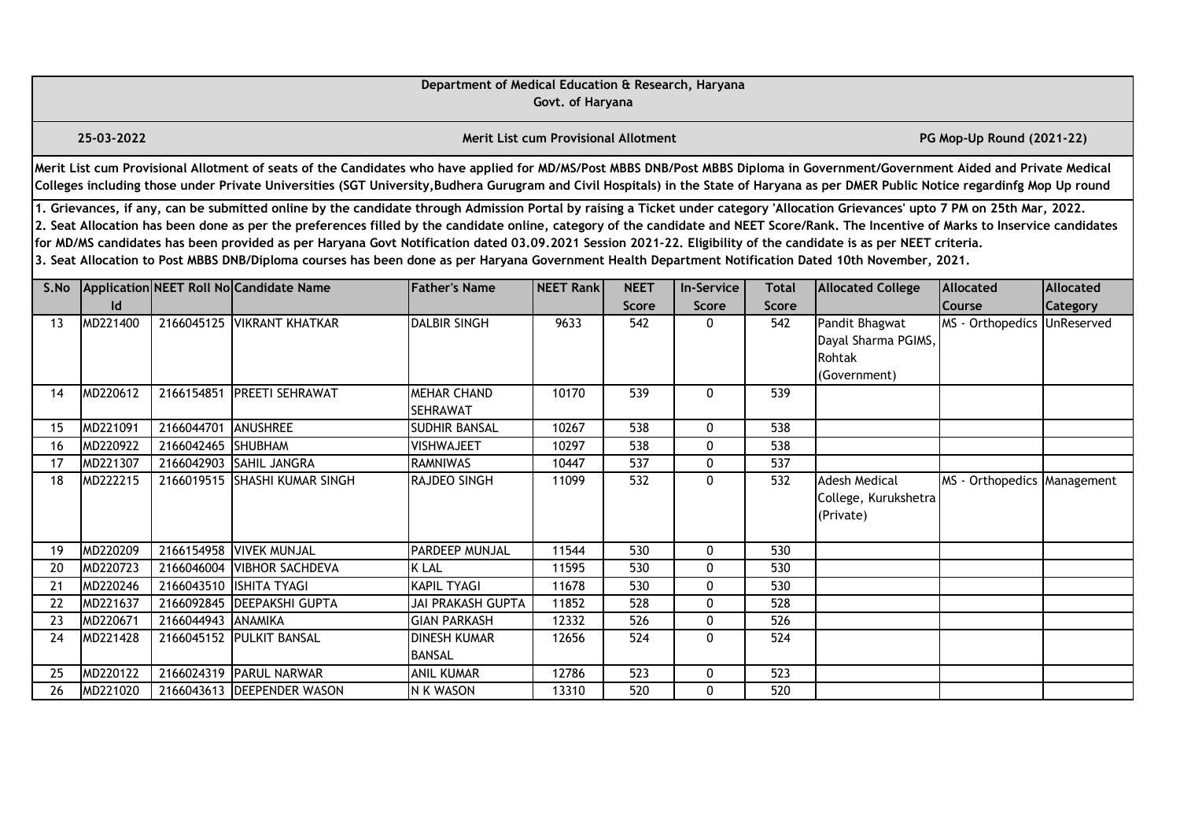|      |                                                                                                                                                                                                                                                                                                                                                                                                                                                                                                                                                                                                                                                                                                                                                  |                    |                                                                                                                                                                                                                                                                                                                                                                       | Department of Medical Education & Research, Haryana | Govt. of Haryana                            |                      |                            |                       |                                                                 |                                   |                              |  |  |
|------|--------------------------------------------------------------------------------------------------------------------------------------------------------------------------------------------------------------------------------------------------------------------------------------------------------------------------------------------------------------------------------------------------------------------------------------------------------------------------------------------------------------------------------------------------------------------------------------------------------------------------------------------------------------------------------------------------------------------------------------------------|--------------------|-----------------------------------------------------------------------------------------------------------------------------------------------------------------------------------------------------------------------------------------------------------------------------------------------------------------------------------------------------------------------|-----------------------------------------------------|---------------------------------------------|----------------------|----------------------------|-----------------------|-----------------------------------------------------------------|-----------------------------------|------------------------------|--|--|
|      | 25-03-2022                                                                                                                                                                                                                                                                                                                                                                                                                                                                                                                                                                                                                                                                                                                                       |                    |                                                                                                                                                                                                                                                                                                                                                                       |                                                     | <b>Merit List cum Provisional Allotment</b> |                      |                            |                       |                                                                 | PG Mop-Up Round (2021-22)         |                              |  |  |
|      |                                                                                                                                                                                                                                                                                                                                                                                                                                                                                                                                                                                                                                                                                                                                                  |                    | Merit List cum Provisional Allotment of seats of the Candidates who have applied for MD/MS/Post MBBS DNB/Post MBBS Diploma in Government/Government Aided and Private Medical<br>Colleges including those under Private Universities (SGT University, Budhera Gurugram and Civil Hospitals) in the State of Haryana as per DMER Public Notice regardinfg Mop Up round |                                                     |                                             |                      |                            |                       |                                                                 |                                   |                              |  |  |
|      | 1. Grievances, if any, can be submitted online by the candidate through Admission Portal by raising a Ticket under category 'Allocation Grievances' upto 7 PM on 25th Mar, 2022.<br>2. Seat Allocation has been done as per the preferences filled by the candidate online, category of the candidate and NEET Score/Rank. The Incentive of Marks to Inservice candidates<br>for MD/MS candidates has been provided as per Haryana Govt Notification dated 03.09.2021 Session 2021-22. Eligibility of the candidate is as per NEET criteria.<br>3. Seat Allocation to Post MBBS DNB/Diploma courses has been done as per Haryana Government Health Department Notification Dated 10th November, 2021.<br>Application NEET Roll No Candidate Name |                    |                                                                                                                                                                                                                                                                                                                                                                       |                                                     |                                             |                      |                            |                       |                                                                 |                                   |                              |  |  |
| S.No | Id                                                                                                                                                                                                                                                                                                                                                                                                                                                                                                                                                                                                                                                                                                                                               |                    |                                                                                                                                                                                                                                                                                                                                                                       | <b>Father's Name</b>                                | <b>NEET Rank</b>                            | <b>NEET</b><br>Score | <b>In-Service</b><br>Score | <b>Total</b><br>Score | <b>Allocated College</b>                                        | <b>Allocated</b><br><b>Course</b> | Allocated<br><b>Category</b> |  |  |
| 13   | MD221400                                                                                                                                                                                                                                                                                                                                                                                                                                                                                                                                                                                                                                                                                                                                         |                    | 2166045125 VIKRANT KHATKAR                                                                                                                                                                                                                                                                                                                                            | <b>DALBIR SINGH</b>                                 | 9633                                        | 542                  | 0                          | 542                   | Pandit Bhagwat<br>Dayal Sharma PGIMS,<br>Rohtak<br>(Government) | MS - Orthopedics UnReserved       |                              |  |  |
| 14   | MD220612                                                                                                                                                                                                                                                                                                                                                                                                                                                                                                                                                                                                                                                                                                                                         | 2166154851         | <b>PREETI SEHRAWAT</b>                                                                                                                                                                                                                                                                                                                                                | <b>MEHAR CHAND</b><br><b>SEHRAWAT</b>               | 10170                                       | 539                  | $\mathbf{0}$               | 539                   |                                                                 |                                   |                              |  |  |
| 15   | MD221091                                                                                                                                                                                                                                                                                                                                                                                                                                                                                                                                                                                                                                                                                                                                         | 2166044701         | ANUSHREE                                                                                                                                                                                                                                                                                                                                                              | <b>SUDHIR BANSAL</b>                                | 10267                                       | 538                  | $\mathbf{0}$               | 538                   |                                                                 |                                   |                              |  |  |
| 16   | MD220922                                                                                                                                                                                                                                                                                                                                                                                                                                                                                                                                                                                                                                                                                                                                         | 2166042465 SHUBHAM |                                                                                                                                                                                                                                                                                                                                                                       | <b>VISHWAJEET</b>                                   | 10297                                       | 538                  | 0                          | 538                   |                                                                 |                                   |                              |  |  |
| 17   | MD221307                                                                                                                                                                                                                                                                                                                                                                                                                                                                                                                                                                                                                                                                                                                                         |                    | 2166042903 SAHIL JANGRA                                                                                                                                                                                                                                                                                                                                               | <b>RAMNIWAS</b>                                     | 10447                                       | 537                  | 0                          | 537                   |                                                                 |                                   |                              |  |  |
| 18   | MD222215                                                                                                                                                                                                                                                                                                                                                                                                                                                                                                                                                                                                                                                                                                                                         |                    | 2166019515 SHASHI KUMAR SINGH                                                                                                                                                                                                                                                                                                                                         | <b>RAJDEO SINGH</b>                                 | 11099                                       | 532                  | $\mathbf{0}$               | 532                   | Adesh Medical<br>College, Kurukshetra<br>(Private)              | MS - Orthopedics Management       |                              |  |  |
| 19   | MD220209                                                                                                                                                                                                                                                                                                                                                                                                                                                                                                                                                                                                                                                                                                                                         |                    | 2166154958 VIVEK MUNJAL                                                                                                                                                                                                                                                                                                                                               | <b>PARDEEP MUNJAL</b>                               | 11544                                       | $\overline{530}$     | 0                          | 530                   |                                                                 |                                   |                              |  |  |
| 20   | MD220723                                                                                                                                                                                                                                                                                                                                                                                                                                                                                                                                                                                                                                                                                                                                         |                    | 2166046004 VIBHOR SACHDEVA                                                                                                                                                                                                                                                                                                                                            | <b>K LAL</b>                                        | 11595                                       | 530                  | $\mathbf{0}$               | 530                   |                                                                 |                                   |                              |  |  |
| 21   | MD220246                                                                                                                                                                                                                                                                                                                                                                                                                                                                                                                                                                                                                                                                                                                                         |                    | 2166043510 ISHITA TYAGI                                                                                                                                                                                                                                                                                                                                               | <b>KAPIL TYAGI</b>                                  | 11678                                       | 530                  | $\mathbf{0}$               | 530                   |                                                                 |                                   |                              |  |  |
| 22   | MD221637                                                                                                                                                                                                                                                                                                                                                                                                                                                                                                                                                                                                                                                                                                                                         |                    | 2166092845 DEEPAKSHI GUPTA                                                                                                                                                                                                                                                                                                                                            | <b>JAI PRAKASH GUPTA</b>                            | 11852                                       | $\overline{528}$     | 0                          | 528                   |                                                                 |                                   |                              |  |  |
| 23   | MD220671                                                                                                                                                                                                                                                                                                                                                                                                                                                                                                                                                                                                                                                                                                                                         | 2166044943 ANAMIKA |                                                                                                                                                                                                                                                                                                                                                                       | <b>GIAN PARKASH</b>                                 | 12332                                       | 526                  | 0                          | 526                   |                                                                 |                                   |                              |  |  |
| 24   | MD221428                                                                                                                                                                                                                                                                                                                                                                                                                                                                                                                                                                                                                                                                                                                                         |                    | 2166045152 PULKIT BANSAL                                                                                                                                                                                                                                                                                                                                              | <b>DINESH KUMAR</b><br><b>BANSAL</b>                | 12656                                       | 524                  | $\mathbf{0}$               | 524                   |                                                                 |                                   |                              |  |  |
| 25   | MD220122                                                                                                                                                                                                                                                                                                                                                                                                                                                                                                                                                                                                                                                                                                                                         |                    | 2166024319 PARUL NARWAR                                                                                                                                                                                                                                                                                                                                               | <b>ANIL KUMAR</b>                                   | 12786                                       | 523                  | 0                          | 523                   |                                                                 |                                   |                              |  |  |
| 26   | MD221020                                                                                                                                                                                                                                                                                                                                                                                                                                                                                                                                                                                                                                                                                                                                         |                    | 2166043613 DEEPENDER WASON                                                                                                                                                                                                                                                                                                                                            | N K WASON                                           | 13310                                       | 520                  | 0                          | 520                   |                                                                 |                                   |                              |  |  |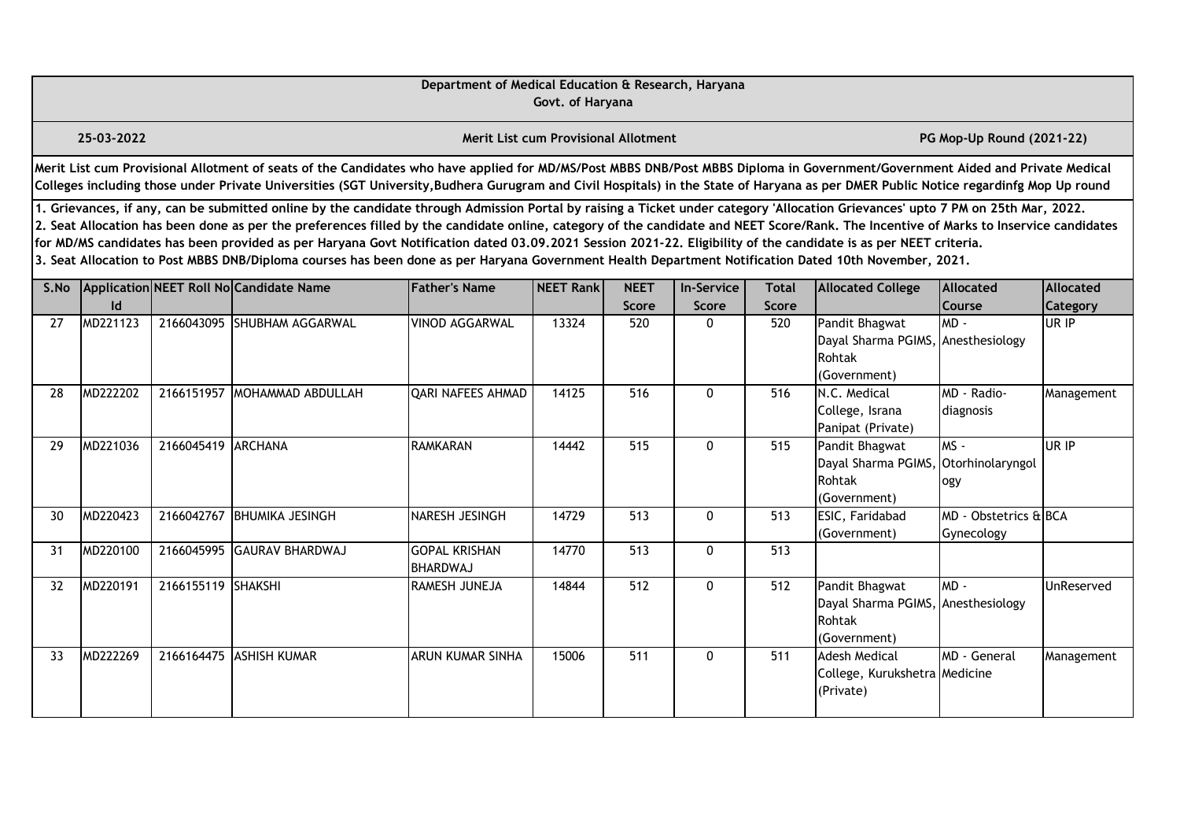|      |                                                                                                                                                                                                                                                                                                                                                                                                                                                                                                                                                                                                                                                                                                                                                  |                    |                                                                                                                                                                                                                                                                                                                                                                       | Department of Medical Education & Research, Haryana | Govt. of Haryana                     |                             |                            |                              |                                                                                |                                     |                              |  |  |
|------|--------------------------------------------------------------------------------------------------------------------------------------------------------------------------------------------------------------------------------------------------------------------------------------------------------------------------------------------------------------------------------------------------------------------------------------------------------------------------------------------------------------------------------------------------------------------------------------------------------------------------------------------------------------------------------------------------------------------------------------------------|--------------------|-----------------------------------------------------------------------------------------------------------------------------------------------------------------------------------------------------------------------------------------------------------------------------------------------------------------------------------------------------------------------|-----------------------------------------------------|--------------------------------------|-----------------------------|----------------------------|------------------------------|--------------------------------------------------------------------------------|-------------------------------------|------------------------------|--|--|
|      | 25-03-2022                                                                                                                                                                                                                                                                                                                                                                                                                                                                                                                                                                                                                                                                                                                                       |                    |                                                                                                                                                                                                                                                                                                                                                                       |                                                     | Merit List cum Provisional Allotment |                             |                            |                              |                                                                                | PG Mop-Up Round (2021-22)           |                              |  |  |
|      |                                                                                                                                                                                                                                                                                                                                                                                                                                                                                                                                                                                                                                                                                                                                                  |                    | Merit List cum Provisional Allotment of seats of the Candidates who have applied for MD/MS/Post MBBS DNB/Post MBBS Diploma in Government/Government Aided and Private Medical<br>Colleges including those under Private Universities (SGT University, Budhera Gurugram and Civil Hospitals) in the State of Haryana as per DMER Public Notice regardinfg Mop Up round |                                                     |                                      |                             |                            |                              |                                                                                |                                     |                              |  |  |
|      | 1. Grievances, if any, can be submitted online by the candidate through Admission Portal by raising a Ticket under category 'Allocation Grievances' upto 7 PM on 25th Mar, 2022.<br>2. Seat Allocation has been done as per the preferences filled by the candidate online, category of the candidate and NEET Score/Rank. The Incentive of Marks to Inservice candidates<br>for MD/MS candidates has been provided as per Haryana Govt Notification dated 03.09.2021 Session 2021-22. Eligibility of the candidate is as per NEET criteria.<br>3. Seat Allocation to Post MBBS DNB/Diploma courses has been done as per Haryana Government Health Department Notification Dated 10th November, 2021.<br>Application NEET Roll No Candidate Name |                    |                                                                                                                                                                                                                                                                                                                                                                       |                                                     |                                      |                             |                            |                              |                                                                                |                                     |                              |  |  |
| S.No | Id                                                                                                                                                                                                                                                                                                                                                                                                                                                                                                                                                                                                                                                                                                                                               |                    |                                                                                                                                                                                                                                                                                                                                                                       | <b>Father's Name</b>                                | <b>NEET Rank</b>                     | <b>NEET</b><br><b>Score</b> | <b>In-Service</b><br>Score | <b>Total</b><br><b>Score</b> | <b>Allocated College</b>                                                       | Allocated<br>Course                 | <b>Allocated</b><br>Category |  |  |
| 27   | MD221123                                                                                                                                                                                                                                                                                                                                                                                                                                                                                                                                                                                                                                                                                                                                         |                    | 2166043095 SHUBHAM AGGARWAL                                                                                                                                                                                                                                                                                                                                           | <b>VINOD AGGARWAL</b>                               | 13324                                | 520                         | $\Omega$                   | 520                          | Pandit Bhagwat<br>Dayal Sharma PGIMS, Anesthesiology<br>Rohtak<br>(Government) | MD -                                | UR IP                        |  |  |
| 28   | MD222202                                                                                                                                                                                                                                                                                                                                                                                                                                                                                                                                                                                                                                                                                                                                         |                    | 2166151957 MOHAMMAD ABDULLAH                                                                                                                                                                                                                                                                                                                                          | <b>QARI NAFEES AHMAD</b>                            | 14125                                | 516                         | $\mathbf{0}$               | 516                          | N.C. Medical<br>College, Israna<br>Panipat (Private)                           | MD - Radio-<br>diagnosis            | Management                   |  |  |
| 29   | MD221036                                                                                                                                                                                                                                                                                                                                                                                                                                                                                                                                                                                                                                                                                                                                         | 2166045419 ARCHANA |                                                                                                                                                                                                                                                                                                                                                                       | <b>RAMKARAN</b>                                     | 14442                                | 515                         | $\mathbf{0}$               | 515                          | Pandit Bhagwat<br>Dayal Sharma PGIMS,<br>Rohtak<br>(Government)                | $MS -$<br>Otorhinolaryngol<br>ogy   | UR IP                        |  |  |
| 30   | MD220423                                                                                                                                                                                                                                                                                                                                                                                                                                                                                                                                                                                                                                                                                                                                         |                    | 2166042767 BHUMIKA JESINGH                                                                                                                                                                                                                                                                                                                                            | NARESH JESINGH                                      | 14729                                | 513                         | $\mathbf{0}$               | 513                          | ESIC, Faridabad<br>(Government)                                                | MD - Obstetrics & BCA<br>Gynecology |                              |  |  |
| 31   | MD220100                                                                                                                                                                                                                                                                                                                                                                                                                                                                                                                                                                                                                                                                                                                                         | 2166045995         | <b>GAURAV BHARDWAJ</b>                                                                                                                                                                                                                                                                                                                                                | <b>GOPAL KRISHAN</b><br><b>BHARDWAJ</b>             | 14770                                | 513                         | 0                          | 513                          |                                                                                |                                     |                              |  |  |
| 32   | MD220191                                                                                                                                                                                                                                                                                                                                                                                                                                                                                                                                                                                                                                                                                                                                         | 2166155119 SHAKSHI |                                                                                                                                                                                                                                                                                                                                                                       | RAMESH JUNEJA                                       | 14844                                | $\overline{512}$            | 0                          | 512                          | Pandit Bhagwat<br>Dayal Sharma PGIMS, Anesthesiology<br>Rohtak<br>(Government) | $MD -$                              | UnReserved                   |  |  |
| 33   | MD222269                                                                                                                                                                                                                                                                                                                                                                                                                                                                                                                                                                                                                                                                                                                                         |                    | 2166164475 ASHISH KUMAR                                                                                                                                                                                                                                                                                                                                               | <b>ARUN KUMAR SINHA</b>                             | 15006                                | 511                         | $\mathbf{0}$               | 511                          | <b>Adesh Medical</b><br>College, Kurukshetra Medicine<br>(Private)             | MD - General                        | Management                   |  |  |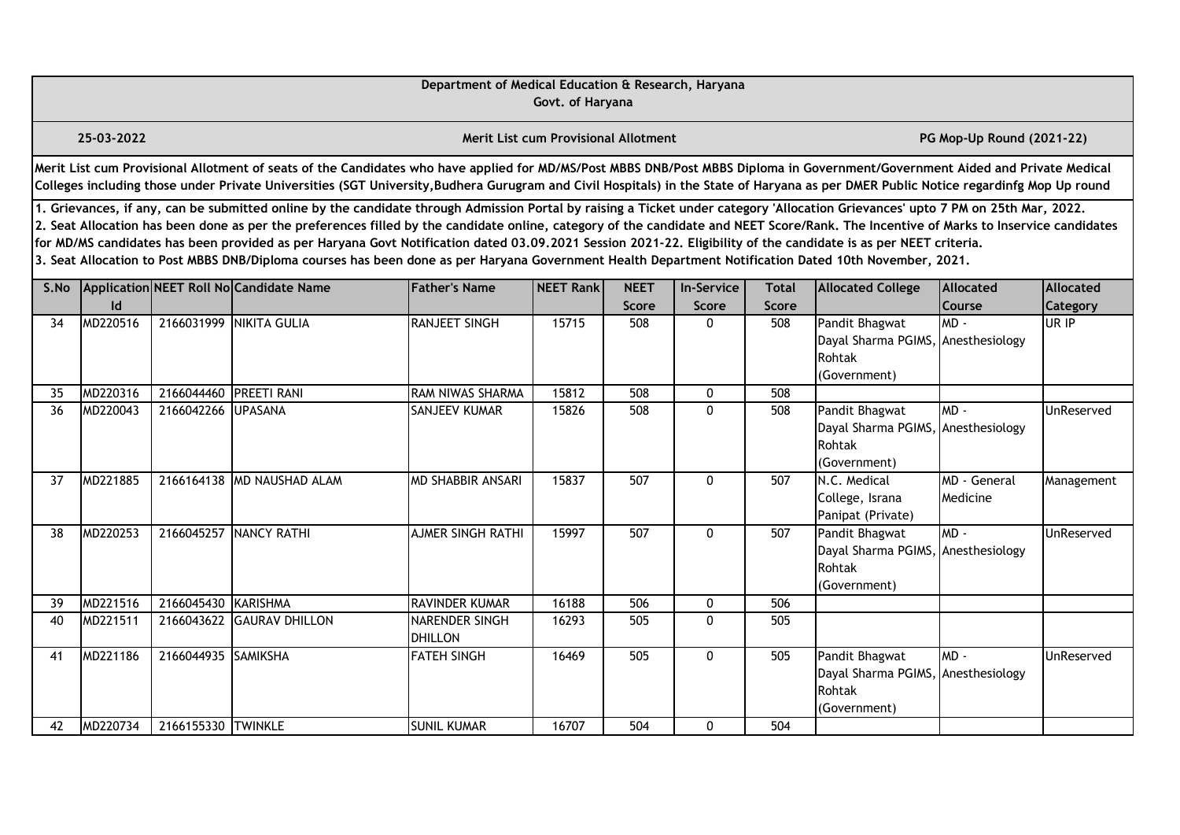|    |                                                                                                                                                                                                                                                                                                                                                                                                                                                                                                                                                                                                                                                                                                                                                       |                     |                                                                                                                                                                                                                                                                                                                                                                       | Department of Medical Education & Research, Haryana | Govt. of Haryana                     |                             |                            |                              |                                                                                |                            |                   |  |  |
|----|-------------------------------------------------------------------------------------------------------------------------------------------------------------------------------------------------------------------------------------------------------------------------------------------------------------------------------------------------------------------------------------------------------------------------------------------------------------------------------------------------------------------------------------------------------------------------------------------------------------------------------------------------------------------------------------------------------------------------------------------------------|---------------------|-----------------------------------------------------------------------------------------------------------------------------------------------------------------------------------------------------------------------------------------------------------------------------------------------------------------------------------------------------------------------|-----------------------------------------------------|--------------------------------------|-----------------------------|----------------------------|------------------------------|--------------------------------------------------------------------------------|----------------------------|-------------------|--|--|
|    | 25-03-2022                                                                                                                                                                                                                                                                                                                                                                                                                                                                                                                                                                                                                                                                                                                                            |                     |                                                                                                                                                                                                                                                                                                                                                                       |                                                     | Merit List cum Provisional Allotment |                             |                            |                              |                                                                                | PG Mop-Up Round (2021-22)  |                   |  |  |
|    |                                                                                                                                                                                                                                                                                                                                                                                                                                                                                                                                                                                                                                                                                                                                                       |                     | Merit List cum Provisional Allotment of seats of the Candidates who have applied for MD/MS/Post MBBS DNB/Post MBBS Diploma in Government/Government Aided and Private Medical<br>Colleges including those under Private Universities (SGT University, Budhera Gurugram and Civil Hospitals) in the State of Haryana as per DMER Public Notice regardinfg Mop Up round |                                                     |                                      |                             |                            |                              |                                                                                |                            |                   |  |  |
|    | 1. Grievances, if any, can be submitted online by the candidate through Admission Portal by raising a Ticket under category 'Allocation Grievances' upto 7 PM on 25th Mar, 2022.<br>2. Seat Allocation has been done as per the preferences filled by the candidate online, category of the candidate and NEET Score/Rank. The Incentive of Marks to Inservice candidates<br>for MD/MS candidates has been provided as per Haryana Govt Notification dated 03.09.2021 Session 2021-22. Eligibility of the candidate is as per NEET criteria.<br>3. Seat Allocation to Post MBBS DNB/Diploma courses has been done as per Haryana Government Health Department Notification Dated 10th November, 2021.<br>S.No Application NEET Roll No Candidate Name |                     |                                                                                                                                                                                                                                                                                                                                                                       |                                                     |                                      |                             |                            |                              |                                                                                |                            |                   |  |  |
|    | Id                                                                                                                                                                                                                                                                                                                                                                                                                                                                                                                                                                                                                                                                                                                                                    |                     |                                                                                                                                                                                                                                                                                                                                                                       | <b>Father's Name</b>                                | <b>NEET Rank</b>                     | <b>NEET</b><br><b>Score</b> | <b>In-Service</b><br>Score | <b>Total</b><br><b>Score</b> | <b>Allocated College</b>                                                       | <b>Allocated</b><br>Course | <b>Allocated</b>  |  |  |
| 34 | MD220516                                                                                                                                                                                                                                                                                                                                                                                                                                                                                                                                                                                                                                                                                                                                              |                     | 2166031999 NIKITA GULIA                                                                                                                                                                                                                                                                                                                                               | RANJEET SINGH                                       | 15715                                | 508                         | $\Omega$                   | 508                          | Pandit Bhagwat<br>Dayal Sharma PGIMS, Anesthesiology<br>Rohtak<br>(Government) | $MD -$                     | Category<br>UR IP |  |  |
| 35 | MD220316                                                                                                                                                                                                                                                                                                                                                                                                                                                                                                                                                                                                                                                                                                                                              | 2166044460          | <b>PREETI RANI</b>                                                                                                                                                                                                                                                                                                                                                    | RAM NIWAS SHARMA                                    | 15812                                | 508                         | 0                          | 508                          |                                                                                |                            |                   |  |  |
| 36 | MD220043                                                                                                                                                                                                                                                                                                                                                                                                                                                                                                                                                                                                                                                                                                                                              | 2166042266          | <b>UPASANA</b>                                                                                                                                                                                                                                                                                                                                                        | SANJEEV KUMAR                                       | 15826                                | 508                         | 0                          | 508                          | Pandit Bhagwat<br>Dayal Sharma PGIMS, Anesthesiology<br>Rohtak<br>(Government) | $MD -$                     | UnReserved        |  |  |
| 37 | MD221885                                                                                                                                                                                                                                                                                                                                                                                                                                                                                                                                                                                                                                                                                                                                              |                     | 2166164138 MD NAUSHAD ALAM                                                                                                                                                                                                                                                                                                                                            | <b>MD SHABBIR ANSARI</b>                            | 15837                                | 507                         | 0                          | 507                          | N.C. Medical<br>College, Israna<br>Panipat (Private)                           | MD - General<br>Medicine   | Management        |  |  |
| 38 | MD220253                                                                                                                                                                                                                                                                                                                                                                                                                                                                                                                                                                                                                                                                                                                                              | 2166045257          | NANCY RATHI                                                                                                                                                                                                                                                                                                                                                           | <b>AJMER SINGH RATHI</b>                            | 15997                                | 507                         | $\mathbf 0$                | 507                          | Pandit Bhagwat<br>Dayal Sharma PGIMS, Anesthesiology<br>Rohtak<br>(Government) | $MD -$                     | UnReserved        |  |  |
| 39 | MD221516                                                                                                                                                                                                                                                                                                                                                                                                                                                                                                                                                                                                                                                                                                                                              | 2166045430 KARISHMA |                                                                                                                                                                                                                                                                                                                                                                       | <b>RAVINDER KUMAR</b>                               | 16188                                | 506                         | 0                          | 506                          |                                                                                |                            |                   |  |  |
| 40 | MD221511                                                                                                                                                                                                                                                                                                                                                                                                                                                                                                                                                                                                                                                                                                                                              | 2166043622          | <b>GAURAV DHILLON</b>                                                                                                                                                                                                                                                                                                                                                 | <b>NARENDER SINGH</b><br><b>DHILLON</b>             | 16293                                | 505                         | $\mathbf{0}$               | 505                          |                                                                                |                            |                   |  |  |
| 41 | MD221186                                                                                                                                                                                                                                                                                                                                                                                                                                                                                                                                                                                                                                                                                                                                              | 2166044935 SAMIKSHA |                                                                                                                                                                                                                                                                                                                                                                       | <b>FATEH SINGH</b>                                  | 16469                                | 505                         | 0                          | 505                          | Pandit Bhagwat<br>Dayal Sharma PGIMS, Anesthesiology<br>Rohtak<br>(Government) | $MD -$                     | UnReserved        |  |  |
| 42 | MD220734                                                                                                                                                                                                                                                                                                                                                                                                                                                                                                                                                                                                                                                                                                                                              | 2166155330 TWINKLE  |                                                                                                                                                                                                                                                                                                                                                                       | <b>SUNIL KUMAR</b>                                  | 16707                                | 504                         | 0                          | 504                          |                                                                                |                            |                   |  |  |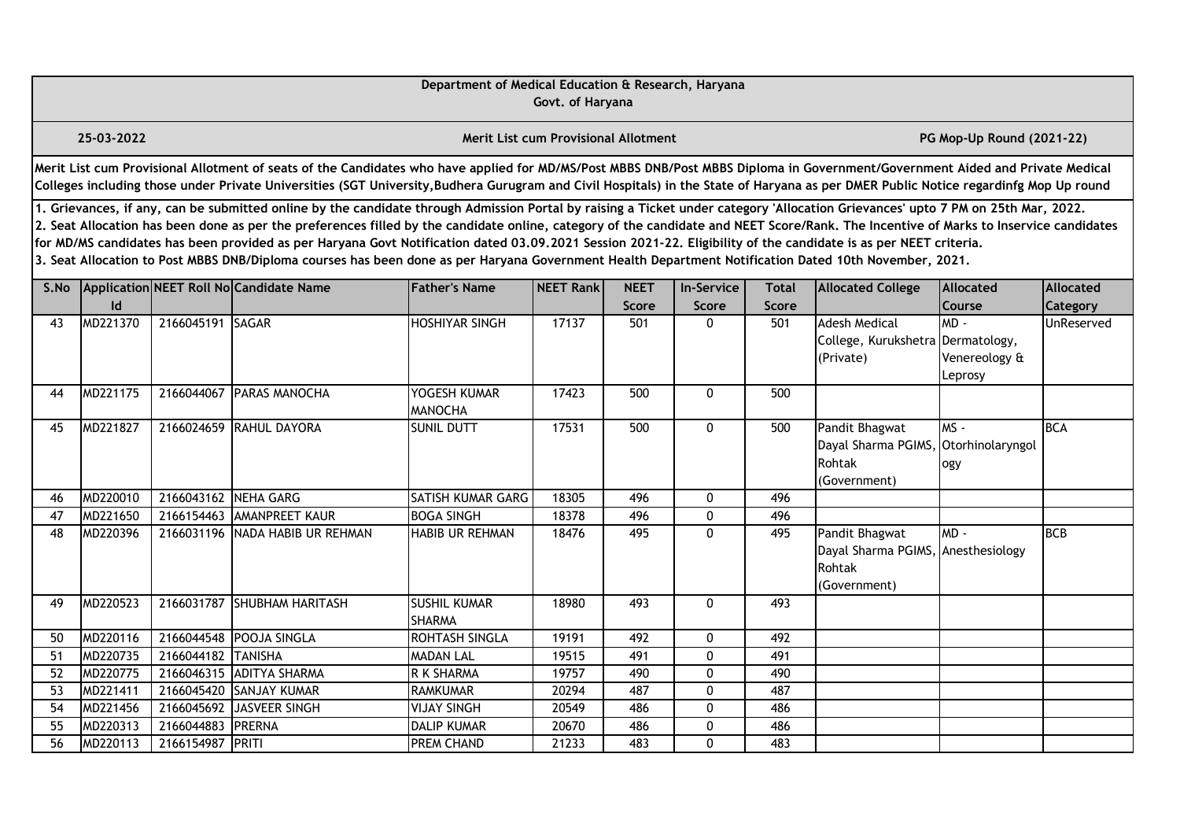|      |                                                                                                                                                                                                                                                                                                                                                                                                                                                                                                                                                                                                                                                                                                                                                  |                  |                                                                                                                                                                                                                                                                                                                                                                       | Department of Medical Education & Research, Haryana | Govt. of Haryana                            |                      |                            |                              |                                                                                |                                    |                       |  |  |
|------|--------------------------------------------------------------------------------------------------------------------------------------------------------------------------------------------------------------------------------------------------------------------------------------------------------------------------------------------------------------------------------------------------------------------------------------------------------------------------------------------------------------------------------------------------------------------------------------------------------------------------------------------------------------------------------------------------------------------------------------------------|------------------|-----------------------------------------------------------------------------------------------------------------------------------------------------------------------------------------------------------------------------------------------------------------------------------------------------------------------------------------------------------------------|-----------------------------------------------------|---------------------------------------------|----------------------|----------------------------|------------------------------|--------------------------------------------------------------------------------|------------------------------------|-----------------------|--|--|
|      | 25-03-2022                                                                                                                                                                                                                                                                                                                                                                                                                                                                                                                                                                                                                                                                                                                                       |                  |                                                                                                                                                                                                                                                                                                                                                                       |                                                     | <b>Merit List cum Provisional Allotment</b> |                      |                            |                              |                                                                                | PG Mop-Up Round (2021-22)          |                       |  |  |
|      |                                                                                                                                                                                                                                                                                                                                                                                                                                                                                                                                                                                                                                                                                                                                                  |                  | Merit List cum Provisional Allotment of seats of the Candidates who have applied for MD/MS/Post MBBS DNB/Post MBBS Diploma in Government/Government Aided and Private Medical<br>Colleges including those under Private Universities (SGT University, Budhera Gurugram and Civil Hospitals) in the State of Haryana as per DMER Public Notice regardinfg Mop Up round |                                                     |                                             |                      |                            |                              |                                                                                |                                    |                       |  |  |
|      | 1. Grievances, if any, can be submitted online by the candidate through Admission Portal by raising a Ticket under category 'Allocation Grievances' upto 7 PM on 25th Mar, 2022.<br>2. Seat Allocation has been done as per the preferences filled by the candidate online, category of the candidate and NEET Score/Rank. The Incentive of Marks to Inservice candidates<br>for MD/MS candidates has been provided as per Haryana Govt Notification dated 03.09.2021 Session 2021-22. Eligibility of the candidate is as per NEET criteria.<br>3. Seat Allocation to Post MBBS DNB/Diploma courses has been done as per Haryana Government Health Department Notification Dated 10th November, 2021.<br>Application NEET Roll No Candidate Name |                  |                                                                                                                                                                                                                                                                                                                                                                       |                                                     |                                             |                      |                            |                              |                                                                                |                                    |                       |  |  |
| S.No | Id                                                                                                                                                                                                                                                                                                                                                                                                                                                                                                                                                                                                                                                                                                                                               |                  |                                                                                                                                                                                                                                                                                                                                                                       | <b>Father's Name</b>                                | NEET Rank                                   | <b>NEET</b><br>Score | <b>In-Service</b><br>Score | <b>Total</b><br><b>Score</b> | <b>Allocated College</b>                                                       | <b>Allocated</b><br>Course         | Allocated<br>Category |  |  |
| 43   | MD221370                                                                                                                                                                                                                                                                                                                                                                                                                                                                                                                                                                                                                                                                                                                                         | 2166045191 SAGAR |                                                                                                                                                                                                                                                                                                                                                                       | <b>HOSHIYAR SINGH</b>                               | 17137                                       | 501                  | $\Omega$                   | 501                          | <b>Adesh Medical</b><br>College, Kurukshetra Dermatology,<br>(Private)         | $MD -$<br>Venereology &<br>Leprosy | UnReserved            |  |  |
| 44   | MD221175                                                                                                                                                                                                                                                                                                                                                                                                                                                                                                                                                                                                                                                                                                                                         | 2166044067       | <b>PARAS MANOCHA</b>                                                                                                                                                                                                                                                                                                                                                  | YOGESH KUMAR<br><b>MANOCHA</b>                      | 17423                                       | 500                  | $\mathbf{0}$               | 500                          |                                                                                |                                    |                       |  |  |
| 45   | MD221827                                                                                                                                                                                                                                                                                                                                                                                                                                                                                                                                                                                                                                                                                                                                         |                  | 2166024659 RAHUL DAYORA                                                                                                                                                                                                                                                                                                                                               | <b>SUNIL DUTT</b>                                   | 17531                                       | 500                  | 0                          | 500                          | Pandit Bhagwat<br>Dayal Sharma PGIMS,<br>Rohtak<br>(Government)                | $MS -$<br>Otorhinolaryngol<br>ogy  | <b>BCA</b>            |  |  |
| 46   | MD220010                                                                                                                                                                                                                                                                                                                                                                                                                                                                                                                                                                                                                                                                                                                                         | 2166043162       | NEHA GARG                                                                                                                                                                                                                                                                                                                                                             | SATISH KUMAR GARG                                   | 18305                                       | 496                  | $\mathbf 0$                | 496                          |                                                                                |                                    |                       |  |  |
| 47   | MD221650                                                                                                                                                                                                                                                                                                                                                                                                                                                                                                                                                                                                                                                                                                                                         | 2166154463       | <b>AMANPREET KAUR</b>                                                                                                                                                                                                                                                                                                                                                 | <b>BOGA SINGH</b>                                   | 18378                                       | 496                  | $\mathbf 0$                | 496                          |                                                                                |                                    |                       |  |  |
| 48   | MD220396                                                                                                                                                                                                                                                                                                                                                                                                                                                                                                                                                                                                                                                                                                                                         |                  | 2166031196 NADA HABIB UR REHMAN                                                                                                                                                                                                                                                                                                                                       | <b>HABIB UR REHMAN</b>                              | 18476                                       | 495                  | 0                          | 495                          | Pandit Bhagwat<br>Dayal Sharma PGIMS, Anesthesiology<br>Rohtak<br>(Government) | MD-                                | <b>BCB</b>            |  |  |
| 49   | MD220523                                                                                                                                                                                                                                                                                                                                                                                                                                                                                                                                                                                                                                                                                                                                         |                  | 2166031787 SHUBHAM HARITASH                                                                                                                                                                                                                                                                                                                                           | <b>SUSHIL KUMAR</b><br><b>SHARMA</b>                | 18980                                       | 493                  | 0                          | 493                          |                                                                                |                                    |                       |  |  |
| 50   | MD220116                                                                                                                                                                                                                                                                                                                                                                                                                                                                                                                                                                                                                                                                                                                                         | 2166044548       | <b>POOJA SINGLA</b>                                                                                                                                                                                                                                                                                                                                                   | ROHTASH SINGLA                                      | 19191                                       | 492                  | 0                          | 492                          |                                                                                |                                    |                       |  |  |
| 51   | MD220735                                                                                                                                                                                                                                                                                                                                                                                                                                                                                                                                                                                                                                                                                                                                         | 2166044182       | <b>TANISHA</b>                                                                                                                                                                                                                                                                                                                                                        | <b>MADAN LAL</b>                                    | 19515                                       | 491                  | $\mathbf 0$                | 491                          |                                                                                |                                    |                       |  |  |
| 52   | MD220775                                                                                                                                                                                                                                                                                                                                                                                                                                                                                                                                                                                                                                                                                                                                         | 2166046315       | <b>ADITYA SHARMA</b>                                                                                                                                                                                                                                                                                                                                                  | R K SHARMA                                          | 19757                                       | 490                  | $\mathbf{0}$               | 490                          |                                                                                |                                    |                       |  |  |
| 53   | MD221411                                                                                                                                                                                                                                                                                                                                                                                                                                                                                                                                                                                                                                                                                                                                         | 2166045420       | <b>SANJAY KUMAR</b>                                                                                                                                                                                                                                                                                                                                                   | <b>RAMKUMAR</b>                                     | 20294                                       | 487                  | $\mathbf 0$                | 487                          |                                                                                |                                    |                       |  |  |
| 54   | MD221456                                                                                                                                                                                                                                                                                                                                                                                                                                                                                                                                                                                                                                                                                                                                         | 2166045692       | JASVEER SINGH                                                                                                                                                                                                                                                                                                                                                         | <b>VIJAY SINGH</b>                                  | 20549                                       | 486                  | 0                          | 486                          |                                                                                |                                    |                       |  |  |
| 55   | MD220313                                                                                                                                                                                                                                                                                                                                                                                                                                                                                                                                                                                                                                                                                                                                         | 2166044883       | PRERNA                                                                                                                                                                                                                                                                                                                                                                | <b>DALIP KUMAR</b>                                  | 20670                                       | 486                  | 0                          | 486                          |                                                                                |                                    |                       |  |  |
| 56   | MD220113                                                                                                                                                                                                                                                                                                                                                                                                                                                                                                                                                                                                                                                                                                                                         | 2166154987 PRITI |                                                                                                                                                                                                                                                                                                                                                                       | PREM CHAND                                          | 21233                                       | 483                  | $\mathbf 0$                | 483                          |                                                                                |                                    |                       |  |  |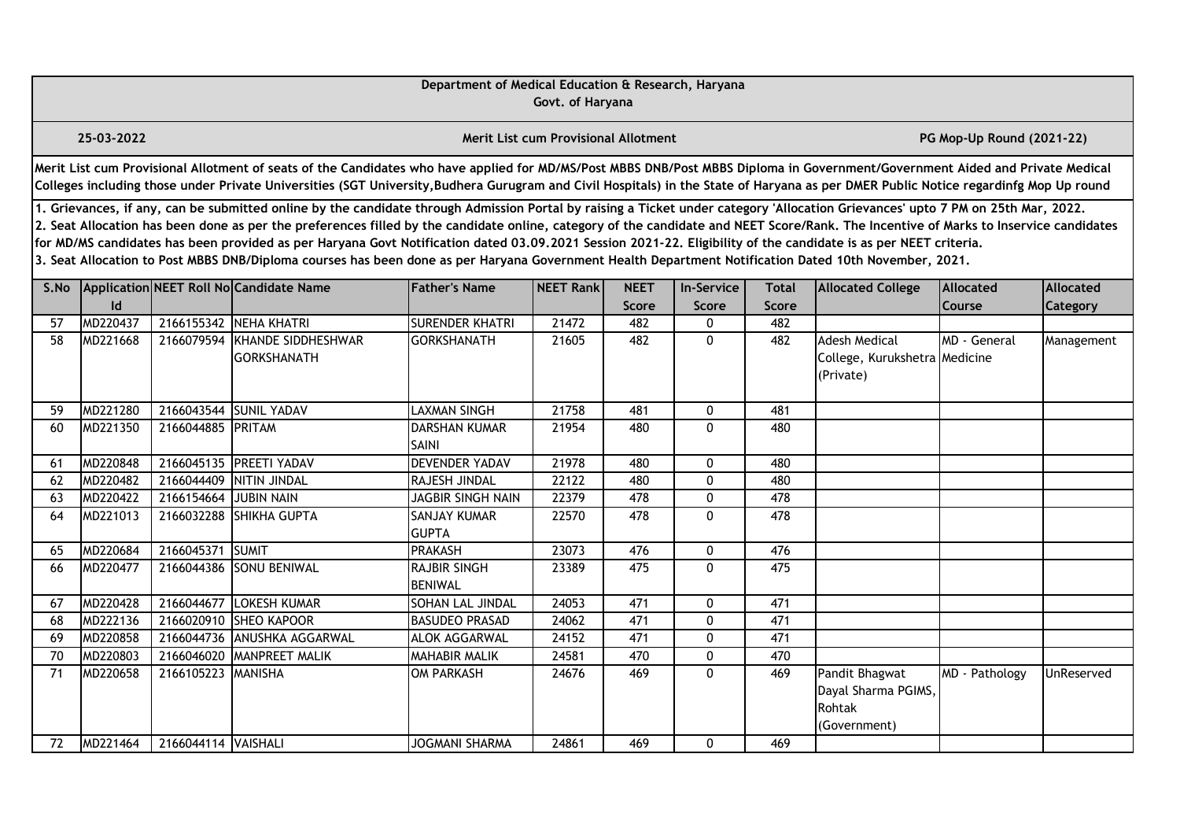|      |                                                                                                                                                                                                                                                                                                                                                                                                                                                                                                                                                                                                                                                                                                                                                                                                                                                                                                 |                     |                                                                                                                                                                                                                                                                                                                                                                       | Department of Medical Education & Research, Haryana | Govt. of Haryana                            |       |              |       |                                                                    |                           |            |  |  |
|------|-------------------------------------------------------------------------------------------------------------------------------------------------------------------------------------------------------------------------------------------------------------------------------------------------------------------------------------------------------------------------------------------------------------------------------------------------------------------------------------------------------------------------------------------------------------------------------------------------------------------------------------------------------------------------------------------------------------------------------------------------------------------------------------------------------------------------------------------------------------------------------------------------|---------------------|-----------------------------------------------------------------------------------------------------------------------------------------------------------------------------------------------------------------------------------------------------------------------------------------------------------------------------------------------------------------------|-----------------------------------------------------|---------------------------------------------|-------|--------------|-------|--------------------------------------------------------------------|---------------------------|------------|--|--|
|      | 25-03-2022                                                                                                                                                                                                                                                                                                                                                                                                                                                                                                                                                                                                                                                                                                                                                                                                                                                                                      |                     |                                                                                                                                                                                                                                                                                                                                                                       |                                                     | <b>Merit List cum Provisional Allotment</b> |       |              |       |                                                                    | PG Mop-Up Round (2021-22) |            |  |  |
|      |                                                                                                                                                                                                                                                                                                                                                                                                                                                                                                                                                                                                                                                                                                                                                                                                                                                                                                 |                     | Merit List cum Provisional Allotment of seats of the Candidates who have applied for MD/MS/Post MBBS DNB/Post MBBS Diploma in Government/Government Aided and Private Medical<br>Colleges including those under Private Universities (SGT University, Budhera Gurugram and Civil Hospitals) in the State of Haryana as per DMER Public Notice regardinfg Mop Up round |                                                     |                                             |       |              |       |                                                                    |                           |            |  |  |
|      | 1. Grievances, if any, can be submitted online by the candidate through Admission Portal by raising a Ticket under category 'Allocation Grievances' upto 7 PM on 25th Mar, 2022.<br>2. Seat Allocation has been done as per the preferences filled by the candidate online, category of the candidate and NEET Score/Rank. The Incentive of Marks to Inservice candidates<br>for MD/MS candidates has been provided as per Haryana Govt Notification dated 03.09.2021 Session 2021-22. Eligibility of the candidate is as per NEET criteria.<br>3. Seat Allocation to Post MBBS DNB/Diploma courses has been done as per Haryana Government Health Department Notification Dated 10th November, 2021.<br>Application NEET Roll No Candidate Name<br><b>Father's Name</b><br>NEET Rank<br><b>NEET</b><br><b>Allocated College</b><br>Allocated<br><b>Allocated</b><br><b>In-Service</b><br>Total |                     |                                                                                                                                                                                                                                                                                                                                                                       |                                                     |                                             |       |              |       |                                                                    |                           |            |  |  |
| S.No | Id                                                                                                                                                                                                                                                                                                                                                                                                                                                                                                                                                                                                                                                                                                                                                                                                                                                                                              |                     |                                                                                                                                                                                                                                                                                                                                                                       |                                                     |                                             | Score | Score        | Score |                                                                    | Course                    | Category   |  |  |
| 57   | MD220437                                                                                                                                                                                                                                                                                                                                                                                                                                                                                                                                                                                                                                                                                                                                                                                                                                                                                        |                     | 2166155342 NEHA KHATRI                                                                                                                                                                                                                                                                                                                                                | <b>SURENDER KHATRI</b>                              | 21472                                       | 482   | 0            | 482   |                                                                    |                           |            |  |  |
| 58   | MD221668                                                                                                                                                                                                                                                                                                                                                                                                                                                                                                                                                                                                                                                                                                                                                                                                                                                                                        | 2166079594          | KHANDE SIDDHESHWAR<br><b>GORKSHANATH</b>                                                                                                                                                                                                                                                                                                                              | <b>GORKSHANATH</b>                                  | 21605                                       | 482   | $\mathbf{0}$ | 482   | <b>Adesh Medical</b><br>College, Kurukshetra Medicine<br>(Private) | MD - General              | Management |  |  |
| 59   | MD221280                                                                                                                                                                                                                                                                                                                                                                                                                                                                                                                                                                                                                                                                                                                                                                                                                                                                                        |                     | 2166043544 SUNIL YADAV                                                                                                                                                                                                                                                                                                                                                | <b>LAXMAN SINGH</b>                                 | 21758                                       | 481   | 0            | 481   |                                                                    |                           |            |  |  |
| 60   | MD221350                                                                                                                                                                                                                                                                                                                                                                                                                                                                                                                                                                                                                                                                                                                                                                                                                                                                                        | 2166044885 PRITAM   |                                                                                                                                                                                                                                                                                                                                                                       | <b>DARSHAN KUMAR</b><br>SAINI                       | 21954                                       | 480   | $\Omega$     | 480   |                                                                    |                           |            |  |  |
| 61   | MD220848                                                                                                                                                                                                                                                                                                                                                                                                                                                                                                                                                                                                                                                                                                                                                                                                                                                                                        |                     | 2166045135 PREETI YADAV                                                                                                                                                                                                                                                                                                                                               | <b>DEVENDER YADAV</b>                               | 21978                                       | 480   | 0            | 480   |                                                                    |                           |            |  |  |
| 62   | MD220482                                                                                                                                                                                                                                                                                                                                                                                                                                                                                                                                                                                                                                                                                                                                                                                                                                                                                        |                     | 2166044409 NITIN JINDAL                                                                                                                                                                                                                                                                                                                                               | RAJESH JINDAL                                       | 22122                                       | 480   | 0            | 480   |                                                                    |                           |            |  |  |
| 63   | MD220422                                                                                                                                                                                                                                                                                                                                                                                                                                                                                                                                                                                                                                                                                                                                                                                                                                                                                        | 2166154664          | <b>JUBIN NAIN</b>                                                                                                                                                                                                                                                                                                                                                     | <b>JAGBIR SINGH NAIN</b>                            | 22379                                       | 478   | 0            | 478   |                                                                    |                           |            |  |  |
| 64   | MD221013                                                                                                                                                                                                                                                                                                                                                                                                                                                                                                                                                                                                                                                                                                                                                                                                                                                                                        |                     | 2166032288 SHIKHA GUPTA                                                                                                                                                                                                                                                                                                                                               | SANJAY KUMAR<br><b>GUPTA</b>                        | 22570                                       | 478   | $\Omega$     | 478   |                                                                    |                           |            |  |  |
| 65   | MD220684                                                                                                                                                                                                                                                                                                                                                                                                                                                                                                                                                                                                                                                                                                                                                                                                                                                                                        | 2166045371 SUMIT    |                                                                                                                                                                                                                                                                                                                                                                       | <b>PRAKASH</b>                                      | 23073                                       | 476   | 0            | 476   |                                                                    |                           |            |  |  |
| 66   | MD220477                                                                                                                                                                                                                                                                                                                                                                                                                                                                                                                                                                                                                                                                                                                                                                                                                                                                                        |                     | 2166044386 SONU BENIWAL                                                                                                                                                                                                                                                                                                                                               | RAJBIR SINGH<br><b>BENIWAL</b>                      | 23389                                       | 475   | 0            | 475   |                                                                    |                           |            |  |  |
| 67   | MD220428                                                                                                                                                                                                                                                                                                                                                                                                                                                                                                                                                                                                                                                                                                                                                                                                                                                                                        | 2166044677          | <b>LOKESH KUMAR</b>                                                                                                                                                                                                                                                                                                                                                   | SOHAN LAL JINDAL                                    | 24053                                       | 471   | 0            | 471   |                                                                    |                           |            |  |  |
| 68   | MD222136                                                                                                                                                                                                                                                                                                                                                                                                                                                                                                                                                                                                                                                                                                                                                                                                                                                                                        |                     | 2166020910 SHEO KAPOOR                                                                                                                                                                                                                                                                                                                                                | <b>BASUDEO PRASAD</b>                               | 24062                                       | 471   | 0            | 471   |                                                                    |                           |            |  |  |
| 69   | MD220858                                                                                                                                                                                                                                                                                                                                                                                                                                                                                                                                                                                                                                                                                                                                                                                                                                                                                        |                     | 2166044736 ANUSHKA AGGARWAL                                                                                                                                                                                                                                                                                                                                           | ALOK AGGARWAL                                       | 24152                                       | 471   | $\mathbf{0}$ | 471   |                                                                    |                           |            |  |  |
| 70   | MD220803                                                                                                                                                                                                                                                                                                                                                                                                                                                                                                                                                                                                                                                                                                                                                                                                                                                                                        | 2166046020          | <b>MANPREET MALIK</b>                                                                                                                                                                                                                                                                                                                                                 | MAHABIR MALIK                                       | 24581                                       | 470   | 0            | 470   |                                                                    |                           |            |  |  |
| 71   | MD220658                                                                                                                                                                                                                                                                                                                                                                                                                                                                                                                                                                                                                                                                                                                                                                                                                                                                                        | 2166105223          | MANISHA                                                                                                                                                                                                                                                                                                                                                               | <b>OM PARKASH</b>                                   | 24676                                       | 469   | $\mathbf{0}$ | 469   | Pandit Bhagwat<br>Dayal Sharma PGIMS,<br>Rohtak<br>(Government)    | MD - Pathology            | UnReserved |  |  |
| 72   | MD221464                                                                                                                                                                                                                                                                                                                                                                                                                                                                                                                                                                                                                                                                                                                                                                                                                                                                                        | 2166044114 VAISHALI |                                                                                                                                                                                                                                                                                                                                                                       | <b>JOGMANI SHARMA</b>                               | 24861                                       | 469   | 0            | 469   |                                                                    |                           |            |  |  |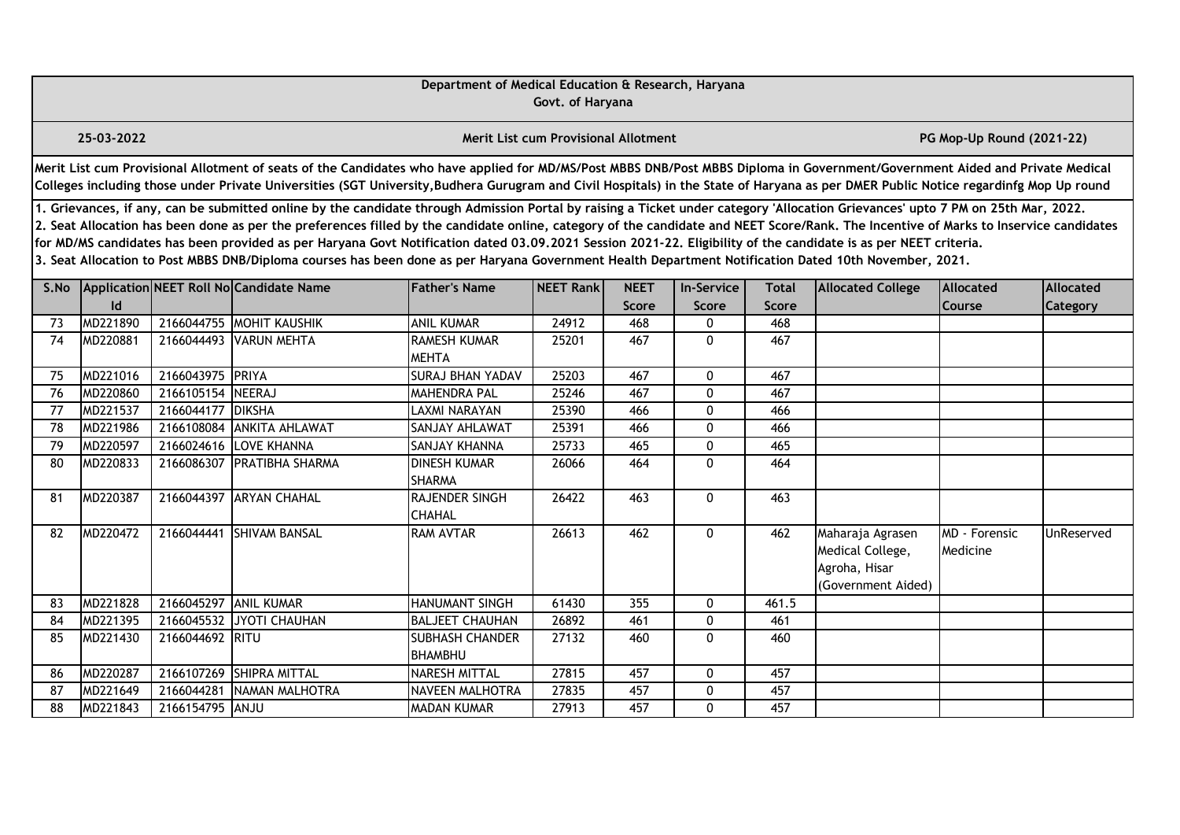|      |                                                                                                                                                                                                                                                                                                                                                                                                                                                                                                                                                                                                                                                                                                                                                  |                  |                                                                                                                                                                                                                                                                                                                                                                       | Department of Medical Education & Research, Haryana | Govt. of Haryana                            |                     |                   |              |                                                                             |                           |                  |  |  |
|------|--------------------------------------------------------------------------------------------------------------------------------------------------------------------------------------------------------------------------------------------------------------------------------------------------------------------------------------------------------------------------------------------------------------------------------------------------------------------------------------------------------------------------------------------------------------------------------------------------------------------------------------------------------------------------------------------------------------------------------------------------|------------------|-----------------------------------------------------------------------------------------------------------------------------------------------------------------------------------------------------------------------------------------------------------------------------------------------------------------------------------------------------------------------|-----------------------------------------------------|---------------------------------------------|---------------------|-------------------|--------------|-----------------------------------------------------------------------------|---------------------------|------------------|--|--|
|      | 25-03-2022                                                                                                                                                                                                                                                                                                                                                                                                                                                                                                                                                                                                                                                                                                                                       |                  |                                                                                                                                                                                                                                                                                                                                                                       |                                                     | <b>Merit List cum Provisional Allotment</b> |                     |                   |              |                                                                             | PG Mop-Up Round (2021-22) |                  |  |  |
|      |                                                                                                                                                                                                                                                                                                                                                                                                                                                                                                                                                                                                                                                                                                                                                  |                  | Merit List cum Provisional Allotment of seats of the Candidates who have applied for MD/MS/Post MBBS DNB/Post MBBS Diploma in Government/Government Aided and Private Medical<br>Colleges including those under Private Universities (SGT University, Budhera Gurugram and Civil Hospitals) in the State of Haryana as per DMER Public Notice regardinfg Mop Up round |                                                     |                                             |                     |                   |              |                                                                             |                           |                  |  |  |
|      | 1. Grievances, if any, can be submitted online by the candidate through Admission Portal by raising a Ticket under category 'Allocation Grievances' upto 7 PM on 25th Mar, 2022.<br>2. Seat Allocation has been done as per the preferences filled by the candidate online, category of the candidate and NEET Score/Rank. The Incentive of Marks to Inservice candidates<br>for MD/MS candidates has been provided as per Haryana Govt Notification dated 03.09.2021 Session 2021-22. Eligibility of the candidate is as per NEET criteria.<br>3. Seat Allocation to Post MBBS DNB/Diploma courses has been done as per Haryana Government Health Department Notification Dated 10th November, 2021.<br>Application NEET Roll No Candidate Name |                  |                                                                                                                                                                                                                                                                                                                                                                       |                                                     |                                             |                     |                   |              |                                                                             |                           |                  |  |  |
| S.No |                                                                                                                                                                                                                                                                                                                                                                                                                                                                                                                                                                                                                                                                                                                                                  |                  |                                                                                                                                                                                                                                                                                                                                                                       | <b>Father's Name</b>                                | NEET Rank                                   | <b>NEET</b>         | <b>In-Service</b> | <b>Total</b> | <b>Allocated College</b>                                                    | <b>Allocated</b>          | <b>Allocated</b> |  |  |
| 73   | $\mathsf{Id}$<br>MD221890                                                                                                                                                                                                                                                                                                                                                                                                                                                                                                                                                                                                                                                                                                                        |                  | 2166044755 MOHIT KAUSHIK                                                                                                                                                                                                                                                                                                                                              | <b>ANIL KUMAR</b>                                   | 24912                                       | <b>Score</b><br>468 | Score<br>0        | Score<br>468 |                                                                             | Course                    | Category         |  |  |
| 74   | MD220881                                                                                                                                                                                                                                                                                                                                                                                                                                                                                                                                                                                                                                                                                                                                         | 2166044493       | <b>VARUN MEHTA</b>                                                                                                                                                                                                                                                                                                                                                    | <b>RAMESH KUMAR</b><br><b>MEHTA</b>                 | 25201                                       | 467                 | $\mathbf{0}$      | 467          |                                                                             |                           |                  |  |  |
| 75   | MD221016                                                                                                                                                                                                                                                                                                                                                                                                                                                                                                                                                                                                                                                                                                                                         | 2166043975 PRIYA |                                                                                                                                                                                                                                                                                                                                                                       | <b>SURAJ BHAN YADAV</b>                             | 25203                                       | 467                 | $\mathbf 0$       | 467          |                                                                             |                           |                  |  |  |
| 76   | MD220860                                                                                                                                                                                                                                                                                                                                                                                                                                                                                                                                                                                                                                                                                                                                         | 2166105154       | NEERAJ                                                                                                                                                                                                                                                                                                                                                                | <b>MAHENDRA PAL</b>                                 | 25246                                       | 467                 | 0                 | 467          |                                                                             |                           |                  |  |  |
| 77   | MD221537                                                                                                                                                                                                                                                                                                                                                                                                                                                                                                                                                                                                                                                                                                                                         | 2166044177       | <b>DIKSHA</b>                                                                                                                                                                                                                                                                                                                                                         | <b>LAXMI NARAYAN</b>                                | 25390                                       | 466                 | 0                 | 466          |                                                                             |                           |                  |  |  |
| 78   | MD221986                                                                                                                                                                                                                                                                                                                                                                                                                                                                                                                                                                                                                                                                                                                                         | 2166108084       | <b>ANKITA AHLAWAT</b>                                                                                                                                                                                                                                                                                                                                                 | SANJAY AHLAWAT                                      | 25391                                       | 466                 | 0                 | 466          |                                                                             |                           |                  |  |  |
| 79   | MD220597                                                                                                                                                                                                                                                                                                                                                                                                                                                                                                                                                                                                                                                                                                                                         | 2166024616       | <b>LOVE KHANNA</b>                                                                                                                                                                                                                                                                                                                                                    | SANJAY KHANNA                                       | 25733                                       | 465                 | 0                 | 465          |                                                                             |                           |                  |  |  |
| 80   | MD220833                                                                                                                                                                                                                                                                                                                                                                                                                                                                                                                                                                                                                                                                                                                                         | 2166086307       | <b>PRATIBHA SHARMA</b>                                                                                                                                                                                                                                                                                                                                                | <b>DINESH KUMAR</b><br><b>SHARMA</b>                | 26066                                       | 464                 | $\mathbf{0}$      | 464          |                                                                             |                           |                  |  |  |
| 81   | MD220387                                                                                                                                                                                                                                                                                                                                                                                                                                                                                                                                                                                                                                                                                                                                         |                  | 2166044397 ARYAN CHAHAL                                                                                                                                                                                                                                                                                                                                               | RAJENDER SINGH<br><b>CHAHAL</b>                     | 26422                                       | 463                 | 0                 | 463          |                                                                             |                           |                  |  |  |
| 82   | MD220472                                                                                                                                                                                                                                                                                                                                                                                                                                                                                                                                                                                                                                                                                                                                         | 2166044441       | <b>SHIVAM BANSAL</b>                                                                                                                                                                                                                                                                                                                                                  | <b>RAM AVTAR</b>                                    | 26613                                       | 462                 | $\mathbf 0$       | 462          | Maharaja Agrasen<br>Medical College,<br>Agroha, Hisar<br>(Government Aided) | MD - Forensic<br>Medicine | UnReserved       |  |  |
| 83   | MD221828                                                                                                                                                                                                                                                                                                                                                                                                                                                                                                                                                                                                                                                                                                                                         | 2166045297       | <b>JANIL KUMAR</b>                                                                                                                                                                                                                                                                                                                                                    | <b>HANUMANT SINGH</b>                               | 61430                                       | 355                 | $\mathbf{0}$      | 461.5        |                                                                             |                           |                  |  |  |
| 84   | MD221395                                                                                                                                                                                                                                                                                                                                                                                                                                                                                                                                                                                                                                                                                                                                         | 2166045532       | JYOTI CHAUHAN                                                                                                                                                                                                                                                                                                                                                         | <b>BALJEET CHAUHAN</b>                              | 26892                                       | 461                 | 0                 | 461          |                                                                             |                           |                  |  |  |
| 85   | MD221430                                                                                                                                                                                                                                                                                                                                                                                                                                                                                                                                                                                                                                                                                                                                         | 2166044692 RITU  |                                                                                                                                                                                                                                                                                                                                                                       | <b>SUBHASH CHANDER</b><br>BHAMBHU                   | 27132                                       | 460                 | $\mathbf{0}$      | 460          |                                                                             |                           |                  |  |  |
| 86   | MD220287                                                                                                                                                                                                                                                                                                                                                                                                                                                                                                                                                                                                                                                                                                                                         | 2166107269       | <b>SHIPRA MITTAL</b>                                                                                                                                                                                                                                                                                                                                                  | <b>NARESH MITTAL</b>                                | 27815                                       | 457                 | $\mathbf{0}$      | 457          |                                                                             |                           |                  |  |  |
| 87   | MD221649                                                                                                                                                                                                                                                                                                                                                                                                                                                                                                                                                                                                                                                                                                                                         | 2166044281       | NAMAN MALHOTRA                                                                                                                                                                                                                                                                                                                                                        | <b>NAVEEN MALHOTRA</b>                              | 27835                                       | 457                 | 0                 | 457          |                                                                             |                           |                  |  |  |
| 88   | MD221843                                                                                                                                                                                                                                                                                                                                                                                                                                                                                                                                                                                                                                                                                                                                         | 2166154795 ANJU  |                                                                                                                                                                                                                                                                                                                                                                       | <b>MADAN KUMAR</b>                                  | 27913                                       | 457                 | $\mathbf{0}$      | 457          |                                                                             |                           |                  |  |  |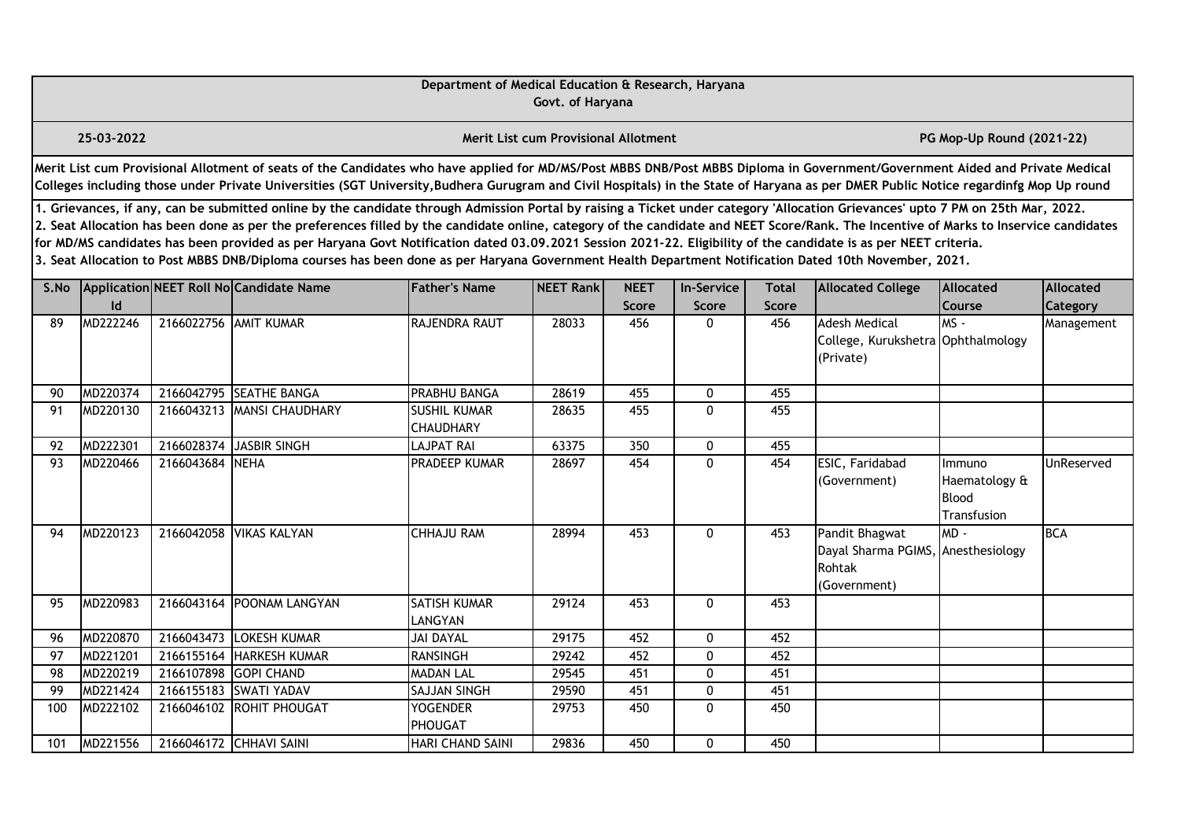|      |                                                                                                                                                                                                                                                                                                                                                                                                                                                                                                                                                                                                                                                                                                                                                  |                 |                                                                                                                                                                                                                                                                                                                                                                       | Department of Medical Education & Research, Haryana | Govt. of Haryana                            |                      |                            |                              |                                                                                |                                                        |                              |  |  |
|------|--------------------------------------------------------------------------------------------------------------------------------------------------------------------------------------------------------------------------------------------------------------------------------------------------------------------------------------------------------------------------------------------------------------------------------------------------------------------------------------------------------------------------------------------------------------------------------------------------------------------------------------------------------------------------------------------------------------------------------------------------|-----------------|-----------------------------------------------------------------------------------------------------------------------------------------------------------------------------------------------------------------------------------------------------------------------------------------------------------------------------------------------------------------------|-----------------------------------------------------|---------------------------------------------|----------------------|----------------------------|------------------------------|--------------------------------------------------------------------------------|--------------------------------------------------------|------------------------------|--|--|
|      | 25-03-2022                                                                                                                                                                                                                                                                                                                                                                                                                                                                                                                                                                                                                                                                                                                                       |                 |                                                                                                                                                                                                                                                                                                                                                                       |                                                     | <b>Merit List cum Provisional Allotment</b> |                      |                            |                              |                                                                                | PG Mop-Up Round (2021-22)                              |                              |  |  |
|      |                                                                                                                                                                                                                                                                                                                                                                                                                                                                                                                                                                                                                                                                                                                                                  |                 | Merit List cum Provisional Allotment of seats of the Candidates who have applied for MD/MS/Post MBBS DNB/Post MBBS Diploma in Government/Government Aided and Private Medical<br>Colleges including those under Private Universities (SGT University, Budhera Gurugram and Civil Hospitals) in the State of Haryana as per DMER Public Notice regardinfg Mop Up round |                                                     |                                             |                      |                            |                              |                                                                                |                                                        |                              |  |  |
|      | 1. Grievances, if any, can be submitted online by the candidate through Admission Portal by raising a Ticket under category 'Allocation Grievances' upto 7 PM on 25th Mar, 2022.<br>2. Seat Allocation has been done as per the preferences filled by the candidate online, category of the candidate and NEET Score/Rank. The Incentive of Marks to Inservice candidates<br>for MD/MS candidates has been provided as per Haryana Govt Notification dated 03.09.2021 Session 2021-22. Eligibility of the candidate is as per NEET criteria.<br>3. Seat Allocation to Post MBBS DNB/Diploma courses has been done as per Haryana Government Health Department Notification Dated 10th November, 2021.<br>Application NEET Roll No Candidate Name |                 |                                                                                                                                                                                                                                                                                                                                                                       |                                                     |                                             |                      |                            |                              |                                                                                |                                                        |                              |  |  |
| S.No | Id                                                                                                                                                                                                                                                                                                                                                                                                                                                                                                                                                                                                                                                                                                                                               |                 |                                                                                                                                                                                                                                                                                                                                                                       | <b>Father's Name</b>                                | NEET Rank                                   | <b>NEET</b><br>Score | <b>In-Service</b><br>Score | <b>Total</b><br><b>Score</b> | <b>Allocated College</b>                                                       | <b>Allocated</b><br><b>Course</b>                      | Allocated<br><b>Category</b> |  |  |
| 89   | MD222246                                                                                                                                                                                                                                                                                                                                                                                                                                                                                                                                                                                                                                                                                                                                         |                 | 2166022756 AMIT KUMAR                                                                                                                                                                                                                                                                                                                                                 | RAJENDRA RAUT                                       | 28033                                       | 456                  | 0                          | 456                          | <b>Adesh Medical</b><br>College, Kurukshetra Ophthalmology<br>(Private)        | $MS -$                                                 | Management                   |  |  |
| 90   | MD220374                                                                                                                                                                                                                                                                                                                                                                                                                                                                                                                                                                                                                                                                                                                                         |                 | 2166042795 SEATHE BANGA                                                                                                                                                                                                                                                                                                                                               | PRABHU BANGA                                        | 28619                                       | 455                  | 0                          | 455                          |                                                                                |                                                        |                              |  |  |
| 91   | MD220130                                                                                                                                                                                                                                                                                                                                                                                                                                                                                                                                                                                                                                                                                                                                         | 2166043213      | <b>MANSI CHAUDHARY</b>                                                                                                                                                                                                                                                                                                                                                | <b>SUSHIL KUMAR</b><br><b>CHAUDHARY</b>             | 28635                                       | 455                  | 0                          | 455                          |                                                                                |                                                        |                              |  |  |
| 92   | MD222301                                                                                                                                                                                                                                                                                                                                                                                                                                                                                                                                                                                                                                                                                                                                         | 2166028374      | JASBIR SINGH                                                                                                                                                                                                                                                                                                                                                          | <b>LAJPAT RAI</b>                                   | 63375                                       | 350                  | 0                          | 455                          |                                                                                |                                                        |                              |  |  |
| 93   | MD220466                                                                                                                                                                                                                                                                                                                                                                                                                                                                                                                                                                                                                                                                                                                                         | 2166043684 NEHA |                                                                                                                                                                                                                                                                                                                                                                       | PRADEEP KUMAR                                       | 28697                                       | 454                  | 0                          | 454                          | ESIC, Faridabad<br>(Government)                                                | Immuno<br>Haematology &<br><b>Blood</b><br>Transfusion | UnReserved                   |  |  |
| 94   | MD220123                                                                                                                                                                                                                                                                                                                                                                                                                                                                                                                                                                                                                                                                                                                                         |                 | 2166042058 VIKAS KALYAN                                                                                                                                                                                                                                                                                                                                               | <b>CHHAJU RAM</b>                                   | 28994                                       | 453                  | $\mathbf{0}$               | 453                          | Pandit Bhagwat<br>Dayal Sharma PGIMS, Anesthesiology<br>Rohtak<br>(Government) | $MD -$                                                 | <b>BCA</b>                   |  |  |
| 95   | MD220983                                                                                                                                                                                                                                                                                                                                                                                                                                                                                                                                                                                                                                                                                                                                         |                 | 2166043164 POONAM LANGYAN                                                                                                                                                                                                                                                                                                                                             | SATISH KUMAR<br>LANGYAN                             | 29124                                       | 453                  | $\mathbf{0}$               | 453                          |                                                                                |                                                        |                              |  |  |
| 96   | MD220870                                                                                                                                                                                                                                                                                                                                                                                                                                                                                                                                                                                                                                                                                                                                         | 2166043473      | LOKESH KUMAR                                                                                                                                                                                                                                                                                                                                                          | <b>JAI DAYAL</b>                                    | 29175                                       | 452                  | 0                          | 452                          |                                                                                |                                                        |                              |  |  |
| 97   | MD221201                                                                                                                                                                                                                                                                                                                                                                                                                                                                                                                                                                                                                                                                                                                                         | 2166155164      | HARKESH KUMAR                                                                                                                                                                                                                                                                                                                                                         | <b>RANSINGH</b>                                     | 29242                                       | 452                  | 0                          | 452                          |                                                                                |                                                        |                              |  |  |
| 98   | MD220219                                                                                                                                                                                                                                                                                                                                                                                                                                                                                                                                                                                                                                                                                                                                         | 2166107898      | <b>GOPI CHAND</b>                                                                                                                                                                                                                                                                                                                                                     | <b>MADAN LAL</b>                                    | 29545                                       | 451                  | 0                          | 451                          |                                                                                |                                                        |                              |  |  |
| 99   | MD221424                                                                                                                                                                                                                                                                                                                                                                                                                                                                                                                                                                                                                                                                                                                                         | 2166155183      | <b>SWATI YADAV</b>                                                                                                                                                                                                                                                                                                                                                    | <b>SAJJAN SINGH</b>                                 | 29590                                       | 451                  | 0                          | 451                          |                                                                                |                                                        |                              |  |  |
| 100  | MD222102                                                                                                                                                                                                                                                                                                                                                                                                                                                                                                                                                                                                                                                                                                                                         |                 | 2166046102 ROHIT PHOUGAT                                                                                                                                                                                                                                                                                                                                              | <b>YOGENDER</b><br>PHOUGAT                          | 29753                                       | 450                  | 0                          | 450                          |                                                                                |                                                        |                              |  |  |
| 101  | MD221556                                                                                                                                                                                                                                                                                                                                                                                                                                                                                                                                                                                                                                                                                                                                         |                 | 2166046172 CHHAVI SAINI                                                                                                                                                                                                                                                                                                                                               | <b>HARI CHAND SAINI</b>                             | 29836                                       | 450                  | 0                          | 450                          |                                                                                |                                                        |                              |  |  |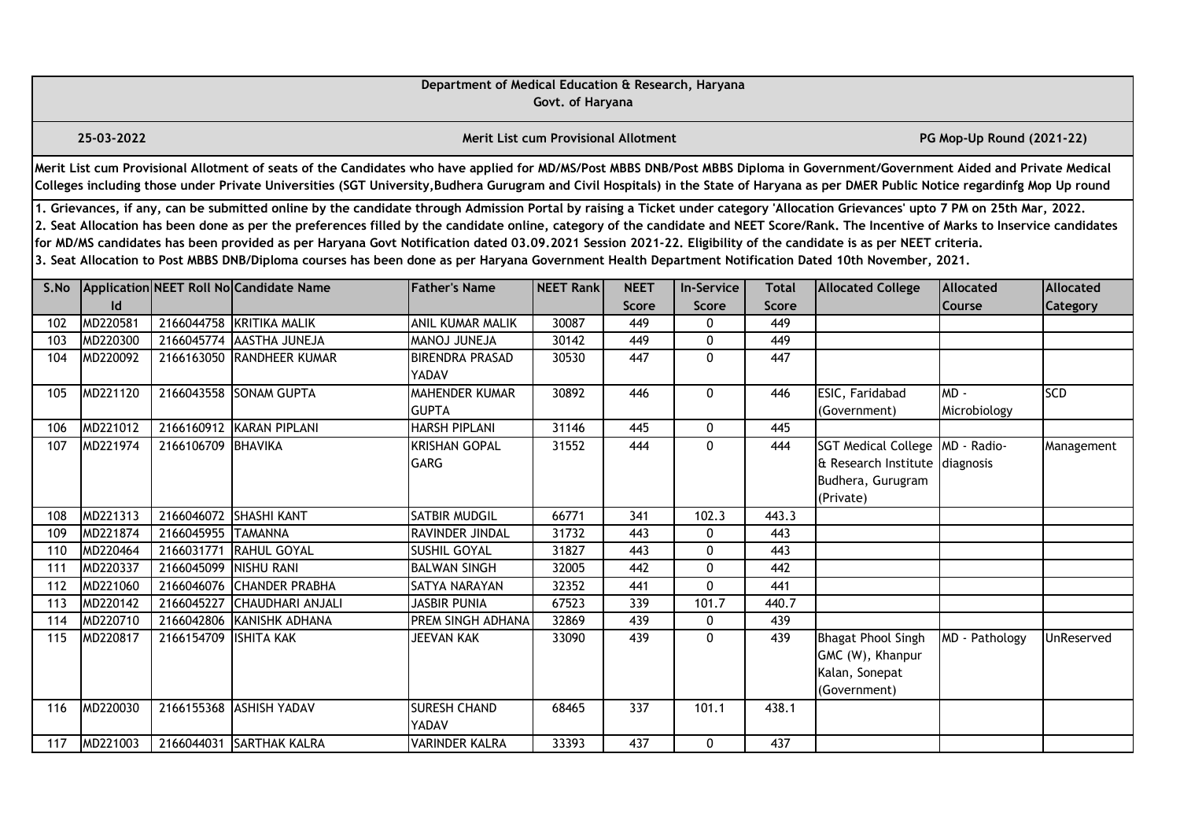|      |                                                                                                                                                                                                                                                                                                                                                                                                                                                                                                                                                                                                                                                                                                                                                                                                                                                                                                        |                    |                                                                                                                                                                                                                                                                                                                                                                       | Department of Medical Education & Research, Haryana | Govt. of Haryana                            |                  |              |              |                                                                                                |                           |            |  |  |
|------|--------------------------------------------------------------------------------------------------------------------------------------------------------------------------------------------------------------------------------------------------------------------------------------------------------------------------------------------------------------------------------------------------------------------------------------------------------------------------------------------------------------------------------------------------------------------------------------------------------------------------------------------------------------------------------------------------------------------------------------------------------------------------------------------------------------------------------------------------------------------------------------------------------|--------------------|-----------------------------------------------------------------------------------------------------------------------------------------------------------------------------------------------------------------------------------------------------------------------------------------------------------------------------------------------------------------------|-----------------------------------------------------|---------------------------------------------|------------------|--------------|--------------|------------------------------------------------------------------------------------------------|---------------------------|------------|--|--|
|      | 25-03-2022                                                                                                                                                                                                                                                                                                                                                                                                                                                                                                                                                                                                                                                                                                                                                                                                                                                                                             |                    |                                                                                                                                                                                                                                                                                                                                                                       |                                                     | <b>Merit List cum Provisional Allotment</b> |                  |              |              |                                                                                                | PG Mop-Up Round (2021-22) |            |  |  |
|      |                                                                                                                                                                                                                                                                                                                                                                                                                                                                                                                                                                                                                                                                                                                                                                                                                                                                                                        |                    | Merit List cum Provisional Allotment of seats of the Candidates who have applied for MD/MS/Post MBBS DNB/Post MBBS Diploma in Government/Government Aided and Private Medical<br>Colleges including those under Private Universities (SGT University, Budhera Gurugram and Civil Hospitals) in the State of Haryana as per DMER Public Notice regardinfg Mop Up round |                                                     |                                             |                  |              |              |                                                                                                |                           |            |  |  |
|      | 1. Grievances, if any, can be submitted online by the candidate through Admission Portal by raising a Ticket under category 'Allocation Grievances' upto 7 PM on 25th Mar, 2022.<br>2. Seat Allocation has been done as per the preferences filled by the candidate online, category of the candidate and NEET Score/Rank. The Incentive of Marks to Inservice candidates<br>for MD/MS candidates has been provided as per Haryana Govt Notification dated 03.09.2021 Session 2021-22. Eligibility of the candidate is as per NEET criteria.<br>3. Seat Allocation to Post MBBS DNB/Diploma courses has been done as per Haryana Government Health Department Notification Dated 10th November, 2021.<br>Application NEET Roll No Candidate Name<br><b>Father's Name</b><br>NEET Rank<br><b>NEET</b><br><b>Allocated College</b><br><b>Allocated</b><br><b>In-Service</b><br>Total<br><b>Allocated</b> |                    |                                                                                                                                                                                                                                                                                                                                                                       |                                                     |                                             |                  |              |              |                                                                                                |                           |            |  |  |
| S.No | Id                                                                                                                                                                                                                                                                                                                                                                                                                                                                                                                                                                                                                                                                                                                                                                                                                                                                                                     |                    |                                                                                                                                                                                                                                                                                                                                                                       |                                                     |                                             | Score            | Score        | <b>Score</b> |                                                                                                | Course                    | Category   |  |  |
| 102  | MD220581                                                                                                                                                                                                                                                                                                                                                                                                                                                                                                                                                                                                                                                                                                                                                                                                                                                                                               |                    | 2166044758 KRITIKA MALIK                                                                                                                                                                                                                                                                                                                                              | ANIL KUMAR MALIK                                    | 30087                                       | 449              | 0            | 449          |                                                                                                |                           |            |  |  |
| 103  | MD220300                                                                                                                                                                                                                                                                                                                                                                                                                                                                                                                                                                                                                                                                                                                                                                                                                                                                                               | 2166045774         | <b>AASTHA JUNEJA</b>                                                                                                                                                                                                                                                                                                                                                  | MANOJ JUNEJA                                        | 30142                                       | 449              | 0            | 449          |                                                                                                |                           |            |  |  |
| 104  | MD220092                                                                                                                                                                                                                                                                                                                                                                                                                                                                                                                                                                                                                                                                                                                                                                                                                                                                                               |                    | 2166163050 RANDHEER KUMAR                                                                                                                                                                                                                                                                                                                                             | <b>BIRENDRA PRASAD</b><br>YADAV                     | 30530                                       | 447              | $\mathbf{0}$ | 447          |                                                                                                |                           |            |  |  |
| 105  | MD221120                                                                                                                                                                                                                                                                                                                                                                                                                                                                                                                                                                                                                                                                                                                                                                                                                                                                                               |                    | 2166043558 SONAM GUPTA                                                                                                                                                                                                                                                                                                                                                | <b>MAHENDER KUMAR</b><br><b>GUPTA</b>               | 30892                                       | 446              | $\mathbf{0}$ | 446          | ESIC, Faridabad<br>(Government)                                                                | MD-<br>Microbiology       | <b>SCD</b> |  |  |
| 106  | MD221012                                                                                                                                                                                                                                                                                                                                                                                                                                                                                                                                                                                                                                                                                                                                                                                                                                                                                               |                    | 2166160912 KARAN PIPLANI                                                                                                                                                                                                                                                                                                                                              | <b>HARSH PIPLANI</b>                                | 31146                                       | 445              | 0            | 445          |                                                                                                |                           |            |  |  |
| 107  | MD221974                                                                                                                                                                                                                                                                                                                                                                                                                                                                                                                                                                                                                                                                                                                                                                                                                                                                                               | 2166106709 BHAVIKA |                                                                                                                                                                                                                                                                                                                                                                       | <b>KRISHAN GOPAL</b><br><b>GARG</b>                 | 31552                                       | 444              | $\mathbf{0}$ | 444          | <b>SGT Medical College</b><br>& Research Institute diagnosis<br>Budhera, Gurugram<br>(Private) | MD - Radio-               | Management |  |  |
| 108  | MD221313                                                                                                                                                                                                                                                                                                                                                                                                                                                                                                                                                                                                                                                                                                                                                                                                                                                                                               |                    | 2166046072 SHASHI KANT                                                                                                                                                                                                                                                                                                                                                | SATBIR MUDGIL                                       | 66771                                       | 341              | 102.3        | 443.3        |                                                                                                |                           |            |  |  |
| 109  | MD221874                                                                                                                                                                                                                                                                                                                                                                                                                                                                                                                                                                                                                                                                                                                                                                                                                                                                                               | 2166045955         | <b>TAMANNA</b>                                                                                                                                                                                                                                                                                                                                                        | RAVINDER JINDAL                                     | 31732                                       | 443              | $\mathbf{0}$ | 443          |                                                                                                |                           |            |  |  |
| 110  | MD220464                                                                                                                                                                                                                                                                                                                                                                                                                                                                                                                                                                                                                                                                                                                                                                                                                                                                                               | 2166031771         | RAHUL GOYAL                                                                                                                                                                                                                                                                                                                                                           | SUSHIL GOYAL                                        | 31827                                       | 443              | $\mathbf{0}$ | 443          |                                                                                                |                           |            |  |  |
| 111  | MD220337                                                                                                                                                                                                                                                                                                                                                                                                                                                                                                                                                                                                                                                                                                                                                                                                                                                                                               | 2166045099         | <b>NISHU RANI</b>                                                                                                                                                                                                                                                                                                                                                     | <b>BALWAN SINGH</b>                                 | 32005                                       | 442              | 0            | 442          |                                                                                                |                           |            |  |  |
| 112  | MD221060                                                                                                                                                                                                                                                                                                                                                                                                                                                                                                                                                                                                                                                                                                                                                                                                                                                                                               | 2166046076         | <b>CHANDER PRABHA</b>                                                                                                                                                                                                                                                                                                                                                 | SATYA NARAYAN                                       | 32352                                       | 441              | 0            | 441          |                                                                                                |                           |            |  |  |
| 113  | MD220142                                                                                                                                                                                                                                                                                                                                                                                                                                                                                                                                                                                                                                                                                                                                                                                                                                                                                               | 2166045227         | <b>CHAUDHARI ANJALI</b>                                                                                                                                                                                                                                                                                                                                               | <b>JASBIR PUNIA</b>                                 | 67523                                       | 339              | 101.7        | 440.7        |                                                                                                |                           |            |  |  |
| 114  | MD220710                                                                                                                                                                                                                                                                                                                                                                                                                                                                                                                                                                                                                                                                                                                                                                                                                                                                                               | 2166042806         | KANISHK ADHANA                                                                                                                                                                                                                                                                                                                                                        | PREM SINGH ADHANA                                   | 32869                                       | 439              | 0            | 439          |                                                                                                |                           |            |  |  |
| 115  | MD220817                                                                                                                                                                                                                                                                                                                                                                                                                                                                                                                                                                                                                                                                                                                                                                                                                                                                                               | 2166154709         | <b>IISHITA KAK</b>                                                                                                                                                                                                                                                                                                                                                    | JEEVAN KAK                                          | 33090                                       | 439              | $\mathbf{0}$ | 439          | <b>Bhagat Phool Singh</b><br>GMC (W), Khanpur<br>Kalan, Sonepat<br>(Government)                | MD - Pathology            | UnReserved |  |  |
| 116  | MD220030                                                                                                                                                                                                                                                                                                                                                                                                                                                                                                                                                                                                                                                                                                                                                                                                                                                                                               |                    | 2166155368 ASHISH YADAV                                                                                                                                                                                                                                                                                                                                               | <b>SURESH CHAND</b><br>YADAV                        | 68465                                       | $\overline{337}$ | 101.1        | 438.1        |                                                                                                |                           |            |  |  |
| 117  | MD221003                                                                                                                                                                                                                                                                                                                                                                                                                                                                                                                                                                                                                                                                                                                                                                                                                                                                                               |                    | 2166044031 SARTHAK KALRA                                                                                                                                                                                                                                                                                                                                              | <b>VARINDER KALRA</b>                               | 33393                                       | 437              | 0            | 437          |                                                                                                |                           |            |  |  |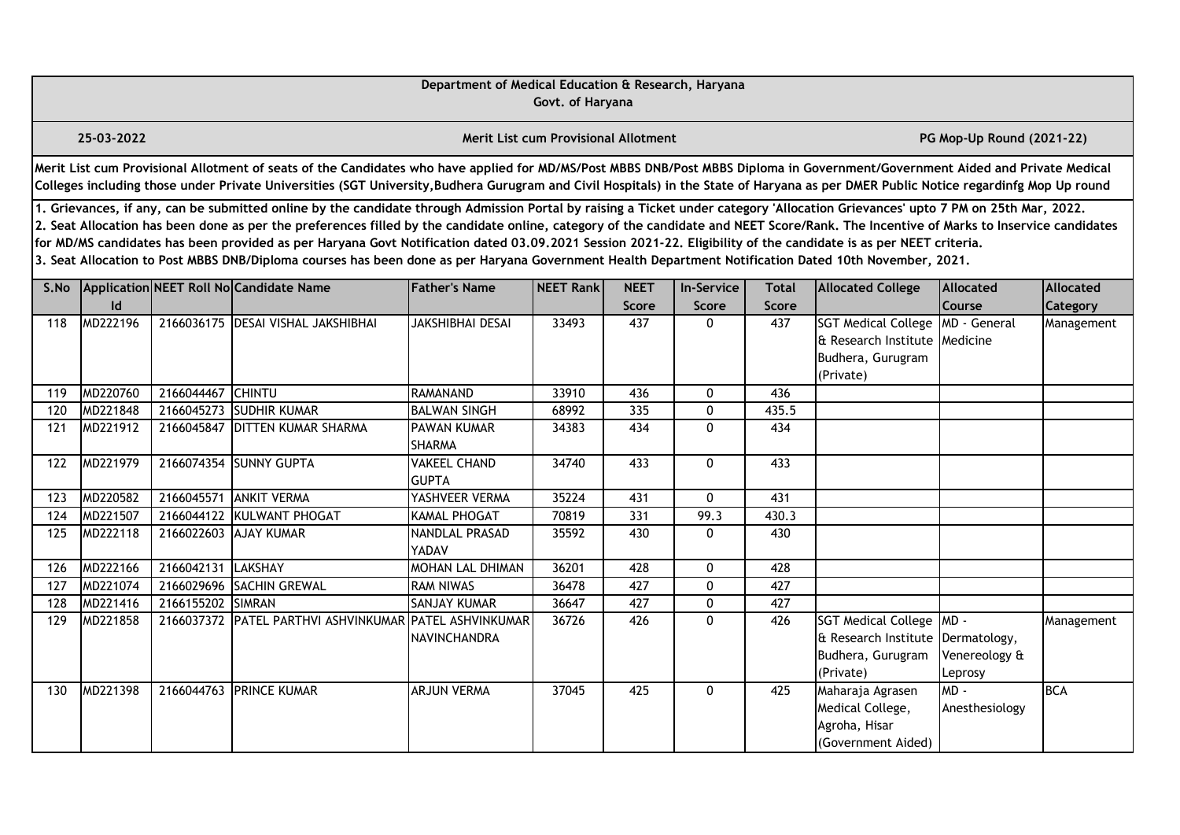|      |                                                                                                                                                                                                                                                                                                                                                                                                                                                                                                                                                                                                                                                                                                                                                  |                   |                                                                                                                                                                                                                                                                                                                                                                       | Department of Medical Education & Research, Haryana | Govt. of Haryana                            |                      |                            |                              |                                                                                                       |                                   |                              |  |  |
|------|--------------------------------------------------------------------------------------------------------------------------------------------------------------------------------------------------------------------------------------------------------------------------------------------------------------------------------------------------------------------------------------------------------------------------------------------------------------------------------------------------------------------------------------------------------------------------------------------------------------------------------------------------------------------------------------------------------------------------------------------------|-------------------|-----------------------------------------------------------------------------------------------------------------------------------------------------------------------------------------------------------------------------------------------------------------------------------------------------------------------------------------------------------------------|-----------------------------------------------------|---------------------------------------------|----------------------|----------------------------|------------------------------|-------------------------------------------------------------------------------------------------------|-----------------------------------|------------------------------|--|--|
|      | 25-03-2022                                                                                                                                                                                                                                                                                                                                                                                                                                                                                                                                                                                                                                                                                                                                       |                   |                                                                                                                                                                                                                                                                                                                                                                       |                                                     | <b>Merit List cum Provisional Allotment</b> |                      |                            |                              |                                                                                                       | PG Mop-Up Round (2021-22)         |                              |  |  |
|      |                                                                                                                                                                                                                                                                                                                                                                                                                                                                                                                                                                                                                                                                                                                                                  |                   | Merit List cum Provisional Allotment of seats of the Candidates who have applied for MD/MS/Post MBBS DNB/Post MBBS Diploma in Government/Government Aided and Private Medical<br>Colleges including those under Private Universities (SGT University, Budhera Gurugram and Civil Hospitals) in the State of Haryana as per DMER Public Notice regardinfg Mop Up round |                                                     |                                             |                      |                            |                              |                                                                                                       |                                   |                              |  |  |
|      | 1. Grievances, if any, can be submitted online by the candidate through Admission Portal by raising a Ticket under category 'Allocation Grievances' upto 7 PM on 25th Mar, 2022.<br>2. Seat Allocation has been done as per the preferences filled by the candidate online, category of the candidate and NEET Score/Rank. The Incentive of Marks to Inservice candidates<br>for MD/MS candidates has been provided as per Haryana Govt Notification dated 03.09.2021 Session 2021-22. Eligibility of the candidate is as per NEET criteria.<br>3. Seat Allocation to Post MBBS DNB/Diploma courses has been done as per Haryana Government Health Department Notification Dated 10th November, 2021.<br>Application NEET Roll No Candidate Name |                   |                                                                                                                                                                                                                                                                                                                                                                       |                                                     |                                             |                      |                            |                              |                                                                                                       |                                   |                              |  |  |
| S.No | Id                                                                                                                                                                                                                                                                                                                                                                                                                                                                                                                                                                                                                                                                                                                                               |                   |                                                                                                                                                                                                                                                                                                                                                                       | <b>Father's Name</b>                                | NEET Rank                                   | <b>NEET</b><br>Score | <b>In-Service</b><br>Score | <b>Total</b><br><b>Score</b> | <b>Allocated College</b>                                                                              | <b>Allocated</b><br><b>Course</b> | Allocated<br><b>Category</b> |  |  |
| 118  | MD222196                                                                                                                                                                                                                                                                                                                                                                                                                                                                                                                                                                                                                                                                                                                                         |                   | 2166036175 DESAI VISHAL JAKSHIBHAI                                                                                                                                                                                                                                                                                                                                    | JAKSHIBHAI DESAI                                    | 33493                                       | 437                  | 0                          | 437                          | SGT Medical College   MD - General<br>& Research Institute Medicine<br>Budhera, Gurugram<br>(Private) |                                   | Management                   |  |  |
| 119  | MD220760                                                                                                                                                                                                                                                                                                                                                                                                                                                                                                                                                                                                                                                                                                                                         | 2166044467 CHINTU |                                                                                                                                                                                                                                                                                                                                                                       | RAMANAND                                            | 33910                                       | 436                  | 0                          | 436                          |                                                                                                       |                                   |                              |  |  |
| 120  | MD221848                                                                                                                                                                                                                                                                                                                                                                                                                                                                                                                                                                                                                                                                                                                                         | 2166045273        | <b>SUDHIR KUMAR</b>                                                                                                                                                                                                                                                                                                                                                   | <b>BALWAN SINGH</b>                                 | 68992                                       | 335                  | 0                          | 435.5                        |                                                                                                       |                                   |                              |  |  |
| 121  | MD221912                                                                                                                                                                                                                                                                                                                                                                                                                                                                                                                                                                                                                                                                                                                                         |                   | 2166045847 DITTEN KUMAR SHARMA                                                                                                                                                                                                                                                                                                                                        | PAWAN KUMAR<br>SHARMA                               | 34383                                       | 434                  | 0                          | 434                          |                                                                                                       |                                   |                              |  |  |
| 122  | MD221979                                                                                                                                                                                                                                                                                                                                                                                                                                                                                                                                                                                                                                                                                                                                         |                   | 2166074354 SUNNY GUPTA                                                                                                                                                                                                                                                                                                                                                | <b>VAKEEL CHAND</b><br><b>GUPTA</b>                 | 34740                                       | 433                  | 0                          | 433                          |                                                                                                       |                                   |                              |  |  |
| 123  | MD220582                                                                                                                                                                                                                                                                                                                                                                                                                                                                                                                                                                                                                                                                                                                                         | 2166045571        | <b>ANKIT VERMA</b>                                                                                                                                                                                                                                                                                                                                                    | YASHVEER VERMA                                      | 35224                                       | 431                  | 0                          | 431                          |                                                                                                       |                                   |                              |  |  |
| 124  | MD221507                                                                                                                                                                                                                                                                                                                                                                                                                                                                                                                                                                                                                                                                                                                                         | 2166044122        | KULWANT PHOGAT                                                                                                                                                                                                                                                                                                                                                        | KAMAL PHOGAT                                        | 70819                                       | 331                  | 99.3                       | 430.3                        |                                                                                                       |                                   |                              |  |  |
| 125  | MD222118                                                                                                                                                                                                                                                                                                                                                                                                                                                                                                                                                                                                                                                                                                                                         |                   | 2166022603 AJAY KUMAR                                                                                                                                                                                                                                                                                                                                                 | NANDLAL PRASAD<br>YADAV                             | 35592                                       | 430                  | 0                          | 430                          |                                                                                                       |                                   |                              |  |  |
| 126  | MD222166                                                                                                                                                                                                                                                                                                                                                                                                                                                                                                                                                                                                                                                                                                                                         | 2166042131        | LAKSHAY                                                                                                                                                                                                                                                                                                                                                               | MOHAN LAL DHIMAN                                    | 36201                                       | 428                  | 0                          | 428                          |                                                                                                       |                                   |                              |  |  |
| 127  | MD221074                                                                                                                                                                                                                                                                                                                                                                                                                                                                                                                                                                                                                                                                                                                                         |                   | 2166029696 SACHIN GREWAL                                                                                                                                                                                                                                                                                                                                              | <b>RAM NIWAS</b>                                    | 36478                                       | 427                  | 0                          | 427                          |                                                                                                       |                                   |                              |  |  |
| 128  | MD221416                                                                                                                                                                                                                                                                                                                                                                                                                                                                                                                                                                                                                                                                                                                                         | 2166155202 SIMRAN |                                                                                                                                                                                                                                                                                                                                                                       | SANJAY KUMAR                                        | 36647                                       | 427                  | 0                          | 427                          |                                                                                                       |                                   |                              |  |  |
| 129  | MD221858                                                                                                                                                                                                                                                                                                                                                                                                                                                                                                                                                                                                                                                                                                                                         |                   | 2166037372 PATEL PARTHVI ASHVINKUMAR PATEL ASHVINKUMAR                                                                                                                                                                                                                                                                                                                | <b>NAVINCHANDRA</b>                                 | 36726                                       | 426                  | 0                          | 426                          | SGT Medical College MD -<br>& Research Institute Dermatology,<br>Budhera, Gurugram<br>(Private)       | Venereology &<br>Leprosy          | Management                   |  |  |
| 130  | MD221398                                                                                                                                                                                                                                                                                                                                                                                                                                                                                                                                                                                                                                                                                                                                         |                   | 2166044763 PRINCE KUMAR                                                                                                                                                                                                                                                                                                                                               | <b>ARJUN VERMA</b>                                  | 37045                                       | 425                  | 0                          | 425                          | Maharaja Agrasen<br>Medical College,<br>Agroha, Hisar<br>(Government Aided)                           | $MD -$<br>Anesthesiology          | <b>BCA</b>                   |  |  |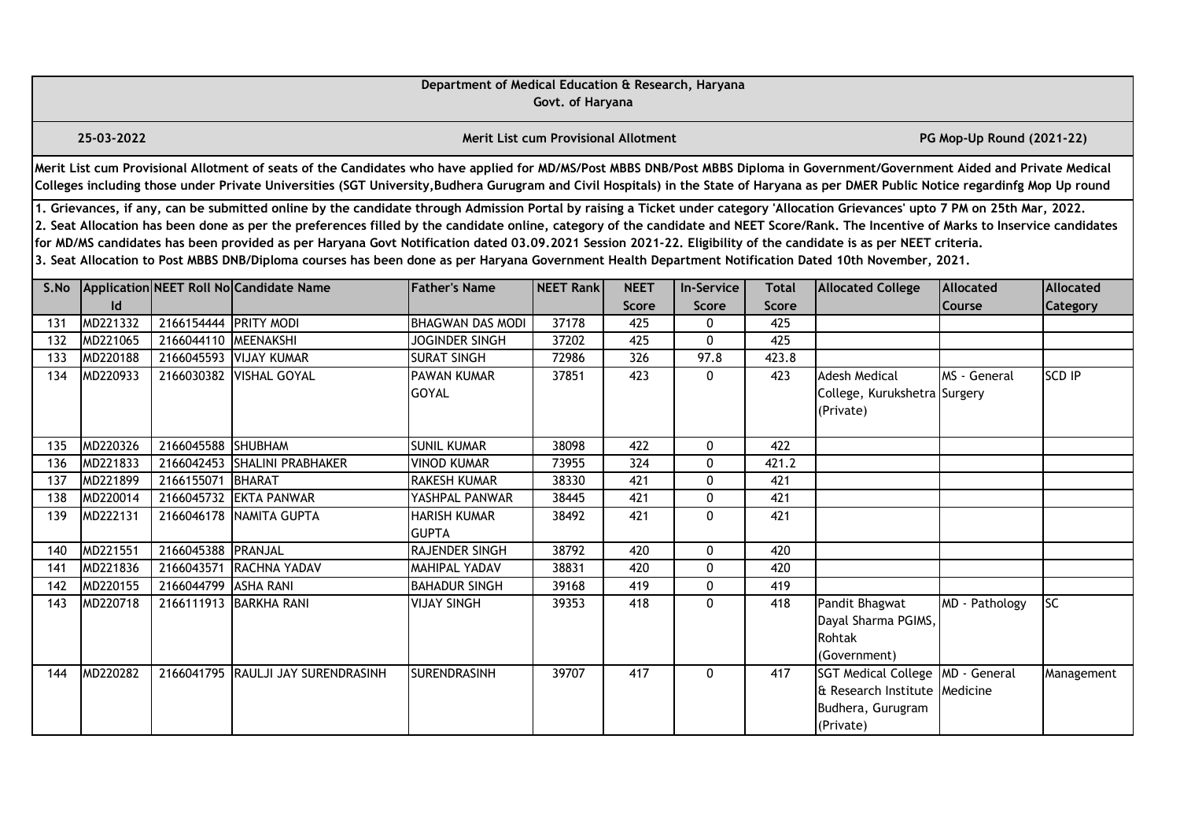|      |                                                                                                                                                                                                                                                                                                                                                                                                                                                                                                                                                                                                                                                                                                                                                                                                                                                                                   |                       |                                                                                                                                                                                                                                                                                                                                                                       | Department of Medical Education & Research, Haryana | Govt. of Haryana                     |       |              |              |                                                                                                       |                           |               |  |  |
|------|-----------------------------------------------------------------------------------------------------------------------------------------------------------------------------------------------------------------------------------------------------------------------------------------------------------------------------------------------------------------------------------------------------------------------------------------------------------------------------------------------------------------------------------------------------------------------------------------------------------------------------------------------------------------------------------------------------------------------------------------------------------------------------------------------------------------------------------------------------------------------------------|-----------------------|-----------------------------------------------------------------------------------------------------------------------------------------------------------------------------------------------------------------------------------------------------------------------------------------------------------------------------------------------------------------------|-----------------------------------------------------|--------------------------------------|-------|--------------|--------------|-------------------------------------------------------------------------------------------------------|---------------------------|---------------|--|--|
|      | 25-03-2022                                                                                                                                                                                                                                                                                                                                                                                                                                                                                                                                                                                                                                                                                                                                                                                                                                                                        |                       |                                                                                                                                                                                                                                                                                                                                                                       |                                                     | Merit List cum Provisional Allotment |       |              |              |                                                                                                       | PG Mop-Up Round (2021-22) |               |  |  |
|      |                                                                                                                                                                                                                                                                                                                                                                                                                                                                                                                                                                                                                                                                                                                                                                                                                                                                                   |                       | Merit List cum Provisional Allotment of seats of the Candidates who have applied for MD/MS/Post MBBS DNB/Post MBBS Diploma in Government/Government Aided and Private Medical<br>Colleges including those under Private Universities (SGT University, Budhera Gurugram and Civil Hospitals) in the State of Haryana as per DMER Public Notice regardinfg Mop Up round |                                                     |                                      |       |              |              |                                                                                                       |                           |               |  |  |
|      | 1. Grievances, if any, can be submitted online by the candidate through Admission Portal by raising a Ticket under category 'Allocation Grievances' upto 7 PM on 25th Mar, 2022.<br>2. Seat Allocation has been done as per the preferences filled by the candidate online, category of the candidate and NEET Score/Rank. The Incentive of Marks to Inservice candidates<br>for MD/MS candidates has been provided as per Haryana Govt Notification dated 03.09.2021 Session 2021-22. Eligibility of the candidate is as per NEET criteria.<br>3. Seat Allocation to Post MBBS DNB/Diploma courses has been done as per Haryana Government Health Department Notification Dated 10th November, 2021.<br>Application NEET Roll No Candidate Name<br><b>Father's Name</b><br>NEET Rank<br><b>NEET</b><br><b>Total</b><br><b>Allocated</b><br><b>In-Service</b><br><b>Allocated</b> |                       |                                                                                                                                                                                                                                                                                                                                                                       |                                                     |                                      |       |              |              |                                                                                                       |                           |               |  |  |
| S.No |                                                                                                                                                                                                                                                                                                                                                                                                                                                                                                                                                                                                                                                                                                                                                                                                                                                                                   |                       |                                                                                                                                                                                                                                                                                                                                                                       |                                                     |                                      |       |              |              | <b>Allocated College</b>                                                                              |                           |               |  |  |
|      | $\mathsf{Id}$                                                                                                                                                                                                                                                                                                                                                                                                                                                                                                                                                                                                                                                                                                                                                                                                                                                                     |                       |                                                                                                                                                                                                                                                                                                                                                                       |                                                     |                                      | Score | <b>Score</b> | <b>Score</b> |                                                                                                       | Course                    | Category      |  |  |
| 131  | MD221332                                                                                                                                                                                                                                                                                                                                                                                                                                                                                                                                                                                                                                                                                                                                                                                                                                                                          | 2166154444 PRITY MODI |                                                                                                                                                                                                                                                                                                                                                                       | <b>BHAGWAN DAS MODI</b>                             | 37178                                | 425   | 0            | 425          |                                                                                                       |                           |               |  |  |
| 132  | MD221065                                                                                                                                                                                                                                                                                                                                                                                                                                                                                                                                                                                                                                                                                                                                                                                                                                                                          | 2166044110 MEENAKSHI  |                                                                                                                                                                                                                                                                                                                                                                       | <b>JOGINDER SINGH</b>                               | 37202                                | 425   | 0            | 425          |                                                                                                       |                           |               |  |  |
| 133  | MD220188                                                                                                                                                                                                                                                                                                                                                                                                                                                                                                                                                                                                                                                                                                                                                                                                                                                                          |                       | 2166045593 VIJAY KUMAR                                                                                                                                                                                                                                                                                                                                                | <b>SURAT SINGH</b>                                  | 72986                                | 326   | 97.8         | 423.8        |                                                                                                       |                           |               |  |  |
| 134  | MD220933                                                                                                                                                                                                                                                                                                                                                                                                                                                                                                                                                                                                                                                                                                                                                                                                                                                                          |                       | 2166030382 VISHAL GOYAL                                                                                                                                                                                                                                                                                                                                               | PAWAN KUMAR<br><b>GOYAL</b>                         | 37851                                | 423   | 0            | 423          | <b>Adesh Medical</b><br>College, Kurukshetra Surgery<br>(Private)                                     | MS - General              | <b>SCD IP</b> |  |  |
| 135  | MD220326                                                                                                                                                                                                                                                                                                                                                                                                                                                                                                                                                                                                                                                                                                                                                                                                                                                                          | 2166045588 SHUBHAM    |                                                                                                                                                                                                                                                                                                                                                                       | <b>SUNIL KUMAR</b>                                  | 38098                                | 422   | 0            | 422          |                                                                                                       |                           |               |  |  |
| 136  | MD221833                                                                                                                                                                                                                                                                                                                                                                                                                                                                                                                                                                                                                                                                                                                                                                                                                                                                          |                       | 2166042453 SHALINI PRABHAKER                                                                                                                                                                                                                                                                                                                                          | <b>VINOD KUMAR</b>                                  | 73955                                | 324   | 0            | 421.2        |                                                                                                       |                           |               |  |  |
| 137  | MD221899                                                                                                                                                                                                                                                                                                                                                                                                                                                                                                                                                                                                                                                                                                                                                                                                                                                                          | 2166155071 BHARAT     |                                                                                                                                                                                                                                                                                                                                                                       | RAKESH KUMAR                                        | 38330                                | 421   | 0            | 421          |                                                                                                       |                           |               |  |  |
| 138  | MD220014                                                                                                                                                                                                                                                                                                                                                                                                                                                                                                                                                                                                                                                                                                                                                                                                                                                                          | 2166045732            | <b>EKTA PANWAR</b>                                                                                                                                                                                                                                                                                                                                                    | YASHPAL PANWAR                                      | 38445                                | 421   | 0            | 421          |                                                                                                       |                           |               |  |  |
| 139  | MD222131                                                                                                                                                                                                                                                                                                                                                                                                                                                                                                                                                                                                                                                                                                                                                                                                                                                                          | 2166046178            | NAMITA GUPTA                                                                                                                                                                                                                                                                                                                                                          | <b>HARISH KUMAR</b><br><b>GUPTA</b>                 | 38492                                | 421   | $\mathbf{0}$ | 421          |                                                                                                       |                           |               |  |  |
| 140  | MD221551                                                                                                                                                                                                                                                                                                                                                                                                                                                                                                                                                                                                                                                                                                                                                                                                                                                                          | 2166045388 PRANJAL    |                                                                                                                                                                                                                                                                                                                                                                       | RAJENDER SINGH                                      | 38792                                | 420   | 0            | 420          |                                                                                                       |                           |               |  |  |
| 141  | MD221836                                                                                                                                                                                                                                                                                                                                                                                                                                                                                                                                                                                                                                                                                                                                                                                                                                                                          |                       | 2166043571 RACHNA YADAV                                                                                                                                                                                                                                                                                                                                               | <b>MAHIPAL YADAV</b>                                | 38831                                | 420   | $\Omega$     | 420          |                                                                                                       |                           |               |  |  |
| 142  | MD220155                                                                                                                                                                                                                                                                                                                                                                                                                                                                                                                                                                                                                                                                                                                                                                                                                                                                          | 2166044799 ASHA RANI  |                                                                                                                                                                                                                                                                                                                                                                       | <b>BAHADUR SINGH</b>                                | 39168                                | 419   | $\mathbf{0}$ | 419          |                                                                                                       |                           |               |  |  |
| 143  | MD220718                                                                                                                                                                                                                                                                                                                                                                                                                                                                                                                                                                                                                                                                                                                                                                                                                                                                          |                       | 2166111913 BARKHA RANI                                                                                                                                                                                                                                                                                                                                                | <b>VIJAY SINGH</b>                                  | 39353                                | 418   | 0            | 418          | Pandit Bhagwat<br>Dayal Sharma PGIMS,<br>Rohtak<br>(Government)                                       | MD - Pathology            | <b>SC</b>     |  |  |
| 144  | MD220282                                                                                                                                                                                                                                                                                                                                                                                                                                                                                                                                                                                                                                                                                                                                                                                                                                                                          |                       | 2166041795 RAULJI JAY SURENDRASINH                                                                                                                                                                                                                                                                                                                                    | <b>SURENDRASINH</b>                                 | 39707                                | 417   | 0            | 417          | SGT Medical College   MD - General<br>& Research Institute Medicine<br>Budhera, Gurugram<br>(Private) |                           | Management    |  |  |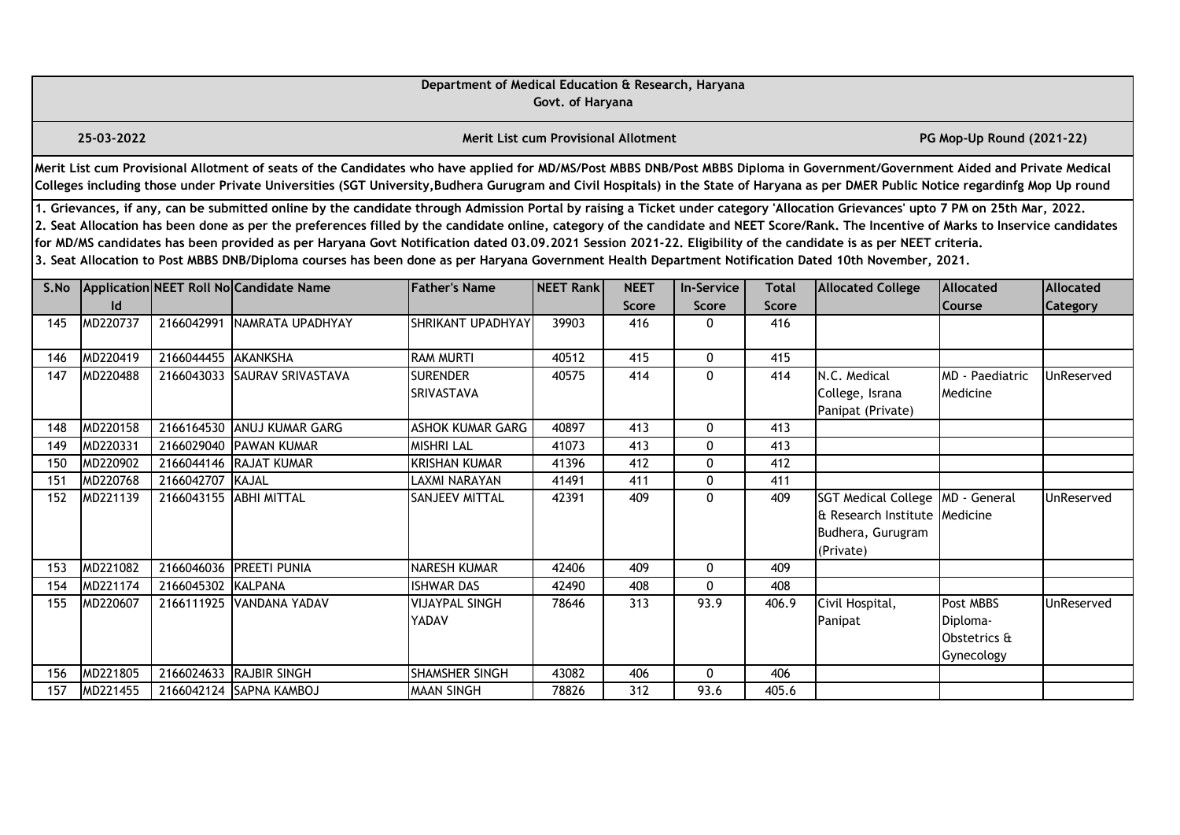|      |                                                                                                                                                                                                                                                                                                                                                                                                                                                                                                                                                                                                                                                                                                                                                  |                     |                                                                                                                                                                                                                                                                                                                                                                       | Department of Medical Education & Research, Haryana | Govt. of Haryana                            |                             |                            |                       |                                                                                                       |                                                     |                       |  |  |
|------|--------------------------------------------------------------------------------------------------------------------------------------------------------------------------------------------------------------------------------------------------------------------------------------------------------------------------------------------------------------------------------------------------------------------------------------------------------------------------------------------------------------------------------------------------------------------------------------------------------------------------------------------------------------------------------------------------------------------------------------------------|---------------------|-----------------------------------------------------------------------------------------------------------------------------------------------------------------------------------------------------------------------------------------------------------------------------------------------------------------------------------------------------------------------|-----------------------------------------------------|---------------------------------------------|-----------------------------|----------------------------|-----------------------|-------------------------------------------------------------------------------------------------------|-----------------------------------------------------|-----------------------|--|--|
|      | 25-03-2022                                                                                                                                                                                                                                                                                                                                                                                                                                                                                                                                                                                                                                                                                                                                       |                     |                                                                                                                                                                                                                                                                                                                                                                       |                                                     | <b>Merit List cum Provisional Allotment</b> |                             |                            |                       |                                                                                                       | PG Mop-Up Round (2021-22)                           |                       |  |  |
|      |                                                                                                                                                                                                                                                                                                                                                                                                                                                                                                                                                                                                                                                                                                                                                  |                     | Merit List cum Provisional Allotment of seats of the Candidates who have applied for MD/MS/Post MBBS DNB/Post MBBS Diploma in Government/Government Aided and Private Medical<br>Colleges including those under Private Universities (SGT University, Budhera Gurugram and Civil Hospitals) in the State of Haryana as per DMER Public Notice regardinfg Mop Up round |                                                     |                                             |                             |                            |                       |                                                                                                       |                                                     |                       |  |  |
|      | 1. Grievances, if any, can be submitted online by the candidate through Admission Portal by raising a Ticket under category 'Allocation Grievances' upto 7 PM on 25th Mar, 2022.<br>2. Seat Allocation has been done as per the preferences filled by the candidate online, category of the candidate and NEET Score/Rank. The Incentive of Marks to Inservice candidates<br>for MD/MS candidates has been provided as per Haryana Govt Notification dated 03.09.2021 Session 2021-22. Eligibility of the candidate is as per NEET criteria.<br>3. Seat Allocation to Post MBBS DNB/Diploma courses has been done as per Haryana Government Health Department Notification Dated 10th November, 2021.<br>Application NEET Roll No Candidate Name |                     |                                                                                                                                                                                                                                                                                                                                                                       |                                                     |                                             |                             |                            |                       |                                                                                                       |                                                     |                       |  |  |
| S.No | Id                                                                                                                                                                                                                                                                                                                                                                                                                                                                                                                                                                                                                                                                                                                                               |                     |                                                                                                                                                                                                                                                                                                                                                                       | <b>Father's Name</b>                                | NEET Rank                                   | <b>NEET</b><br><b>Score</b> | <b>In-Service</b><br>Score | <b>Total</b><br>Score | <b>Allocated College</b>                                                                              | <b>Allocated</b><br>Course                          | Allocated<br>Category |  |  |
| 145  | MD220737                                                                                                                                                                                                                                                                                                                                                                                                                                                                                                                                                                                                                                                                                                                                         |                     | 2166042991 NAMRATA UPADHYAY                                                                                                                                                                                                                                                                                                                                           | SHRIKANT UPADHYAY                                   | 39903                                       | 416                         | 0                          | 416                   |                                                                                                       |                                                     |                       |  |  |
| 146  | MD220419                                                                                                                                                                                                                                                                                                                                                                                                                                                                                                                                                                                                                                                                                                                                         | 2166044455 AKANKSHA |                                                                                                                                                                                                                                                                                                                                                                       | <b>RAM MURTI</b>                                    | 40512                                       | 415                         | 0                          | 415                   |                                                                                                       |                                                     |                       |  |  |
| 147  | MD220488                                                                                                                                                                                                                                                                                                                                                                                                                                                                                                                                                                                                                                                                                                                                         | 2166043033          | SAURAV SRIVASTAVA                                                                                                                                                                                                                                                                                                                                                     | <b>SURENDER</b><br>SRIVASTAVA                       | 40575                                       | 414                         | 0                          | 414                   | N.C. Medical<br>College, Israna<br>Panipat (Private)                                                  | MD - Paediatric<br>Medicine                         | <b>UnReserved</b>     |  |  |
| 148  | MD220158                                                                                                                                                                                                                                                                                                                                                                                                                                                                                                                                                                                                                                                                                                                                         |                     | 2166164530 ANUJ KUMAR GARG                                                                                                                                                                                                                                                                                                                                            | <b>ASHOK KUMAR GARG</b>                             | 40897                                       | 413                         | $\mathbf{0}$               | 413                   |                                                                                                       |                                                     |                       |  |  |
| 149  | MD220331                                                                                                                                                                                                                                                                                                                                                                                                                                                                                                                                                                                                                                                                                                                                         |                     | 2166029040 PAWAN KUMAR                                                                                                                                                                                                                                                                                                                                                | <b>MISHRI LAL</b>                                   | 41073                                       | 413                         | $\mathbf{0}$               | 413                   |                                                                                                       |                                                     |                       |  |  |
| 150  | MD220902                                                                                                                                                                                                                                                                                                                                                                                                                                                                                                                                                                                                                                                                                                                                         |                     | 2166044146 RAJAT KUMAR                                                                                                                                                                                                                                                                                                                                                | <b>KRISHAN KUMAR</b>                                | 41396                                       | 412                         | $\mathbf{0}$               | 412                   |                                                                                                       |                                                     |                       |  |  |
| 151  | MD220768                                                                                                                                                                                                                                                                                                                                                                                                                                                                                                                                                                                                                                                                                                                                         | 2166042707          | KAJAL                                                                                                                                                                                                                                                                                                                                                                 | LAXMI NARAYAN                                       | 41491                                       | 411                         | $\mathbf{0}$               | 411                   |                                                                                                       |                                                     |                       |  |  |
| 152  | MD221139                                                                                                                                                                                                                                                                                                                                                                                                                                                                                                                                                                                                                                                                                                                                         |                     | 2166043155 ABHI MITTAL                                                                                                                                                                                                                                                                                                                                                | <b>SANJEEV MITTAL</b>                               | 42391                                       | 409                         | $\Omega$                   | 409                   | SGT Medical College   MD - General<br>& Research Institute Medicine<br>Budhera, Gurugram<br>(Private) |                                                     | UnReserved            |  |  |
| 153  | MD221082                                                                                                                                                                                                                                                                                                                                                                                                                                                                                                                                                                                                                                                                                                                                         |                     | 2166046036 PREETI PUNIA                                                                                                                                                                                                                                                                                                                                               | <b>NARESH KUMAR</b>                                 | 42406                                       | 409                         | 0                          | 409                   |                                                                                                       |                                                     |                       |  |  |
| 154  | MD221174                                                                                                                                                                                                                                                                                                                                                                                                                                                                                                                                                                                                                                                                                                                                         | 2166045302          | KALPANA                                                                                                                                                                                                                                                                                                                                                               | <b>ISHWAR DAS</b>                                   | 42490                                       | 408                         | $\mathbf{0}$               | 408                   |                                                                                                       |                                                     |                       |  |  |
| 155  | MD220607                                                                                                                                                                                                                                                                                                                                                                                                                                                                                                                                                                                                                                                                                                                                         |                     | 2166111925 VANDANA YADAV                                                                                                                                                                                                                                                                                                                                              | <b>VIJAYPAL SINGH</b><br>YADAV                      | 78646                                       | 313                         | 93.9                       | 406.9                 | Civil Hospital,<br>Panipat                                                                            | Post MBBS<br>Diploma-<br>Obstetrics &<br>Gynecology | UnReserved            |  |  |
| 156  | MD221805                                                                                                                                                                                                                                                                                                                                                                                                                                                                                                                                                                                                                                                                                                                                         | 2166024633          | <b>RAJBIR SINGH</b>                                                                                                                                                                                                                                                                                                                                                   | <b>SHAMSHER SINGH</b>                               | 43082                                       | 406                         | $\mathbf{0}$               | 406                   |                                                                                                       |                                                     |                       |  |  |
| 157  | MD221455                                                                                                                                                                                                                                                                                                                                                                                                                                                                                                                                                                                                                                                                                                                                         |                     | 2166042124 SAPNA KAMBOJ                                                                                                                                                                                                                                                                                                                                               | <b>MAAN SINGH</b>                                   | 78826                                       | 312                         | 93.6                       | 405.6                 |                                                                                                       |                                                     |                       |  |  |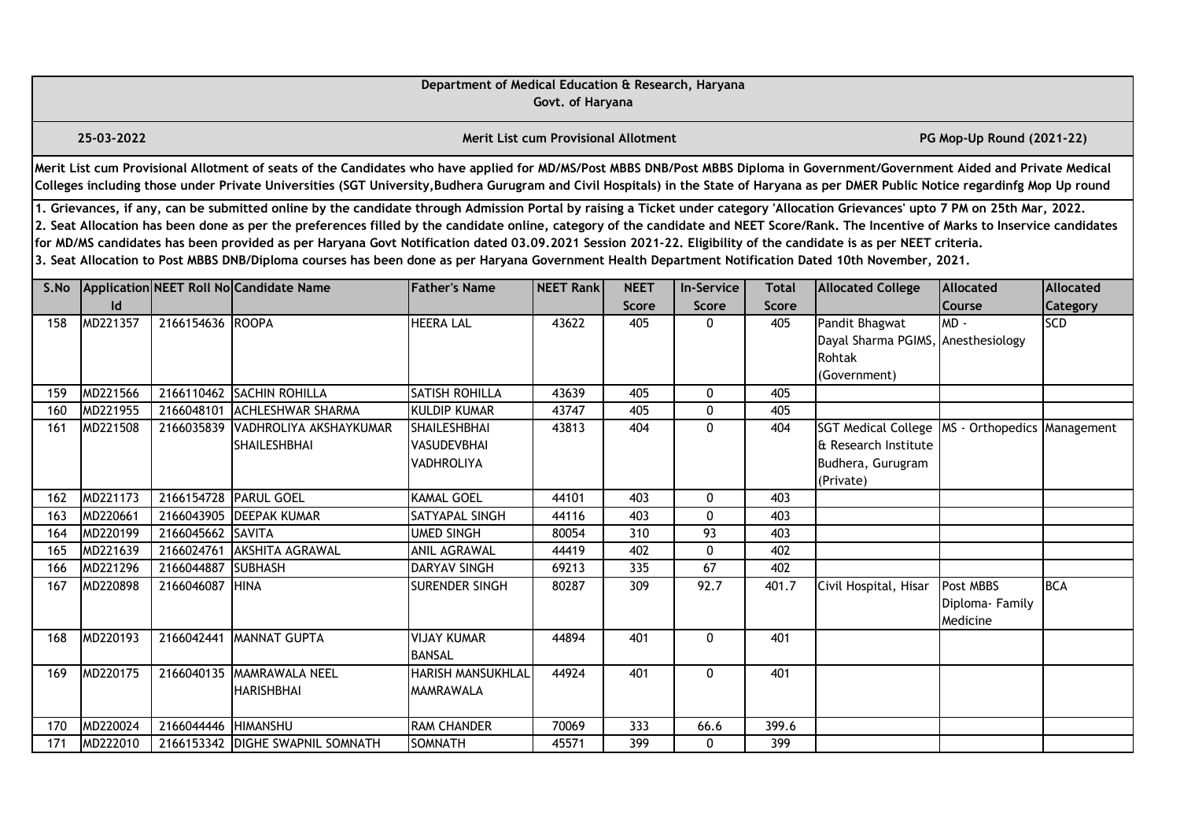|      |                                                                                                                                                                                                                                                                                                                                                                                                                                                                                                                                                                                                                                                                                                                                                  |                  |                                                                                                                                                                                                                                                                                                                                                                       | Department of Medical Education & Research, Haryana            | Govt. of Haryana                            |                             |                            |                              |                                                                                                               |                                         |                              |  |  |
|------|--------------------------------------------------------------------------------------------------------------------------------------------------------------------------------------------------------------------------------------------------------------------------------------------------------------------------------------------------------------------------------------------------------------------------------------------------------------------------------------------------------------------------------------------------------------------------------------------------------------------------------------------------------------------------------------------------------------------------------------------------|------------------|-----------------------------------------------------------------------------------------------------------------------------------------------------------------------------------------------------------------------------------------------------------------------------------------------------------------------------------------------------------------------|----------------------------------------------------------------|---------------------------------------------|-----------------------------|----------------------------|------------------------------|---------------------------------------------------------------------------------------------------------------|-----------------------------------------|------------------------------|--|--|
|      | 25-03-2022                                                                                                                                                                                                                                                                                                                                                                                                                                                                                                                                                                                                                                                                                                                                       |                  |                                                                                                                                                                                                                                                                                                                                                                       |                                                                | <b>Merit List cum Provisional Allotment</b> |                             |                            |                              |                                                                                                               | PG Mop-Up Round (2021-22)               |                              |  |  |
|      |                                                                                                                                                                                                                                                                                                                                                                                                                                                                                                                                                                                                                                                                                                                                                  |                  | Merit List cum Provisional Allotment of seats of the Candidates who have applied for MD/MS/Post MBBS DNB/Post MBBS Diploma in Government/Government Aided and Private Medical<br>Colleges including those under Private Universities (SGT University, Budhera Gurugram and Civil Hospitals) in the State of Haryana as per DMER Public Notice regardinfg Mop Up round |                                                                |                                             |                             |                            |                              |                                                                                                               |                                         |                              |  |  |
|      | 1. Grievances, if any, can be submitted online by the candidate through Admission Portal by raising a Ticket under category 'Allocation Grievances' upto 7 PM on 25th Mar, 2022.<br>2. Seat Allocation has been done as per the preferences filled by the candidate online, category of the candidate and NEET Score/Rank. The Incentive of Marks to Inservice candidates<br>for MD/MS candidates has been provided as per Haryana Govt Notification dated 03.09.2021 Session 2021-22. Eligibility of the candidate is as per NEET criteria.<br>3. Seat Allocation to Post MBBS DNB/Diploma courses has been done as per Haryana Government Health Department Notification Dated 10th November, 2021.<br>Application NEET Roll No Candidate Name |                  |                                                                                                                                                                                                                                                                                                                                                                       |                                                                |                                             |                             |                            |                              |                                                                                                               |                                         |                              |  |  |
| S.No | Id                                                                                                                                                                                                                                                                                                                                                                                                                                                                                                                                                                                                                                                                                                                                               |                  |                                                                                                                                                                                                                                                                                                                                                                       | <b>Father's Name</b>                                           | NEET Rank                                   | <b>NEET</b><br><b>Score</b> | <b>In-Service</b><br>Score | <b>Total</b><br><b>Score</b> | <b>Allocated College</b>                                                                                      | <b>Allocated</b><br><b>Course</b>       | Allocated<br><b>Category</b> |  |  |
| 158  | MD221357                                                                                                                                                                                                                                                                                                                                                                                                                                                                                                                                                                                                                                                                                                                                         | 2166154636 ROOPA |                                                                                                                                                                                                                                                                                                                                                                       | <b>HEERA LAL</b>                                               | 43622                                       | 405                         | 0                          | 405                          | Pandit Bhagwat<br>Dayal Sharma PGIMS, Anesthesiology<br>Rohtak<br>(Government)                                | MD-                                     | <b>SCD</b>                   |  |  |
| 159  | MD221566                                                                                                                                                                                                                                                                                                                                                                                                                                                                                                                                                                                                                                                                                                                                         |                  | 2166110462 SACHIN ROHILLA                                                                                                                                                                                                                                                                                                                                             | <b>SATISH ROHILLA</b>                                          | 43639                                       | 405                         | 0                          | 405                          |                                                                                                               |                                         |                              |  |  |
| 160  | MD221955                                                                                                                                                                                                                                                                                                                                                                                                                                                                                                                                                                                                                                                                                                                                         | 2166048101       | <b>ACHLESHWAR SHARMA</b>                                                                                                                                                                                                                                                                                                                                              | <b>KULDIP KUMAR</b>                                            | 43747                                       | 405                         | 0                          | 405                          |                                                                                                               |                                         |                              |  |  |
| 161  | MD221508                                                                                                                                                                                                                                                                                                                                                                                                                                                                                                                                                                                                                                                                                                                                         |                  | 2166035839 VADHROLIYA AKSHAYKUMAR<br><b>SHAILESHBHAI</b>                                                                                                                                                                                                                                                                                                              | <b>SHAILESHBHAI</b><br><b>VASUDEVBHAI</b><br><b>VADHROLIYA</b> | 43813                                       | 404                         | $\mathbf{0}$               | 404                          | SGT Medical College   MS - Orthopedics   Management<br>& Research Institute<br>Budhera, Gurugram<br>(Private) |                                         |                              |  |  |
| 162  | MD221173                                                                                                                                                                                                                                                                                                                                                                                                                                                                                                                                                                                                                                                                                                                                         |                  | 2166154728 PARUL GOEL                                                                                                                                                                                                                                                                                                                                                 | <b>KAMAL GOEL</b>                                              | 44101                                       | 403                         | $\mathbf 0$                | 403                          |                                                                                                               |                                         |                              |  |  |
| 163  | MD220661                                                                                                                                                                                                                                                                                                                                                                                                                                                                                                                                                                                                                                                                                                                                         |                  | 2166043905 DEEPAK KUMAR                                                                                                                                                                                                                                                                                                                                               | SATYAPAL SINGH                                                 | 44116                                       | 403                         | $\mathbf 0$                | 403                          |                                                                                                               |                                         |                              |  |  |
| 164  | MD220199                                                                                                                                                                                                                                                                                                                                                                                                                                                                                                                                                                                                                                                                                                                                         | 2166045662       | SAVITA                                                                                                                                                                                                                                                                                                                                                                | <b>UMED SINGH</b>                                              | 80054                                       | $\overline{310}$            | $\overline{93}$            | 403                          |                                                                                                               |                                         |                              |  |  |
| 165  | MD221639                                                                                                                                                                                                                                                                                                                                                                                                                                                                                                                                                                                                                                                                                                                                         | 2166024761       | <b>AKSHITA AGRAWAL</b>                                                                                                                                                                                                                                                                                                                                                | ANIL AGRAWAL                                                   | 44419                                       | 402                         | 0                          | 402                          |                                                                                                               |                                         |                              |  |  |
| 166  | MD221296                                                                                                                                                                                                                                                                                                                                                                                                                                                                                                                                                                                                                                                                                                                                         | 2166044887       | <b>ISUBHASH</b>                                                                                                                                                                                                                                                                                                                                                       | <b>DARYAV SINGH</b>                                            | 69213                                       | 335                         | 67                         | 402                          |                                                                                                               |                                         |                              |  |  |
| 167  | MD220898                                                                                                                                                                                                                                                                                                                                                                                                                                                                                                                                                                                                                                                                                                                                         | 2166046087       | <b>HINA</b>                                                                                                                                                                                                                                                                                                                                                           | SURENDER SINGH                                                 | 80287                                       | 309                         | 92.7                       | 401.7                        | Civil Hospital, Hisar                                                                                         | Post MBBS<br>Diploma-Family<br>Medicine | <b>BCA</b>                   |  |  |
| 168  | MD220193                                                                                                                                                                                                                                                                                                                                                                                                                                                                                                                                                                                                                                                                                                                                         | 2166042441       | MANNAT GUPTA                                                                                                                                                                                                                                                                                                                                                          | <b>VIJAY KUMAR</b><br><b>BANSAL</b>                            | 44894                                       | 401                         | 0                          | 401                          |                                                                                                               |                                         |                              |  |  |
| 169  | MD220175                                                                                                                                                                                                                                                                                                                                                                                                                                                                                                                                                                                                                                                                                                                                         |                  | 2166040135 MAMRAWALA NEEL<br><b>HARISHBHAI</b>                                                                                                                                                                                                                                                                                                                        | <b>HARISH MANSUKHLAL</b><br>MAMRAWALA                          | 44924                                       | 401                         | 0                          | 401                          |                                                                                                               |                                         |                              |  |  |
| 170  | MD220024                                                                                                                                                                                                                                                                                                                                                                                                                                                                                                                                                                                                                                                                                                                                         | 2166044446       | <b>HIMANSHU</b>                                                                                                                                                                                                                                                                                                                                                       | <b>RAM CHANDER</b>                                             | 70069                                       | 333                         | 66.6                       | 399.6                        |                                                                                                               |                                         |                              |  |  |
| 171  | MD222010                                                                                                                                                                                                                                                                                                                                                                                                                                                                                                                                                                                                                                                                                                                                         |                  | 2166153342 DIGHE SWAPNIL SOMNATH                                                                                                                                                                                                                                                                                                                                      | <b>SOMNATH</b>                                                 | 45571                                       | 399                         | 0                          | 399                          |                                                                                                               |                                         |                              |  |  |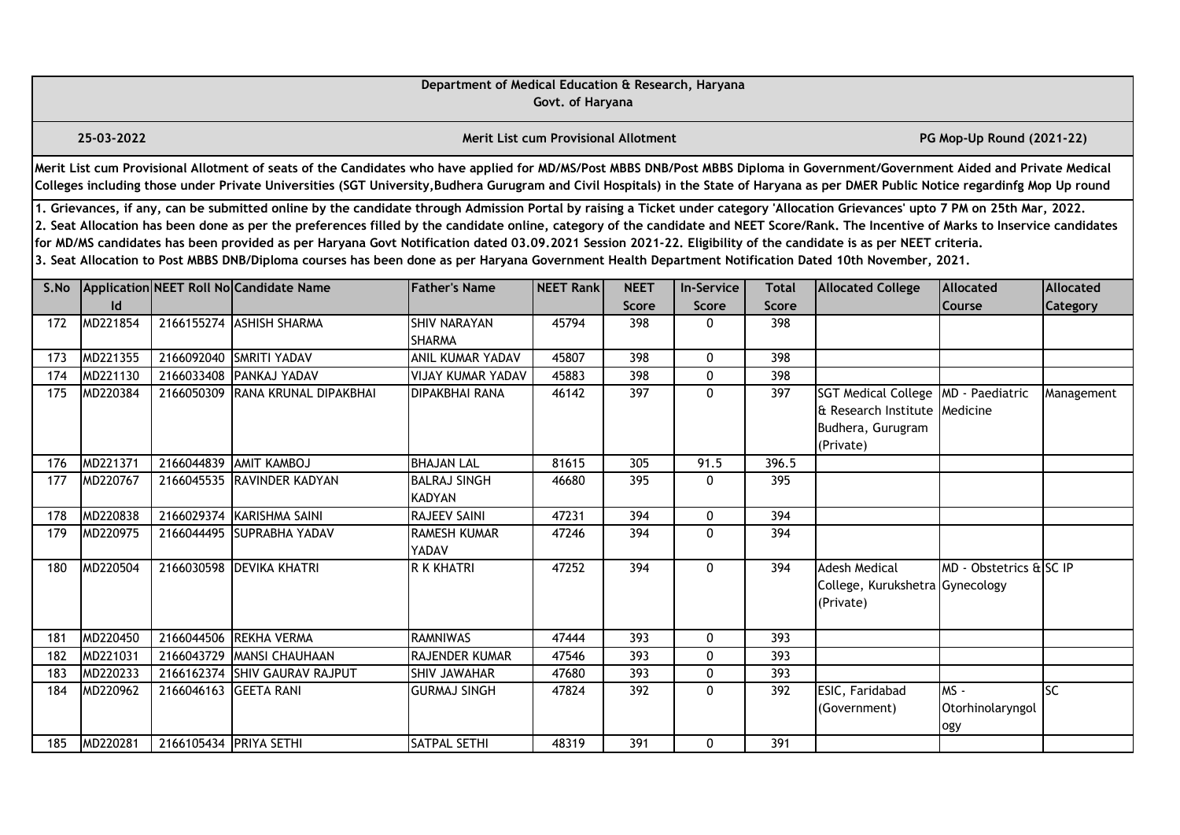|      |                                                                                                                                                                                                                                                                                                                                                                                                                                                                                                                                                                                                                                                                                                                                                                                                                                                                                                               |                        |                                                                                                                                                                                                                                                                                                                                                                       | Department of Medical Education & Research, Haryana | Govt. of Haryana                            |              |              |                  |                                                                                      |                                   |                 |  |  |
|------|---------------------------------------------------------------------------------------------------------------------------------------------------------------------------------------------------------------------------------------------------------------------------------------------------------------------------------------------------------------------------------------------------------------------------------------------------------------------------------------------------------------------------------------------------------------------------------------------------------------------------------------------------------------------------------------------------------------------------------------------------------------------------------------------------------------------------------------------------------------------------------------------------------------|------------------------|-----------------------------------------------------------------------------------------------------------------------------------------------------------------------------------------------------------------------------------------------------------------------------------------------------------------------------------------------------------------------|-----------------------------------------------------|---------------------------------------------|--------------|--------------|------------------|--------------------------------------------------------------------------------------|-----------------------------------|-----------------|--|--|
|      | 25-03-2022                                                                                                                                                                                                                                                                                                                                                                                                                                                                                                                                                                                                                                                                                                                                                                                                                                                                                                    |                        |                                                                                                                                                                                                                                                                                                                                                                       |                                                     | <b>Merit List cum Provisional Allotment</b> |              |              |                  |                                                                                      | PG Mop-Up Round (2021-22)         |                 |  |  |
|      |                                                                                                                                                                                                                                                                                                                                                                                                                                                                                                                                                                                                                                                                                                                                                                                                                                                                                                               |                        | Merit List cum Provisional Allotment of seats of the Candidates who have applied for MD/MS/Post MBBS DNB/Post MBBS Diploma in Government/Government Aided and Private Medical<br>Colleges including those under Private Universities (SGT University, Budhera Gurugram and Civil Hospitals) in the State of Haryana as per DMER Public Notice regardinfg Mop Up round |                                                     |                                             |              |              |                  |                                                                                      |                                   |                 |  |  |
|      | 1. Grievances, if any, can be submitted online by the candidate through Admission Portal by raising a Ticket under category 'Allocation Grievances' upto 7 PM on 25th Mar, 2022.<br>2. Seat Allocation has been done as per the preferences filled by the candidate online, category of the candidate and NEET Score/Rank. The Incentive of Marks to Inservice candidates<br>for MD/MS candidates has been provided as per Haryana Govt Notification dated 03.09.2021 Session 2021-22. Eligibility of the candidate is as per NEET criteria.<br>3. Seat Allocation to Post MBBS DNB/Diploma courses has been done as per Haryana Government Health Department Notification Dated 10th November, 2021.<br>Application NEET Roll No Candidate Name<br><b>Father's Name</b><br><b>NEET</b><br><b>Allocated College</b><br><b>Allocated</b><br>NEET Rank<br><b>In-Service</b><br><b>Total</b><br><b>Allocated</b> |                        |                                                                                                                                                                                                                                                                                                                                                                       |                                                     |                                             |              |              |                  |                                                                                      |                                   |                 |  |  |
| S.No | <b>Id</b>                                                                                                                                                                                                                                                                                                                                                                                                                                                                                                                                                                                                                                                                                                                                                                                                                                                                                                     |                        |                                                                                                                                                                                                                                                                                                                                                                       |                                                     |                                             | <b>Score</b> | <b>Score</b> | <b>Score</b>     |                                                                                      | Course                            | Category        |  |  |
| 172  | MD221854                                                                                                                                                                                                                                                                                                                                                                                                                                                                                                                                                                                                                                                                                                                                                                                                                                                                                                      |                        | 2166155274 ASHISH SHARMA                                                                                                                                                                                                                                                                                                                                              | <b>SHIV NARAYAN</b><br><b>SHARMA</b>                | 45794                                       | 398          | $\mathbf{0}$ | 398              |                                                                                      |                                   |                 |  |  |
| 173  | MD221355                                                                                                                                                                                                                                                                                                                                                                                                                                                                                                                                                                                                                                                                                                                                                                                                                                                                                                      |                        | 2166092040 SMRITI YADAV                                                                                                                                                                                                                                                                                                                                               | <b>ANIL KUMAR YADAV</b>                             | 45807                                       | 398          | $\mathbf 0$  | 398              |                                                                                      |                                   |                 |  |  |
| 174  | MD221130                                                                                                                                                                                                                                                                                                                                                                                                                                                                                                                                                                                                                                                                                                                                                                                                                                                                                                      | 2166033408             | <b>PANKAJ YADAV</b>                                                                                                                                                                                                                                                                                                                                                   | <b>VIJAY KUMAR YADAV</b>                            | 45883                                       | 398          | 0            | 398              |                                                                                      |                                   |                 |  |  |
| 175  | MD220384                                                                                                                                                                                                                                                                                                                                                                                                                                                                                                                                                                                                                                                                                                                                                                                                                                                                                                      | 2166050309             | RANA KRUNAL DIPAKBHAI                                                                                                                                                                                                                                                                                                                                                 | <b>DIPAKBHAI RANA</b>                               | 46142                                       | 397          | $\mathbf{0}$ | 397              | <b>SGT Medical College</b><br>& Research Institute<br>Budhera, Gurugram<br>(Private) | MD - Paediatric<br>Medicine       | Management      |  |  |
| 176  | MD221371                                                                                                                                                                                                                                                                                                                                                                                                                                                                                                                                                                                                                                                                                                                                                                                                                                                                                                      | 2166044839             | <b>AMIT KAMBOJ</b>                                                                                                                                                                                                                                                                                                                                                    | <b>BHAJAN LAL</b>                                   | 81615                                       | 305          | 91.5         | 396.5            |                                                                                      |                                   |                 |  |  |
| 177  | MD220767                                                                                                                                                                                                                                                                                                                                                                                                                                                                                                                                                                                                                                                                                                                                                                                                                                                                                                      |                        | 2166045535 RAVINDER KADYAN                                                                                                                                                                                                                                                                                                                                            | <b>BALRAJ SINGH</b><br><b>KADYAN</b>                | 46680                                       | 395          | $\Omega$     | 395              |                                                                                      |                                   |                 |  |  |
| 178  | MD220838                                                                                                                                                                                                                                                                                                                                                                                                                                                                                                                                                                                                                                                                                                                                                                                                                                                                                                      | 2166029374             | KARISHMA SAINI                                                                                                                                                                                                                                                                                                                                                        | <b>RAJEEV SAINI</b>                                 | 47231                                       | 394          | $\mathbf 0$  | 394              |                                                                                      |                                   |                 |  |  |
| 179  | MD220975                                                                                                                                                                                                                                                                                                                                                                                                                                                                                                                                                                                                                                                                                                                                                                                                                                                                                                      |                        | 2166044495 SUPRABHA YADAV                                                                                                                                                                                                                                                                                                                                             | <b>RAMESH KUMAR</b><br>YADAV                        | 47246                                       | 394          | $\mathbf{0}$ | 394              |                                                                                      |                                   |                 |  |  |
| 180  | MD220504                                                                                                                                                                                                                                                                                                                                                                                                                                                                                                                                                                                                                                                                                                                                                                                                                                                                                                      |                        | 2166030598 DEVIKA KHATRI                                                                                                                                                                                                                                                                                                                                              | R K KHATRI                                          | 47252                                       | 394          | $\mathbf 0$  | 394              | <b>Adesh Medical</b><br>College, Kurukshetra Gynecology<br>(Private)                 | MD - Obstetrics & SC IP           |                 |  |  |
| 181  | MD220450                                                                                                                                                                                                                                                                                                                                                                                                                                                                                                                                                                                                                                                                                                                                                                                                                                                                                                      | 2166044506             | <b>REKHA VERMA</b>                                                                                                                                                                                                                                                                                                                                                    | <b>RAMNIWAS</b>                                     | 47444                                       | 393          | 0            | 393              |                                                                                      |                                   |                 |  |  |
| 182  | MD221031                                                                                                                                                                                                                                                                                                                                                                                                                                                                                                                                                                                                                                                                                                                                                                                                                                                                                                      |                        | 2166043729 MANSI CHAUHAAN                                                                                                                                                                                                                                                                                                                                             | <b>RAJENDER KUMAR</b>                               | 47546                                       | 393          | $\mathbf{0}$ | 393              |                                                                                      |                                   |                 |  |  |
| 183  | MD220233                                                                                                                                                                                                                                                                                                                                                                                                                                                                                                                                                                                                                                                                                                                                                                                                                                                                                                      | 2166162374             | <b>SHIV GAURAV RAJPUT</b>                                                                                                                                                                                                                                                                                                                                             | <b>SHIV JAWAHAR</b>                                 | 47680                                       | 393          | 0            | $\overline{393}$ |                                                                                      |                                   |                 |  |  |
| 184  | MD220962                                                                                                                                                                                                                                                                                                                                                                                                                                                                                                                                                                                                                                                                                                                                                                                                                                                                                                      | 2166046163             | <b>GEETA RANI</b>                                                                                                                                                                                                                                                                                                                                                     | <b>GURMAJ SINGH</b>                                 | 47824                                       | 392          | 0            | 392              | ESIC, Faridabad<br>(Government)                                                      | $MS -$<br>Otorhinolaryngol<br>ogy | $\overline{SC}$ |  |  |
| 185  | MD220281                                                                                                                                                                                                                                                                                                                                                                                                                                                                                                                                                                                                                                                                                                                                                                                                                                                                                                      | 2166105434 PRIYA SETHI |                                                                                                                                                                                                                                                                                                                                                                       | SATPAL SETHI                                        | 48319                                       | 391          | $\mathbf{0}$ | 391              |                                                                                      |                                   |                 |  |  |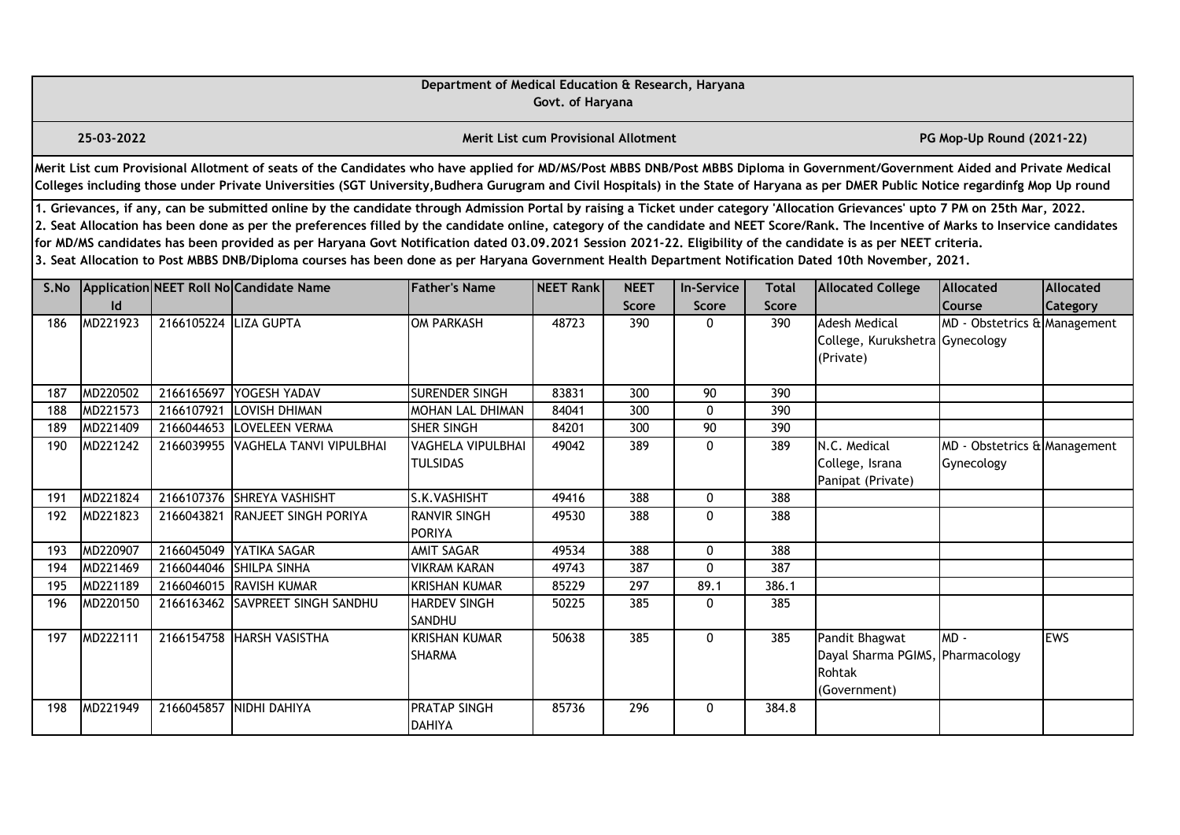|      |                                                                                                                                                                                                                                                                                                                                                                                                                                                                                                                                                                                                                                                                                                                                                  |                       |                                                                                                                                                                                                                                                                                                                                                                       | Department of Medical Education & Research, Haryana | Govt. of Haryana                     |                     |                   |                     |                                                                              |                                               |                 |  |  |
|------|--------------------------------------------------------------------------------------------------------------------------------------------------------------------------------------------------------------------------------------------------------------------------------------------------------------------------------------------------------------------------------------------------------------------------------------------------------------------------------------------------------------------------------------------------------------------------------------------------------------------------------------------------------------------------------------------------------------------------------------------------|-----------------------|-----------------------------------------------------------------------------------------------------------------------------------------------------------------------------------------------------------------------------------------------------------------------------------------------------------------------------------------------------------------------|-----------------------------------------------------|--------------------------------------|---------------------|-------------------|---------------------|------------------------------------------------------------------------------|-----------------------------------------------|-----------------|--|--|
|      | 25-03-2022                                                                                                                                                                                                                                                                                                                                                                                                                                                                                                                                                                                                                                                                                                                                       |                       |                                                                                                                                                                                                                                                                                                                                                                       |                                                     | Merit List cum Provisional Allotment |                     |                   |                     |                                                                              | PG Mop-Up Round (2021-22)                     |                 |  |  |
|      |                                                                                                                                                                                                                                                                                                                                                                                                                                                                                                                                                                                                                                                                                                                                                  |                       | Merit List cum Provisional Allotment of seats of the Candidates who have applied for MD/MS/Post MBBS DNB/Post MBBS Diploma in Government/Government Aided and Private Medical<br>Colleges including those under Private Universities (SGT University, Budhera Gurugram and Civil Hospitals) in the State of Haryana as per DMER Public Notice regardinfg Mop Up round |                                                     |                                      |                     |                   |                     |                                                                              |                                               |                 |  |  |
|      | 1. Grievances, if any, can be submitted online by the candidate through Admission Portal by raising a Ticket under category 'Allocation Grievances' upto 7 PM on 25th Mar, 2022.<br>2. Seat Allocation has been done as per the preferences filled by the candidate online, category of the candidate and NEET Score/Rank. The Incentive of Marks to Inservice candidates<br>for MD/MS candidates has been provided as per Haryana Govt Notification dated 03.09.2021 Session 2021-22. Eligibility of the candidate is as per NEET criteria.<br>3. Seat Allocation to Post MBBS DNB/Diploma courses has been done as per Haryana Government Health Department Notification Dated 10th November, 2021.<br>Application NEET Roll No Candidate Name |                       |                                                                                                                                                                                                                                                                                                                                                                       |                                                     |                                      |                     |                   |                     |                                                                              |                                               |                 |  |  |
| S.No |                                                                                                                                                                                                                                                                                                                                                                                                                                                                                                                                                                                                                                                                                                                                                  |                       |                                                                                                                                                                                                                                                                                                                                                                       | <b>Father's Name</b>                                | NEET Rank                            | <b>NEET</b>         | <b>In-Service</b> | <b>Total</b>        | <b>Allocated College</b>                                                     | Allocated                                     | Allocated       |  |  |
| 186  | Id<br>MD221923                                                                                                                                                                                                                                                                                                                                                                                                                                                                                                                                                                                                                                                                                                                                   | 2166105224 LIZA GUPTA |                                                                                                                                                                                                                                                                                                                                                                       | <b>OM PARKASH</b>                                   | 48723                                | <b>Score</b><br>390 | Score<br>0        | <b>Score</b><br>390 | <b>Adesh Medical</b><br>College, Kurukshetra Gynecology<br>(Private)         | <b>Course</b><br>MD - Obstetrics & Management | <b>Category</b> |  |  |
| 187  | MD220502                                                                                                                                                                                                                                                                                                                                                                                                                                                                                                                                                                                                                                                                                                                                         | 2166165697            | YOGESH YADAV                                                                                                                                                                                                                                                                                                                                                          | SURENDER SINGH                                      | 83831                                | 300                 | 90                | 390                 |                                                                              |                                               |                 |  |  |
| 188  | MD221573                                                                                                                                                                                                                                                                                                                                                                                                                                                                                                                                                                                                                                                                                                                                         | 2166107921            | <b>LOVISH DHIMAN</b>                                                                                                                                                                                                                                                                                                                                                  | MOHAN LAL DHIMAN                                    | 84041                                | 300                 | 0                 | 390                 |                                                                              |                                               |                 |  |  |
| 189  | MD221409                                                                                                                                                                                                                                                                                                                                                                                                                                                                                                                                                                                                                                                                                                                                         | 2166044653            | LOVELEEN VERMA                                                                                                                                                                                                                                                                                                                                                        | SHER SINGH                                          | 84201                                | 300                 | 90                | 390                 |                                                                              |                                               |                 |  |  |
| 190  | MD221242                                                                                                                                                                                                                                                                                                                                                                                                                                                                                                                                                                                                                                                                                                                                         | 2166039955            | VAGHELA TANVI VIPULBHAI                                                                                                                                                                                                                                                                                                                                               | VAGHELA VIPULBHAI<br><b>TULSIDAS</b>                | 49042                                | 389                 | 0                 | 389                 | N.C. Medical<br>College, Israna<br>Panipat (Private)                         | MD - Obstetrics & Management<br>Gynecology    |                 |  |  |
| 191  | MD221824                                                                                                                                                                                                                                                                                                                                                                                                                                                                                                                                                                                                                                                                                                                                         |                       | 2166107376 SHREYA VASHISHT                                                                                                                                                                                                                                                                                                                                            | S.K.VASHISHT                                        | 49416                                | 388                 | 0                 | 388                 |                                                                              |                                               |                 |  |  |
| 192  | MD221823                                                                                                                                                                                                                                                                                                                                                                                                                                                                                                                                                                                                                                                                                                                                         |                       | 2166043821 RANJEET SINGH PORIYA                                                                                                                                                                                                                                                                                                                                       | <b>RANVIR SINGH</b><br><b>PORIYA</b>                | 49530                                | 388                 | $\mathbf 0$       | 388                 |                                                                              |                                               |                 |  |  |
| 193  | MD220907                                                                                                                                                                                                                                                                                                                                                                                                                                                                                                                                                                                                                                                                                                                                         | 2166045049            | YATIKA SAGAR                                                                                                                                                                                                                                                                                                                                                          | AMIT SAGAR                                          | 49534                                | 388                 | 0                 | 388                 |                                                                              |                                               |                 |  |  |
| 194  | MD221469                                                                                                                                                                                                                                                                                                                                                                                                                                                                                                                                                                                                                                                                                                                                         |                       | 2166044046 SHILPA SINHA                                                                                                                                                                                                                                                                                                                                               | <b>VIKRAM KARAN</b>                                 | 49743                                | 387                 | 0                 | 387                 |                                                                              |                                               |                 |  |  |
| 195  | MD221189                                                                                                                                                                                                                                                                                                                                                                                                                                                                                                                                                                                                                                                                                                                                         |                       | 2166046015 RAVISH KUMAR                                                                                                                                                                                                                                                                                                                                               | <b>KRISHAN KUMAR</b>                                | 85229                                | 297                 | 89.1              | 386.1               |                                                                              |                                               |                 |  |  |
| 196  | MD220150                                                                                                                                                                                                                                                                                                                                                                                                                                                                                                                                                                                                                                                                                                                                         |                       | 2166163462 SAVPREET SINGH SANDHU                                                                                                                                                                                                                                                                                                                                      | <b>HARDEV SINGH</b><br><b>SANDHU</b>                | 50225                                | 385                 | 0                 | 385                 |                                                                              |                                               |                 |  |  |
| 197  | MD222111                                                                                                                                                                                                                                                                                                                                                                                                                                                                                                                                                                                                                                                                                                                                         |                       | 2166154758 HARSH VASISTHA                                                                                                                                                                                                                                                                                                                                             | <b>KRISHAN KUMAR</b><br><b>SHARMA</b>               | 50638                                | 385                 | 0                 | 385                 | Pandit Bhagwat<br>Dayal Sharma PGIMS, Pharmacology<br>Rohtak<br>(Government) | $MD -$                                        | <b>IEWS</b>     |  |  |
| 198  | MD221949                                                                                                                                                                                                                                                                                                                                                                                                                                                                                                                                                                                                                                                                                                                                         |                       | 2166045857 NIDHI DAHIYA                                                                                                                                                                                                                                                                                                                                               | <b>PRATAP SINGH</b><br><b>DAHIYA</b>                | 85736                                | 296                 | $\mathbf{0}$      | 384.8               |                                                                              |                                               |                 |  |  |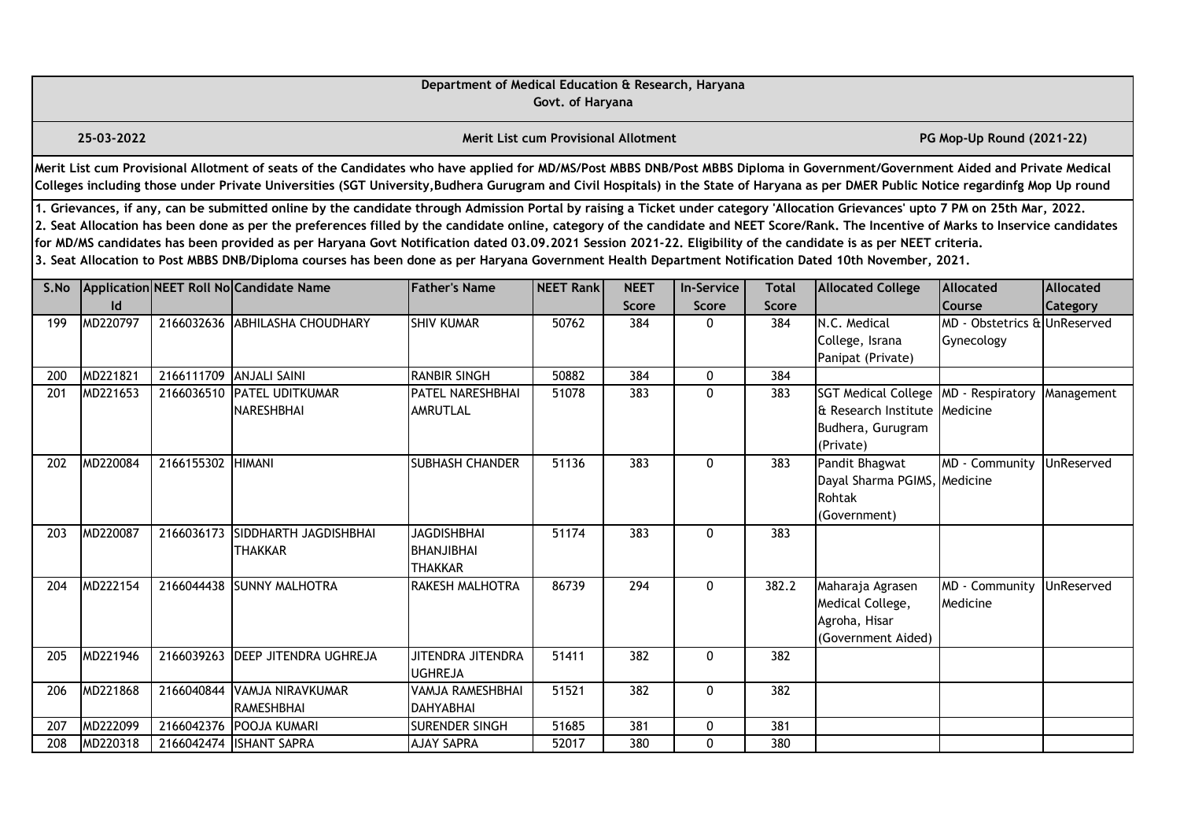|      |                                                                                                                                                                                                                                                                                                                                                                                                                                                                                                                                                                                                                                                                                                                                                                                                                                                                                                 |                         |                                                                                                                                                                                                                                                                                                                                                                       | Department of Medical Education & Research, Haryana       | Govt. of Haryana                            |                  |              |              |                                                                                      |                                 |            |  |  |
|------|-------------------------------------------------------------------------------------------------------------------------------------------------------------------------------------------------------------------------------------------------------------------------------------------------------------------------------------------------------------------------------------------------------------------------------------------------------------------------------------------------------------------------------------------------------------------------------------------------------------------------------------------------------------------------------------------------------------------------------------------------------------------------------------------------------------------------------------------------------------------------------------------------|-------------------------|-----------------------------------------------------------------------------------------------------------------------------------------------------------------------------------------------------------------------------------------------------------------------------------------------------------------------------------------------------------------------|-----------------------------------------------------------|---------------------------------------------|------------------|--------------|--------------|--------------------------------------------------------------------------------------|---------------------------------|------------|--|--|
|      | 25-03-2022                                                                                                                                                                                                                                                                                                                                                                                                                                                                                                                                                                                                                                                                                                                                                                                                                                                                                      |                         |                                                                                                                                                                                                                                                                                                                                                                       |                                                           | <b>Merit List cum Provisional Allotment</b> |                  |              |              |                                                                                      | PG Mop-Up Round (2021-22)       |            |  |  |
|      |                                                                                                                                                                                                                                                                                                                                                                                                                                                                                                                                                                                                                                                                                                                                                                                                                                                                                                 |                         | Merit List cum Provisional Allotment of seats of the Candidates who have applied for MD/MS/Post MBBS DNB/Post MBBS Diploma in Government/Government Aided and Private Medical<br>Colleges including those under Private Universities (SGT University, Budhera Gurugram and Civil Hospitals) in the State of Haryana as per DMER Public Notice regardinfg Mop Up round |                                                           |                                             |                  |              |              |                                                                                      |                                 |            |  |  |
|      | 1. Grievances, if any, can be submitted online by the candidate through Admission Portal by raising a Ticket under category 'Allocation Grievances' upto 7 PM on 25th Mar, 2022.<br>2. Seat Allocation has been done as per the preferences filled by the candidate online, category of the candidate and NEET Score/Rank. The Incentive of Marks to Inservice candidates<br>for MD/MS candidates has been provided as per Haryana Govt Notification dated 03.09.2021 Session 2021-22. Eligibility of the candidate is as per NEET criteria.<br>3. Seat Allocation to Post MBBS DNB/Diploma courses has been done as per Haryana Government Health Department Notification Dated 10th November, 2021.<br>Application NEET Roll No Candidate Name<br><b>Father's Name</b><br>NEET Rank<br><b>NEET</b><br><b>In-Service</b><br><b>Allocated College</b><br>Allocated<br>Allocated<br><b>Total</b> |                         |                                                                                                                                                                                                                                                                                                                                                                       |                                                           |                                             |                  |              |              |                                                                                      |                                 |            |  |  |
| S.No | Id                                                                                                                                                                                                                                                                                                                                                                                                                                                                                                                                                                                                                                                                                                                                                                                                                                                                                              |                         |                                                                                                                                                                                                                                                                                                                                                                       |                                                           |                                             | Score            | Score        | <b>Score</b> |                                                                                      | Course                          | Category   |  |  |
| 199  | MD220797                                                                                                                                                                                                                                                                                                                                                                                                                                                                                                                                                                                                                                                                                                                                                                                                                                                                                        |                         | 2166032636 ABHILASHA CHOUDHARY                                                                                                                                                                                                                                                                                                                                        | <b>SHIV KUMAR</b>                                         | 50762                                       | 384              | $\Omega$     | 384          | N.C. Medical<br>College, Israna<br>Panipat (Private)                                 | MD - Obstetrics &<br>Gynecology | UnReserved |  |  |
| 200  | MD221821                                                                                                                                                                                                                                                                                                                                                                                                                                                                                                                                                                                                                                                                                                                                                                                                                                                                                        | 2166111709 ANJALI SAINI |                                                                                                                                                                                                                                                                                                                                                                       | <b>RANBIR SINGH</b>                                       | 50882                                       | 384              | 0            | 384          |                                                                                      |                                 |            |  |  |
| 201  | MD221653                                                                                                                                                                                                                                                                                                                                                                                                                                                                                                                                                                                                                                                                                                                                                                                                                                                                                        | 2166036510              | <b>PATEL UDITKUMAR</b><br><b>NARESHBHAI</b>                                                                                                                                                                                                                                                                                                                           | PATEL NARESHBHAI<br><b>AMRUTLAL</b>                       | 51078                                       | 383              | $\mathbf 0$  | 383          | <b>SGT Medical College</b><br>& Research Institute<br>Budhera, Gurugram<br>(Private) | MD - Respiratory<br>Medicine    | Management |  |  |
| 202  | MD220084                                                                                                                                                                                                                                                                                                                                                                                                                                                                                                                                                                                                                                                                                                                                                                                                                                                                                        | 2166155302 HIMANI       |                                                                                                                                                                                                                                                                                                                                                                       | <b>SUBHASH CHANDER</b>                                    | 51136                                       | 383              | $\mathbf 0$  | 383          | Pandit Bhagwat<br>Dayal Sharma PGIMS, Medicine<br>Rohtak<br>(Government)             | MD - Community                  | UnReserved |  |  |
| 203  | MD220087                                                                                                                                                                                                                                                                                                                                                                                                                                                                                                                                                                                                                                                                                                                                                                                                                                                                                        | 2166036173              | SIDDHARTH JAGDISHBHAI<br><b>THAKKAR</b>                                                                                                                                                                                                                                                                                                                               | <b>JAGDISHBHAI</b><br><b>BHANJIBHAI</b><br><b>THAKKAR</b> | 51174                                       | 383              | $\mathbf 0$  | 383          |                                                                                      |                                 |            |  |  |
| 204  | MD222154                                                                                                                                                                                                                                                                                                                                                                                                                                                                                                                                                                                                                                                                                                                                                                                                                                                                                        |                         | 2166044438 SUNNY MALHOTRA                                                                                                                                                                                                                                                                                                                                             | <b>RAKESH MALHOTRA</b>                                    | 86739                                       | $\overline{294}$ | $\mathbf{0}$ | 382.2        | Maharaja Agrasen<br>Medical College,<br>Agroha, Hisar<br>(Government Aided)          | MD - Community<br>Medicine      | UnReserved |  |  |
| 205  | MD221946                                                                                                                                                                                                                                                                                                                                                                                                                                                                                                                                                                                                                                                                                                                                                                                                                                                                                        |                         | 2166039263 DEEP JITENDRA UGHREJA                                                                                                                                                                                                                                                                                                                                      | JITENDRA JITENDRA<br><b>UGHREJA</b>                       | 51411                                       | 382              | 0            | 382          |                                                                                      |                                 |            |  |  |
| 206  | MD221868                                                                                                                                                                                                                                                                                                                                                                                                                                                                                                                                                                                                                                                                                                                                                                                                                                                                                        | 2166040844              | VAMJA NIRAVKUMAR<br><b>RAMESHBHAI</b>                                                                                                                                                                                                                                                                                                                                 | VAMJA RAMESHBHAI<br><b>DAHYABHAI</b>                      | 51521                                       | 382              | $\mathbf 0$  | 382          |                                                                                      |                                 |            |  |  |
| 207  | MD222099                                                                                                                                                                                                                                                                                                                                                                                                                                                                                                                                                                                                                                                                                                                                                                                                                                                                                        | 2166042376              | <b>POOJA KUMARI</b>                                                                                                                                                                                                                                                                                                                                                   | <b>SURENDER SINGH</b>                                     | 51685                                       | 381              | 0            | 381          |                                                                                      |                                 |            |  |  |
| 208  | MD220318                                                                                                                                                                                                                                                                                                                                                                                                                                                                                                                                                                                                                                                                                                                                                                                                                                                                                        |                         | 2166042474 ISHANT SAPRA                                                                                                                                                                                                                                                                                                                                               | <b>AJAY SAPRA</b>                                         | 52017                                       | 380              | $\Omega$     | 380          |                                                                                      |                                 |            |  |  |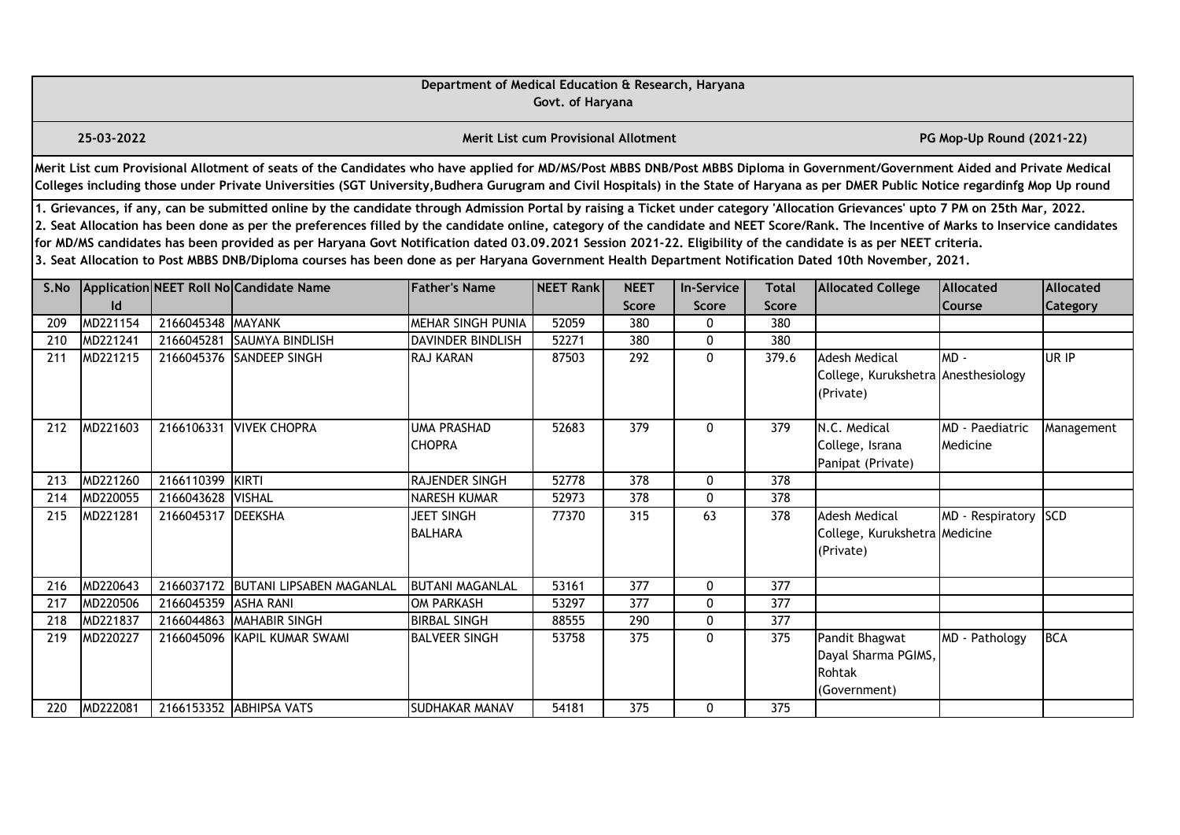|      |                                                                                                                                                                                                                                                                                                                                                                                                                                                                                                                                                                                                                                                                                                                                                                                                                                                                                                        |                      |                                                                                                                                                                                                                                                                                                                                                                       | Department of Medical Education & Research, Haryana | Govt. of Haryana                            |                     |                       |                     |                                                                          |                             |            |  |  |
|------|--------------------------------------------------------------------------------------------------------------------------------------------------------------------------------------------------------------------------------------------------------------------------------------------------------------------------------------------------------------------------------------------------------------------------------------------------------------------------------------------------------------------------------------------------------------------------------------------------------------------------------------------------------------------------------------------------------------------------------------------------------------------------------------------------------------------------------------------------------------------------------------------------------|----------------------|-----------------------------------------------------------------------------------------------------------------------------------------------------------------------------------------------------------------------------------------------------------------------------------------------------------------------------------------------------------------------|-----------------------------------------------------|---------------------------------------------|---------------------|-----------------------|---------------------|--------------------------------------------------------------------------|-----------------------------|------------|--|--|
|      | 25-03-2022                                                                                                                                                                                                                                                                                                                                                                                                                                                                                                                                                                                                                                                                                                                                                                                                                                                                                             |                      |                                                                                                                                                                                                                                                                                                                                                                       |                                                     | <b>Merit List cum Provisional Allotment</b> |                     |                       |                     |                                                                          | PG Mop-Up Round (2021-22)   |            |  |  |
|      |                                                                                                                                                                                                                                                                                                                                                                                                                                                                                                                                                                                                                                                                                                                                                                                                                                                                                                        |                      | Merit List cum Provisional Allotment of seats of the Candidates who have applied for MD/MS/Post MBBS DNB/Post MBBS Diploma in Government/Government Aided and Private Medical<br>Colleges including those under Private Universities (SGT University, Budhera Gurugram and Civil Hospitals) in the State of Haryana as per DMER Public Notice regardinfg Mop Up round |                                                     |                                             |                     |                       |                     |                                                                          |                             |            |  |  |
|      | 1. Grievances, if any, can be submitted online by the candidate through Admission Portal by raising a Ticket under category 'Allocation Grievances' upto 7 PM on 25th Mar, 2022.<br>2. Seat Allocation has been done as per the preferences filled by the candidate online, category of the candidate and NEET Score/Rank. The Incentive of Marks to Inservice candidates<br>for MD/MS candidates has been provided as per Haryana Govt Notification dated 03.09.2021 Session 2021-22. Eligibility of the candidate is as per NEET criteria.<br>3. Seat Allocation to Post MBBS DNB/Diploma courses has been done as per Haryana Government Health Department Notification Dated 10th November, 2021.<br>Application NEET Roll No Candidate Name<br><b>Father's Name</b><br>NEET Rank<br><b>NEET</b><br><b>Allocated</b><br>Allocated<br><b>In-Service</b><br><b>Total</b><br><b>Allocated College</b> |                      |                                                                                                                                                                                                                                                                                                                                                                       |                                                     |                                             |                     |                       |                     |                                                                          |                             |            |  |  |
| S.No |                                                                                                                                                                                                                                                                                                                                                                                                                                                                                                                                                                                                                                                                                                                                                                                                                                                                                                        |                      |                                                                                                                                                                                                                                                                                                                                                                       |                                                     |                                             |                     |                       |                     |                                                                          |                             |            |  |  |
| 209  | $\mathsf{Id}$<br>MD221154                                                                                                                                                                                                                                                                                                                                                                                                                                                                                                                                                                                                                                                                                                                                                                                                                                                                              | 2166045348 MAYANK    |                                                                                                                                                                                                                                                                                                                                                                       | MEHAR SINGH PUNIA                                   | 52059                                       | <b>Score</b><br>380 | Score<br>$\mathbf{0}$ | <b>Score</b><br>380 |                                                                          | Course                      | Category   |  |  |
| 210  | MD221241                                                                                                                                                                                                                                                                                                                                                                                                                                                                                                                                                                                                                                                                                                                                                                                                                                                                                               | 2166045281           | <b>SAUMYA BINDLISH</b>                                                                                                                                                                                                                                                                                                                                                | <b>DAVINDER BINDLISH</b>                            | 52271                                       | 380                 | $\mathbf{0}$          | 380                 |                                                                          |                             |            |  |  |
| 211  | MD221215                                                                                                                                                                                                                                                                                                                                                                                                                                                                                                                                                                                                                                                                                                                                                                                                                                                                                               |                      | 2166045376 SANDEEP SINGH                                                                                                                                                                                                                                                                                                                                              | RAJ KARAN                                           | 87503                                       | 292                 | $\mathbf{0}$          | 379.6               | <b>Adesh Medical</b><br>College, Kurukshetra Anesthesiology<br>(Private) | $MD -$                      | UR IP      |  |  |
| 212  | MD221603                                                                                                                                                                                                                                                                                                                                                                                                                                                                                                                                                                                                                                                                                                                                                                                                                                                                                               |                      | 2166106331 VIVEK CHOPRA                                                                                                                                                                                                                                                                                                                                               | <b>UMA PRASHAD</b><br><b>CHOPRA</b>                 | 52683                                       | 379                 | $\mathbf{0}$          | 379                 | N.C. Medical<br>College, Israna<br>Panipat (Private)                     | MD - Paediatric<br>Medicine | Management |  |  |
| 213  | MD221260                                                                                                                                                                                                                                                                                                                                                                                                                                                                                                                                                                                                                                                                                                                                                                                                                                                                                               | 2166110399 KIRTI     |                                                                                                                                                                                                                                                                                                                                                                       | <b>RAJENDER SINGH</b>                               | 52778                                       | 378                 | $\mathbf{0}$          | 378                 |                                                                          |                             |            |  |  |
| 214  | MD220055                                                                                                                                                                                                                                                                                                                                                                                                                                                                                                                                                                                                                                                                                                                                                                                                                                                                                               | 2166043628 VISHAL    |                                                                                                                                                                                                                                                                                                                                                                       | <b>NARESH KUMAR</b>                                 | 52973                                       | 378                 | $\mathbf{0}$          | 378                 |                                                                          |                             |            |  |  |
| 215  | MD221281                                                                                                                                                                                                                                                                                                                                                                                                                                                                                                                                                                                                                                                                                                                                                                                                                                                                                               | 2166045317 DEEKSHA   |                                                                                                                                                                                                                                                                                                                                                                       | <b>JEET SINGH</b><br><b>BALHARA</b>                 | 77370                                       | 315                 | 63                    | 378                 | <b>Adesh Medical</b><br>College, Kurukshetra Medicine<br>(Private)       | MD - Respiratory            | <b>SCD</b> |  |  |
| 216  | MD220643                                                                                                                                                                                                                                                                                                                                                                                                                                                                                                                                                                                                                                                                                                                                                                                                                                                                                               |                      | 2166037172 BUTANI LIPSABEN MAGANLAL                                                                                                                                                                                                                                                                                                                                   | <b>BUTANI MAGANLAL</b>                              | 53161                                       | 377                 | $\mathbf{0}$          | 377                 |                                                                          |                             |            |  |  |
| 217  | MD220506                                                                                                                                                                                                                                                                                                                                                                                                                                                                                                                                                                                                                                                                                                                                                                                                                                                                                               | 2166045359 ASHA RANI |                                                                                                                                                                                                                                                                                                                                                                       | <b>OM PARKASH</b>                                   | 53297                                       | 377                 | $\mathbf{0}$          | 377                 |                                                                          |                             |            |  |  |
| 218  | MD221837                                                                                                                                                                                                                                                                                                                                                                                                                                                                                                                                                                                                                                                                                                                                                                                                                                                                                               | 2166044863           | <b>MAHABIR SINGH</b>                                                                                                                                                                                                                                                                                                                                                  | <b>BIRBAL SINGH</b>                                 | 88555                                       | 290                 | $\mathbf{0}$          | 377                 |                                                                          |                             |            |  |  |
| 219  | MD220227                                                                                                                                                                                                                                                                                                                                                                                                                                                                                                                                                                                                                                                                                                                                                                                                                                                                                               |                      | 2166045096 KAPIL KUMAR SWAMI                                                                                                                                                                                                                                                                                                                                          | <b>BALVEER SINGH</b>                                | 53758                                       | 375                 | $\mathbf{0}$          | 375                 | Pandit Bhagwat<br>Dayal Sharma PGIMS,<br>Rohtak<br>(Government)          | MD - Pathology              | <b>BCA</b> |  |  |
| 220  | MD222081                                                                                                                                                                                                                                                                                                                                                                                                                                                                                                                                                                                                                                                                                                                                                                                                                                                                                               |                      | 2166153352 ABHIPSA VATS                                                                                                                                                                                                                                                                                                                                               | <b>SUDHAKAR MANAV</b>                               | 54181                                       | 375                 | $\mathbf{0}$          | 375                 |                                                                          |                             |            |  |  |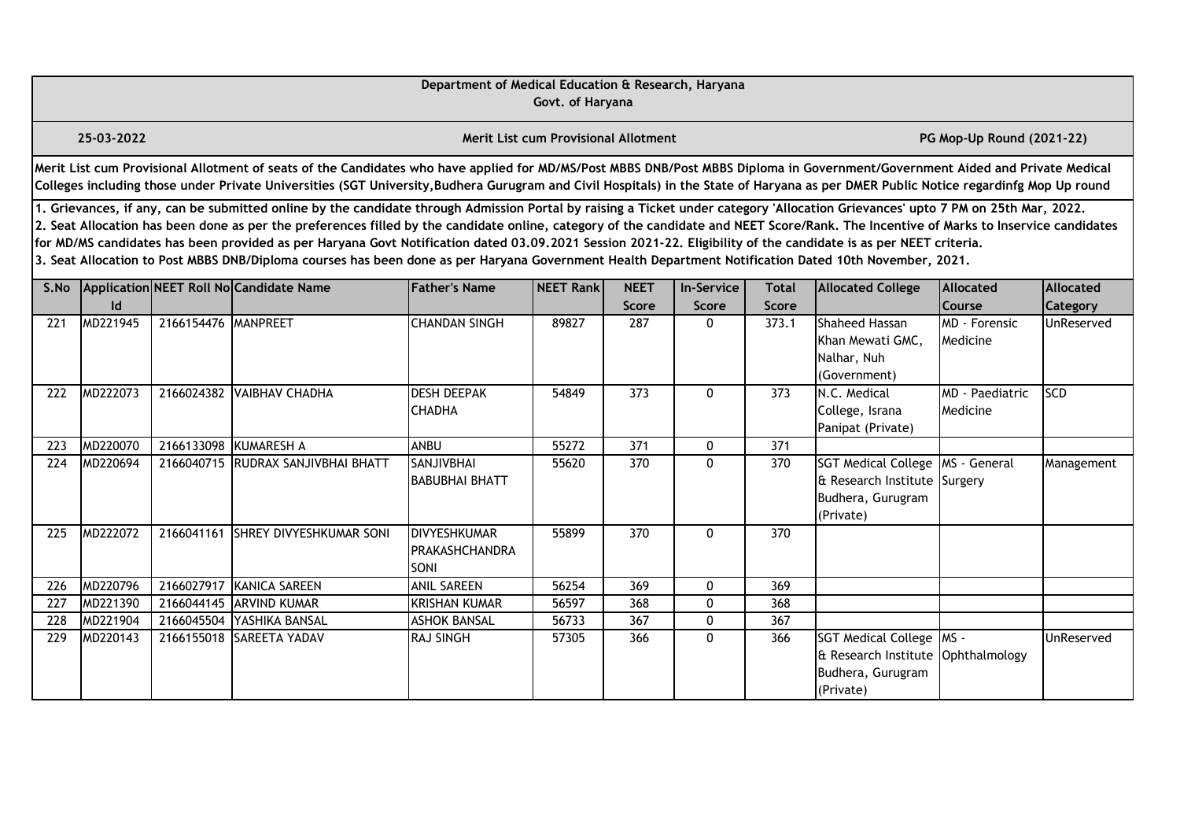|      |                                                                                                                                                                                                                                                                                                                                                                                                                                                                                                                                                                                                                                                                                                                                                  |                       |                                                                                                                                                                                                                                                                                                                                                                       | Department of Medical Education & Research, Haryana | Govt. of Haryana                            |                             |                                   |                              |                                                                                                      |                                    |                              |  |  |
|------|--------------------------------------------------------------------------------------------------------------------------------------------------------------------------------------------------------------------------------------------------------------------------------------------------------------------------------------------------------------------------------------------------------------------------------------------------------------------------------------------------------------------------------------------------------------------------------------------------------------------------------------------------------------------------------------------------------------------------------------------------|-----------------------|-----------------------------------------------------------------------------------------------------------------------------------------------------------------------------------------------------------------------------------------------------------------------------------------------------------------------------------------------------------------------|-----------------------------------------------------|---------------------------------------------|-----------------------------|-----------------------------------|------------------------------|------------------------------------------------------------------------------------------------------|------------------------------------|------------------------------|--|--|
|      | 25-03-2022                                                                                                                                                                                                                                                                                                                                                                                                                                                                                                                                                                                                                                                                                                                                       |                       |                                                                                                                                                                                                                                                                                                                                                                       |                                                     | <b>Merit List cum Provisional Allotment</b> |                             |                                   |                              |                                                                                                      | PG Mop-Up Round (2021-22)          |                              |  |  |
|      |                                                                                                                                                                                                                                                                                                                                                                                                                                                                                                                                                                                                                                                                                                                                                  |                       | Merit List cum Provisional Allotment of seats of the Candidates who have applied for MD/MS/Post MBBS DNB/Post MBBS Diploma in Government/Government Aided and Private Medical<br>Colleges including those under Private Universities (SGT University, Budhera Gurugram and Civil Hospitals) in the State of Haryana as per DMER Public Notice regardinfg Mop Up round |                                                     |                                             |                             |                                   |                              |                                                                                                      |                                    |                              |  |  |
|      | 1. Grievances, if any, can be submitted online by the candidate through Admission Portal by raising a Ticket under category 'Allocation Grievances' upto 7 PM on 25th Mar, 2022.<br>2. Seat Allocation has been done as per the preferences filled by the candidate online, category of the candidate and NEET Score/Rank. The Incentive of Marks to Inservice candidates<br>for MD/MS candidates has been provided as per Haryana Govt Notification dated 03.09.2021 Session 2021-22. Eligibility of the candidate is as per NEET criteria.<br>3. Seat Allocation to Post MBBS DNB/Diploma courses has been done as per Haryana Government Health Department Notification Dated 10th November, 2021.<br>Application NEET Roll No Candidate Name |                       |                                                                                                                                                                                                                                                                                                                                                                       |                                                     |                                             |                             |                                   |                              |                                                                                                      |                                    |                              |  |  |
| S.No | Id                                                                                                                                                                                                                                                                                                                                                                                                                                                                                                                                                                                                                                                                                                                                               |                       |                                                                                                                                                                                                                                                                                                                                                                       | <b>Father's Name</b>                                | NEET Rank                                   | <b>NEET</b><br><b>Score</b> | <b>In-Service</b><br><b>Score</b> | <b>Total</b><br><b>Score</b> | <b>Allocated College</b>                                                                             | Allocated<br>Course                | Allocated<br><b>Category</b> |  |  |
| 221  | MD221945                                                                                                                                                                                                                                                                                                                                                                                                                                                                                                                                                                                                                                                                                                                                         | 2166154476 MANPREET   |                                                                                                                                                                                                                                                                                                                                                                       | <b>CHANDAN SINGH</b>                                | 89827                                       | 287                         | 0                                 | 373.1                        | Shaheed Hassan<br>Khan Mewati GMC.<br>Nalhar, Nuh<br>(Government)                                    | <b>MD</b> - Forensic<br>Medicine   | UnReserved                   |  |  |
| 222  | MD222073                                                                                                                                                                                                                                                                                                                                                                                                                                                                                                                                                                                                                                                                                                                                         |                       | 2166024382 VAIBHAV CHADHA                                                                                                                                                                                                                                                                                                                                             | <b>DESH DEEPAK</b><br><b>CHADHA</b>                 | 54849                                       | 373                         | 0                                 | 373                          | N.C. Medical<br>College, Israna<br>Panipat (Private)                                                 | <b>MD</b> - Paediatric<br>Medicine | <b>SCD</b>                   |  |  |
| 223  | MD220070                                                                                                                                                                                                                                                                                                                                                                                                                                                                                                                                                                                                                                                                                                                                         | 2166133098 KUMARESH A |                                                                                                                                                                                                                                                                                                                                                                       | <b>ANBU</b>                                         | 55272                                       | 371                         | 0                                 | 371                          |                                                                                                      |                                    |                              |  |  |
| 224  | MD220694                                                                                                                                                                                                                                                                                                                                                                                                                                                                                                                                                                                                                                                                                                                                         |                       | 2166040715 RUDRAX SANJIVBHAI BHATT                                                                                                                                                                                                                                                                                                                                    | <b>SANJIVBHAI</b><br><b>BABUBHAI BHATT</b>          | 55620                                       | 370                         | 0                                 | 370                          | SGT Medical College   MS - General<br>& Research Institute Surgery<br>Budhera, Gurugram<br>(Private) |                                    | Management                   |  |  |
| 225  | MD222072                                                                                                                                                                                                                                                                                                                                                                                                                                                                                                                                                                                                                                                                                                                                         |                       | 2166041161 SHREY DIVYESHKUMAR SONI                                                                                                                                                                                                                                                                                                                                    | <b>DIVYESHKUMAR</b><br>PRAKASHCHANDRA<br>SONI       | 55899                                       | 370                         | $\Omega$                          | 370                          |                                                                                                      |                                    |                              |  |  |
| 226  | MD220796                                                                                                                                                                                                                                                                                                                                                                                                                                                                                                                                                                                                                                                                                                                                         |                       | 2166027917 KANICA SAREEN                                                                                                                                                                                                                                                                                                                                              | <b>ANIL SAREEN</b>                                  | 56254                                       | 369                         | $\mathbf{0}$                      | 369                          |                                                                                                      |                                    |                              |  |  |
| 227  | MD221390                                                                                                                                                                                                                                                                                                                                                                                                                                                                                                                                                                                                                                                                                                                                         |                       | 2166044145 ARVIND KUMAR                                                                                                                                                                                                                                                                                                                                               | <b>KRISHAN KUMAR</b>                                | 56597                                       | 368                         | $\mathbf{0}$                      | 368                          |                                                                                                      |                                    |                              |  |  |
| 228  | MD221904                                                                                                                                                                                                                                                                                                                                                                                                                                                                                                                                                                                                                                                                                                                                         |                       | 2166045504 YASHIKA BANSAL                                                                                                                                                                                                                                                                                                                                             | <b>ASHOK BANSAL</b>                                 | 56733                                       | 367                         | $\mathbf{0}$                      | 367                          |                                                                                                      |                                    |                              |  |  |
| 229  | MD220143                                                                                                                                                                                                                                                                                                                                                                                                                                                                                                                                                                                                                                                                                                                                         |                       | 2166155018 SAREETA YADAV                                                                                                                                                                                                                                                                                                                                              | <b>RAJ SINGH</b>                                    | 57305                                       | 366                         | $\Omega$                          | 366                          | SGT Medical College   MS -<br>& Research Institute Ophthalmology<br>Budhera, Gurugram<br>(Private)   |                                    | UnReserved                   |  |  |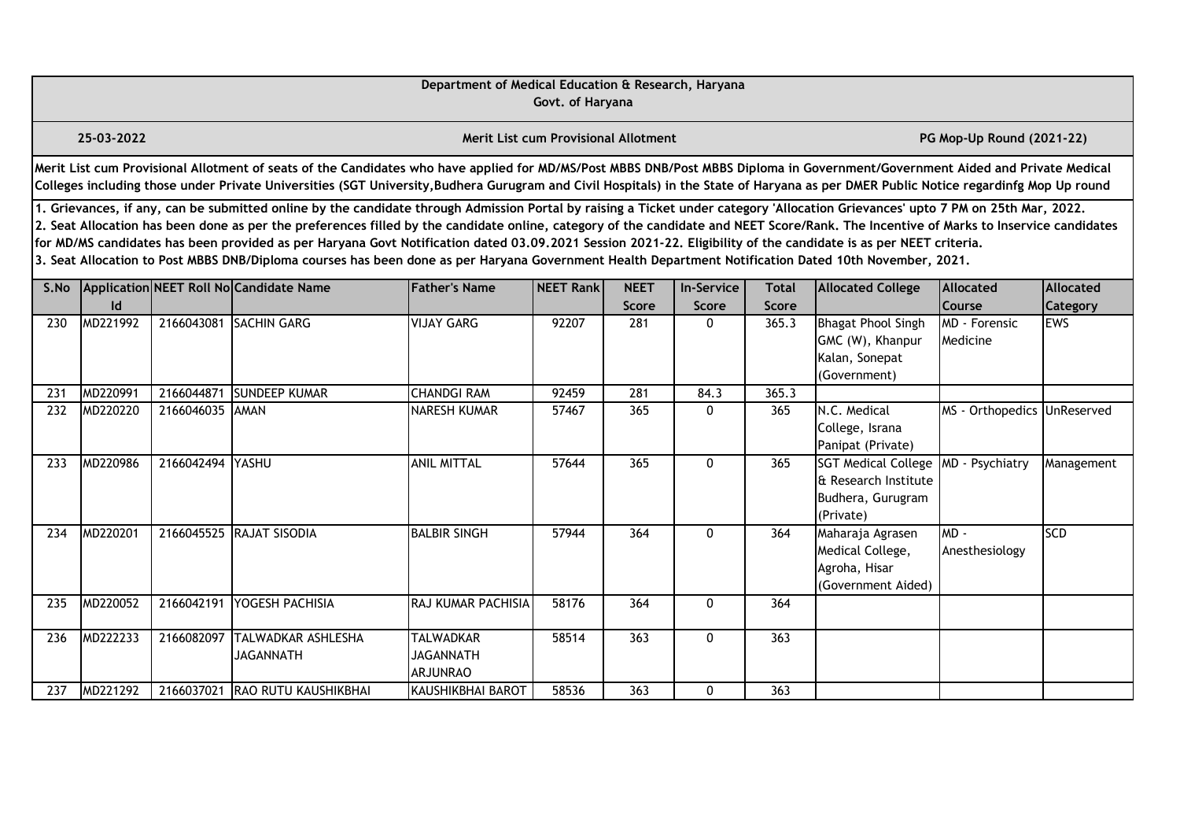|      |                                                                                                                                                                                                                                                                                                                                                                                                                                                                                                                                                                                                                                                                                                                                                  |                  |                                                                                                                                                                                                                                                                                                                                                                       | Department of Medical Education & Research, Haryana     | Govt. of Haryana                            |                             |                            |                              |                                                                                      |                             |                              |  |  |
|------|--------------------------------------------------------------------------------------------------------------------------------------------------------------------------------------------------------------------------------------------------------------------------------------------------------------------------------------------------------------------------------------------------------------------------------------------------------------------------------------------------------------------------------------------------------------------------------------------------------------------------------------------------------------------------------------------------------------------------------------------------|------------------|-----------------------------------------------------------------------------------------------------------------------------------------------------------------------------------------------------------------------------------------------------------------------------------------------------------------------------------------------------------------------|---------------------------------------------------------|---------------------------------------------|-----------------------------|----------------------------|------------------------------|--------------------------------------------------------------------------------------|-----------------------------|------------------------------|--|--|
|      | 25-03-2022                                                                                                                                                                                                                                                                                                                                                                                                                                                                                                                                                                                                                                                                                                                                       |                  |                                                                                                                                                                                                                                                                                                                                                                       |                                                         | <b>Merit List cum Provisional Allotment</b> |                             |                            |                              |                                                                                      | PG Mop-Up Round (2021-22)   |                              |  |  |
|      |                                                                                                                                                                                                                                                                                                                                                                                                                                                                                                                                                                                                                                                                                                                                                  |                  | Merit List cum Provisional Allotment of seats of the Candidates who have applied for MD/MS/Post MBBS DNB/Post MBBS Diploma in Government/Government Aided and Private Medical<br>Colleges including those under Private Universities (SGT University, Budhera Gurugram and Civil Hospitals) in the State of Haryana as per DMER Public Notice regardinfg Mop Up round |                                                         |                                             |                             |                            |                              |                                                                                      |                             |                              |  |  |
|      | 1. Grievances, if any, can be submitted online by the candidate through Admission Portal by raising a Ticket under category 'Allocation Grievances' upto 7 PM on 25th Mar, 2022.<br>2. Seat Allocation has been done as per the preferences filled by the candidate online, category of the candidate and NEET Score/Rank. The Incentive of Marks to Inservice candidates<br>for MD/MS candidates has been provided as per Haryana Govt Notification dated 03.09.2021 Session 2021-22. Eligibility of the candidate is as per NEET criteria.<br>3. Seat Allocation to Post MBBS DNB/Diploma courses has been done as per Haryana Government Health Department Notification Dated 10th November, 2021.<br>Application NEET Roll No Candidate Name |                  |                                                                                                                                                                                                                                                                                                                                                                       |                                                         |                                             |                             |                            |                              |                                                                                      |                             |                              |  |  |
| S.No | Id                                                                                                                                                                                                                                                                                                                                                                                                                                                                                                                                                                                                                                                                                                                                               |                  |                                                                                                                                                                                                                                                                                                                                                                       | <b>Father's Name</b>                                    | NEET Rank                                   | <b>NEET</b><br><b>Score</b> | <b>In-Service</b><br>Score | <b>Total</b><br><b>Score</b> | <b>Allocated College</b>                                                             | Allocated<br><b>Course</b>  | Allocated<br><b>Category</b> |  |  |
| 230  | MD221992                                                                                                                                                                                                                                                                                                                                                                                                                                                                                                                                                                                                                                                                                                                                         |                  | 2166043081 SACHIN GARG                                                                                                                                                                                                                                                                                                                                                | <b>VIJAY GARG</b>                                       | 92207                                       | 281                         | $\mathbf{0}$               | 365.3                        | <b>Bhagat Phool Singh</b><br>GMC (W), Khanpur<br>Kalan, Sonepat<br>(Government)      | MD - Forensic<br>Medicine   | <b>EWS</b>                   |  |  |
| 231  | MD220991                                                                                                                                                                                                                                                                                                                                                                                                                                                                                                                                                                                                                                                                                                                                         | 2166044871       | <b>SUNDEEP KUMAR</b>                                                                                                                                                                                                                                                                                                                                                  | <b>CHANDGI RAM</b>                                      | 92459                                       | 281                         | 84.3                       | 365.3                        |                                                                                      |                             |                              |  |  |
| 232  | MD220220                                                                                                                                                                                                                                                                                                                                                                                                                                                                                                                                                                                                                                                                                                                                         | 2166046035 AMAN  |                                                                                                                                                                                                                                                                                                                                                                       | <b>NARESH KUMAR</b>                                     | 57467                                       | 365                         | $\mathbf{0}$               | 365                          | N.C. Medical<br>College, Israna<br>Panipat (Private)                                 | MS - Orthopedics UnReserved |                              |  |  |
| 233  | MD220986                                                                                                                                                                                                                                                                                                                                                                                                                                                                                                                                                                                                                                                                                                                                         | 2166042494 YASHU |                                                                                                                                                                                                                                                                                                                                                                       | <b>ANIL MITTAL</b>                                      | 57644                                       | 365                         | $\mathbf{0}$               | 365                          | <b>SGT Medical College</b><br>& Research Institute<br>Budhera, Gurugram<br>(Private) | MD - Psychiatry             | Management                   |  |  |
| 234  | MD220201                                                                                                                                                                                                                                                                                                                                                                                                                                                                                                                                                                                                                                                                                                                                         |                  | 2166045525 RAJAT SISODIA                                                                                                                                                                                                                                                                                                                                              | <b>BALBIR SINGH</b>                                     | 57944                                       | 364                         | $\mathbf{0}$               | 364                          | Maharaja Agrasen<br>Medical College,<br>Agroha, Hisar<br>(Government Aided)          | $MD -$<br>Anesthesiology    | <b>SCD</b>                   |  |  |
| 235  | MD220052                                                                                                                                                                                                                                                                                                                                                                                                                                                                                                                                                                                                                                                                                                                                         | 2166042191       | <b>YOGESH PACHISIA</b>                                                                                                                                                                                                                                                                                                                                                | RAJ KUMAR PACHISIA                                      | 58176                                       | 364                         | $\mathbf{0}$               | 364                          |                                                                                      |                             |                              |  |  |
| 236  | MD222233                                                                                                                                                                                                                                                                                                                                                                                                                                                                                                                                                                                                                                                                                                                                         | 2166082097       | TALWADKAR ASHLESHA<br><b>JAGANNATH</b>                                                                                                                                                                                                                                                                                                                                | <b>TALWADKAR</b><br><b>JAGANNATH</b><br><b>ARJUNRAO</b> | 58514                                       | 363                         | 0                          | 363                          |                                                                                      |                             |                              |  |  |
| 237  | MD221292                                                                                                                                                                                                                                                                                                                                                                                                                                                                                                                                                                                                                                                                                                                                         |                  | 2166037021 RAO RUTU KAUSHIKBHAI                                                                                                                                                                                                                                                                                                                                       | <b>KAUSHIKBHAI BAROT</b>                                | 58536                                       | 363                         | 0                          | 363                          |                                                                                      |                             |                              |  |  |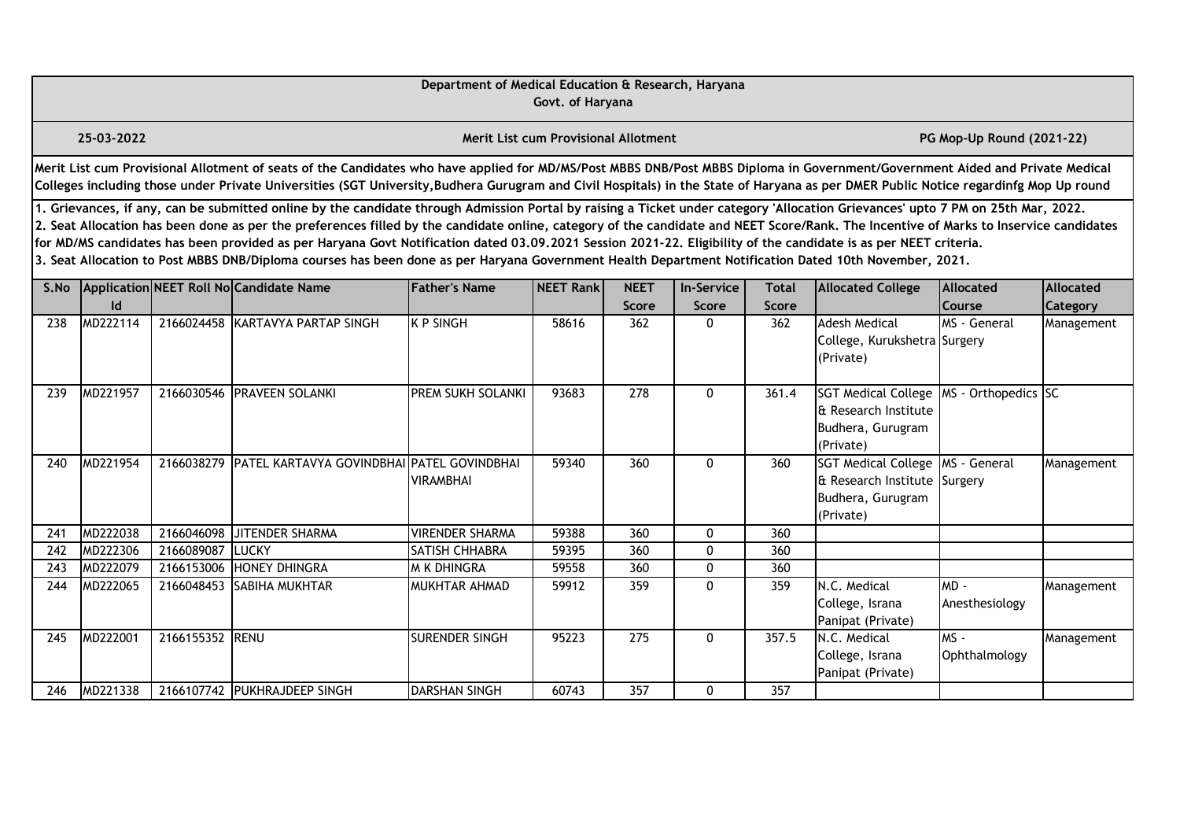|      |                                                                                                                                                                                                                                                                                                                                                                                                                                                                                                                                                                                                                                                                                                                                                                                                                                                                                   |                 |                                                                                                                                                                                                                                                                                                                                                                       | Department of Medical Education & Research, Haryana | Govt. of Haryana                            |              |              |              |                                                                                              |                           |            |  |  |
|------|-----------------------------------------------------------------------------------------------------------------------------------------------------------------------------------------------------------------------------------------------------------------------------------------------------------------------------------------------------------------------------------------------------------------------------------------------------------------------------------------------------------------------------------------------------------------------------------------------------------------------------------------------------------------------------------------------------------------------------------------------------------------------------------------------------------------------------------------------------------------------------------|-----------------|-----------------------------------------------------------------------------------------------------------------------------------------------------------------------------------------------------------------------------------------------------------------------------------------------------------------------------------------------------------------------|-----------------------------------------------------|---------------------------------------------|--------------|--------------|--------------|----------------------------------------------------------------------------------------------|---------------------------|------------|--|--|
|      | 25-03-2022                                                                                                                                                                                                                                                                                                                                                                                                                                                                                                                                                                                                                                                                                                                                                                                                                                                                        |                 |                                                                                                                                                                                                                                                                                                                                                                       |                                                     | <b>Merit List cum Provisional Allotment</b> |              |              |              |                                                                                              | PG Mop-Up Round (2021-22) |            |  |  |
|      |                                                                                                                                                                                                                                                                                                                                                                                                                                                                                                                                                                                                                                                                                                                                                                                                                                                                                   |                 | Merit List cum Provisional Allotment of seats of the Candidates who have applied for MD/MS/Post MBBS DNB/Post MBBS Diploma in Government/Government Aided and Private Medical<br>Colleges including those under Private Universities (SGT University, Budhera Gurugram and Civil Hospitals) in the State of Haryana as per DMER Public Notice regardinfg Mop Up round |                                                     |                                             |              |              |              |                                                                                              |                           |            |  |  |
|      | 1. Grievances, if any, can be submitted online by the candidate through Admission Portal by raising a Ticket under category 'Allocation Grievances' upto 7 PM on 25th Mar, 2022.<br>2. Seat Allocation has been done as per the preferences filled by the candidate online, category of the candidate and NEET Score/Rank. The Incentive of Marks to Inservice candidates<br>for MD/MS candidates has been provided as per Haryana Govt Notification dated 03.09.2021 Session 2021-22. Eligibility of the candidate is as per NEET criteria.<br>3. Seat Allocation to Post MBBS DNB/Diploma courses has been done as per Haryana Government Health Department Notification Dated 10th November, 2021.<br>Application NEET Roll No Candidate Name<br><b>Father's Name</b><br>NEET Rank<br><b>NEET</b><br><b>In-Service</b><br><b>Allocated</b><br><b>Allocated</b><br><b>Total</b> |                 |                                                                                                                                                                                                                                                                                                                                                                       |                                                     |                                             |              |              |              |                                                                                              |                           |            |  |  |
| S.No | Id                                                                                                                                                                                                                                                                                                                                                                                                                                                                                                                                                                                                                                                                                                                                                                                                                                                                                |                 |                                                                                                                                                                                                                                                                                                                                                                       |                                                     |                                             | <b>Score</b> | Score        | <b>Score</b> | <b>Allocated College</b>                                                                     | <b>Course</b>             | Category   |  |  |
| 238  | MD222114                                                                                                                                                                                                                                                                                                                                                                                                                                                                                                                                                                                                                                                                                                                                                                                                                                                                          |                 | 2166024458 KARTAVYA PARTAP SINGH                                                                                                                                                                                                                                                                                                                                      | <b>K P SINGH</b>                                    | 58616                                       | 362          | $\mathbf{0}$ | 362          | <b>Adesh Medical</b><br>College, Kurukshetra Surgery<br>(Private)                            | MS - General              | Management |  |  |
| 239  | MD221957                                                                                                                                                                                                                                                                                                                                                                                                                                                                                                                                                                                                                                                                                                                                                                                                                                                                          |                 | 2166030546 PRAVEEN SOLANKI                                                                                                                                                                                                                                                                                                                                            | PREM SUKH SOLANKI                                   | 93683                                       | 278          | 0            | 361.4        | <b>SGT Medical College</b><br>& Research Institute<br>Budhera, Gurugram<br>(Private)         | MS - Orthopedics SC       |            |  |  |
| 240  | MD221954                                                                                                                                                                                                                                                                                                                                                                                                                                                                                                                                                                                                                                                                                                                                                                                                                                                                          |                 | 2166038279 PATEL KARTAVYA GOVINDBHAI PATEL GOVINDBHAI                                                                                                                                                                                                                                                                                                                 | <b>VIRAMBHAI</b>                                    | 59340                                       | 360          | $\mathbf{0}$ | 360          | <b>SGT Medical College</b><br>& Research Institute Surgery<br>Budhera, Gurugram<br>(Private) | MS - General              | Management |  |  |
| 241  | MD222038                                                                                                                                                                                                                                                                                                                                                                                                                                                                                                                                                                                                                                                                                                                                                                                                                                                                          | 2166046098      | JITENDER SHARMA                                                                                                                                                                                                                                                                                                                                                       | <b>VIRENDER SHARMA</b>                              | 59388                                       | 360          | $\mathbf 0$  | 360          |                                                                                              |                           |            |  |  |
| 242  | MD222306                                                                                                                                                                                                                                                                                                                                                                                                                                                                                                                                                                                                                                                                                                                                                                                                                                                                          | 2166089087      | <b>LUCKY</b>                                                                                                                                                                                                                                                                                                                                                          | SATISH CHHABRA                                      | 59395                                       | 360          | $\mathbf{0}$ | 360          |                                                                                              |                           |            |  |  |
| 243  | MD222079                                                                                                                                                                                                                                                                                                                                                                                                                                                                                                                                                                                                                                                                                                                                                                                                                                                                          | 2166153006      | <b>HONEY DHINGRA</b>                                                                                                                                                                                                                                                                                                                                                  | <b>M K DHINGRA</b>                                  | 59558                                       | 360          | 0            | 360          |                                                                                              |                           |            |  |  |
| 244  | MD222065                                                                                                                                                                                                                                                                                                                                                                                                                                                                                                                                                                                                                                                                                                                                                                                                                                                                          | 2166048453      | <b>SABIHA MUKHTAR</b>                                                                                                                                                                                                                                                                                                                                                 | MUKHTAR AHMAD                                       | 59912                                       | 359          | $\mathbf{0}$ | 359          | N.C. Medical<br>College, Israna<br>Panipat (Private)                                         | MD -<br>Anesthesiology    | Management |  |  |
| 245  | MD222001                                                                                                                                                                                                                                                                                                                                                                                                                                                                                                                                                                                                                                                                                                                                                                                                                                                                          | 2166155352 RENU |                                                                                                                                                                                                                                                                                                                                                                       | <b>SURENDER SINGH</b>                               | 95223                                       | 275          | $\mathbf{0}$ | 357.5        | N.C. Medical<br>College, Israna<br>Panipat (Private)                                         | $MS -$<br>Ophthalmology   | Management |  |  |
| 246  | MD221338                                                                                                                                                                                                                                                                                                                                                                                                                                                                                                                                                                                                                                                                                                                                                                                                                                                                          |                 | 2166107742 PUKHRAJDEEP SINGH                                                                                                                                                                                                                                                                                                                                          | <b>DARSHAN SINGH</b>                                | 60743                                       | 357          | $\mathbf{0}$ | 357          |                                                                                              |                           |            |  |  |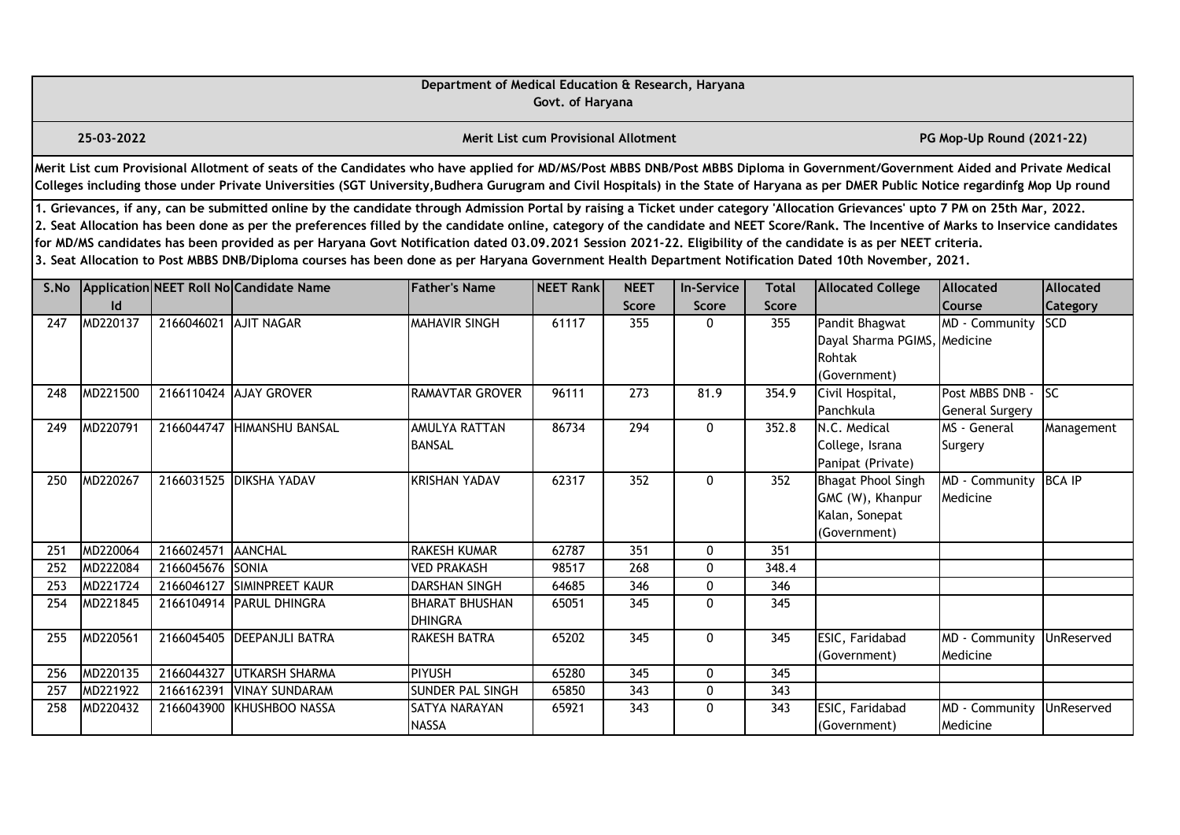|                  |                                                                                                                                                                                                                                                                                                                                                                                                                                                                                                                                                                                                                                                                                                                                                  |                  |                                                                                                                                                                                                                                                                                                                                                                       | Department of Medical Education & Research, Haryana | Govt. of Haryana                     |                     |                   |                     |                                                                                 |                                           |                   |  |  |  |
|------------------|--------------------------------------------------------------------------------------------------------------------------------------------------------------------------------------------------------------------------------------------------------------------------------------------------------------------------------------------------------------------------------------------------------------------------------------------------------------------------------------------------------------------------------------------------------------------------------------------------------------------------------------------------------------------------------------------------------------------------------------------------|------------------|-----------------------------------------------------------------------------------------------------------------------------------------------------------------------------------------------------------------------------------------------------------------------------------------------------------------------------------------------------------------------|-----------------------------------------------------|--------------------------------------|---------------------|-------------------|---------------------|---------------------------------------------------------------------------------|-------------------------------------------|-------------------|--|--|--|
|                  | 25-03-2022                                                                                                                                                                                                                                                                                                                                                                                                                                                                                                                                                                                                                                                                                                                                       |                  |                                                                                                                                                                                                                                                                                                                                                                       |                                                     | Merit List cum Provisional Allotment |                     |                   |                     |                                                                                 | PG Mop-Up Round (2021-22)                 |                   |  |  |  |
|                  |                                                                                                                                                                                                                                                                                                                                                                                                                                                                                                                                                                                                                                                                                                                                                  |                  | Merit List cum Provisional Allotment of seats of the Candidates who have applied for MD/MS/Post MBBS DNB/Post MBBS Diploma in Government/Government Aided and Private Medical<br>Colleges including those under Private Universities (SGT University, Budhera Gurugram and Civil Hospitals) in the State of Haryana as per DMER Public Notice regardinfg Mop Up round |                                                     |                                      |                     |                   |                     |                                                                                 |                                           |                   |  |  |  |
|                  | 1. Grievances, if any, can be submitted online by the candidate through Admission Portal by raising a Ticket under category 'Allocation Grievances' upto 7 PM on 25th Mar, 2022.<br>2. Seat Allocation has been done as per the preferences filled by the candidate online, category of the candidate and NEET Score/Rank. The Incentive of Marks to Inservice candidates<br>for MD/MS candidates has been provided as per Haryana Govt Notification dated 03.09.2021 Session 2021-22. Eligibility of the candidate is as per NEET criteria.<br>3. Seat Allocation to Post MBBS DNB/Diploma courses has been done as per Haryana Government Health Department Notification Dated 10th November, 2021.<br>Application NEET Roll No Candidate Name |                  |                                                                                                                                                                                                                                                                                                                                                                       |                                                     |                                      |                     |                   |                     |                                                                                 |                                           |                   |  |  |  |
| S.No             |                                                                                                                                                                                                                                                                                                                                                                                                                                                                                                                                                                                                                                                                                                                                                  |                  |                                                                                                                                                                                                                                                                                                                                                                       | <b>Father's Name</b>                                | <b>NEET Rank</b>                     | <b>NEET</b>         | <b>In-Service</b> | <b>Total</b>        | <b>Allocated College</b>                                                        | Allocated                                 | Allocated         |  |  |  |
| 247              | Id<br>MD220137                                                                                                                                                                                                                                                                                                                                                                                                                                                                                                                                                                                                                                                                                                                                   | 2166046021       | <b>AJIT NAGAR</b>                                                                                                                                                                                                                                                                                                                                                     | <b>MAHAVIR SINGH</b>                                | 61117                                | <b>Score</b><br>355 | <b>Score</b><br>0 | <b>Score</b><br>355 | Pandit Bhagwat<br>Dayal Sharma PGIMS, Medicine<br>Rohtak<br>(Government)        | Course<br>MD - Community                  | Category<br>ISCD  |  |  |  |
| 248              | MD221500                                                                                                                                                                                                                                                                                                                                                                                                                                                                                                                                                                                                                                                                                                                                         |                  | 2166110424 AJAY GROVER                                                                                                                                                                                                                                                                                                                                                | <b>RAMAVTAR GROVER</b>                              | 96111                                | 273                 | 81.9              | 354.9               | Civil Hospital,<br>Panchkula                                                    | Post MBBS DNB -<br><b>General Surgery</b> | <b>Isc</b>        |  |  |  |
| 249              | MD220791                                                                                                                                                                                                                                                                                                                                                                                                                                                                                                                                                                                                                                                                                                                                         | 2166044747       | <b>HIMANSHU BANSAL</b>                                                                                                                                                                                                                                                                                                                                                | <b>AMULYA RATTAN</b><br><b>BANSAL</b>               | 86734                                | 294                 | 0                 | 352.8               | N.C. Medical<br>College, Israna<br>Panipat (Private)                            | MS - General<br>Surgery                   | Management        |  |  |  |
| 250              | MD220267                                                                                                                                                                                                                                                                                                                                                                                                                                                                                                                                                                                                                                                                                                                                         |                  | 2166031525 DIKSHA YADAV                                                                                                                                                                                                                                                                                                                                               | <b>KRISHAN YADAV</b>                                | 62317                                | 352                 | $\mathbf 0$       | 352                 | <b>Bhagat Phool Singh</b><br>GMC (W), Khanpur<br>Kalan, Sonepat<br>(Government) | MD - Community<br>Medicine                | <b>BCA IP</b>     |  |  |  |
| 251              | MD220064                                                                                                                                                                                                                                                                                                                                                                                                                                                                                                                                                                                                                                                                                                                                         | 2166024571       | AANCHAL                                                                                                                                                                                                                                                                                                                                                               | <b>RAKESH KUMAR</b>                                 | 62787                                | 351                 | $\mathbf{0}$      | 351                 |                                                                                 |                                           |                   |  |  |  |
| 252              | MD222084                                                                                                                                                                                                                                                                                                                                                                                                                                                                                                                                                                                                                                                                                                                                         | 2166045676 SONIA |                                                                                                                                                                                                                                                                                                                                                                       | <b>VED PRAKASH</b>                                  | 98517                                | 268                 | $\mathbf{0}$      | 348.4               |                                                                                 |                                           |                   |  |  |  |
| 253              | MD221724                                                                                                                                                                                                                                                                                                                                                                                                                                                                                                                                                                                                                                                                                                                                         | 2166046127       | <b>SIMINPREET KAUR</b>                                                                                                                                                                                                                                                                                                                                                | <b>DARSHAN SINGH</b>                                | 64685                                | 346                 | 0                 | 346                 |                                                                                 |                                           |                   |  |  |  |
| $\overline{254}$ | MD221845                                                                                                                                                                                                                                                                                                                                                                                                                                                                                                                                                                                                                                                                                                                                         | 2166104914       | <b>PARUL DHINGRA</b>                                                                                                                                                                                                                                                                                                                                                  | <b>BHARAT BHUSHAN</b><br><b>DHINGRA</b>             | 65051                                | $\overline{345}$    | 0                 | $\overline{345}$    |                                                                                 |                                           |                   |  |  |  |
| 255              | MD220561                                                                                                                                                                                                                                                                                                                                                                                                                                                                                                                                                                                                                                                                                                                                         |                  | 2166045405 DEEPANJLI BATRA                                                                                                                                                                                                                                                                                                                                            | <b>RAKESH BATRA</b>                                 | 65202                                | 345                 | $\mathbf{0}$      | 345                 | ESIC, Faridabad<br>(Government)                                                 | MD - Community<br>Medicine                | UnReserved        |  |  |  |
| 256              | MD220135                                                                                                                                                                                                                                                                                                                                                                                                                                                                                                                                                                                                                                                                                                                                         | 2166044327       | <b>UTKARSH SHARMA</b>                                                                                                                                                                                                                                                                                                                                                 | PIYUSH                                              | 65280                                | 345                 | 0                 | 345                 |                                                                                 |                                           |                   |  |  |  |
| 257              | MD221922                                                                                                                                                                                                                                                                                                                                                                                                                                                                                                                                                                                                                                                                                                                                         | 2166162391       | <b>VINAY SUNDARAM</b>                                                                                                                                                                                                                                                                                                                                                 | <b>SUNDER PAL SINGH</b>                             | 65850                                | 343                 | 0                 | 343                 |                                                                                 |                                           |                   |  |  |  |
| 258              | MD220432                                                                                                                                                                                                                                                                                                                                                                                                                                                                                                                                                                                                                                                                                                                                         | 2166043900       | <b>KHUSHBOO NASSA</b>                                                                                                                                                                                                                                                                                                                                                 | SATYA NARAYAN<br><b>NASSA</b>                       | 65921                                | 343                 | 0                 | 343                 | ESIC, Faridabad<br>(Government)                                                 | MD - Community<br>Medicine                | <b>UnReserved</b> |  |  |  |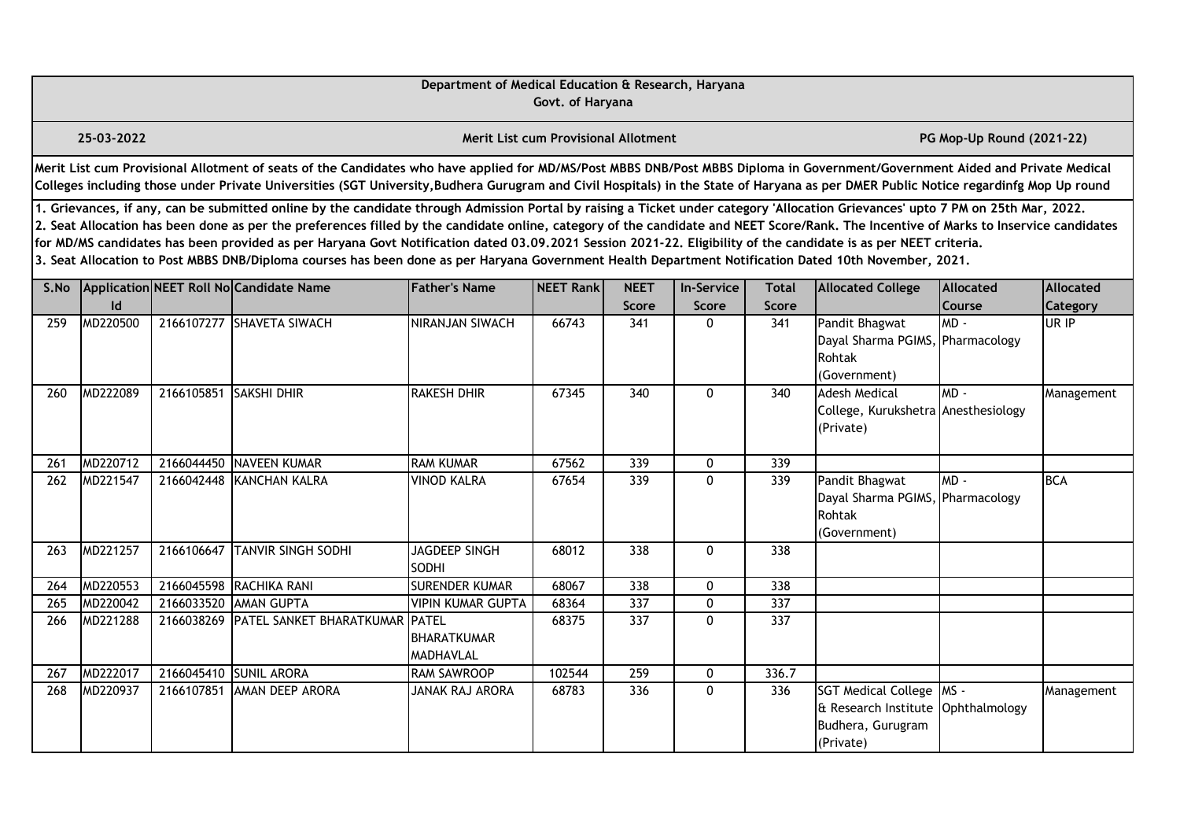|      |                                                                                                                                                                                                                                                                                                                                                                                                                                                                                                                                                                                                                                                                                                                                                  |            |                                                                                                                                                                                                                                                                                                                                                                       | Department of Medical Education & Research, Haryana | Govt. of Haryana                            |                             |                            |                       |                                                                                                    |                                   |                              |  |  |
|------|--------------------------------------------------------------------------------------------------------------------------------------------------------------------------------------------------------------------------------------------------------------------------------------------------------------------------------------------------------------------------------------------------------------------------------------------------------------------------------------------------------------------------------------------------------------------------------------------------------------------------------------------------------------------------------------------------------------------------------------------------|------------|-----------------------------------------------------------------------------------------------------------------------------------------------------------------------------------------------------------------------------------------------------------------------------------------------------------------------------------------------------------------------|-----------------------------------------------------|---------------------------------------------|-----------------------------|----------------------------|-----------------------|----------------------------------------------------------------------------------------------------|-----------------------------------|------------------------------|--|--|
|      | 25-03-2022                                                                                                                                                                                                                                                                                                                                                                                                                                                                                                                                                                                                                                                                                                                                       |            |                                                                                                                                                                                                                                                                                                                                                                       |                                                     | <b>Merit List cum Provisional Allotment</b> |                             |                            |                       |                                                                                                    | PG Mop-Up Round (2021-22)         |                              |  |  |
|      |                                                                                                                                                                                                                                                                                                                                                                                                                                                                                                                                                                                                                                                                                                                                                  |            | Merit List cum Provisional Allotment of seats of the Candidates who have applied for MD/MS/Post MBBS DNB/Post MBBS Diploma in Government/Government Aided and Private Medical<br>Colleges including those under Private Universities (SGT University, Budhera Gurugram and Civil Hospitals) in the State of Haryana as per DMER Public Notice regardinfg Mop Up round |                                                     |                                             |                             |                            |                       |                                                                                                    |                                   |                              |  |  |
|      | 1. Grievances, if any, can be submitted online by the candidate through Admission Portal by raising a Ticket under category 'Allocation Grievances' upto 7 PM on 25th Mar, 2022.<br>2. Seat Allocation has been done as per the preferences filled by the candidate online, category of the candidate and NEET Score/Rank. The Incentive of Marks to Inservice candidates<br>for MD/MS candidates has been provided as per Haryana Govt Notification dated 03.09.2021 Session 2021-22. Eligibility of the candidate is as per NEET criteria.<br>3. Seat Allocation to Post MBBS DNB/Diploma courses has been done as per Haryana Government Health Department Notification Dated 10th November, 2021.<br>Application NEET Roll No Candidate Name |            |                                                                                                                                                                                                                                                                                                                                                                       |                                                     |                                             |                             |                            |                       |                                                                                                    |                                   |                              |  |  |
| S.No | Id                                                                                                                                                                                                                                                                                                                                                                                                                                                                                                                                                                                                                                                                                                                                               |            |                                                                                                                                                                                                                                                                                                                                                                       | <b>Father's Name</b>                                | <b>NEET Rankl</b>                           | <b>NEET</b><br><b>Score</b> | <b>In-Service</b><br>Score | <b>Total</b><br>Score | <b>Allocated College</b>                                                                           | <b>Allocated</b><br><b>Course</b> | Allocated<br><b>Category</b> |  |  |
| 259  | MD220500                                                                                                                                                                                                                                                                                                                                                                                                                                                                                                                                                                                                                                                                                                                                         |            | 2166107277 SHAVETA SIWACH                                                                                                                                                                                                                                                                                                                                             | NIRANJAN SIWACH                                     | 66743                                       | 341                         | 0                          | 341                   | Pandit Bhagwat<br>Dayal Sharma PGIMS, Pharmacology<br>Rohtak<br>(Government)                       | MD-                               | UR IP                        |  |  |
| 260  | MD222089                                                                                                                                                                                                                                                                                                                                                                                                                                                                                                                                                                                                                                                                                                                                         | 2166105851 | <b>SAKSHI DHIR</b>                                                                                                                                                                                                                                                                                                                                                    | <b>RAKESH DHIR</b>                                  | 67345                                       | 340                         | $\mathbf{0}$               | 340                   | Adesh Medical<br>College, Kurukshetra Anesthesiology<br>(Private)                                  | MD-                               | Management                   |  |  |
| 261  | MD220712                                                                                                                                                                                                                                                                                                                                                                                                                                                                                                                                                                                                                                                                                                                                         | 2166044450 | NAVEEN KUMAR                                                                                                                                                                                                                                                                                                                                                          | <b>RAM KUMAR</b>                                    | 67562                                       | 339                         | 0                          | 339                   |                                                                                                    |                                   |                              |  |  |
| 262  | MD221547                                                                                                                                                                                                                                                                                                                                                                                                                                                                                                                                                                                                                                                                                                                                         |            | 2166042448 KANCHAN KALRA                                                                                                                                                                                                                                                                                                                                              | VINOD KALRA                                         | 67654                                       | 339                         | $\Omega$                   | 339                   | Pandit Bhagwat<br>Dayal Sharma PGIMS, Pharmacology<br>Rohtak<br>(Government)                       | $MD -$                            | <b>BCA</b>                   |  |  |
| 263  | MD221257                                                                                                                                                                                                                                                                                                                                                                                                                                                                                                                                                                                                                                                                                                                                         | 2166106647 | <b>TANVIR SINGH SODHI</b>                                                                                                                                                                                                                                                                                                                                             | JAGDEEP SINGH<br><b>SODHI</b>                       | 68012                                       | 338                         | $\mathbf{0}$               | 338                   |                                                                                                    |                                   |                              |  |  |
| 264  | MD220553                                                                                                                                                                                                                                                                                                                                                                                                                                                                                                                                                                                                                                                                                                                                         |            | 2166045598 RACHIKA RANI                                                                                                                                                                                                                                                                                                                                               | <b>SURENDER KUMAR</b>                               | 68067                                       | 338                         | 0                          | 338                   |                                                                                                    |                                   |                              |  |  |
| 265  | MD220042                                                                                                                                                                                                                                                                                                                                                                                                                                                                                                                                                                                                                                                                                                                                         | 2166033520 | <b>AMAN GUPTA</b>                                                                                                                                                                                                                                                                                                                                                     | <b>VIPIN KUMAR GUPTA</b>                            | 68364                                       | $\overline{337}$            | 0                          | 337                   |                                                                                                    |                                   |                              |  |  |
| 266  | MD221288                                                                                                                                                                                                                                                                                                                                                                                                                                                                                                                                                                                                                                                                                                                                         | 2166038269 | <b>PATEL SANKET BHARATKUMAR PATEL</b>                                                                                                                                                                                                                                                                                                                                 | <b>BHARATKUMAR</b><br><b>MADHAVLAL</b>              | 68375                                       | 337                         | $\mathbf{0}$               | 337                   |                                                                                                    |                                   |                              |  |  |
| 267  | MD222017                                                                                                                                                                                                                                                                                                                                                                                                                                                                                                                                                                                                                                                                                                                                         |            | 2166045410 SUNIL ARORA                                                                                                                                                                                                                                                                                                                                                | <b>RAM SAWROOP</b>                                  | 102544                                      | 259                         | 0                          | 336.7                 |                                                                                                    |                                   |                              |  |  |
| 268  | MD220937                                                                                                                                                                                                                                                                                                                                                                                                                                                                                                                                                                                                                                                                                                                                         | 2166107851 | <b>JAMAN DEEP ARORA</b>                                                                                                                                                                                                                                                                                                                                               | JANAK RAJ ARORA                                     | 68783                                       | 336                         | 0                          | 336                   | SGT Medical College   MS -<br>& Research Institute Ophthalmology<br>Budhera, Gurugram<br>(Private) |                                   | Management                   |  |  |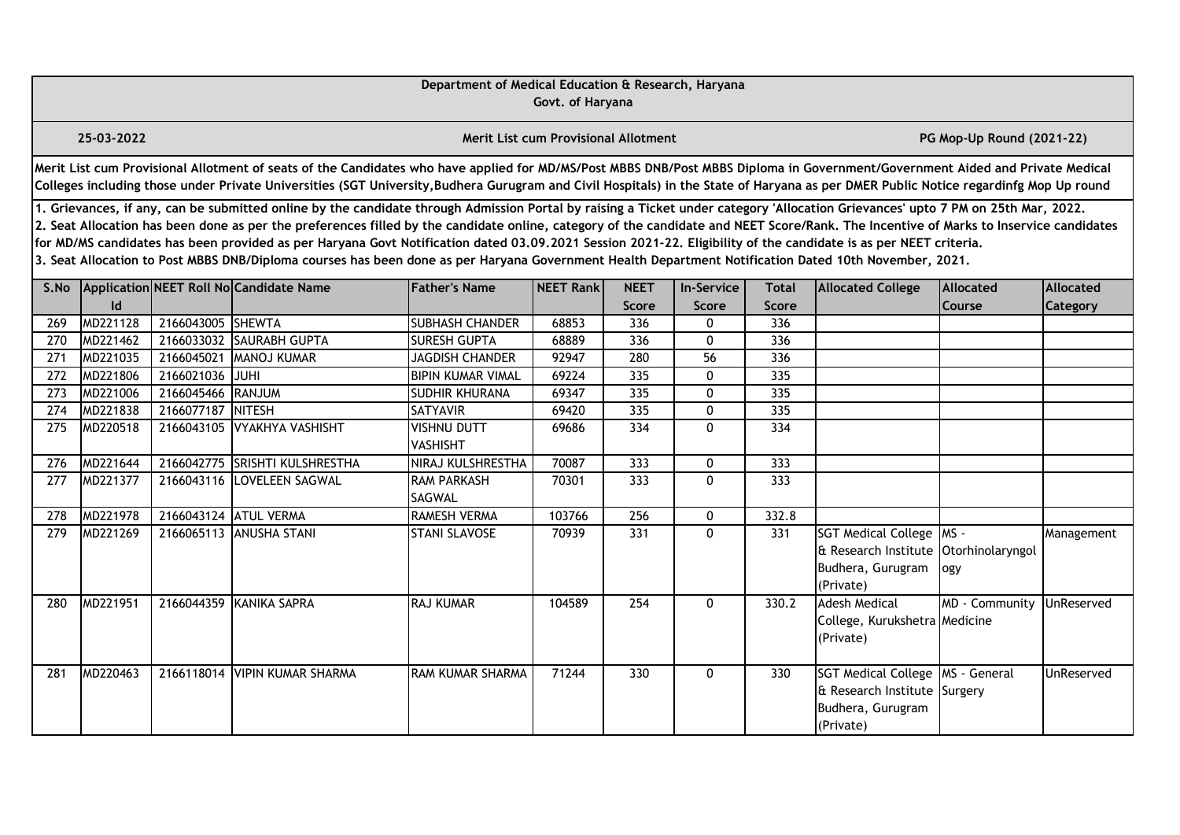|      |                                                                                                                                                                                                                                                                                                                                                                                                                                                                                                                                                                                                                                                                                                                                                                                                                                                      |                   |                                                                                                                                                                                                                                                                                                                                                                       | Department of Medical Education & Research, Haryana | Govt. of Haryana                     |       |                 |              |                                                                                                      |                           |            |  |  |
|------|------------------------------------------------------------------------------------------------------------------------------------------------------------------------------------------------------------------------------------------------------------------------------------------------------------------------------------------------------------------------------------------------------------------------------------------------------------------------------------------------------------------------------------------------------------------------------------------------------------------------------------------------------------------------------------------------------------------------------------------------------------------------------------------------------------------------------------------------------|-------------------|-----------------------------------------------------------------------------------------------------------------------------------------------------------------------------------------------------------------------------------------------------------------------------------------------------------------------------------------------------------------------|-----------------------------------------------------|--------------------------------------|-------|-----------------|--------------|------------------------------------------------------------------------------------------------------|---------------------------|------------|--|--|
|      | 25-03-2022                                                                                                                                                                                                                                                                                                                                                                                                                                                                                                                                                                                                                                                                                                                                                                                                                                           |                   |                                                                                                                                                                                                                                                                                                                                                                       |                                                     | Merit List cum Provisional Allotment |       |                 |              |                                                                                                      | PG Mop-Up Round (2021-22) |            |  |  |
|      |                                                                                                                                                                                                                                                                                                                                                                                                                                                                                                                                                                                                                                                                                                                                                                                                                                                      |                   | Merit List cum Provisional Allotment of seats of the Candidates who have applied for MD/MS/Post MBBS DNB/Post MBBS Diploma in Government/Government Aided and Private Medical<br>Colleges including those under Private Universities (SGT University, Budhera Gurugram and Civil Hospitals) in the State of Haryana as per DMER Public Notice regardinfg Mop Up round |                                                     |                                      |       |                 |              |                                                                                                      |                           |            |  |  |
|      | 1. Grievances, if any, can be submitted online by the candidate through Admission Portal by raising a Ticket under category 'Allocation Grievances' upto 7 PM on 25th Mar, 2022.<br>2. Seat Allocation has been done as per the preferences filled by the candidate online, category of the candidate and NEET Score/Rank. The Incentive of Marks to Inservice candidates<br>for MD/MS candidates has been provided as per Haryana Govt Notification dated 03.09.2021 Session 2021-22. Eligibility of the candidate is as per NEET criteria.<br>3. Seat Allocation to Post MBBS DNB/Diploma courses has been done as per Haryana Government Health Department Notification Dated 10th November, 2021.<br>Application NEET Roll No Candidate Name<br><b>Father's Name</b><br><b>NEET</b><br><b>Allocated</b><br><b>In-Service</b><br><b>Allocated</b> |                   |                                                                                                                                                                                                                                                                                                                                                                       |                                                     |                                      |       |                 |              |                                                                                                      |                           |            |  |  |
| S.No |                                                                                                                                                                                                                                                                                                                                                                                                                                                                                                                                                                                                                                                                                                                                                                                                                                                      |                   |                                                                                                                                                                                                                                                                                                                                                                       |                                                     | NEET Rank                            |       |                 | <b>Total</b> | <b>Allocated College</b>                                                                             |                           |            |  |  |
|      | $\mathsf{Id}$                                                                                                                                                                                                                                                                                                                                                                                                                                                                                                                                                                                                                                                                                                                                                                                                                                        |                   |                                                                                                                                                                                                                                                                                                                                                                       |                                                     |                                      | Score | <b>Score</b>    | <b>Score</b> |                                                                                                      | Course                    | Category   |  |  |
| 269  | MD221128                                                                                                                                                                                                                                                                                                                                                                                                                                                                                                                                                                                                                                                                                                                                                                                                                                             | 2166043005 SHEWTA |                                                                                                                                                                                                                                                                                                                                                                       | <b>SUBHASH CHANDER</b>                              | 68853                                | 336   | 0               | 336          |                                                                                                      |                           |            |  |  |
| 270  | MD221462                                                                                                                                                                                                                                                                                                                                                                                                                                                                                                                                                                                                                                                                                                                                                                                                                                             |                   | 2166033032 SAURABH GUPTA                                                                                                                                                                                                                                                                                                                                              | <b>SURESH GUPTA</b>                                 | 68889                                | 336   | 0               | 336          |                                                                                                      |                           |            |  |  |
| 271  | MD221035                                                                                                                                                                                                                                                                                                                                                                                                                                                                                                                                                                                                                                                                                                                                                                                                                                             | 2166045021        | MANOJ KUMAR                                                                                                                                                                                                                                                                                                                                                           | <b>JAGDISH CHANDER</b>                              | 92947                                | 280   | $\overline{56}$ | 336          |                                                                                                      |                           |            |  |  |
| 272  | MD221806                                                                                                                                                                                                                                                                                                                                                                                                                                                                                                                                                                                                                                                                                                                                                                                                                                             | 2166021036 JUHI   |                                                                                                                                                                                                                                                                                                                                                                       | <b>BIPIN KUMAR VIMAL</b>                            | 69224                                | 335   | 0               | 335          |                                                                                                      |                           |            |  |  |
| 273  | MD221006                                                                                                                                                                                                                                                                                                                                                                                                                                                                                                                                                                                                                                                                                                                                                                                                                                             | 2166045466 RANJUM |                                                                                                                                                                                                                                                                                                                                                                       | SUDHIR KHURANA                                      | 69347                                | 335   | 0               | 335          |                                                                                                      |                           |            |  |  |
| 274  | MD221838                                                                                                                                                                                                                                                                                                                                                                                                                                                                                                                                                                                                                                                                                                                                                                                                                                             | 2166077187 NITESH |                                                                                                                                                                                                                                                                                                                                                                       | <b>SATYAVIR</b>                                     | 69420                                | 335   | 0               | 335          |                                                                                                      |                           |            |  |  |
| 275  | MD220518                                                                                                                                                                                                                                                                                                                                                                                                                                                                                                                                                                                                                                                                                                                                                                                                                                             | 2166043105        | VYAKHYA VASHISHT                                                                                                                                                                                                                                                                                                                                                      | VISHNU DUTT<br><b>VASHISHT</b>                      | 69686                                | 334   | $\mathbf{0}$    | 334          |                                                                                                      |                           |            |  |  |
| 276  | MD221644                                                                                                                                                                                                                                                                                                                                                                                                                                                                                                                                                                                                                                                                                                                                                                                                                                             |                   | 2166042775 SRISHTI KULSHRESTHA                                                                                                                                                                                                                                                                                                                                        | NIRAJ KULSHRESTHA                                   | 70087                                | 333   | 0               | 333          |                                                                                                      |                           |            |  |  |
| 277  | MD221377                                                                                                                                                                                                                                                                                                                                                                                                                                                                                                                                                                                                                                                                                                                                                                                                                                             |                   | 2166043116 LOVELEEN SAGWAL                                                                                                                                                                                                                                                                                                                                            | <b>RAM PARKASH</b><br>SAGWAL                        | 70301                                | 333   | 0               | 333          |                                                                                                      |                           |            |  |  |
| 278  | MD221978                                                                                                                                                                                                                                                                                                                                                                                                                                                                                                                                                                                                                                                                                                                                                                                                                                             |                   | 2166043124 ATUL VERMA                                                                                                                                                                                                                                                                                                                                                 | RAMESH VERMA                                        | 103766                               | 256   | 0               | 332.8        |                                                                                                      |                           |            |  |  |
| 279  | MD221269                                                                                                                                                                                                                                                                                                                                                                                                                                                                                                                                                                                                                                                                                                                                                                                                                                             |                   | 2166065113 ANUSHA STANI                                                                                                                                                                                                                                                                                                                                               | <b>STANI SLAVOSE</b>                                | 70939                                | 331   | 0               | 331          | SGT Medical College MS -<br>& Research Institute Otorhinolaryngol<br>Budhera, Gurugram<br>(Private)  | ogy                       | Management |  |  |
| 280  | MD221951                                                                                                                                                                                                                                                                                                                                                                                                                                                                                                                                                                                                                                                                                                                                                                                                                                             |                   | 2166044359 KANIKA SAPRA                                                                                                                                                                                                                                                                                                                                               | <b>RAJ KUMAR</b>                                    | 104589                               | 254   | 0               | 330.2        | <b>Adesh Medical</b><br>College, Kurukshetra Medicine<br>(Private)                                   | MD - Community            | UnReserved |  |  |
| 281  | MD220463                                                                                                                                                                                                                                                                                                                                                                                                                                                                                                                                                                                                                                                                                                                                                                                                                                             |                   | 2166118014 VIPIN KUMAR SHARMA                                                                                                                                                                                                                                                                                                                                         | <b>RAM KUMAR SHARMA</b>                             | 71244                                | 330   | 0               | 330          | SGT Medical College   MS - General<br>& Research Institute Surgery<br>Budhera, Gurugram<br>(Private) |                           | UnReserved |  |  |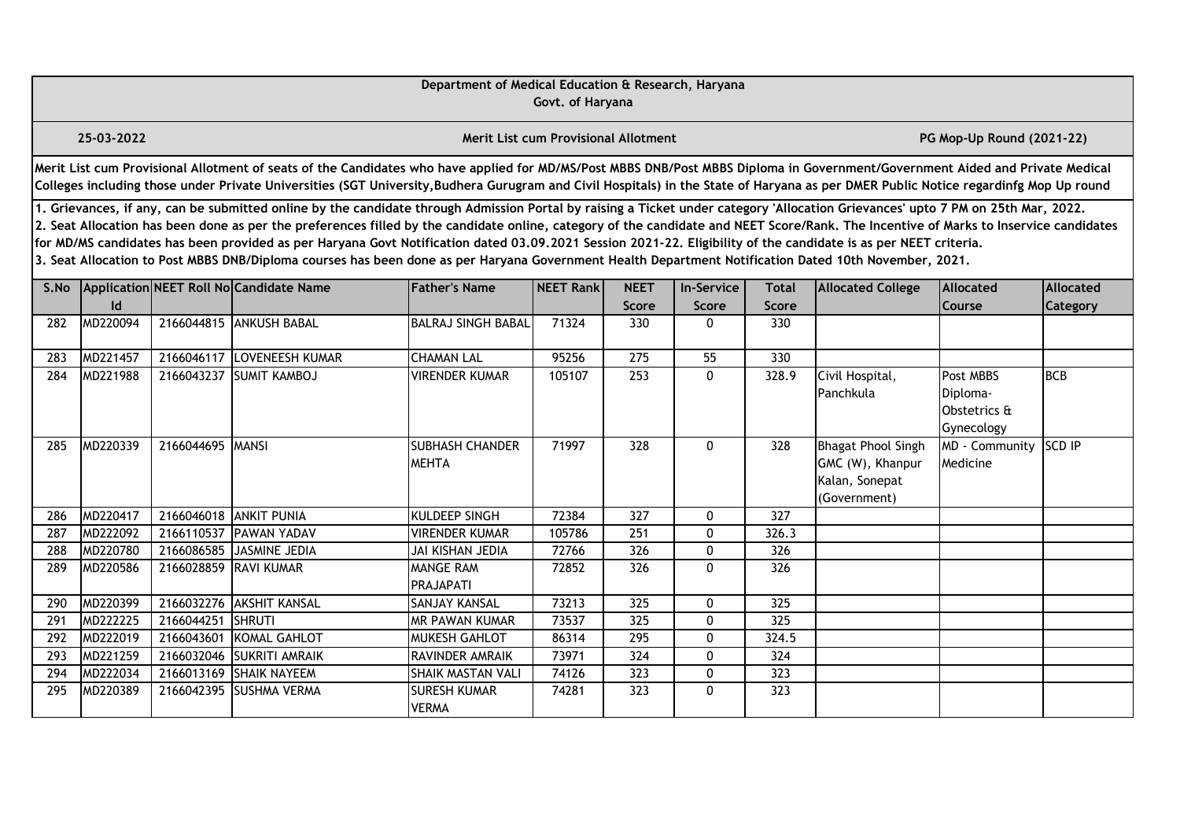|      |                                                                                                                                                                                                                                                                                                                                                                                                                                                                                                                                                                                                                                                                                                                                                  |                  |                                                                                                                                                                                                                                                                                                                                                                       | Department of Medical Education & Research, Haryana | Govt. of Haryana                     |                             |                            |                       |                                                                                 |                                                     |                              |  |  |
|------|--------------------------------------------------------------------------------------------------------------------------------------------------------------------------------------------------------------------------------------------------------------------------------------------------------------------------------------------------------------------------------------------------------------------------------------------------------------------------------------------------------------------------------------------------------------------------------------------------------------------------------------------------------------------------------------------------------------------------------------------------|------------------|-----------------------------------------------------------------------------------------------------------------------------------------------------------------------------------------------------------------------------------------------------------------------------------------------------------------------------------------------------------------------|-----------------------------------------------------|--------------------------------------|-----------------------------|----------------------------|-----------------------|---------------------------------------------------------------------------------|-----------------------------------------------------|------------------------------|--|--|
|      | 25-03-2022                                                                                                                                                                                                                                                                                                                                                                                                                                                                                                                                                                                                                                                                                                                                       |                  |                                                                                                                                                                                                                                                                                                                                                                       |                                                     | Merit List cum Provisional Allotment |                             |                            |                       |                                                                                 | PG Mop-Up Round (2021-22)                           |                              |  |  |
|      |                                                                                                                                                                                                                                                                                                                                                                                                                                                                                                                                                                                                                                                                                                                                                  |                  | Merit List cum Provisional Allotment of seats of the Candidates who have applied for MD/MS/Post MBBS DNB/Post MBBS Diploma in Government/Government Aided and Private Medical<br>Colleges including those under Private Universities (SGT University, Budhera Gurugram and Civil Hospitals) in the State of Haryana as per DMER Public Notice regardinfg Mop Up round |                                                     |                                      |                             |                            |                       |                                                                                 |                                                     |                              |  |  |
|      | 1. Grievances, if any, can be submitted online by the candidate through Admission Portal by raising a Ticket under category 'Allocation Grievances' upto 7 PM on 25th Mar, 2022.<br>2. Seat Allocation has been done as per the preferences filled by the candidate online, category of the candidate and NEET Score/Rank. The Incentive of Marks to Inservice candidates<br>for MD/MS candidates has been provided as per Haryana Govt Notification dated 03.09.2021 Session 2021-22. Eligibility of the candidate is as per NEET criteria.<br>3. Seat Allocation to Post MBBS DNB/Diploma courses has been done as per Haryana Government Health Department Notification Dated 10th November, 2021.<br>Application NEET Roll No Candidate Name |                  |                                                                                                                                                                                                                                                                                                                                                                       |                                                     |                                      |                             |                            |                       |                                                                                 |                                                     |                              |  |  |
| S.No | $\mathsf{Id}$                                                                                                                                                                                                                                                                                                                                                                                                                                                                                                                                                                                                                                                                                                                                    |                  |                                                                                                                                                                                                                                                                                                                                                                       | <b>Father's Name</b>                                | NEET Rank                            | <b>NEET</b><br><b>Score</b> | <b>In-Service</b><br>Score | <b>Total</b><br>Score | <b>Allocated College</b>                                                        | <b>Allocated</b><br>Course                          | <b>Allocated</b><br>Category |  |  |
| 282  | MD220094                                                                                                                                                                                                                                                                                                                                                                                                                                                                                                                                                                                                                                                                                                                                         |                  | 2166044815 ANKUSH BABAL                                                                                                                                                                                                                                                                                                                                               | <b>BALRAJ SINGH BABAL</b>                           | 71324                                | 330                         | $\mathbf{0}$               | 330                   |                                                                                 |                                                     |                              |  |  |
| 283  | MD221457                                                                                                                                                                                                                                                                                                                                                                                                                                                                                                                                                                                                                                                                                                                                         | 2166046117       | LOVENEESH KUMAR                                                                                                                                                                                                                                                                                                                                                       | <b>CHAMAN LAL</b>                                   | 95256                                | 275                         | $\overline{55}$            | 330                   |                                                                                 |                                                     |                              |  |  |
| 284  | MD221988                                                                                                                                                                                                                                                                                                                                                                                                                                                                                                                                                                                                                                                                                                                                         | 2166043237       | <b>SUMIT KAMBOJ</b>                                                                                                                                                                                                                                                                                                                                                   | <b>VIRENDER KUMAR</b>                               | 105107                               | 253                         | $\mathbf{0}$               | 328.9                 | Civil Hospital,<br>Panchkula                                                    | Post MBBS<br>Diploma-<br>Obstetrics &<br>Gynecology | <b>BCB</b>                   |  |  |
| 285  | MD220339                                                                                                                                                                                                                                                                                                                                                                                                                                                                                                                                                                                                                                                                                                                                         | 2166044695 MANSI |                                                                                                                                                                                                                                                                                                                                                                       | <b>SUBHASH CHANDER</b><br><b>MEHTA</b>              | 71997                                | 328                         | 0                          | 328                   | <b>Bhagat Phool Singh</b><br>GMC (W), Khanpur<br>Kalan, Sonepat<br>(Government) | MD - Community<br>Medicine                          | <b>SCD IP</b>                |  |  |
| 286  | MD220417                                                                                                                                                                                                                                                                                                                                                                                                                                                                                                                                                                                                                                                                                                                                         |                  | 2166046018 ANKIT PUNIA                                                                                                                                                                                                                                                                                                                                                | KULDEEP SINGH                                       | 72384                                | 327                         | $\mathbf{0}$               | 327                   |                                                                                 |                                                     |                              |  |  |
| 287  | MD222092                                                                                                                                                                                                                                                                                                                                                                                                                                                                                                                                                                                                                                                                                                                                         | 2166110537       | <b>PAWAN YADAV</b>                                                                                                                                                                                                                                                                                                                                                    | <b>VIRENDER KUMAR</b>                               | 105786                               | 251                         | $\mathbf{0}$               | 326.3                 |                                                                                 |                                                     |                              |  |  |
| 288  | MD220780                                                                                                                                                                                                                                                                                                                                                                                                                                                                                                                                                                                                                                                                                                                                         | 2166086585       | <b>JASMINE JEDIA</b>                                                                                                                                                                                                                                                                                                                                                  | <b>JAI KISHAN JEDIA</b>                             | 72766                                | 326                         | $\mathbf{0}$               | 326                   |                                                                                 |                                                     |                              |  |  |
| 289  | MD220586                                                                                                                                                                                                                                                                                                                                                                                                                                                                                                                                                                                                                                                                                                                                         | 2166028859       | <b>RAVI KUMAR</b>                                                                                                                                                                                                                                                                                                                                                     | <b>MANGE RAM</b><br><b>PRAJAPATI</b>                | 72852                                | 326                         | $\mathbf{0}$               | 326                   |                                                                                 |                                                     |                              |  |  |
| 290  | MD220399                                                                                                                                                                                                                                                                                                                                                                                                                                                                                                                                                                                                                                                                                                                                         |                  | 2166032276 AKSHIT KANSAL                                                                                                                                                                                                                                                                                                                                              | <b>SANJAY KANSAL</b>                                | 73213                                | 325                         | $\mathbf{0}$               | 325                   |                                                                                 |                                                     |                              |  |  |
| 291  | MD222225                                                                                                                                                                                                                                                                                                                                                                                                                                                                                                                                                                                                                                                                                                                                         | 2166044251       | <b>I</b> SHRUTI                                                                                                                                                                                                                                                                                                                                                       | <b>MR PAWAN KUMAR</b>                               | 73537                                | 325                         | $\mathbf{0}$               | 325                   |                                                                                 |                                                     |                              |  |  |
| 292  | MD222019                                                                                                                                                                                                                                                                                                                                                                                                                                                                                                                                                                                                                                                                                                                                         | 2166043601       | KOMAL GAHLOT                                                                                                                                                                                                                                                                                                                                                          | <b>MUKESH GAHLOT</b>                                | 86314                                | 295                         | $\mathbf 0$                | 324.5                 |                                                                                 |                                                     |                              |  |  |
| 293  | MD221259                                                                                                                                                                                                                                                                                                                                                                                                                                                                                                                                                                                                                                                                                                                                         |                  | 2166032046 SUKRITI AMRAIK                                                                                                                                                                                                                                                                                                                                             | <b>RAVINDER AMRAIK</b>                              | 73971                                | 324                         | $\mathbf{0}$               | 324                   |                                                                                 |                                                     |                              |  |  |
| 294  | MD222034                                                                                                                                                                                                                                                                                                                                                                                                                                                                                                                                                                                                                                                                                                                                         | 2166013169       | <b>SHAIK NAYEEM</b>                                                                                                                                                                                                                                                                                                                                                   | <b>SHAIK MASTAN VALI</b>                            | 74126                                | 323                         | $\mathbf{0}$               | 323                   |                                                                                 |                                                     |                              |  |  |
| 295  | MD220389                                                                                                                                                                                                                                                                                                                                                                                                                                                                                                                                                                                                                                                                                                                                         | 2166042395       | <b>SUSHMA VERMA</b>                                                                                                                                                                                                                                                                                                                                                   | <b>SURESH KUMAR</b><br><b>VERMA</b>                 | 74281                                | 323                         | $\mathbf{0}$               | 323                   |                                                                                 |                                                     |                              |  |  |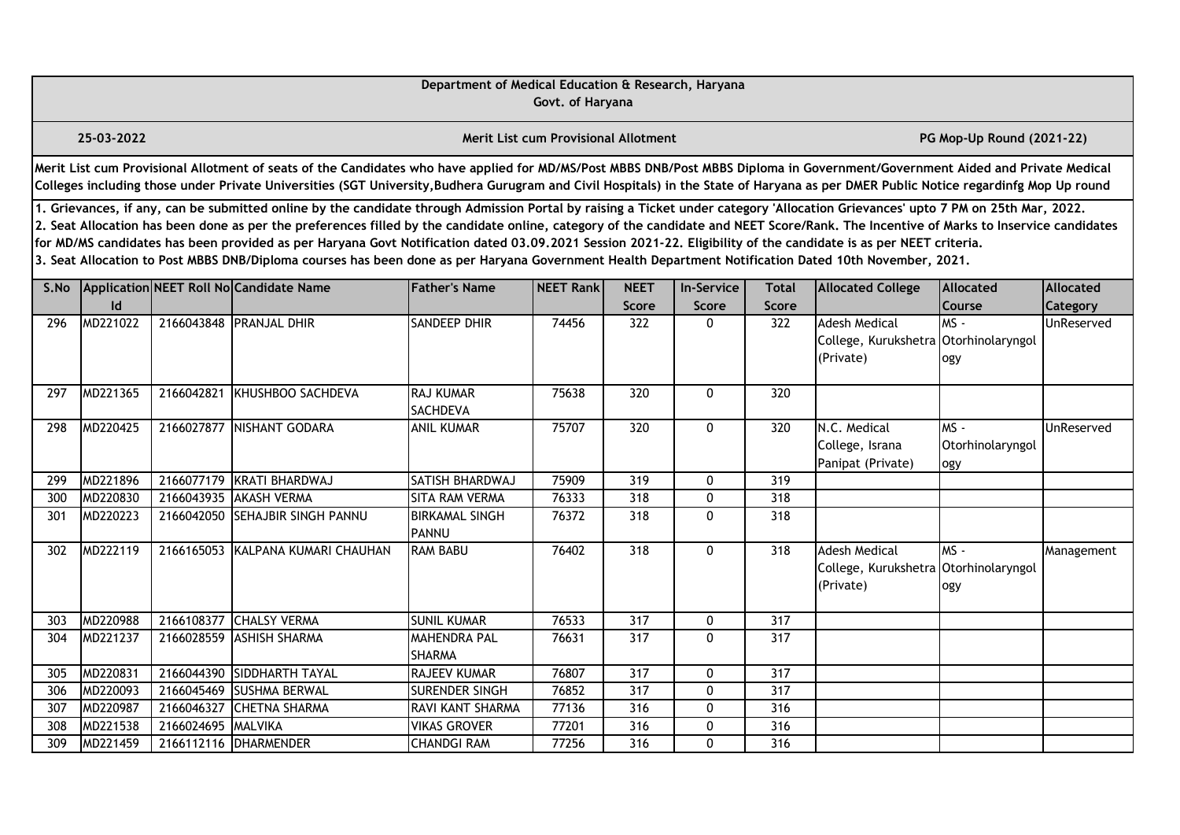|                  |                                                                                                                                                                                                                                                                                                                                                                                                                                                                                                                                                                                                                                                                                                                                                  |            |                                                                                                                                                                                                                                                                                                                                                                       | Department of Medical Education & Research, Haryana | Govt. of Haryana                            |                             |                            |                              |                                                                            |                                   |                              |  |  |  |
|------------------|--------------------------------------------------------------------------------------------------------------------------------------------------------------------------------------------------------------------------------------------------------------------------------------------------------------------------------------------------------------------------------------------------------------------------------------------------------------------------------------------------------------------------------------------------------------------------------------------------------------------------------------------------------------------------------------------------------------------------------------------------|------------|-----------------------------------------------------------------------------------------------------------------------------------------------------------------------------------------------------------------------------------------------------------------------------------------------------------------------------------------------------------------------|-----------------------------------------------------|---------------------------------------------|-----------------------------|----------------------------|------------------------------|----------------------------------------------------------------------------|-----------------------------------|------------------------------|--|--|--|
|                  | 25-03-2022                                                                                                                                                                                                                                                                                                                                                                                                                                                                                                                                                                                                                                                                                                                                       |            |                                                                                                                                                                                                                                                                                                                                                                       |                                                     | <b>Merit List cum Provisional Allotment</b> |                             |                            |                              |                                                                            | PG Mop-Up Round (2021-22)         |                              |  |  |  |
|                  |                                                                                                                                                                                                                                                                                                                                                                                                                                                                                                                                                                                                                                                                                                                                                  |            | Merit List cum Provisional Allotment of seats of the Candidates who have applied for MD/MS/Post MBBS DNB/Post MBBS Diploma in Government/Government Aided and Private Medical<br>Colleges including those under Private Universities (SGT University, Budhera Gurugram and Civil Hospitals) in the State of Haryana as per DMER Public Notice regardinfg Mop Up round |                                                     |                                             |                             |                            |                              |                                                                            |                                   |                              |  |  |  |
|                  | 1. Grievances, if any, can be submitted online by the candidate through Admission Portal by raising a Ticket under category 'Allocation Grievances' upto 7 PM on 25th Mar, 2022.<br>2. Seat Allocation has been done as per the preferences filled by the candidate online, category of the candidate and NEET Score/Rank. The Incentive of Marks to Inservice candidates<br>for MD/MS candidates has been provided as per Haryana Govt Notification dated 03.09.2021 Session 2021-22. Eligibility of the candidate is as per NEET criteria.<br>3. Seat Allocation to Post MBBS DNB/Diploma courses has been done as per Haryana Government Health Department Notification Dated 10th November, 2021.<br>Application NEET Roll No Candidate Name |            |                                                                                                                                                                                                                                                                                                                                                                       |                                                     |                                             |                             |                            |                              |                                                                            |                                   |                              |  |  |  |
| S.No             | Id                                                                                                                                                                                                                                                                                                                                                                                                                                                                                                                                                                                                                                                                                                                                               |            |                                                                                                                                                                                                                                                                                                                                                                       | <b>Father's Name</b>                                | NEET Rank                                   | <b>NEET</b><br><b>Score</b> | <b>In-Service</b><br>Score | <b>Total</b><br><b>Score</b> | <b>Allocated College</b>                                                   | <b>Allocated</b><br><b>Course</b> | Allocated<br><b>Category</b> |  |  |  |
| 296              | MD221022                                                                                                                                                                                                                                                                                                                                                                                                                                                                                                                                                                                                                                                                                                                                         |            | 2166043848 PRANJAL DHIR                                                                                                                                                                                                                                                                                                                                               | SANDEEP DHIR                                        | 74456                                       | 322                         | 0                          | 322                          | <b>Adesh Medical</b><br>College, Kurukshetra Otorhinolaryngol<br>(Private) | $MS -$<br>ogy                     | UnReserved                   |  |  |  |
| 297              | MD221365                                                                                                                                                                                                                                                                                                                                                                                                                                                                                                                                                                                                                                                                                                                                         | 2166042821 | KHUSHBOO SACHDEVA                                                                                                                                                                                                                                                                                                                                                     | <b>RAJ KUMAR</b><br>SACHDEVA                        | 75638                                       | 320                         | $\mathbf{0}$               | 320                          |                                                                            |                                   |                              |  |  |  |
| 298              | MD220425                                                                                                                                                                                                                                                                                                                                                                                                                                                                                                                                                                                                                                                                                                                                         | 2166027877 | NISHANT GODARA                                                                                                                                                                                                                                                                                                                                                        | <b>ANIL KUMAR</b>                                   | 75707                                       | $\overline{320}$            | 0                          | 320                          | N.C. Medical<br>College, Israna<br>Panipat (Private)                       | $MS -$<br>Otorhinolaryngol<br>ogy | UnReserved                   |  |  |  |
| 299              | MD221896                                                                                                                                                                                                                                                                                                                                                                                                                                                                                                                                                                                                                                                                                                                                         |            | 2166077179 KRATI BHARDWAJ                                                                                                                                                                                                                                                                                                                                             | SATISH BHARDWAJ                                     | 75909                                       | $\overline{319}$            | $\mathbf 0$                | 319                          |                                                                            |                                   |                              |  |  |  |
| 300              | MD220830                                                                                                                                                                                                                                                                                                                                                                                                                                                                                                                                                                                                                                                                                                                                         | 2166043935 | <b>AKASH VERMA</b>                                                                                                                                                                                                                                                                                                                                                    | <b>SITA RAM VERMA</b>                               | 76333                                       | 318                         | 0                          | 318                          |                                                                            |                                   |                              |  |  |  |
| 301              | MD220223                                                                                                                                                                                                                                                                                                                                                                                                                                                                                                                                                                                                                                                                                                                                         |            | 2166042050 SEHAJBIR SINGH PANNU                                                                                                                                                                                                                                                                                                                                       | <b>BIRKAMAL SINGH</b><br><b>PANNU</b>               | 76372                                       | 318                         | $\mathbf 0$                | 318                          |                                                                            |                                   |                              |  |  |  |
| 302              | MD222119                                                                                                                                                                                                                                                                                                                                                                                                                                                                                                                                                                                                                                                                                                                                         | 2166165053 | KALPANA KUMARI CHAUHAN                                                                                                                                                                                                                                                                                                                                                | <b>RAM BABU</b>                                     | 76402                                       | 318                         | $\mathbf 0$                | 318                          | <b>Adesh Medical</b><br>College, Kurukshetra Otorhinolaryngol<br>(Private) | $MS -$<br>ogy                     | Management                   |  |  |  |
| 303              | MD220988                                                                                                                                                                                                                                                                                                                                                                                                                                                                                                                                                                                                                                                                                                                                         |            | 2166108377 CHALSY VERMA                                                                                                                                                                                                                                                                                                                                               | <b>SUNIL KUMAR</b>                                  | 76533                                       | 317                         | 0                          | 317                          |                                                                            |                                   |                              |  |  |  |
| 304              | MD221237                                                                                                                                                                                                                                                                                                                                                                                                                                                                                                                                                                                                                                                                                                                                         | 2166028559 | <b>ASHISH SHARMA</b>                                                                                                                                                                                                                                                                                                                                                  | <b>MAHENDRA PAL</b><br><b>SHARMA</b>                | 76631                                       | 317                         | $\mathbf{0}$               | 317                          |                                                                            |                                   |                              |  |  |  |
| 305              | MD220831                                                                                                                                                                                                                                                                                                                                                                                                                                                                                                                                                                                                                                                                                                                                         | 2166044390 | SIDDHARTH TAYAL                                                                                                                                                                                                                                                                                                                                                       | RAJEEV KUMAR                                        | 76807                                       | 317                         | 0                          | 317                          |                                                                            |                                   |                              |  |  |  |
| 306              | MD220093                                                                                                                                                                                                                                                                                                                                                                                                                                                                                                                                                                                                                                                                                                                                         |            | 2166045469 SUSHMA BERWAL                                                                                                                                                                                                                                                                                                                                              | <b>SURENDER SINGH</b>                               | 76852                                       | 317                         | $\mathbf{0}$               | $\overline{317}$             |                                                                            |                                   |                              |  |  |  |
| $\overline{307}$ | MD220987                                                                                                                                                                                                                                                                                                                                                                                                                                                                                                                                                                                                                                                                                                                                         | 2166046327 | <b>CHETNA SHARMA</b>                                                                                                                                                                                                                                                                                                                                                  | RAVI KANT SHARMA                                    | 77136                                       | 316                         | 0                          | $\overline{316}$             |                                                                            |                                   |                              |  |  |  |
| 308              | MD221538                                                                                                                                                                                                                                                                                                                                                                                                                                                                                                                                                                                                                                                                                                                                         | 2166024695 | MALVIKA                                                                                                                                                                                                                                                                                                                                                               | <b>VIKAS GROVER</b>                                 | 77201                                       | 316                         | 0                          | 316                          |                                                                            |                                   |                              |  |  |  |
| 309              | MD221459                                                                                                                                                                                                                                                                                                                                                                                                                                                                                                                                                                                                                                                                                                                                         |            | 2166112116 DHARMENDER                                                                                                                                                                                                                                                                                                                                                 | <b>CHANDGI RAM</b>                                  | 77256                                       | 316                         | 0                          | 316                          |                                                                            |                                   |                              |  |  |  |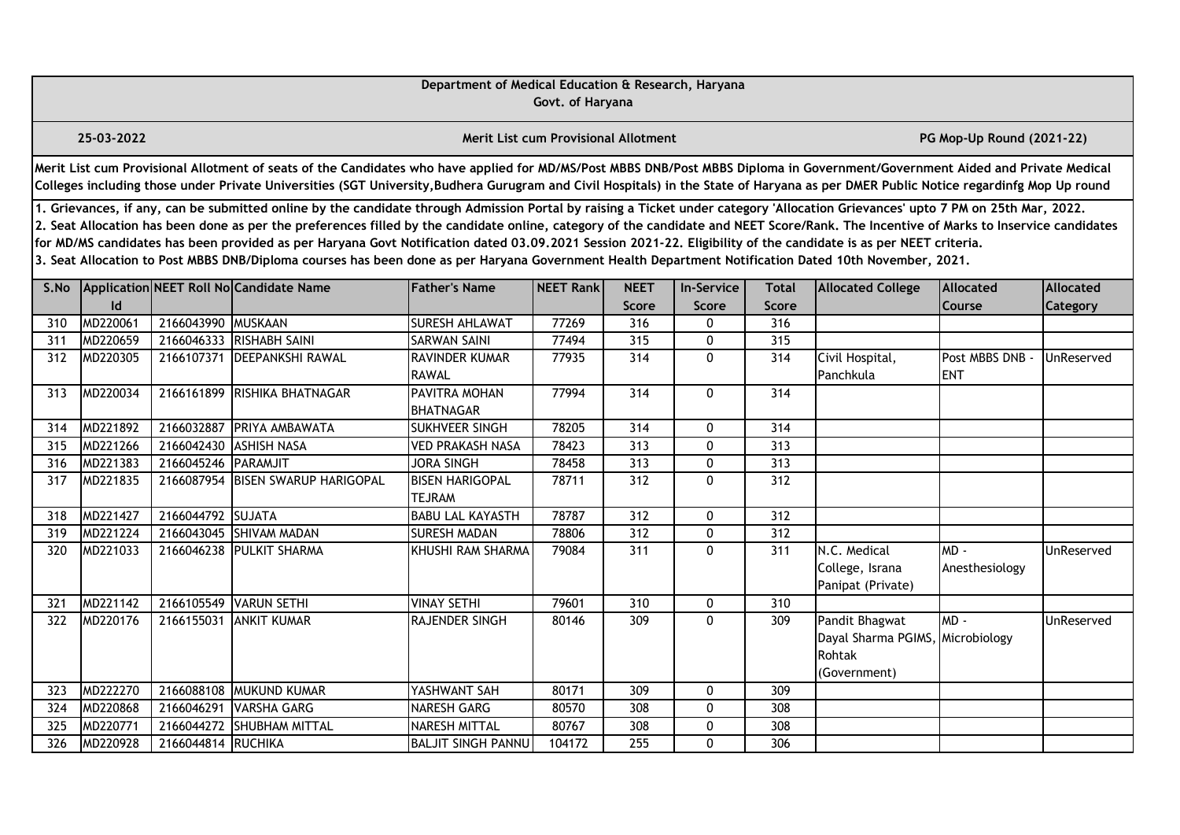|      |                                                                                                                                                                                                                                                                                                                                                                                                                                                                                                                                                                                                                                                                                                                                                  |                     |                                                                                                                                                                                                                                                                                                                                                                       | Department of Medical Education & Research, Haryana | Govt. of Haryana                            |                      |                                   |                              |                                                                              |                             |                              |  |  |
|------|--------------------------------------------------------------------------------------------------------------------------------------------------------------------------------------------------------------------------------------------------------------------------------------------------------------------------------------------------------------------------------------------------------------------------------------------------------------------------------------------------------------------------------------------------------------------------------------------------------------------------------------------------------------------------------------------------------------------------------------------------|---------------------|-----------------------------------------------------------------------------------------------------------------------------------------------------------------------------------------------------------------------------------------------------------------------------------------------------------------------------------------------------------------------|-----------------------------------------------------|---------------------------------------------|----------------------|-----------------------------------|------------------------------|------------------------------------------------------------------------------|-----------------------------|------------------------------|--|--|
|      | 25-03-2022                                                                                                                                                                                                                                                                                                                                                                                                                                                                                                                                                                                                                                                                                                                                       |                     |                                                                                                                                                                                                                                                                                                                                                                       |                                                     | <b>Merit List cum Provisional Allotment</b> |                      |                                   |                              |                                                                              | PG Mop-Up Round (2021-22)   |                              |  |  |
|      |                                                                                                                                                                                                                                                                                                                                                                                                                                                                                                                                                                                                                                                                                                                                                  |                     | Merit List cum Provisional Allotment of seats of the Candidates who have applied for MD/MS/Post MBBS DNB/Post MBBS Diploma in Government/Government Aided and Private Medical<br>Colleges including those under Private Universities (SGT University, Budhera Gurugram and Civil Hospitals) in the State of Haryana as per DMER Public Notice regardinfg Mop Up round |                                                     |                                             |                      |                                   |                              |                                                                              |                             |                              |  |  |
|      | 1. Grievances, if any, can be submitted online by the candidate through Admission Portal by raising a Ticket under category 'Allocation Grievances' upto 7 PM on 25th Mar, 2022.<br>2. Seat Allocation has been done as per the preferences filled by the candidate online, category of the candidate and NEET Score/Rank. The Incentive of Marks to Inservice candidates<br>for MD/MS candidates has been provided as per Haryana Govt Notification dated 03.09.2021 Session 2021-22. Eligibility of the candidate is as per NEET criteria.<br>3. Seat Allocation to Post MBBS DNB/Diploma courses has been done as per Haryana Government Health Department Notification Dated 10th November, 2021.<br>Application NEET Roll No Candidate Name |                     |                                                                                                                                                                                                                                                                                                                                                                       |                                                     |                                             |                      |                                   |                              |                                                                              |                             |                              |  |  |
| S.No | Id                                                                                                                                                                                                                                                                                                                                                                                                                                                                                                                                                                                                                                                                                                                                               |                     |                                                                                                                                                                                                                                                                                                                                                                       | <b>Father's Name</b>                                | NEET Rank                                   | <b>NEET</b><br>Score | <b>In-Service</b><br><b>Score</b> | <b>Total</b><br><b>Score</b> | <b>Allocated College</b>                                                     | <b>Allocated</b><br>Course  | <b>Allocated</b><br>Category |  |  |
| 310  | MD220061                                                                                                                                                                                                                                                                                                                                                                                                                                                                                                                                                                                                                                                                                                                                         | 2166043990 MUSKAAN  |                                                                                                                                                                                                                                                                                                                                                                       | <b>SURESH AHLAWAT</b>                               | 77269                                       | 316                  | 0                                 | 316                          |                                                                              |                             |                              |  |  |
| 311  | MD220659                                                                                                                                                                                                                                                                                                                                                                                                                                                                                                                                                                                                                                                                                                                                         | 2166046333          | <b>RISHABH SAINI</b>                                                                                                                                                                                                                                                                                                                                                  | <b>SARWAN SAINI</b>                                 | 77494                                       | 315                  | 0                                 | 315                          |                                                                              |                             |                              |  |  |
| 312  | MD220305                                                                                                                                                                                                                                                                                                                                                                                                                                                                                                                                                                                                                                                                                                                                         |                     | 2166107371 DEEPANKSHI RAWAL                                                                                                                                                                                                                                                                                                                                           | RAVINDER KUMAR<br><b>RAWAL</b>                      | 77935                                       | $\overline{314}$     | 0                                 | 314                          | Civil Hospital,<br>Panchkula                                                 | Post MBBS DNB<br><b>ENT</b> | UnReserved                   |  |  |
| 313  | MD220034                                                                                                                                                                                                                                                                                                                                                                                                                                                                                                                                                                                                                                                                                                                                         |                     | 2166161899 RISHIKA BHATNAGAR                                                                                                                                                                                                                                                                                                                                          | PAVITRA MOHAN<br><b>BHATNAGAR</b>                   | 77994                                       | 314                  | 0                                 | 314                          |                                                                              |                             |                              |  |  |
| 314  | MD221892                                                                                                                                                                                                                                                                                                                                                                                                                                                                                                                                                                                                                                                                                                                                         | 2166032887          | <b>PRIYA AMBAWATA</b>                                                                                                                                                                                                                                                                                                                                                 | SUKHVEER SINGH                                      | 78205                                       | $\overline{314}$     | 0                                 | 314                          |                                                                              |                             |                              |  |  |
| 315  | MD221266                                                                                                                                                                                                                                                                                                                                                                                                                                                                                                                                                                                                                                                                                                                                         | 2166042430          | <b>ASHISH NASA</b>                                                                                                                                                                                                                                                                                                                                                    | <b>VED PRAKASH NASA</b>                             | 78423                                       | 313                  | 0                                 | 313                          |                                                                              |                             |                              |  |  |
| 316  | MD221383                                                                                                                                                                                                                                                                                                                                                                                                                                                                                                                                                                                                                                                                                                                                         | 2166045246 PARAMJIT |                                                                                                                                                                                                                                                                                                                                                                       | <b>JORA SINGH</b>                                   | 78458                                       | 313                  | 0                                 | 313                          |                                                                              |                             |                              |  |  |
| 317  | MD221835                                                                                                                                                                                                                                                                                                                                                                                                                                                                                                                                                                                                                                                                                                                                         |                     | 2166087954 BISEN SWARUP HARIGOPAL                                                                                                                                                                                                                                                                                                                                     | <b>BISEN HARIGOPAL</b><br><b>TEJRAM</b>             | 78711                                       | $\overline{312}$     | $\overline{0}$                    | $\overline{312}$             |                                                                              |                             |                              |  |  |
| 318  | MD221427                                                                                                                                                                                                                                                                                                                                                                                                                                                                                                                                                                                                                                                                                                                                         | 2166044792 SUJATA   |                                                                                                                                                                                                                                                                                                                                                                       | <b>BABU LAL KAYASTH</b>                             | 78787                                       | 312                  | 0                                 | 312                          |                                                                              |                             |                              |  |  |
| 319  | MD221224                                                                                                                                                                                                                                                                                                                                                                                                                                                                                                                                                                                                                                                                                                                                         |                     | 2166043045 SHIVAM MADAN                                                                                                                                                                                                                                                                                                                                               | <b>SURESH MADAN</b>                                 | 78806                                       | $\overline{312}$     | 0                                 | $\overline{312}$             |                                                                              |                             |                              |  |  |
| 320  | MD221033                                                                                                                                                                                                                                                                                                                                                                                                                                                                                                                                                                                                                                                                                                                                         |                     | 2166046238 PULKIT SHARMA                                                                                                                                                                                                                                                                                                                                              | KHUSHI RAM SHARMA                                   | 79084                                       | $\overline{311}$     | 0                                 | 311                          | N.C. Medical<br>College, Israna<br>Panipat (Private)                         | $MD -$<br>Anesthesiology    | UnReserved                   |  |  |
| 321  | MD221142                                                                                                                                                                                                                                                                                                                                                                                                                                                                                                                                                                                                                                                                                                                                         |                     | 2166105549 VARUN SETHI                                                                                                                                                                                                                                                                                                                                                | <b>VINAY SETHI</b>                                  | 79601                                       | 310                  | 0                                 | 310                          |                                                                              |                             |                              |  |  |
| 322  | MD220176                                                                                                                                                                                                                                                                                                                                                                                                                                                                                                                                                                                                                                                                                                                                         | 2166155031          | <b>ANKIT KUMAR</b>                                                                                                                                                                                                                                                                                                                                                    | RAJENDER SINGH                                      | 80146                                       | 309                  | 0                                 | 309                          | Pandit Bhagwat<br>Dayal Sharma PGIMS, Microbiology<br>Rohtak<br>(Government) | MD-                         | UnReserved                   |  |  |
| 323  | MD222270                                                                                                                                                                                                                                                                                                                                                                                                                                                                                                                                                                                                                                                                                                                                         | 2166088108          | <b>MUKUND KUMAR</b>                                                                                                                                                                                                                                                                                                                                                   | YASHWANT SAH                                        | 80171                                       | 309                  | 0                                 | 309                          |                                                                              |                             |                              |  |  |
| 324  | MD220868                                                                                                                                                                                                                                                                                                                                                                                                                                                                                                                                                                                                                                                                                                                                         | 2166046291          | <b>VARSHA GARG</b>                                                                                                                                                                                                                                                                                                                                                    | NARESH GARG                                         | 80570                                       | 308                  | 0                                 | 308                          |                                                                              |                             |                              |  |  |
| 325  | MD220771                                                                                                                                                                                                                                                                                                                                                                                                                                                                                                                                                                                                                                                                                                                                         |                     | 2166044272 SHUBHAM MITTAL                                                                                                                                                                                                                                                                                                                                             | NARESH MITTAL                                       | 80767                                       | 308                  | 0                                 | 308                          |                                                                              |                             |                              |  |  |
| 326  | MD220928                                                                                                                                                                                                                                                                                                                                                                                                                                                                                                                                                                                                                                                                                                                                         | 2166044814 RUCHIKA  |                                                                                                                                                                                                                                                                                                                                                                       | <b>BALJIT SINGH PANNU</b>                           | 104172                                      | 255                  | 0                                 | 306                          |                                                                              |                             |                              |  |  |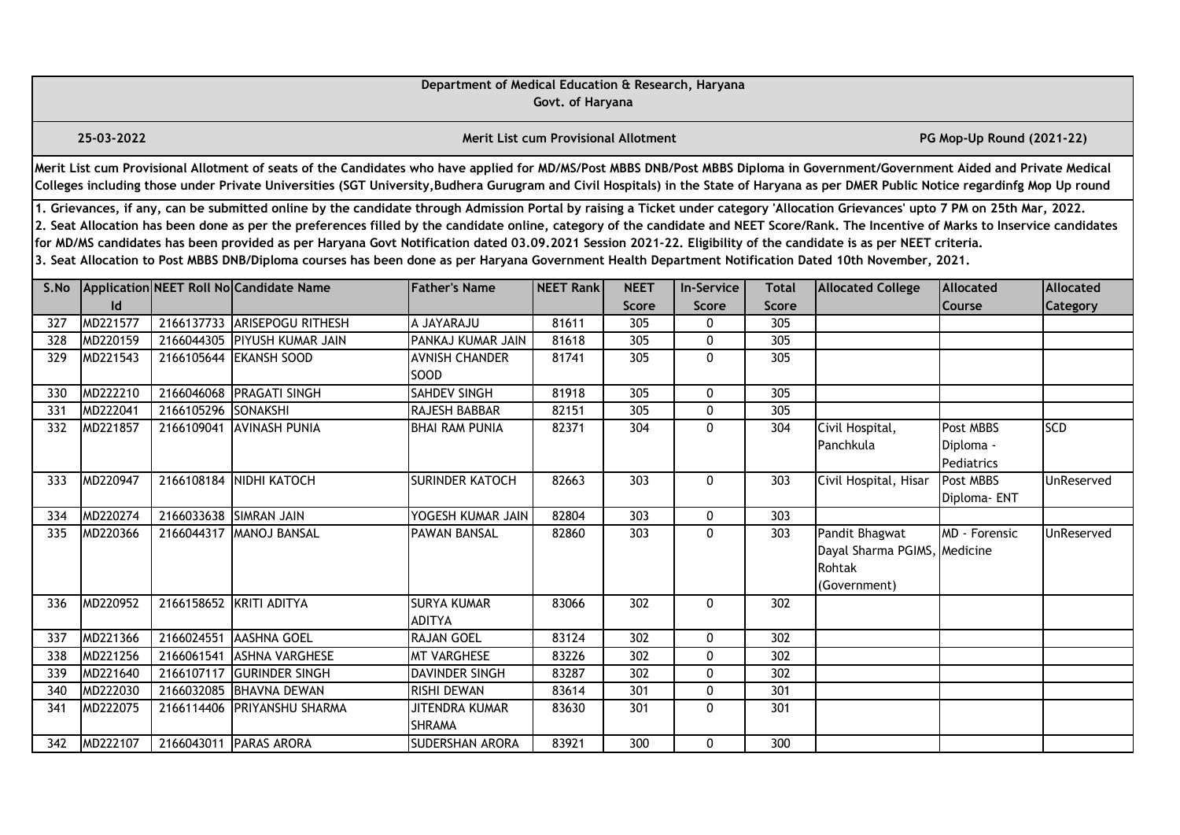|      |                                                                                                                                                                                                                                                                                                                                                                                                                                                                                                                                                                                                                                                                                                                                                                                                                            |                     |                                                                                                                                                                                                                                                                                                                                                                       | Department of Medical Education & Research, Haryana | Govt. of Haryana                            |                      |              |              |                                                                          |                                      |            |  |  |
|------|----------------------------------------------------------------------------------------------------------------------------------------------------------------------------------------------------------------------------------------------------------------------------------------------------------------------------------------------------------------------------------------------------------------------------------------------------------------------------------------------------------------------------------------------------------------------------------------------------------------------------------------------------------------------------------------------------------------------------------------------------------------------------------------------------------------------------|---------------------|-----------------------------------------------------------------------------------------------------------------------------------------------------------------------------------------------------------------------------------------------------------------------------------------------------------------------------------------------------------------------|-----------------------------------------------------|---------------------------------------------|----------------------|--------------|--------------|--------------------------------------------------------------------------|--------------------------------------|------------|--|--|
|      | 25-03-2022                                                                                                                                                                                                                                                                                                                                                                                                                                                                                                                                                                                                                                                                                                                                                                                                                 |                     |                                                                                                                                                                                                                                                                                                                                                                       |                                                     | <b>Merit List cum Provisional Allotment</b> |                      |              |              |                                                                          | PG Mop-Up Round (2021-22)            |            |  |  |
|      |                                                                                                                                                                                                                                                                                                                                                                                                                                                                                                                                                                                                                                                                                                                                                                                                                            |                     | Merit List cum Provisional Allotment of seats of the Candidates who have applied for MD/MS/Post MBBS DNB/Post MBBS Diploma in Government/Government Aided and Private Medical<br>Colleges including those under Private Universities (SGT University, Budhera Gurugram and Civil Hospitals) in the State of Haryana as per DMER Public Notice regardinfg Mop Up round |                                                     |                                             |                      |              |              |                                                                          |                                      |            |  |  |
|      | 1. Grievances, if any, can be submitted online by the candidate through Admission Portal by raising a Ticket under category 'Allocation Grievances' upto 7 PM on 25th Mar, 2022.<br>2. Seat Allocation has been done as per the preferences filled by the candidate online, category of the candidate and NEET Score/Rank. The Incentive of Marks to Inservice candidates<br>for MD/MS candidates has been provided as per Haryana Govt Notification dated 03.09.2021 Session 2021-22. Eligibility of the candidate is as per NEET criteria.<br>3. Seat Allocation to Post MBBS DNB/Diploma courses has been done as per Haryana Government Health Department Notification Dated 10th November, 2021.<br>Application NEET Roll No Candidate Name<br><b>Father's Name</b><br><b>Allocated</b><br><b>In-Service</b><br>Total |                     |                                                                                                                                                                                                                                                                                                                                                                       |                                                     |                                             |                      |              |              |                                                                          |                                      |            |  |  |
| S.No | Id                                                                                                                                                                                                                                                                                                                                                                                                                                                                                                                                                                                                                                                                                                                                                                                                                         |                     |                                                                                                                                                                                                                                                                                                                                                                       |                                                     | NEET Rank                                   | <b>NEET</b><br>Score | Score        | <b>Score</b> | <b>Allocated College</b>                                                 | Allocated<br>Course                  | Category   |  |  |
| 327  | MD221577                                                                                                                                                                                                                                                                                                                                                                                                                                                                                                                                                                                                                                                                                                                                                                                                                   |                     | 2166137733 ARISEPOGU RITHESH                                                                                                                                                                                                                                                                                                                                          | A JAYARAJU                                          | 81611                                       | 305                  | 0            | 305          |                                                                          |                                      |            |  |  |
| 328  | MD220159                                                                                                                                                                                                                                                                                                                                                                                                                                                                                                                                                                                                                                                                                                                                                                                                                   | 2166044305          | <b>PIYUSH KUMAR JAIN</b>                                                                                                                                                                                                                                                                                                                                              | PANKAJ KUMAR JAIN                                   | 81618                                       | 305                  | 0            | 305          |                                                                          |                                      |            |  |  |
| 329  | MD221543                                                                                                                                                                                                                                                                                                                                                                                                                                                                                                                                                                                                                                                                                                                                                                                                                   |                     | 2166105644 EKANSH SOOD                                                                                                                                                                                                                                                                                                                                                | <b>AVNISH CHANDER</b><br>SOOD                       | 81741                                       | 305                  | $\mathbf{0}$ | 305          |                                                                          |                                      |            |  |  |
| 330  | MD222210                                                                                                                                                                                                                                                                                                                                                                                                                                                                                                                                                                                                                                                                                                                                                                                                                   |                     | 2166046068 PRAGATI SINGH                                                                                                                                                                                                                                                                                                                                              | SAHDEV SINGH                                        | 81918                                       | 305                  | 0            | 305          |                                                                          |                                      |            |  |  |
| 331  | MD222041                                                                                                                                                                                                                                                                                                                                                                                                                                                                                                                                                                                                                                                                                                                                                                                                                   | 2166105296 SONAKSHI |                                                                                                                                                                                                                                                                                                                                                                       | RAJESH BABBAR                                       | 82151                                       | 305                  | 0            | 305          |                                                                          |                                      |            |  |  |
| 332  | MD221857                                                                                                                                                                                                                                                                                                                                                                                                                                                                                                                                                                                                                                                                                                                                                                                                                   |                     | 2166109041 AVINASH PUNIA                                                                                                                                                                                                                                                                                                                                              | <b>BHAI RAM PUNIA</b>                               | 82371                                       | 304                  | 0            | 304          | Civil Hospital,<br>Panchkula                                             | Post MBBS<br>Diploma -<br>Pediatrics | <b>SCD</b> |  |  |
| 333  | MD220947                                                                                                                                                                                                                                                                                                                                                                                                                                                                                                                                                                                                                                                                                                                                                                                                                   |                     | 2166108184 NIDHI KATOCH                                                                                                                                                                                                                                                                                                                                               | <b>SURINDER KATOCH</b>                              | 82663                                       | $\overline{303}$     | 0            | 303          | Civil Hospital, Hisar                                                    | Post MBBS<br>Diploma- ENT            | UnReserved |  |  |
| 334  | MD220274                                                                                                                                                                                                                                                                                                                                                                                                                                                                                                                                                                                                                                                                                                                                                                                                                   |                     | 2166033638 SIMRAN JAIN                                                                                                                                                                                                                                                                                                                                                | YOGESH KUMAR JAIN                                   | 82804                                       | 303                  | 0            | 303          |                                                                          |                                      |            |  |  |
| 335  | MD220366                                                                                                                                                                                                                                                                                                                                                                                                                                                                                                                                                                                                                                                                                                                                                                                                                   |                     | 2166044317 MANOJ BANSAL                                                                                                                                                                                                                                                                                                                                               | <b>PAWAN BANSAL</b>                                 | 82860                                       | 303                  | 0            | 303          | Pandit Bhagwat<br>Dayal Sharma PGIMS, Medicine<br>Rohtak<br>(Government) | <b>MD</b> - Forensic                 | UnReserved |  |  |
| 336  | MD220952                                                                                                                                                                                                                                                                                                                                                                                                                                                                                                                                                                                                                                                                                                                                                                                                                   |                     | 2166158652 KRITI ADITYA                                                                                                                                                                                                                                                                                                                                               | <b>SURYA KUMAR</b><br><b>ADITYA</b>                 | 83066                                       | 302                  | 0            | 302          |                                                                          |                                      |            |  |  |
| 337  | MD221366                                                                                                                                                                                                                                                                                                                                                                                                                                                                                                                                                                                                                                                                                                                                                                                                                   | 2166024551          | <b>AASHNA GOEL</b>                                                                                                                                                                                                                                                                                                                                                    | <b>RAJAN GOEL</b>                                   | 83124                                       | 302                  | 0            | 302          |                                                                          |                                      |            |  |  |
| 338  | MD221256                                                                                                                                                                                                                                                                                                                                                                                                                                                                                                                                                                                                                                                                                                                                                                                                                   | 2166061541          | <b>ASHNA VARGHESE</b>                                                                                                                                                                                                                                                                                                                                                 | <b>MT VARGHESE</b>                                  | 83226                                       | $\overline{302}$     | 0            | 302          |                                                                          |                                      |            |  |  |
| 339  | MD221640                                                                                                                                                                                                                                                                                                                                                                                                                                                                                                                                                                                                                                                                                                                                                                                                                   | 2166107117          | <b>GURINDER SINGH</b>                                                                                                                                                                                                                                                                                                                                                 | DAVINDER SINGH                                      | 83287                                       | 302                  | $\mathbf{0}$ | 302          |                                                                          |                                      |            |  |  |
| 340  | MD222030                                                                                                                                                                                                                                                                                                                                                                                                                                                                                                                                                                                                                                                                                                                                                                                                                   |                     | 2166032085 BHAVNA DEWAN                                                                                                                                                                                                                                                                                                                                               | RISHI DEWAN                                         | 83614                                       | 301                  | 0            | 301          |                                                                          |                                      |            |  |  |
| 341  | MD222075                                                                                                                                                                                                                                                                                                                                                                                                                                                                                                                                                                                                                                                                                                                                                                                                                   | 2166114406          | <b>PRIYANSHU SHARMA</b>                                                                                                                                                                                                                                                                                                                                               | JITENDRA KUMAR<br><b>SHRAMA</b>                     | 83630                                       | 301                  | 0            | 301          |                                                                          |                                      |            |  |  |
| 342  | MD222107                                                                                                                                                                                                                                                                                                                                                                                                                                                                                                                                                                                                                                                                                                                                                                                                                   |                     | 2166043011 PARAS ARORA                                                                                                                                                                                                                                                                                                                                                | SUDERSHAN ARORA                                     | 83921                                       | 300                  | 0            | 300          |                                                                          |                                      |            |  |  |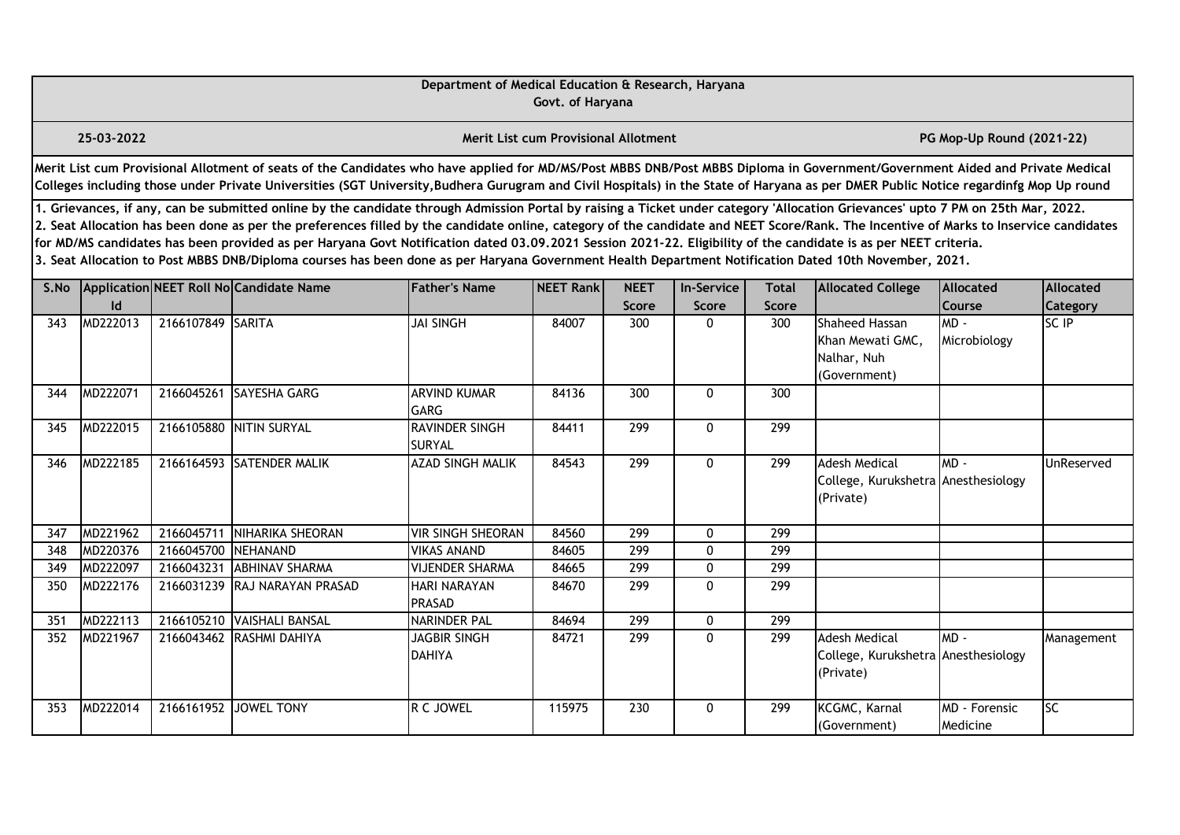|                  |                                                                                                                                                                                                                                                                                                                                                                                                                                                                                                                                                                                                                                                                                                                                                                                                                                                              |                     |                                                                                                                                                                                                                                                                                                                                                                       | Department of Medical Education & Research, Haryana | Govt. of Haryana                     |              |              |              |                                                                          |                           |            |  |  |  |
|------------------|--------------------------------------------------------------------------------------------------------------------------------------------------------------------------------------------------------------------------------------------------------------------------------------------------------------------------------------------------------------------------------------------------------------------------------------------------------------------------------------------------------------------------------------------------------------------------------------------------------------------------------------------------------------------------------------------------------------------------------------------------------------------------------------------------------------------------------------------------------------|---------------------|-----------------------------------------------------------------------------------------------------------------------------------------------------------------------------------------------------------------------------------------------------------------------------------------------------------------------------------------------------------------------|-----------------------------------------------------|--------------------------------------|--------------|--------------|--------------|--------------------------------------------------------------------------|---------------------------|------------|--|--|--|
|                  | 25-03-2022                                                                                                                                                                                                                                                                                                                                                                                                                                                                                                                                                                                                                                                                                                                                                                                                                                                   |                     |                                                                                                                                                                                                                                                                                                                                                                       |                                                     | Merit List cum Provisional Allotment |              |              |              |                                                                          | PG Mop-Up Round (2021-22) |            |  |  |  |
|                  |                                                                                                                                                                                                                                                                                                                                                                                                                                                                                                                                                                                                                                                                                                                                                                                                                                                              |                     | Merit List cum Provisional Allotment of seats of the Candidates who have applied for MD/MS/Post MBBS DNB/Post MBBS Diploma in Government/Government Aided and Private Medical<br>Colleges including those under Private Universities (SGT University, Budhera Gurugram and Civil Hospitals) in the State of Haryana as per DMER Public Notice regardinfg Mop Up round |                                                     |                                      |              |              |              |                                                                          |                           |            |  |  |  |
|                  | 1. Grievances, if any, can be submitted online by the candidate through Admission Portal by raising a Ticket under category 'Allocation Grievances' upto 7 PM on 25th Mar, 2022.<br>2. Seat Allocation has been done as per the preferences filled by the candidate online, category of the candidate and NEET Score/Rank. The Incentive of Marks to Inservice candidates<br>for MD/MS candidates has been provided as per Haryana Govt Notification dated 03.09.2021 Session 2021-22. Eligibility of the candidate is as per NEET criteria.<br>3. Seat Allocation to Post MBBS DNB/Diploma courses has been done as per Haryana Government Health Department Notification Dated 10th November, 2021.<br>Application NEET Roll No Candidate Name<br><b>Father's Name</b><br>NEET Rank<br><b>NEET</b><br><b>In-Service</b><br>Allocated<br>Total<br>Allocated |                     |                                                                                                                                                                                                                                                                                                                                                                       |                                                     |                                      |              |              |              |                                                                          |                           |            |  |  |  |
| S.No             | $\mathsf{Id}$                                                                                                                                                                                                                                                                                                                                                                                                                                                                                                                                                                                                                                                                                                                                                                                                                                                |                     |                                                                                                                                                                                                                                                                                                                                                                       |                                                     |                                      | <b>Score</b> | Score        | <b>Score</b> | <b>Allocated College</b>                                                 | <b>Course</b>             | Category   |  |  |  |
| 343              | MD222013                                                                                                                                                                                                                                                                                                                                                                                                                                                                                                                                                                                                                                                                                                                                                                                                                                                     | 2166107849 SARITA   |                                                                                                                                                                                                                                                                                                                                                                       | <b>JAI SINGH</b>                                    | 84007                                | 300          | 0            | 300          | Shaheed Hassan<br>Khan Mewati GMC.<br>Nalhar, Nuh<br>(Government)        | $MD -$<br>Microbiology    | SC IP      |  |  |  |
| 344              | MD222071                                                                                                                                                                                                                                                                                                                                                                                                                                                                                                                                                                                                                                                                                                                                                                                                                                                     |                     | 2166045261 SAYESHA GARG                                                                                                                                                                                                                                                                                                                                               | <b>ARVIND KUMAR</b><br><b>GARG</b>                  | 84136                                | 300          | 0            | 300          |                                                                          |                           |            |  |  |  |
| 345              | MD222015                                                                                                                                                                                                                                                                                                                                                                                                                                                                                                                                                                                                                                                                                                                                                                                                                                                     |                     | 2166105880 NITIN SURYAL                                                                                                                                                                                                                                                                                                                                               | <b>RAVINDER SINGH</b><br><b>SURYAL</b>              | 84411                                | 299          | 0            | 299          |                                                                          |                           |            |  |  |  |
| 346              | MD222185                                                                                                                                                                                                                                                                                                                                                                                                                                                                                                                                                                                                                                                                                                                                                                                                                                                     |                     | 2166164593 SATENDER MALIK                                                                                                                                                                                                                                                                                                                                             | <b>AZAD SINGH MALIK</b>                             | 84543                                | 299          | 0            | 299          | <b>Adesh Medical</b><br>College, Kurukshetra Anesthesiology<br>(Private) | MD-                       | UnReserved |  |  |  |
| 347              | MD221962                                                                                                                                                                                                                                                                                                                                                                                                                                                                                                                                                                                                                                                                                                                                                                                                                                                     | 2166045711          | NIHARIKA SHEORAN                                                                                                                                                                                                                                                                                                                                                      | <b>VIR SINGH SHEORAN</b>                            | 84560                                | 299          | $\mathbf 0$  | 299          |                                                                          |                           |            |  |  |  |
| $\overline{348}$ | MD220376                                                                                                                                                                                                                                                                                                                                                                                                                                                                                                                                                                                                                                                                                                                                                                                                                                                     | 2166045700 NEHANAND |                                                                                                                                                                                                                                                                                                                                                                       | <b>VIKAS ANAND</b>                                  | 84605                                | 299          | 0            | 299          |                                                                          |                           |            |  |  |  |
| 349              | MD222097                                                                                                                                                                                                                                                                                                                                                                                                                                                                                                                                                                                                                                                                                                                                                                                                                                                     | 2166043231          | <b>ABHINAV SHARMA</b>                                                                                                                                                                                                                                                                                                                                                 | <b>VIJENDER SHARMA</b>                              | 84665                                | 299          | $\mathbf 0$  | 299          |                                                                          |                           |            |  |  |  |
| 350              | MD222176                                                                                                                                                                                                                                                                                                                                                                                                                                                                                                                                                                                                                                                                                                                                                                                                                                                     |                     | 2166031239 RAJ NARAYAN PRASAD                                                                                                                                                                                                                                                                                                                                         | <b>HARI NARAYAN</b><br><b>PRASAD</b>                | 84670                                | 299          | $\mathbf{0}$ | 299          |                                                                          |                           |            |  |  |  |
| 351              | MD222113                                                                                                                                                                                                                                                                                                                                                                                                                                                                                                                                                                                                                                                                                                                                                                                                                                                     |                     | 2166105210 VAISHALI BANSAL                                                                                                                                                                                                                                                                                                                                            | <b>NARINDER PAL</b>                                 | 84694                                | 299          | 0            | 299          |                                                                          |                           |            |  |  |  |
| 352              | MD221967                                                                                                                                                                                                                                                                                                                                                                                                                                                                                                                                                                                                                                                                                                                                                                                                                                                     |                     | 2166043462 RASHMI DAHIYA                                                                                                                                                                                                                                                                                                                                              | <b>JAGBIR SINGH</b><br><b>DAHIYA</b>                | 84721                                | 299          | $\mathbf{0}$ | 299          | <b>Adesh Medical</b><br>College, Kurukshetra Anesthesiology<br>(Private) | $MD -$                    | Management |  |  |  |
| 353              | MD222014                                                                                                                                                                                                                                                                                                                                                                                                                                                                                                                                                                                                                                                                                                                                                                                                                                                     |                     | 2166161952 JOWEL TONY                                                                                                                                                                                                                                                                                                                                                 | R C JOWEL                                           | 115975                               | 230          | $\mathbf{0}$ | 299          | KCGMC, Karnal<br>(Government)                                            | MD - Forensic<br>Medicine | <b>SC</b>  |  |  |  |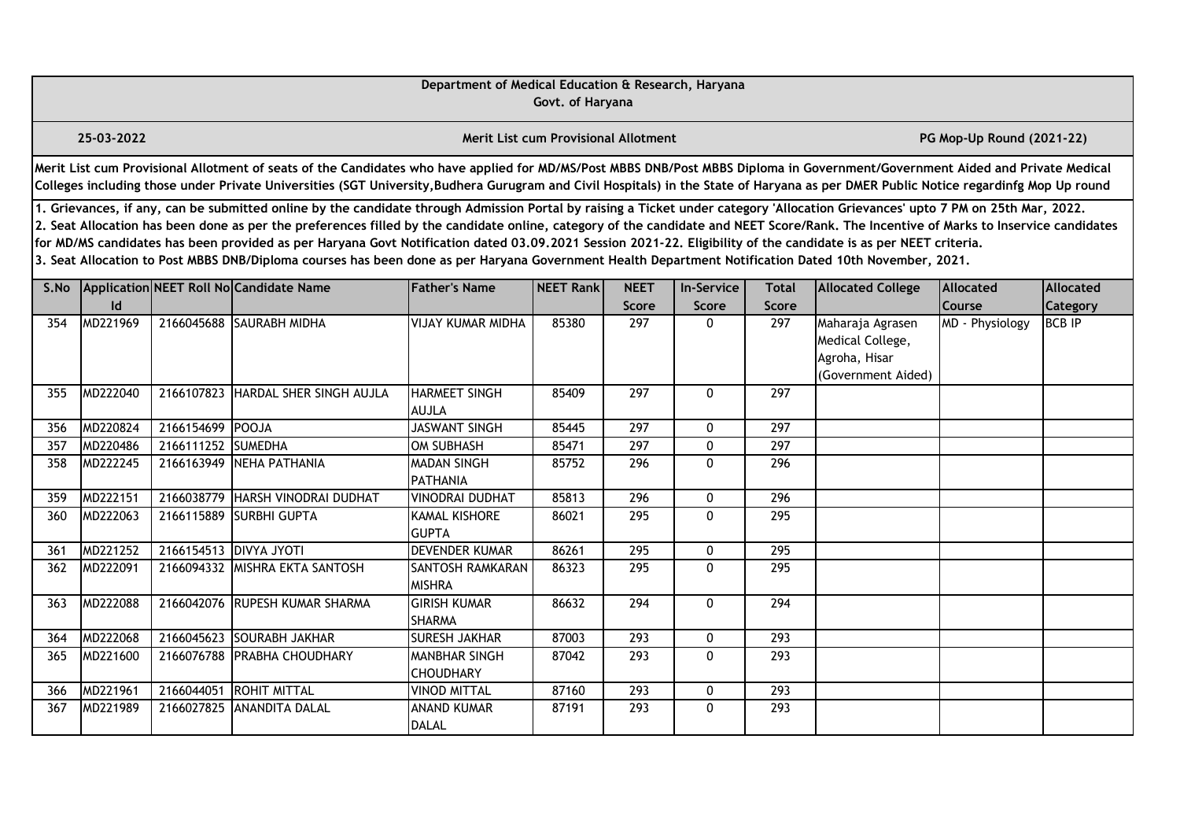|      | Department of Medical Education & Research, Haryana<br>Govt. of Haryana<br><b>Merit List cum Provisional Allotment</b>                                                                                                                                                                                                                                                                                                                                                                                                                                                                                                                                                                                                                           |                    |                                                                                                                                                                                                                                                                                                                                                                       |                                          |                  |                             |                            |                       |                                                                             |                            |                       |  |  |  |
|------|--------------------------------------------------------------------------------------------------------------------------------------------------------------------------------------------------------------------------------------------------------------------------------------------------------------------------------------------------------------------------------------------------------------------------------------------------------------------------------------------------------------------------------------------------------------------------------------------------------------------------------------------------------------------------------------------------------------------------------------------------|--------------------|-----------------------------------------------------------------------------------------------------------------------------------------------------------------------------------------------------------------------------------------------------------------------------------------------------------------------------------------------------------------------|------------------------------------------|------------------|-----------------------------|----------------------------|-----------------------|-----------------------------------------------------------------------------|----------------------------|-----------------------|--|--|--|
|      | 25-03-2022                                                                                                                                                                                                                                                                                                                                                                                                                                                                                                                                                                                                                                                                                                                                       |                    |                                                                                                                                                                                                                                                                                                                                                                       |                                          |                  |                             |                            |                       |                                                                             | PG Mop-Up Round (2021-22)  |                       |  |  |  |
|      |                                                                                                                                                                                                                                                                                                                                                                                                                                                                                                                                                                                                                                                                                                                                                  |                    | Merit List cum Provisional Allotment of seats of the Candidates who have applied for MD/MS/Post MBBS DNB/Post MBBS Diploma in Government/Government Aided and Private Medical<br>Colleges including those under Private Universities (SGT University, Budhera Gurugram and Civil Hospitals) in the State of Haryana as per DMER Public Notice regardinfg Mop Up round |                                          |                  |                             |                            |                       |                                                                             |                            |                       |  |  |  |
|      | 1. Grievances, if any, can be submitted online by the candidate through Admission Portal by raising a Ticket under category 'Allocation Grievances' upto 7 PM on 25th Mar, 2022.<br>2. Seat Allocation has been done as per the preferences filled by the candidate online, category of the candidate and NEET Score/Rank. The Incentive of Marks to Inservice candidates<br>for MD/MS candidates has been provided as per Haryana Govt Notification dated 03.09.2021 Session 2021-22. Eligibility of the candidate is as per NEET criteria.<br>3. Seat Allocation to Post MBBS DNB/Diploma courses has been done as per Haryana Government Health Department Notification Dated 10th November, 2021.<br>Application NEET Roll No Candidate Name |                    |                                                                                                                                                                                                                                                                                                                                                                       |                                          |                  |                             |                            |                       |                                                                             |                            |                       |  |  |  |
| S.No | Id                                                                                                                                                                                                                                                                                                                                                                                                                                                                                                                                                                                                                                                                                                                                               |                    |                                                                                                                                                                                                                                                                                                                                                                       | <b>Father's Name</b>                     | <b>NEET Rank</b> | <b>NEET</b><br><b>Score</b> | <b>In-Service</b><br>Score | Total<br><b>Score</b> | <b>Allocated College</b>                                                    | <b>Allocated</b><br>Course | Allocated<br>Category |  |  |  |
| 354  | MD221969                                                                                                                                                                                                                                                                                                                                                                                                                                                                                                                                                                                                                                                                                                                                         |                    | 2166045688 SAURABH MIDHA                                                                                                                                                                                                                                                                                                                                              | VIJAY KUMAR MIDHA                        | 85380            | 297                         | 0                          | 297                   | Maharaja Agrasen<br>Medical College,<br>Agroha, Hisar<br>(Government Aided) | MD - Physiology            | <b>BCB IP</b>         |  |  |  |
| 355  | MD222040                                                                                                                                                                                                                                                                                                                                                                                                                                                                                                                                                                                                                                                                                                                                         | 2166107823         | HARDAL SHER SINGH AUJLA                                                                                                                                                                                                                                                                                                                                               | <b>HARMEET SINGH</b><br><b>AUJLA</b>     | 85409            | 297                         | 0                          | 297                   |                                                                             |                            |                       |  |  |  |
| 356  | MD220824                                                                                                                                                                                                                                                                                                                                                                                                                                                                                                                                                                                                                                                                                                                                         | 2166154699 POOJA   |                                                                                                                                                                                                                                                                                                                                                                       | <b>JASWANT SINGH</b>                     | 85445            | 297                         | 0                          | 297                   |                                                                             |                            |                       |  |  |  |
| 357  | MD220486                                                                                                                                                                                                                                                                                                                                                                                                                                                                                                                                                                                                                                                                                                                                         | 2166111252 SUMEDHA |                                                                                                                                                                                                                                                                                                                                                                       | <b>OM SUBHASH</b>                        | 85471            | 297                         | 0                          | 297                   |                                                                             |                            |                       |  |  |  |
| 358  | MD222245                                                                                                                                                                                                                                                                                                                                                                                                                                                                                                                                                                                                                                                                                                                                         | 2166163949         | NEHA PATHANIA                                                                                                                                                                                                                                                                                                                                                         | <b>MADAN SINGH</b><br>PATHANIA           | 85752            | 296                         | 0                          | 296                   |                                                                             |                            |                       |  |  |  |
| 359  | MD222151                                                                                                                                                                                                                                                                                                                                                                                                                                                                                                                                                                                                                                                                                                                                         | 2166038779         | HARSH VINODRAI DUDHAT                                                                                                                                                                                                                                                                                                                                                 | <b>VINODRAI DUDHAT</b>                   | 85813            | 296                         | 0                          | 296                   |                                                                             |                            |                       |  |  |  |
| 360  | MD222063                                                                                                                                                                                                                                                                                                                                                                                                                                                                                                                                                                                                                                                                                                                                         |                    | 2166115889 SURBHI GUPTA                                                                                                                                                                                                                                                                                                                                               | <b>KAMAL KISHORE</b><br><b>GUPTA</b>     | 86021            | 295                         | 0                          | 295                   |                                                                             |                            |                       |  |  |  |
| 361  | MD221252                                                                                                                                                                                                                                                                                                                                                                                                                                                                                                                                                                                                                                                                                                                                         |                    | 2166154513 DIVYA JYOTI                                                                                                                                                                                                                                                                                                                                                | <b>DEVENDER KUMAR</b>                    | 86261            | $\overline{295}$            | 0                          | $\overline{295}$      |                                                                             |                            |                       |  |  |  |
| 362  | MD222091                                                                                                                                                                                                                                                                                                                                                                                                                                                                                                                                                                                                                                                                                                                                         |                    | 2166094332 MISHRA EKTA SANTOSH                                                                                                                                                                                                                                                                                                                                        | <b>SANTOSH RAMKARAN</b><br><b>MISHRA</b> | 86323            | 295                         | 0                          | 295                   |                                                                             |                            |                       |  |  |  |
| 363  | MD222088                                                                                                                                                                                                                                                                                                                                                                                                                                                                                                                                                                                                                                                                                                                                         |                    | 2166042076 RUPESH KUMAR SHARMA                                                                                                                                                                                                                                                                                                                                        | <b>GIRISH KUMAR</b><br><b>SHARMA</b>     | 86632            | 294                         | $\mathbf{0}$               | 294                   |                                                                             |                            |                       |  |  |  |
| 364  | MD222068                                                                                                                                                                                                                                                                                                                                                                                                                                                                                                                                                                                                                                                                                                                                         | 2166045623         | <b>SOURABH JAKHAR</b>                                                                                                                                                                                                                                                                                                                                                 | <b>SURESH JAKHAR</b>                     | 87003            | 293                         | $\mathbf{0}$               | 293                   |                                                                             |                            |                       |  |  |  |
| 365  | MD221600                                                                                                                                                                                                                                                                                                                                                                                                                                                                                                                                                                                                                                                                                                                                         | 2166076788         | <b>PRABHA CHOUDHARY</b>                                                                                                                                                                                                                                                                                                                                               | <b>MANBHAR SINGH</b><br><b>CHOUDHARY</b> | 87042            | 293                         | $\mathbf{0}$               | 293                   |                                                                             |                            |                       |  |  |  |
| 366  | MD221961                                                                                                                                                                                                                                                                                                                                                                                                                                                                                                                                                                                                                                                                                                                                         | 2166044051         | <b>ROHIT MITTAL</b>                                                                                                                                                                                                                                                                                                                                                   | <b>VINOD MITTAL</b>                      | 87160            | 293                         | 0                          | 293                   |                                                                             |                            |                       |  |  |  |
| 367  | MD221989                                                                                                                                                                                                                                                                                                                                                                                                                                                                                                                                                                                                                                                                                                                                         | 2166027825         | <b>ANANDITA DALAL</b>                                                                                                                                                                                                                                                                                                                                                 | <b>ANAND KUMAR</b><br><b>DALAL</b>       | 87191            | 293                         | $\mathbf{0}$               | 293                   |                                                                             |                            |                       |  |  |  |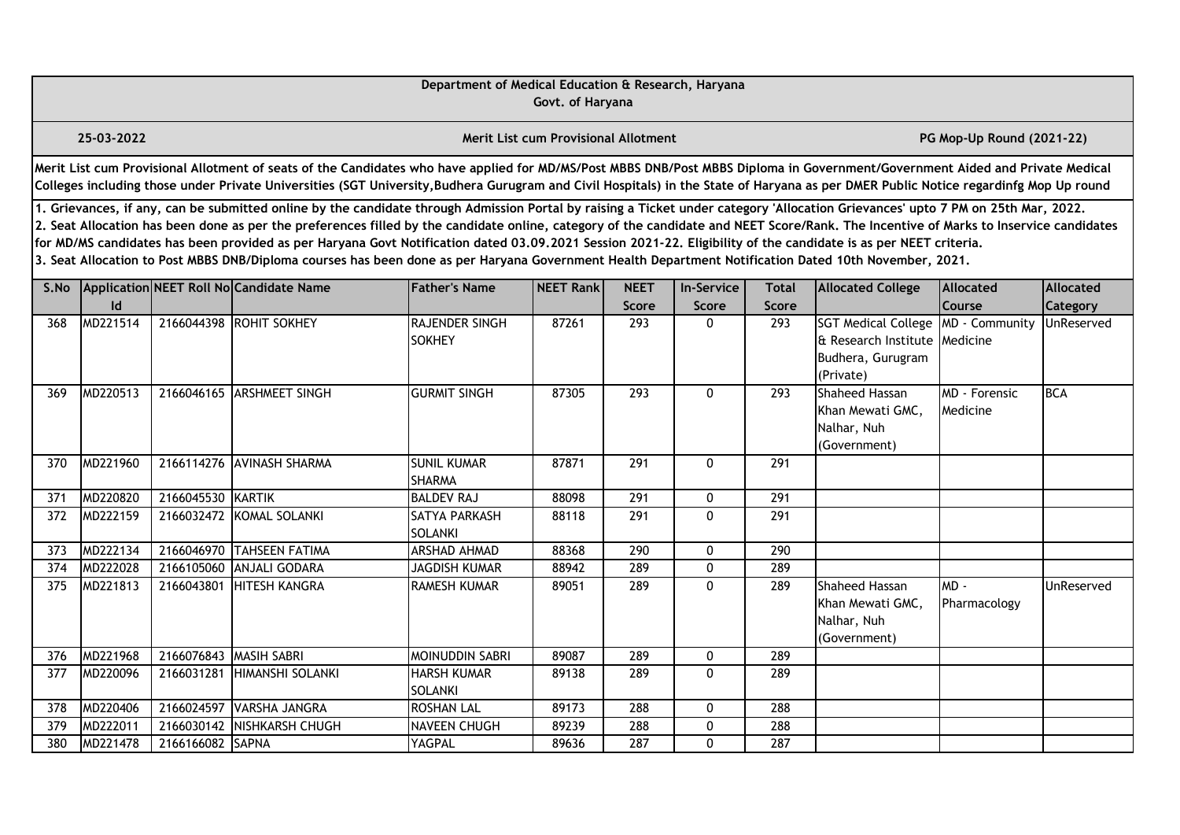|      | Department of Medical Education & Research, Haryana<br>Govt. of Haryana<br><b>Merit List cum Provisional Allotment</b><br>PG Mop-Up Round (2021-22)                                                                                                                                                                                                                                                                                                                                                                                                                                                                                                                                                                                              |                   |                                                                                                                                                                                                                                                                                                                                                                       |                                        |                   |                      |                            |                              |                                                                                               |                                  |                       |  |  |
|------|--------------------------------------------------------------------------------------------------------------------------------------------------------------------------------------------------------------------------------------------------------------------------------------------------------------------------------------------------------------------------------------------------------------------------------------------------------------------------------------------------------------------------------------------------------------------------------------------------------------------------------------------------------------------------------------------------------------------------------------------------|-------------------|-----------------------------------------------------------------------------------------------------------------------------------------------------------------------------------------------------------------------------------------------------------------------------------------------------------------------------------------------------------------------|----------------------------------------|-------------------|----------------------|----------------------------|------------------------------|-----------------------------------------------------------------------------------------------|----------------------------------|-----------------------|--|--|
|      | 25-03-2022                                                                                                                                                                                                                                                                                                                                                                                                                                                                                                                                                                                                                                                                                                                                       |                   |                                                                                                                                                                                                                                                                                                                                                                       |                                        |                   |                      |                            |                              |                                                                                               |                                  |                       |  |  |
|      |                                                                                                                                                                                                                                                                                                                                                                                                                                                                                                                                                                                                                                                                                                                                                  |                   | Merit List cum Provisional Allotment of seats of the Candidates who have applied for MD/MS/Post MBBS DNB/Post MBBS Diploma in Government/Government Aided and Private Medical<br>Colleges including those under Private Universities (SGT University, Budhera Gurugram and Civil Hospitals) in the State of Haryana as per DMER Public Notice regardinfg Mop Up round |                                        |                   |                      |                            |                              |                                                                                               |                                  |                       |  |  |
|      | 1. Grievances, if any, can be submitted online by the candidate through Admission Portal by raising a Ticket under category 'Allocation Grievances' upto 7 PM on 25th Mar, 2022.<br>2. Seat Allocation has been done as per the preferences filled by the candidate online, category of the candidate and NEET Score/Rank. The Incentive of Marks to Inservice candidates<br>for MD/MS candidates has been provided as per Haryana Govt Notification dated 03.09.2021 Session 2021-22. Eligibility of the candidate is as per NEET criteria.<br>3. Seat Allocation to Post MBBS DNB/Diploma courses has been done as per Haryana Government Health Department Notification Dated 10th November, 2021.<br>Application NEET Roll No Candidate Name |                   |                                                                                                                                                                                                                                                                                                                                                                       |                                        |                   |                      |                            |                              |                                                                                               |                                  |                       |  |  |
| S.No | Id                                                                                                                                                                                                                                                                                                                                                                                                                                                                                                                                                                                                                                                                                                                                               |                   |                                                                                                                                                                                                                                                                                                                                                                       | <b>Father's Name</b>                   | <b>NEET Rankl</b> | <b>NEET</b><br>Score | <b>In-Service</b><br>Score | <b>Total</b><br><b>Score</b> | <b>Allocated College</b>                                                                      | Allocated<br>Course              | Allocated<br>Category |  |  |
| 368  | MD221514                                                                                                                                                                                                                                                                                                                                                                                                                                                                                                                                                                                                                                                                                                                                         |                   | 2166044398 ROHIT SOKHEY                                                                                                                                                                                                                                                                                                                                               | <b>RAJENDER SINGH</b><br><b>SOKHEY</b> | 87261             | 293                  | $\Omega$                   | 293                          | <b>SGT Medical College</b><br>& Research Institute Medicine<br>Budhera, Gurugram<br>(Private) | MD - Community                   | UnReserved            |  |  |
| 369  | MD220513                                                                                                                                                                                                                                                                                                                                                                                                                                                                                                                                                                                                                                                                                                                                         |                   | 2166046165 ARSHMEET SINGH                                                                                                                                                                                                                                                                                                                                             | <b>GURMIT SINGH</b>                    | 87305             | 293                  | $\mathbf{0}$               | 293                          | Shaheed Hassan<br>Khan Mewati GMC.<br>Nalhar, Nuh<br>(Government)                             | <b>MD</b> - Forensic<br>Medicine | <b>BCA</b>            |  |  |
| 370  | MD221960                                                                                                                                                                                                                                                                                                                                                                                                                                                                                                                                                                                                                                                                                                                                         |                   | 2166114276 AVINASH SHARMA                                                                                                                                                                                                                                                                                                                                             | <b>SUNIL KUMAR</b><br><b>SHARMA</b>    | 87871             | 291                  | 0                          | 291                          |                                                                                               |                                  |                       |  |  |
| 371  | MD220820                                                                                                                                                                                                                                                                                                                                                                                                                                                                                                                                                                                                                                                                                                                                         | 2166045530 KARTIK |                                                                                                                                                                                                                                                                                                                                                                       | <b>BALDEV RAJ</b>                      | 88098             | 291                  | 0                          | 291                          |                                                                                               |                                  |                       |  |  |
| 372  | MD222159                                                                                                                                                                                                                                                                                                                                                                                                                                                                                                                                                                                                                                                                                                                                         |                   | 2166032472 KOMAL SOLANKI                                                                                                                                                                                                                                                                                                                                              | SATYA PARKASH<br><b>SOLANKI</b>        | 88118             | 291                  | $\Omega$                   | 291                          |                                                                                               |                                  |                       |  |  |
| 373  | MD222134                                                                                                                                                                                                                                                                                                                                                                                                                                                                                                                                                                                                                                                                                                                                         | 2166046970        | <b>TAHSEEN FATIMA</b>                                                                                                                                                                                                                                                                                                                                                 | <b>ARSHAD AHMAD</b>                    | 88368             | 290                  | 0                          | 290                          |                                                                                               |                                  |                       |  |  |
| 374  | MD222028                                                                                                                                                                                                                                                                                                                                                                                                                                                                                                                                                                                                                                                                                                                                         | 2166105060        | <b>ANJALI GODARA</b>                                                                                                                                                                                                                                                                                                                                                  | <b>JAGDISH KUMAR</b>                   | 88942             | 289                  | 0                          | 289                          |                                                                                               |                                  |                       |  |  |
| 375  | MD221813                                                                                                                                                                                                                                                                                                                                                                                                                                                                                                                                                                                                                                                                                                                                         | 2166043801        | <b>HITESH KANGRA</b>                                                                                                                                                                                                                                                                                                                                                  | <b>RAMESH KUMAR</b>                    | 89051             | 289                  | $\mathbf{0}$               | 289                          | Shaheed Hassan<br>Khan Mewati GMC,<br>Nalhar, Nuh<br>(Government)                             | $MD -$<br>Pharmacology           | UnReserved            |  |  |
| 376  | MD221968                                                                                                                                                                                                                                                                                                                                                                                                                                                                                                                                                                                                                                                                                                                                         | 2166076843        | MASIH SABRI                                                                                                                                                                                                                                                                                                                                                           | MOINUDDIN SABRI                        | 89087             | 289                  | 0                          | 289                          |                                                                                               |                                  |                       |  |  |
| 377  | MD220096                                                                                                                                                                                                                                                                                                                                                                                                                                                                                                                                                                                                                                                                                                                                         | 2166031281        | HIMANSHI SOLANKI                                                                                                                                                                                                                                                                                                                                                      | <b>HARSH KUMAR</b><br><b>SOLANKI</b>   | 89138             | 289                  | 0                          | 289                          |                                                                                               |                                  |                       |  |  |
| 378  | MD220406                                                                                                                                                                                                                                                                                                                                                                                                                                                                                                                                                                                                                                                                                                                                         | 2166024597        | <b>VARSHA JANGRA</b>                                                                                                                                                                                                                                                                                                                                                  | <b>ROSHAN LAL</b>                      | 89173             | 288                  | 0                          | 288                          |                                                                                               |                                  |                       |  |  |
| 379  | MD222011                                                                                                                                                                                                                                                                                                                                                                                                                                                                                                                                                                                                                                                                                                                                         | 2166030142        | NISHKARSH CHUGH                                                                                                                                                                                                                                                                                                                                                       | NAVEEN CHUGH                           | 89239             | 288                  | 0                          | 288                          |                                                                                               |                                  |                       |  |  |
| 380  | MD221478                                                                                                                                                                                                                                                                                                                                                                                                                                                                                                                                                                                                                                                                                                                                         | 2166166082 SAPNA  |                                                                                                                                                                                                                                                                                                                                                                       | YAGPAL                                 | 89636             | 287                  | 0                          | 287                          |                                                                                               |                                  |                       |  |  |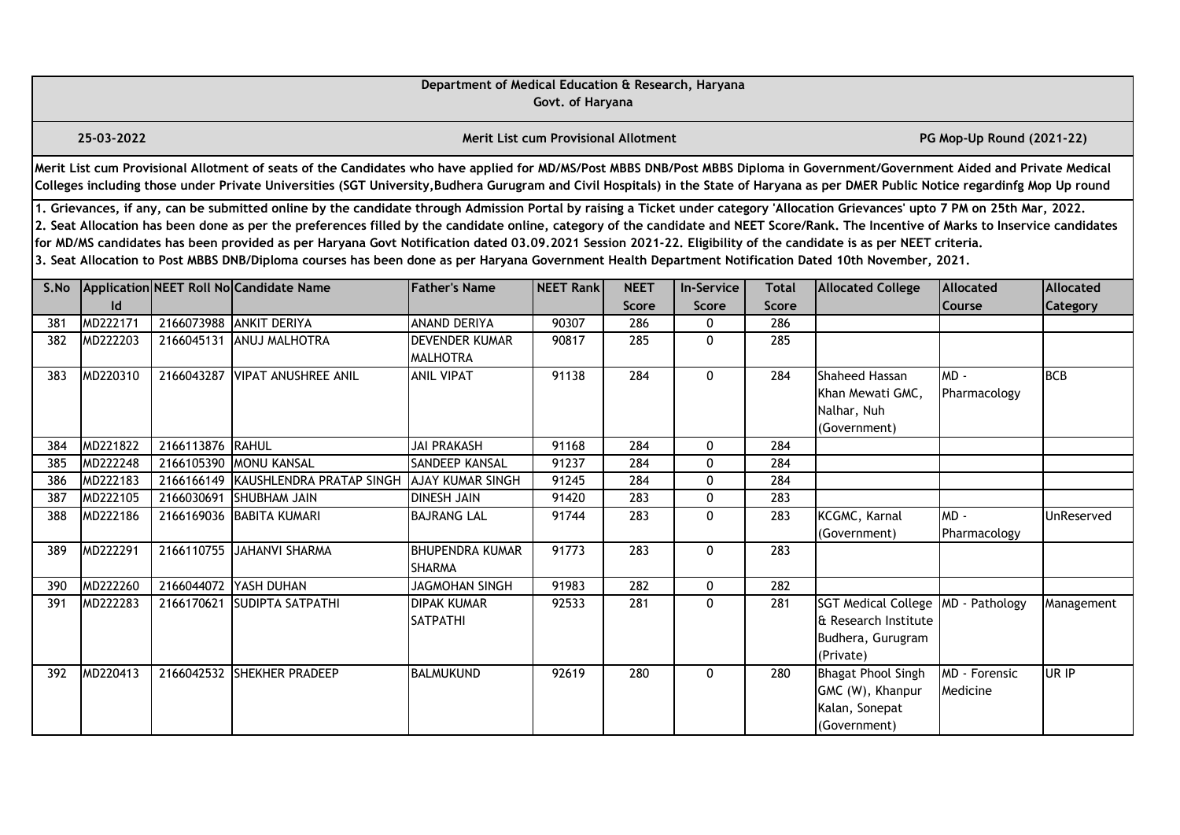|      |                                                                                                                                                                                                                                                                                                                                                                                                                                                                                                                                                                                                                                                                                                                                                                                                                                                                                                               |                  |                                                                                                                                                                                                                                                                                                                                                                       | Department of Medical Education & Research, Haryana | Govt. of Haryana                     |       |              |              |                                                                                      |                           |            |  |  |  |
|------|---------------------------------------------------------------------------------------------------------------------------------------------------------------------------------------------------------------------------------------------------------------------------------------------------------------------------------------------------------------------------------------------------------------------------------------------------------------------------------------------------------------------------------------------------------------------------------------------------------------------------------------------------------------------------------------------------------------------------------------------------------------------------------------------------------------------------------------------------------------------------------------------------------------|------------------|-----------------------------------------------------------------------------------------------------------------------------------------------------------------------------------------------------------------------------------------------------------------------------------------------------------------------------------------------------------------------|-----------------------------------------------------|--------------------------------------|-------|--------------|--------------|--------------------------------------------------------------------------------------|---------------------------|------------|--|--|--|
|      | 25-03-2022                                                                                                                                                                                                                                                                                                                                                                                                                                                                                                                                                                                                                                                                                                                                                                                                                                                                                                    |                  |                                                                                                                                                                                                                                                                                                                                                                       |                                                     | Merit List cum Provisional Allotment |       |              |              |                                                                                      | PG Mop-Up Round (2021-22) |            |  |  |  |
|      |                                                                                                                                                                                                                                                                                                                                                                                                                                                                                                                                                                                                                                                                                                                                                                                                                                                                                                               |                  | Merit List cum Provisional Allotment of seats of the Candidates who have applied for MD/MS/Post MBBS DNB/Post MBBS Diploma in Government/Government Aided and Private Medical<br>Colleges including those under Private Universities (SGT University, Budhera Gurugram and Civil Hospitals) in the State of Haryana as per DMER Public Notice regardinfg Mop Up round |                                                     |                                      |       |              |              |                                                                                      |                           |            |  |  |  |
|      | 1. Grievances, if any, can be submitted online by the candidate through Admission Portal by raising a Ticket under category 'Allocation Grievances' upto 7 PM on 25th Mar, 2022.<br>2. Seat Allocation has been done as per the preferences filled by the candidate online, category of the candidate and NEET Score/Rank. The Incentive of Marks to Inservice candidates<br>for MD/MS candidates has been provided as per Haryana Govt Notification dated 03.09.2021 Session 2021-22. Eligibility of the candidate is as per NEET criteria.<br>3. Seat Allocation to Post MBBS DNB/Diploma courses has been done as per Haryana Government Health Department Notification Dated 10th November, 2021.<br>Application NEET Roll No Candidate Name<br><b>Father's Name</b><br>NEET Rank<br><b>NEET</b><br><b>In-Service</b><br><b>Total</b><br><b>Allocated College</b><br><b>Allocated</b><br><b>Allocated</b> |                  |                                                                                                                                                                                                                                                                                                                                                                       |                                                     |                                      |       |              |              |                                                                                      |                           |            |  |  |  |
| S.No |                                                                                                                                                                                                                                                                                                                                                                                                                                                                                                                                                                                                                                                                                                                                                                                                                                                                                                               |                  |                                                                                                                                                                                                                                                                                                                                                                       |                                                     |                                      |       |              |              |                                                                                      |                           |            |  |  |  |
|      | $\mathsf{Id}$                                                                                                                                                                                                                                                                                                                                                                                                                                                                                                                                                                                                                                                                                                                                                                                                                                                                                                 |                  |                                                                                                                                                                                                                                                                                                                                                                       |                                                     |                                      | Score | <b>Score</b> | <b>Score</b> |                                                                                      | Course                    | Category   |  |  |  |
| 381  | MD222171                                                                                                                                                                                                                                                                                                                                                                                                                                                                                                                                                                                                                                                                                                                                                                                                                                                                                                      |                  | 2166073988 ANKIT DERIYA                                                                                                                                                                                                                                                                                                                                               | ANAND DERIYA                                        | 90307                                | 286   | 0            | 286          |                                                                                      |                           |            |  |  |  |
| 382  | MD222203                                                                                                                                                                                                                                                                                                                                                                                                                                                                                                                                                                                                                                                                                                                                                                                                                                                                                                      | 2166045131       | <b>ANUJ MALHOTRA</b>                                                                                                                                                                                                                                                                                                                                                  | <b>DEVENDER KUMAR</b><br><b>MALHOTRA</b>            | 90817                                | 285   | 0            | 285          |                                                                                      |                           |            |  |  |  |
| 383  | MD220310                                                                                                                                                                                                                                                                                                                                                                                                                                                                                                                                                                                                                                                                                                                                                                                                                                                                                                      |                  | 2166043287 VIPAT ANUSHREE ANIL                                                                                                                                                                                                                                                                                                                                        | <b>ANIL VIPAT</b>                                   | 91138                                | 284   | $\mathbf{0}$ | 284          | Shaheed Hassan<br>Khan Mewati GMC,<br>Nalhar, Nuh<br>(Government)                    | $MD -$<br>Pharmacology    | <b>BCB</b> |  |  |  |
| 384  | MD221822                                                                                                                                                                                                                                                                                                                                                                                                                                                                                                                                                                                                                                                                                                                                                                                                                                                                                                      | 2166113876 RAHUL |                                                                                                                                                                                                                                                                                                                                                                       | <b>JAI PRAKASH</b>                                  | 91168                                | 284   | 0            | 284          |                                                                                      |                           |            |  |  |  |
| 385  | MD222248                                                                                                                                                                                                                                                                                                                                                                                                                                                                                                                                                                                                                                                                                                                                                                                                                                                                                                      |                  | 2166105390 MONU KANSAL                                                                                                                                                                                                                                                                                                                                                | SANDEEP KANSAL                                      | 91237                                | 284   | 0            | 284          |                                                                                      |                           |            |  |  |  |
| 386  | MD222183                                                                                                                                                                                                                                                                                                                                                                                                                                                                                                                                                                                                                                                                                                                                                                                                                                                                                                      |                  | 2166166149 KAUSHLENDRA PRATAP SINGH                                                                                                                                                                                                                                                                                                                                   | <b>AJAY KUMAR SINGH</b>                             | 91245                                | 284   | 0            | 284          |                                                                                      |                           |            |  |  |  |
| 387  | MD222105                                                                                                                                                                                                                                                                                                                                                                                                                                                                                                                                                                                                                                                                                                                                                                                                                                                                                                      | 2166030691       | <b>SHUBHAM JAIN</b>                                                                                                                                                                                                                                                                                                                                                   | <b>DINESH JAIN</b>                                  | 91420                                | 283   | 0            | 283          |                                                                                      |                           |            |  |  |  |
| 388  | MD222186                                                                                                                                                                                                                                                                                                                                                                                                                                                                                                                                                                                                                                                                                                                                                                                                                                                                                                      |                  | 2166169036 BABITA KUMARI                                                                                                                                                                                                                                                                                                                                              | <b>BAJRANG LAL</b>                                  | 91744                                | 283   | $\mathbf{0}$ | 283          | KCGMC, Karnal<br>(Government)                                                        | $MD -$<br>Pharmacology    | UnReserved |  |  |  |
| 389  | MD222291                                                                                                                                                                                                                                                                                                                                                                                                                                                                                                                                                                                                                                                                                                                                                                                                                                                                                                      |                  | 2166110755 JAHANVI SHARMA                                                                                                                                                                                                                                                                                                                                             | <b>BHUPENDRA KUMAR</b><br><b>SHARMA</b>             | 91773                                | 283   | 0            | 283          |                                                                                      |                           |            |  |  |  |
| 390  | MD222260                                                                                                                                                                                                                                                                                                                                                                                                                                                                                                                                                                                                                                                                                                                                                                                                                                                                                                      | 2166044072       | <b>YASH DUHAN</b>                                                                                                                                                                                                                                                                                                                                                     | <b>JAGMOHAN SINGH</b>                               | 91983                                | 282   | 0            | 282          |                                                                                      |                           |            |  |  |  |
| 391  | MD222283                                                                                                                                                                                                                                                                                                                                                                                                                                                                                                                                                                                                                                                                                                                                                                                                                                                                                                      |                  | 2166170621 SUDIPTA SATPATHI                                                                                                                                                                                                                                                                                                                                           | <b>DIPAK KUMAR</b><br>SATPATHI                      | 92533                                | 281   | 0            | 281          | <b>SGT Medical College</b><br>& Research Institute<br>Budhera, Gurugram<br>(Private) | MD - Pathology            | Management |  |  |  |
| 392  | MD220413                                                                                                                                                                                                                                                                                                                                                                                                                                                                                                                                                                                                                                                                                                                                                                                                                                                                                                      |                  | 2166042532 SHEKHER PRADEEP                                                                                                                                                                                                                                                                                                                                            | <b>BALMUKUND</b>                                    | 92619                                | 280   | 0            | 280          | <b>Bhagat Phool Singh</b><br>GMC (W), Khanpur<br>Kalan, Sonepat<br>(Government)      | MD - Forensic<br>Medicine | UR IP      |  |  |  |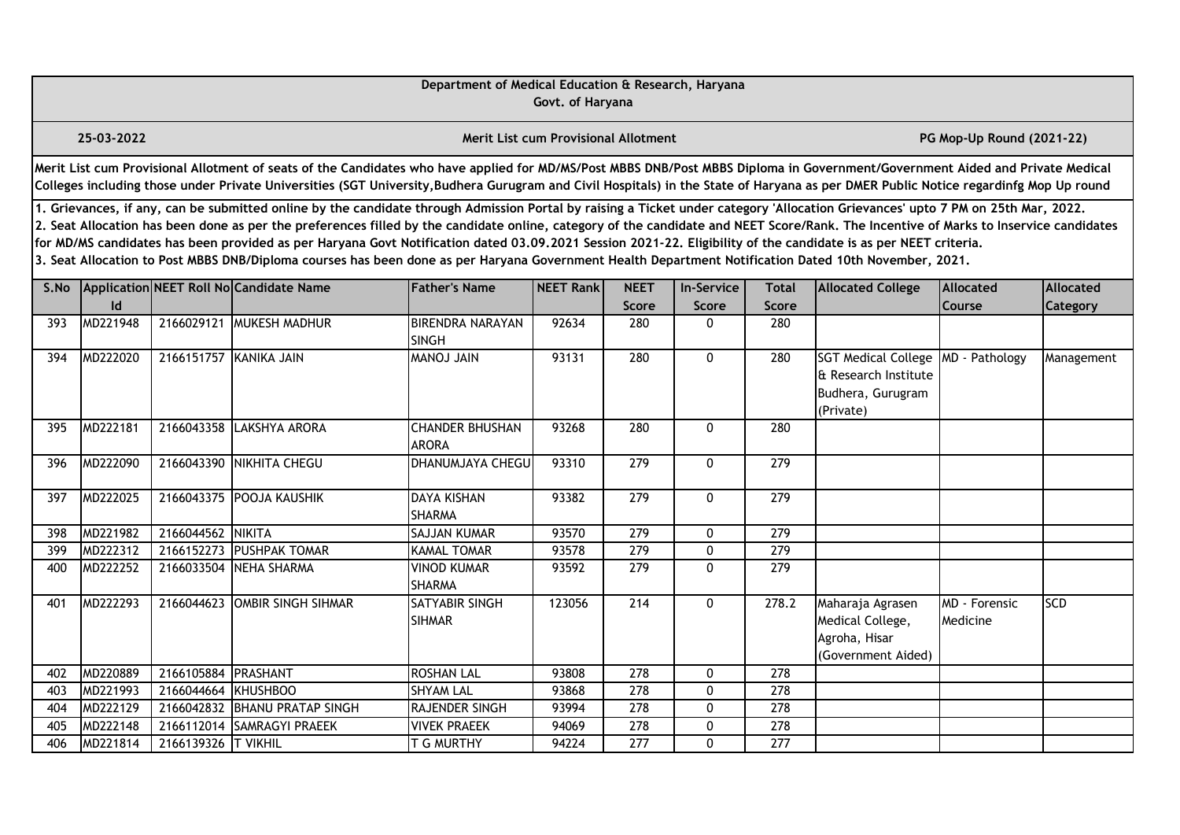|      |                                                                                                                                                                                                                                                                                                                                                                                                                                                                                                                                                                                                                                                                                                                                                                                                                                                        |                     |                                                                                                                                                                                                                                                                                                                                                                       | Department of Medical Education & Research, Haryana | Govt. of Haryana                            |                  |              |                  |                                                                                      |                                  |            |  |  |
|------|--------------------------------------------------------------------------------------------------------------------------------------------------------------------------------------------------------------------------------------------------------------------------------------------------------------------------------------------------------------------------------------------------------------------------------------------------------------------------------------------------------------------------------------------------------------------------------------------------------------------------------------------------------------------------------------------------------------------------------------------------------------------------------------------------------------------------------------------------------|---------------------|-----------------------------------------------------------------------------------------------------------------------------------------------------------------------------------------------------------------------------------------------------------------------------------------------------------------------------------------------------------------------|-----------------------------------------------------|---------------------------------------------|------------------|--------------|------------------|--------------------------------------------------------------------------------------|----------------------------------|------------|--|--|
|      | 25-03-2022                                                                                                                                                                                                                                                                                                                                                                                                                                                                                                                                                                                                                                                                                                                                                                                                                                             |                     |                                                                                                                                                                                                                                                                                                                                                                       |                                                     | <b>Merit List cum Provisional Allotment</b> |                  |              |                  |                                                                                      | PG Mop-Up Round (2021-22)        |            |  |  |
|      |                                                                                                                                                                                                                                                                                                                                                                                                                                                                                                                                                                                                                                                                                                                                                                                                                                                        |                     | Merit List cum Provisional Allotment of seats of the Candidates who have applied for MD/MS/Post MBBS DNB/Post MBBS Diploma in Government/Government Aided and Private Medical<br>Colleges including those under Private Universities (SGT University, Budhera Gurugram and Civil Hospitals) in the State of Haryana as per DMER Public Notice regardinfg Mop Up round |                                                     |                                             |                  |              |                  |                                                                                      |                                  |            |  |  |
|      | 1. Grievances, if any, can be submitted online by the candidate through Admission Portal by raising a Ticket under category 'Allocation Grievances' upto 7 PM on 25th Mar, 2022.<br>2. Seat Allocation has been done as per the preferences filled by the candidate online, category of the candidate and NEET Score/Rank. The Incentive of Marks to Inservice candidates<br>for MD/MS candidates has been provided as per Haryana Govt Notification dated 03.09.2021 Session 2021-22. Eligibility of the candidate is as per NEET criteria.<br>3. Seat Allocation to Post MBBS DNB/Diploma courses has been done as per Haryana Government Health Department Notification Dated 10th November, 2021.<br>Application NEET Roll No Candidate Name<br><b>Father's Name</b><br><b>NEET</b><br><b>Allocated</b><br><b>In-Service</b><br>Allocated<br>Total |                     |                                                                                                                                                                                                                                                                                                                                                                       |                                                     |                                             |                  |              |                  |                                                                                      |                                  |            |  |  |
| S.No | Id                                                                                                                                                                                                                                                                                                                                                                                                                                                                                                                                                                                                                                                                                                                                                                                                                                                     |                     |                                                                                                                                                                                                                                                                                                                                                                       |                                                     | NEET Rank                                   | Score            | Score        | Score            | <b>Allocated College</b>                                                             | Course                           | Category   |  |  |
| 393  | MD221948                                                                                                                                                                                                                                                                                                                                                                                                                                                                                                                                                                                                                                                                                                                                                                                                                                               |                     | 2166029121 MUKESH MADHUR                                                                                                                                                                                                                                                                                                                                              | <b>BIRENDRA NARAYAN</b><br><b>SINGH</b>             | 92634                                       | 280              | 0            | 280              |                                                                                      |                                  |            |  |  |
| 394  | MD222020                                                                                                                                                                                                                                                                                                                                                                                                                                                                                                                                                                                                                                                                                                                                                                                                                                               |                     | 2166151757 KANIKA JAIN                                                                                                                                                                                                                                                                                                                                                | <b>MANU LOMAM</b>                                   | 93131                                       | 280              | 0            | 280              | <b>SGT Medical College</b><br>& Research Institute<br>Budhera, Gurugram<br>(Private) | MD - Pathology                   | Management |  |  |
| 395  | MD222181                                                                                                                                                                                                                                                                                                                                                                                                                                                                                                                                                                                                                                                                                                                                                                                                                                               |                     | 2166043358 LAKSHYA ARORA                                                                                                                                                                                                                                                                                                                                              | <b>CHANDER BHUSHAN</b><br><b>ARORA</b>              | 93268                                       | 280              | 0            | 280              |                                                                                      |                                  |            |  |  |
| 396  | MD222090                                                                                                                                                                                                                                                                                                                                                                                                                                                                                                                                                                                                                                                                                                                                                                                                                                               |                     | 2166043390 NIKHITA CHEGU                                                                                                                                                                                                                                                                                                                                              | DHANUMJAYA CHEGU                                    | 93310                                       | 279              | 0            | 279              |                                                                                      |                                  |            |  |  |
| 397  | MD222025                                                                                                                                                                                                                                                                                                                                                                                                                                                                                                                                                                                                                                                                                                                                                                                                                                               |                     | 2166043375 POOJA KAUSHIK                                                                                                                                                                                                                                                                                                                                              | <b>DAYA KISHAN</b><br><b>SHARMA</b>                 | 93382                                       | 279              | $\mathbf{0}$ | 279              |                                                                                      |                                  |            |  |  |
| 398  | MD221982                                                                                                                                                                                                                                                                                                                                                                                                                                                                                                                                                                                                                                                                                                                                                                                                                                               | 2166044562 NIKITA   |                                                                                                                                                                                                                                                                                                                                                                       | SAJJAN KUMAR                                        | 93570                                       | $\overline{279}$ | $\mathbf{0}$ | $\overline{279}$ |                                                                                      |                                  |            |  |  |
| 399  | MD222312                                                                                                                                                                                                                                                                                                                                                                                                                                                                                                                                                                                                                                                                                                                                                                                                                                               | 2166152273          | <b>PUSHPAK TOMAR</b>                                                                                                                                                                                                                                                                                                                                                  | <b>KAMAL TOMAR</b>                                  | 93578                                       | $\overline{279}$ | $\mathbf{0}$ | $\overline{279}$ |                                                                                      |                                  |            |  |  |
| 400  | MD222252                                                                                                                                                                                                                                                                                                                                                                                                                                                                                                                                                                                                                                                                                                                                                                                                                                               |                     | 2166033504 NEHA SHARMA                                                                                                                                                                                                                                                                                                                                                | <b>VINOD KUMAR</b><br><b>SHARMA</b>                 | 93592                                       | 279              | 0            | 279              |                                                                                      |                                  |            |  |  |
| 401  | MD222293                                                                                                                                                                                                                                                                                                                                                                                                                                                                                                                                                                                                                                                                                                                                                                                                                                               | 2166044623          | OMBIR SINGH SIHMAR                                                                                                                                                                                                                                                                                                                                                    | SATYABIR SINGH<br><b>SIHMAR</b>                     | 123056                                      | 214              | 0            | 278.2            | Maharaja Agrasen<br>Medical College,<br>Agroha, Hisar<br>(Government Aided)          | <b>MD</b> - Forensic<br>Medicine | <b>SCD</b> |  |  |
| 402  | MD220889                                                                                                                                                                                                                                                                                                                                                                                                                                                                                                                                                                                                                                                                                                                                                                                                                                               | 2166105884 PRASHANT |                                                                                                                                                                                                                                                                                                                                                                       | <b>ROSHAN LAL</b>                                   | 93808                                       | 278              | 0            | 278              |                                                                                      |                                  |            |  |  |
| 403  | MD221993                                                                                                                                                                                                                                                                                                                                                                                                                                                                                                                                                                                                                                                                                                                                                                                                                                               | 2166044664          | KHUSHBOO                                                                                                                                                                                                                                                                                                                                                              | <b>SHYAM LAL</b>                                    | 93868                                       | 278              | 0            | 278              |                                                                                      |                                  |            |  |  |
| 404  | MD222129                                                                                                                                                                                                                                                                                                                                                                                                                                                                                                                                                                                                                                                                                                                                                                                                                                               |                     | 2166042832 BHANU PRATAP SINGH                                                                                                                                                                                                                                                                                                                                         | RAJENDER SINGH                                      | 93994                                       | 278              | 0            | $\overline{278}$ |                                                                                      |                                  |            |  |  |
| 405  | MD222148                                                                                                                                                                                                                                                                                                                                                                                                                                                                                                                                                                                                                                                                                                                                                                                                                                               |                     | 2166112014 SAMRAGYI PRAEEK                                                                                                                                                                                                                                                                                                                                            | <b>VIVEK PRAEEK</b>                                 | 94069                                       | 278              | 0            | 278              |                                                                                      |                                  |            |  |  |
| 406  | MD221814                                                                                                                                                                                                                                                                                                                                                                                                                                                                                                                                                                                                                                                                                                                                                                                                                                               | 2166139326 T VIKHIL |                                                                                                                                                                                                                                                                                                                                                                       | T G MURTHY                                          | 94224                                       | 277              | 0            | 277              |                                                                                      |                                  |            |  |  |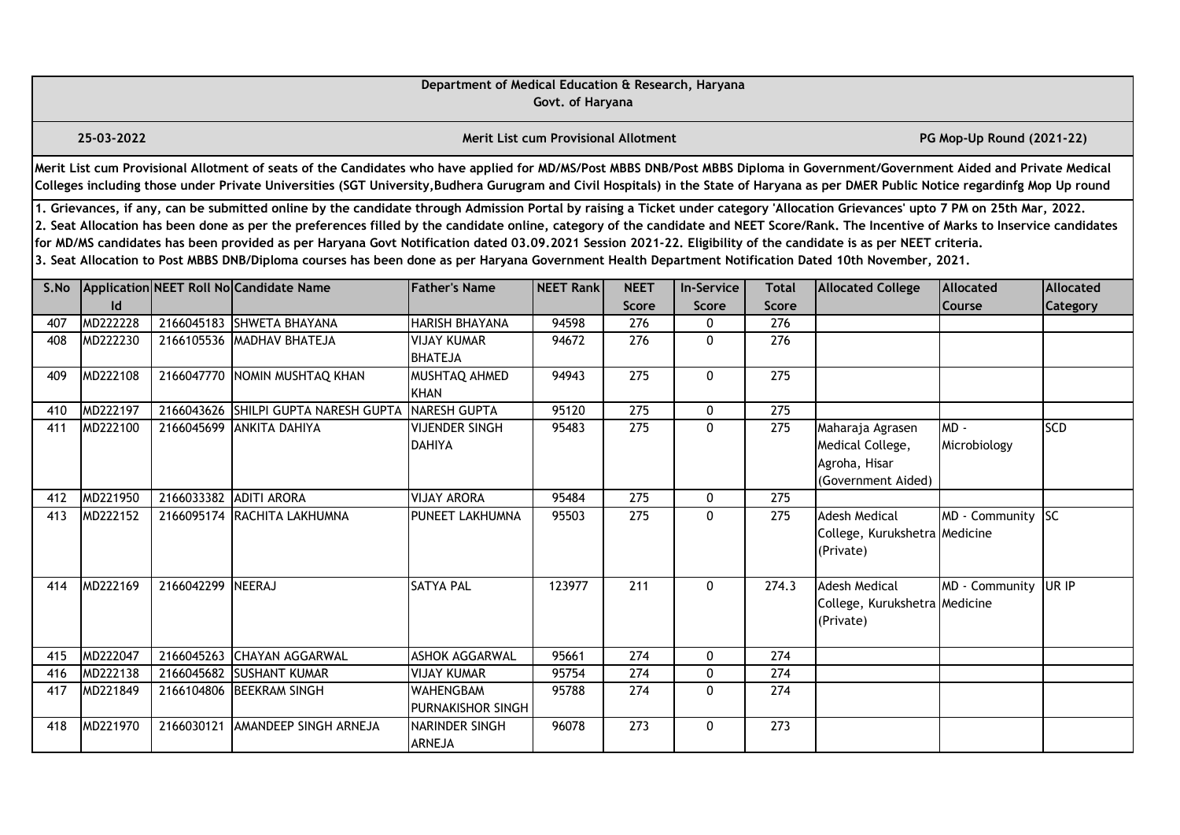|      | Department of Medical Education & Research, Haryana<br>Govt. of Haryana<br><b>Merit List cum Provisional Allotment</b><br>PG Mop-Up Round (2021-22)                                                                                                                                                                                                                                                                                                                                                                                                                                                                                                                                                                                                                                                                                                                                                            |                        |                                                                                                                                                                                                                                                                                                                                                                       |                                        |        |                  |              |                  |                                                                             |                     |            |  |  |  |
|------|----------------------------------------------------------------------------------------------------------------------------------------------------------------------------------------------------------------------------------------------------------------------------------------------------------------------------------------------------------------------------------------------------------------------------------------------------------------------------------------------------------------------------------------------------------------------------------------------------------------------------------------------------------------------------------------------------------------------------------------------------------------------------------------------------------------------------------------------------------------------------------------------------------------|------------------------|-----------------------------------------------------------------------------------------------------------------------------------------------------------------------------------------------------------------------------------------------------------------------------------------------------------------------------------------------------------------------|----------------------------------------|--------|------------------|--------------|------------------|-----------------------------------------------------------------------------|---------------------|------------|--|--|--|
|      | 25-03-2022                                                                                                                                                                                                                                                                                                                                                                                                                                                                                                                                                                                                                                                                                                                                                                                                                                                                                                     |                        |                                                                                                                                                                                                                                                                                                                                                                       |                                        |        |                  |              |                  |                                                                             |                     |            |  |  |  |
|      |                                                                                                                                                                                                                                                                                                                                                                                                                                                                                                                                                                                                                                                                                                                                                                                                                                                                                                                |                        | Merit List cum Provisional Allotment of seats of the Candidates who have applied for MD/MS/Post MBBS DNB/Post MBBS Diploma in Government/Government Aided and Private Medical<br>Colleges including those under Private Universities (SGT University, Budhera Gurugram and Civil Hospitals) in the State of Haryana as per DMER Public Notice regardinfg Mop Up round |                                        |        |                  |              |                  |                                                                             |                     |            |  |  |  |
|      | 1. Grievances, if any, can be submitted online by the candidate through Admission Portal by raising a Ticket under category 'Allocation Grievances' upto 7 PM on 25th Mar, 2022.<br>2. Seat Allocation has been done as per the preferences filled by the candidate online, category of the candidate and NEET Score/Rank. The Incentive of Marks to Inservice candidates<br>for MD/MS candidates has been provided as per Haryana Govt Notification dated 03.09.2021 Session 2021-22. Eligibility of the candidate is as per NEET criteria.<br>3. Seat Allocation to Post MBBS DNB/Diploma courses has been done as per Haryana Government Health Department Notification Dated 10th November, 2021.<br>Application NEET Roll No Candidate Name<br><b>Father's Name</b><br><b>NEET</b><br>Allocated<br><b>NEET Rankl</b><br><b>In-Service</b><br><b>Total</b><br><b>Allocated College</b><br><b>Allocated</b> |                        |                                                                                                                                                                                                                                                                                                                                                                       |                                        |        |                  |              |                  |                                                                             |                     |            |  |  |  |
| S.No | $\mathsf{Id}$                                                                                                                                                                                                                                                                                                                                                                                                                                                                                                                                                                                                                                                                                                                                                                                                                                                                                                  |                        |                                                                                                                                                                                                                                                                                                                                                                       |                                        |        | <b>Score</b>     | <b>Score</b> | <b>Score</b>     |                                                                             | <b>Course</b>       | Category   |  |  |  |
| 407  | MD222228                                                                                                                                                                                                                                                                                                                                                                                                                                                                                                                                                                                                                                                                                                                                                                                                                                                                                                       |                        | 2166045183 SHWETA BHAYANA                                                                                                                                                                                                                                                                                                                                             | <b>HARISH BHAYANA</b>                  | 94598  | 276              | 0            | 276              |                                                                             |                     |            |  |  |  |
| 408  | MD222230                                                                                                                                                                                                                                                                                                                                                                                                                                                                                                                                                                                                                                                                                                                                                                                                                                                                                                       |                        | 2166105536 MADHAV BHATEJA                                                                                                                                                                                                                                                                                                                                             | <b>VIJAY KUMAR</b><br><b>BHATEJA</b>   | 94672  | 276              | $\mathbf{0}$ | 276              |                                                                             |                     |            |  |  |  |
| 409  | MD222108                                                                                                                                                                                                                                                                                                                                                                                                                                                                                                                                                                                                                                                                                                                                                                                                                                                                                                       |                        | 2166047770 NOMIN MUSHTAQ KHAN                                                                                                                                                                                                                                                                                                                                         | MUSHTAQ AHMED<br><b>KHAN</b>           | 94943  | 275              | $\mathbf{0}$ | $\overline{275}$ |                                                                             |                     |            |  |  |  |
| 410  | MD222197                                                                                                                                                                                                                                                                                                                                                                                                                                                                                                                                                                                                                                                                                                                                                                                                                                                                                                       |                        | 2166043626 SHILPI GUPTA NARESH GUPTA                                                                                                                                                                                                                                                                                                                                  | <b>NARESH GUPTA</b>                    | 95120  | 275              | 0            | 275              |                                                                             |                     |            |  |  |  |
| 411  | MD222100                                                                                                                                                                                                                                                                                                                                                                                                                                                                                                                                                                                                                                                                                                                                                                                                                                                                                                       |                        | 2166045699 ANKITA DAHIYA                                                                                                                                                                                                                                                                                                                                              | <b>VIJENDER SINGH</b><br><b>DAHIYA</b> | 95483  | $\overline{275}$ | $\mathbf 0$  | 275              | Maharaja Agrasen<br>Medical College,<br>Agroha, Hisar<br>(Government Aided) | MD-<br>Microbiology | <b>SCD</b> |  |  |  |
| 412  | MD221950                                                                                                                                                                                                                                                                                                                                                                                                                                                                                                                                                                                                                                                                                                                                                                                                                                                                                                       | 2166033382 ADITI ARORA |                                                                                                                                                                                                                                                                                                                                                                       | <b>VIJAY ARORA</b>                     | 95484  | 275              | 0            | 275              |                                                                             |                     |            |  |  |  |
| 413  | MD222152                                                                                                                                                                                                                                                                                                                                                                                                                                                                                                                                                                                                                                                                                                                                                                                                                                                                                                       |                        | 2166095174 RACHITA LAKHUMNA                                                                                                                                                                                                                                                                                                                                           | PUNEET LAKHUMNA                        | 95503  | 275              | $\Omega$     | 275              | <b>Adesh Medical</b><br>College, Kurukshetra Medicine<br>(Private)          | MD - Community      | <b>SC</b>  |  |  |  |
| 414  | MD222169                                                                                                                                                                                                                                                                                                                                                                                                                                                                                                                                                                                                                                                                                                                                                                                                                                                                                                       | 2166042299 NEERAJ      |                                                                                                                                                                                                                                                                                                                                                                       | <b>SATYA PAL</b>                       | 123977 | 211              | $\mathbf{0}$ | 274.3            | <b>Adesh Medical</b><br>College, Kurukshetra Medicine<br>(Private)          | MD - Community      | UR IP      |  |  |  |
| 415  | MD222047                                                                                                                                                                                                                                                                                                                                                                                                                                                                                                                                                                                                                                                                                                                                                                                                                                                                                                       | 2166045263             | <b>CHAYAN AGGARWAL</b>                                                                                                                                                                                                                                                                                                                                                | <b>ASHOK AGGARWAL</b>                  | 95661  | $\overline{274}$ | 0            | 274              |                                                                             |                     |            |  |  |  |
| 416  | MD222138                                                                                                                                                                                                                                                                                                                                                                                                                                                                                                                                                                                                                                                                                                                                                                                                                                                                                                       | 2166045682             | <b>SUSHANT KUMAR</b>                                                                                                                                                                                                                                                                                                                                                  | <b>VIJAY KUMAR</b>                     | 95754  | 274              | 0            | 274              |                                                                             |                     |            |  |  |  |
| 417  | MD221849                                                                                                                                                                                                                                                                                                                                                                                                                                                                                                                                                                                                                                                                                                                                                                                                                                                                                                       | 2166104806             | <b>BEEKRAM SINGH</b>                                                                                                                                                                                                                                                                                                                                                  | WAHENGBAM<br>PURNAKISHOR SINGH         | 95788  | 274              | $\mathbf{0}$ | 274              |                                                                             |                     |            |  |  |  |
| 418  | MD221970                                                                                                                                                                                                                                                                                                                                                                                                                                                                                                                                                                                                                                                                                                                                                                                                                                                                                                       | 2166030121             | AMANDEEP SINGH ARNEJA                                                                                                                                                                                                                                                                                                                                                 | NARINDER SINGH<br>ARNEJA               | 96078  | 273              | 0            | 273              |                                                                             |                     |            |  |  |  |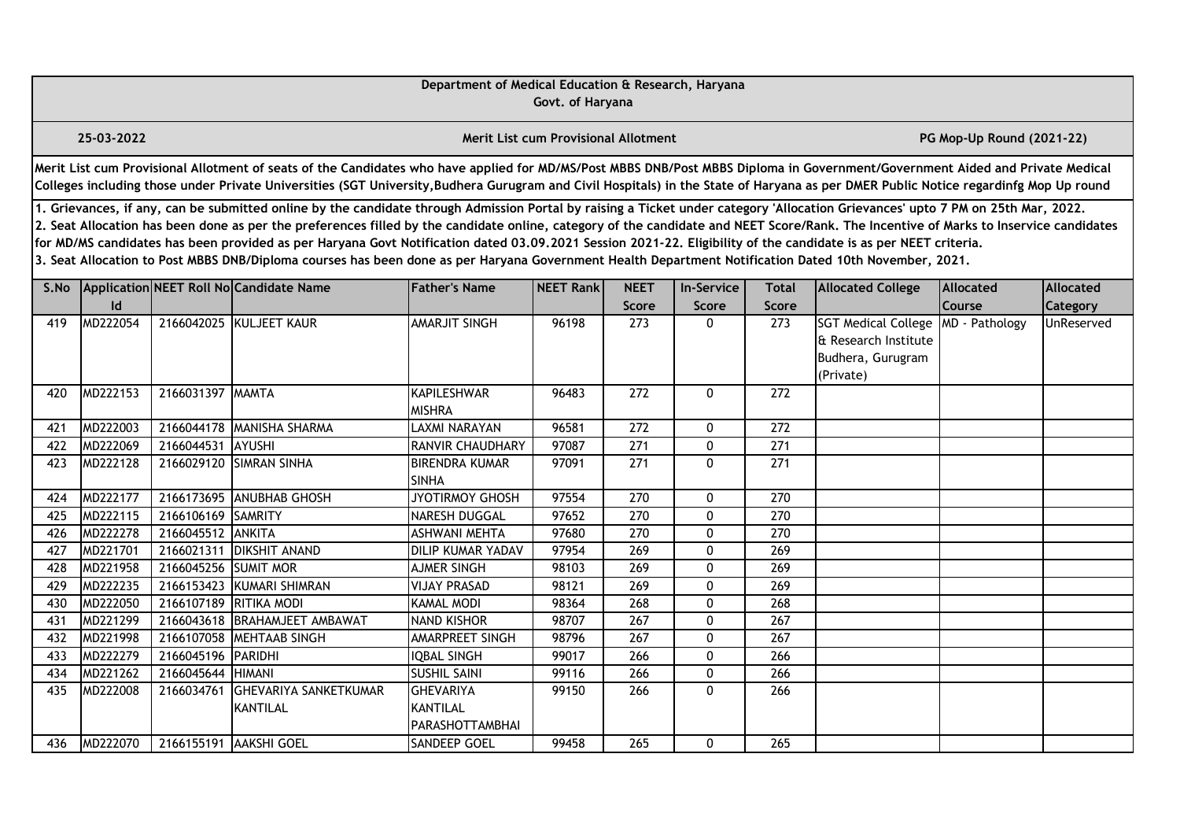|      |                                                                                                                                                                                                                                                                                                                                                                                                                                                                                                                                                                                                                                                                                                                                                                                                              |                      |                                                                                                                                                                                                                                                                                                                                                                       | Department of Medical Education & Research, Haryana           | Govt. of Haryana                            |                      |                            |                  |                                                                                      |                           |                              |  |  |
|------|--------------------------------------------------------------------------------------------------------------------------------------------------------------------------------------------------------------------------------------------------------------------------------------------------------------------------------------------------------------------------------------------------------------------------------------------------------------------------------------------------------------------------------------------------------------------------------------------------------------------------------------------------------------------------------------------------------------------------------------------------------------------------------------------------------------|----------------------|-----------------------------------------------------------------------------------------------------------------------------------------------------------------------------------------------------------------------------------------------------------------------------------------------------------------------------------------------------------------------|---------------------------------------------------------------|---------------------------------------------|----------------------|----------------------------|------------------|--------------------------------------------------------------------------------------|---------------------------|------------------------------|--|--|
|      | 25-03-2022                                                                                                                                                                                                                                                                                                                                                                                                                                                                                                                                                                                                                                                                                                                                                                                                   |                      |                                                                                                                                                                                                                                                                                                                                                                       |                                                               | <b>Merit List cum Provisional Allotment</b> |                      |                            |                  |                                                                                      | PG Mop-Up Round (2021-22) |                              |  |  |
|      |                                                                                                                                                                                                                                                                                                                                                                                                                                                                                                                                                                                                                                                                                                                                                                                                              |                      | Merit List cum Provisional Allotment of seats of the Candidates who have applied for MD/MS/Post MBBS DNB/Post MBBS Diploma in Government/Government Aided and Private Medical<br>Colleges including those under Private Universities (SGT University, Budhera Gurugram and Civil Hospitals) in the State of Haryana as per DMER Public Notice regardinfg Mop Up round |                                                               |                                             |                      |                            |                  |                                                                                      |                           |                              |  |  |
|      | 1. Grievances, if any, can be submitted online by the candidate through Admission Portal by raising a Ticket under category 'Allocation Grievances' upto 7 PM on 25th Mar, 2022.<br>2. Seat Allocation has been done as per the preferences filled by the candidate online, category of the candidate and NEET Score/Rank. The Incentive of Marks to Inservice candidates<br>for MD/MS candidates has been provided as per Haryana Govt Notification dated 03.09.2021 Session 2021-22. Eligibility of the candidate is as per NEET criteria.<br>3. Seat Allocation to Post MBBS DNB/Diploma courses has been done as per Haryana Government Health Department Notification Dated 10th November, 2021.<br>Application NEET Roll No Candidate Name<br><b>Father's Name</b><br><b>Total</b><br><b>Allocated</b> |                      |                                                                                                                                                                                                                                                                                                                                                                       |                                                               |                                             |                      |                            |                  |                                                                                      |                           |                              |  |  |
| S.No | Id                                                                                                                                                                                                                                                                                                                                                                                                                                                                                                                                                                                                                                                                                                                                                                                                           |                      |                                                                                                                                                                                                                                                                                                                                                                       |                                                               | NEET Rank                                   | <b>NEET</b><br>Score | <b>In-Service</b><br>Score | <b>Score</b>     | <b>Allocated College</b>                                                             | <b>Course</b>             | Allocated<br><b>Category</b> |  |  |
| 419  | MD222054                                                                                                                                                                                                                                                                                                                                                                                                                                                                                                                                                                                                                                                                                                                                                                                                     |                      | 2166042025 KULJEET KAUR                                                                                                                                                                                                                                                                                                                                               | AMARJIT SINGH                                                 | 96198                                       | 273                  | 0                          | 273              | <b>SGT Medical College</b><br>& Research Institute<br>Budhera, Gurugram<br>(Private) | MD - Pathology            | UnReserved                   |  |  |
| 420  | MD222153                                                                                                                                                                                                                                                                                                                                                                                                                                                                                                                                                                                                                                                                                                                                                                                                     | 2166031397 MAMTA     |                                                                                                                                                                                                                                                                                                                                                                       | <b>KAPILESHWAR</b><br><b>MISHRA</b>                           | 96483                                       | 272                  | 0                          | 272              |                                                                                      |                           |                              |  |  |
| 421  | MD222003                                                                                                                                                                                                                                                                                                                                                                                                                                                                                                                                                                                                                                                                                                                                                                                                     |                      | 2166044178 MANISHA SHARMA                                                                                                                                                                                                                                                                                                                                             | LAXMI NARAYAN                                                 | 96581                                       | $\overline{272}$     | 0                          | $\overline{272}$ |                                                                                      |                           |                              |  |  |
| 422  | MD222069                                                                                                                                                                                                                                                                                                                                                                                                                                                                                                                                                                                                                                                                                                                                                                                                     | 2166044531           | AYUSHI                                                                                                                                                                                                                                                                                                                                                                | RANVIR CHAUDHARY                                              | 97087                                       | 271                  | 0                          | 271              |                                                                                      |                           |                              |  |  |
| 423  | MD222128                                                                                                                                                                                                                                                                                                                                                                                                                                                                                                                                                                                                                                                                                                                                                                                                     |                      | 2166029120 SIMRAN SINHA                                                                                                                                                                                                                                                                                                                                               | <b>BIRENDRA KUMAR</b><br><b>SINHA</b>                         | 97091                                       | 271                  | $\mathbf{0}$               | 271              |                                                                                      |                           |                              |  |  |
| 424  | MD222177                                                                                                                                                                                                                                                                                                                                                                                                                                                                                                                                                                                                                                                                                                                                                                                                     | 2166173695           | <b>ANUBHAB GHOSH</b>                                                                                                                                                                                                                                                                                                                                                  | JYOTIRMOY GHOSH                                               | 97554                                       | 270                  | $\mathbf 0$                | 270              |                                                                                      |                           |                              |  |  |
| 425  | MD222115                                                                                                                                                                                                                                                                                                                                                                                                                                                                                                                                                                                                                                                                                                                                                                                                     | 2166106169 SAMRITY   |                                                                                                                                                                                                                                                                                                                                                                       | <b>NARESH DUGGAL</b>                                          | 97652                                       | 270                  | $\mathbf 0$                | 270              |                                                                                      |                           |                              |  |  |
| 426  | MD222278                                                                                                                                                                                                                                                                                                                                                                                                                                                                                                                                                                                                                                                                                                                                                                                                     | 2166045512           | ANKITA                                                                                                                                                                                                                                                                                                                                                                | <b>ASHWANI MEHTA</b>                                          | 97680                                       | 270                  | 0                          | 270              |                                                                                      |                           |                              |  |  |
| 427  | MD221701                                                                                                                                                                                                                                                                                                                                                                                                                                                                                                                                                                                                                                                                                                                                                                                                     | 2166021311           | <b>DIKSHIT ANAND</b>                                                                                                                                                                                                                                                                                                                                                  | <b>DILIP KUMAR YADAV</b>                                      | 97954                                       | 269                  | 0                          | 269              |                                                                                      |                           |                              |  |  |
| 428  | MD221958                                                                                                                                                                                                                                                                                                                                                                                                                                                                                                                                                                                                                                                                                                                                                                                                     | 2166045256 SUMIT MOR |                                                                                                                                                                                                                                                                                                                                                                       | <b>AJMER SINGH</b>                                            | 98103                                       | 269                  | 0                          | 269              |                                                                                      |                           |                              |  |  |
| 429  | MD222235                                                                                                                                                                                                                                                                                                                                                                                                                                                                                                                                                                                                                                                                                                                                                                                                     | 2166153423           | <b>KUMARI SHIMRAN</b>                                                                                                                                                                                                                                                                                                                                                 | <b>VIJAY PRASAD</b>                                           | 98121                                       | 269                  | 0                          | $\overline{269}$ |                                                                                      |                           |                              |  |  |
| 430  | MD222050                                                                                                                                                                                                                                                                                                                                                                                                                                                                                                                                                                                                                                                                                                                                                                                                     | 2166107189           | <b>RITIKA MODI</b>                                                                                                                                                                                                                                                                                                                                                    | <b>KAMAL MODI</b>                                             | 98364                                       | 268                  | 0                          | 268              |                                                                                      |                           |                              |  |  |
| 431  | MD221299                                                                                                                                                                                                                                                                                                                                                                                                                                                                                                                                                                                                                                                                                                                                                                                                     |                      | 2166043618 BRAHAMJEET AMBAWAT                                                                                                                                                                                                                                                                                                                                         | <b>NAND KISHOR</b>                                            | 98707                                       | 267                  | 0                          | 267              |                                                                                      |                           |                              |  |  |
| 432  | MD221998                                                                                                                                                                                                                                                                                                                                                                                                                                                                                                                                                                                                                                                                                                                                                                                                     | 2166107058           | MEHTAAB SINGH                                                                                                                                                                                                                                                                                                                                                         | AMARPREET SINGH                                               | 98796                                       | 267                  | 0                          | 267              |                                                                                      |                           |                              |  |  |
| 433  | MD222279                                                                                                                                                                                                                                                                                                                                                                                                                                                                                                                                                                                                                                                                                                                                                                                                     | 2166045196           | PARIDHI                                                                                                                                                                                                                                                                                                                                                               | <b>IQBAL SINGH</b>                                            | 99017                                       | 266                  | 0                          | 266              |                                                                                      |                           |                              |  |  |
| 434  | MD221262                                                                                                                                                                                                                                                                                                                                                                                                                                                                                                                                                                                                                                                                                                                                                                                                     | 2166045644           | <b>HIMANI</b>                                                                                                                                                                                                                                                                                                                                                         | <b>SUSHIL SAINI</b>                                           | 99116                                       | 266                  | 0                          | 266              |                                                                                      |                           |                              |  |  |
| 435  | MD222008                                                                                                                                                                                                                                                                                                                                                                                                                                                                                                                                                                                                                                                                                                                                                                                                     | 2166034761           | <b>GHEVARIYA SANKETKUMAR</b><br>KANTILAL                                                                                                                                                                                                                                                                                                                              | <b>GHEVARIYA</b><br><b>KANTILAL</b><br><b>PARASHOTTAMBHAI</b> | 99150                                       | 266                  | 0                          | 266              |                                                                                      |                           |                              |  |  |
| 436  | MD222070                                                                                                                                                                                                                                                                                                                                                                                                                                                                                                                                                                                                                                                                                                                                                                                                     |                      | 2166155191 AAKSHI GOEL                                                                                                                                                                                                                                                                                                                                                | <b>SANDEEP GOEL</b>                                           | 99458                                       | 265                  | 0                          | 265              |                                                                                      |                           |                              |  |  |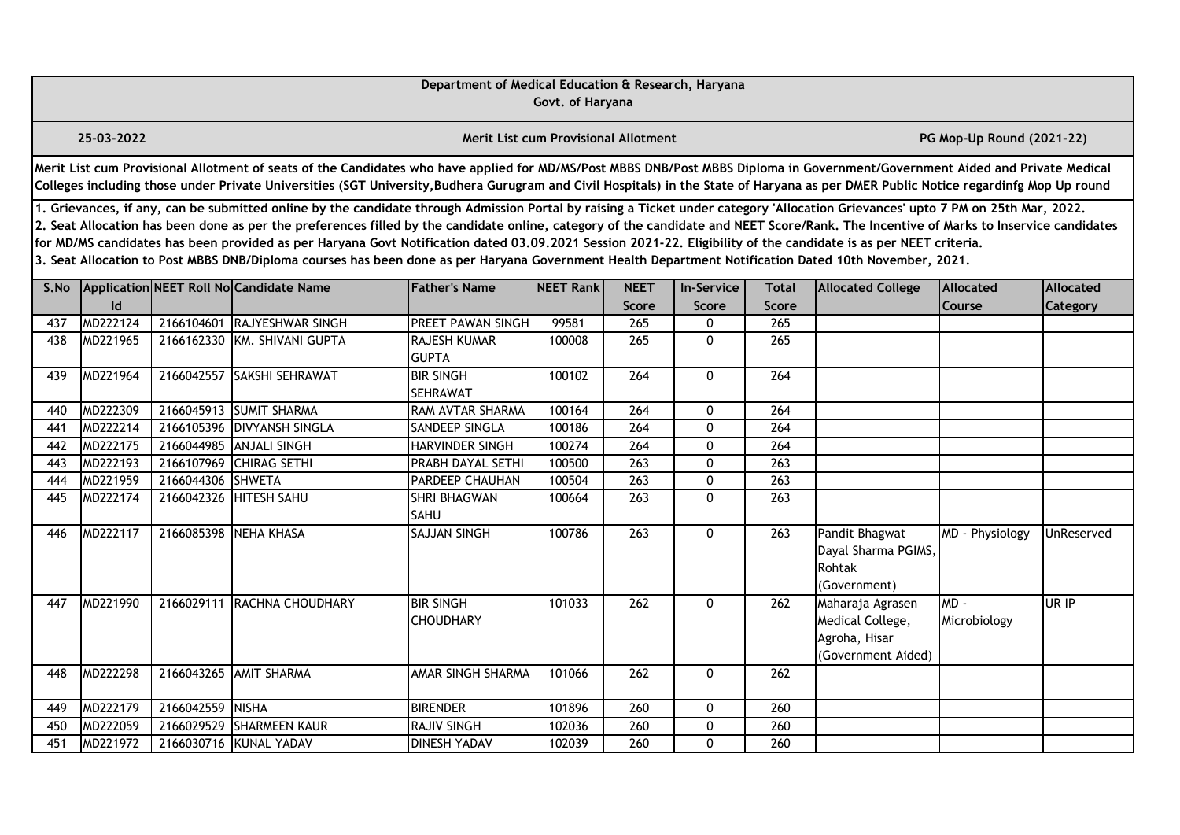|      |                                                                                                                                                                                                                                                                                                                                                                                                                                                                                                                                                                                                                                                                                                                                                                                                        |                   |                                                                                                                                                                                                                                                                                                                                                                       | Department of Medical Education & Research, Haryana | Govt. of Haryana                            |                      |              |                              |                                                                             |                           |            |  |  |
|------|--------------------------------------------------------------------------------------------------------------------------------------------------------------------------------------------------------------------------------------------------------------------------------------------------------------------------------------------------------------------------------------------------------------------------------------------------------------------------------------------------------------------------------------------------------------------------------------------------------------------------------------------------------------------------------------------------------------------------------------------------------------------------------------------------------|-------------------|-----------------------------------------------------------------------------------------------------------------------------------------------------------------------------------------------------------------------------------------------------------------------------------------------------------------------------------------------------------------------|-----------------------------------------------------|---------------------------------------------|----------------------|--------------|------------------------------|-----------------------------------------------------------------------------|---------------------------|------------|--|--|
|      | 25-03-2022                                                                                                                                                                                                                                                                                                                                                                                                                                                                                                                                                                                                                                                                                                                                                                                             |                   |                                                                                                                                                                                                                                                                                                                                                                       |                                                     | <b>Merit List cum Provisional Allotment</b> |                      |              |                              |                                                                             | PG Mop-Up Round (2021-22) |            |  |  |
|      |                                                                                                                                                                                                                                                                                                                                                                                                                                                                                                                                                                                                                                                                                                                                                                                                        |                   | Merit List cum Provisional Allotment of seats of the Candidates who have applied for MD/MS/Post MBBS DNB/Post MBBS Diploma in Government/Government Aided and Private Medical<br>Colleges including those under Private Universities (SGT University, Budhera Gurugram and Civil Hospitals) in the State of Haryana as per DMER Public Notice regardinfg Mop Up round |                                                     |                                             |                      |              |                              |                                                                             |                           |            |  |  |
|      | 1. Grievances, if any, can be submitted online by the candidate through Admission Portal by raising a Ticket under category 'Allocation Grievances' upto 7 PM on 25th Mar, 2022.<br>2. Seat Allocation has been done as per the preferences filled by the candidate online, category of the candidate and NEET Score/Rank. The Incentive of Marks to Inservice candidates<br>for MD/MS candidates has been provided as per Haryana Govt Notification dated 03.09.2021 Session 2021-22. Eligibility of the candidate is as per NEET criteria.<br>3. Seat Allocation to Post MBBS DNB/Diploma courses has been done as per Haryana Government Health Department Notification Dated 10th November, 2021.<br>Application NEET Roll No Candidate Name<br><b>In-Service</b><br>Allocated<br><b>Allocated</b> |                   |                                                                                                                                                                                                                                                                                                                                                                       |                                                     |                                             |                      |              |                              |                                                                             |                           |            |  |  |
| S.No | Id                                                                                                                                                                                                                                                                                                                                                                                                                                                                                                                                                                                                                                                                                                                                                                                                     |                   |                                                                                                                                                                                                                                                                                                                                                                       | <b>Father's Name</b>                                | NEET Rank                                   | <b>NEET</b><br>Score | Score        | <b>Total</b><br><b>Score</b> | <b>Allocated College</b>                                                    | Course                    | Category   |  |  |
| 437  | MD222124                                                                                                                                                                                                                                                                                                                                                                                                                                                                                                                                                                                                                                                                                                                                                                                               |                   | 2166104601 RAJYESHWAR SINGH                                                                                                                                                                                                                                                                                                                                           | PREET PAWAN SINGH                                   | 99581                                       | 265                  | 0            | 265                          |                                                                             |                           |            |  |  |
| 438  | MD221965                                                                                                                                                                                                                                                                                                                                                                                                                                                                                                                                                                                                                                                                                                                                                                                               |                   | 2166162330 KM. SHIVANI GUPTA                                                                                                                                                                                                                                                                                                                                          | RAJESH KUMAR<br><b>GUPTA</b>                        | 100008                                      | 265                  | 0            | 265                          |                                                                             |                           |            |  |  |
| 439  | MD221964                                                                                                                                                                                                                                                                                                                                                                                                                                                                                                                                                                                                                                                                                                                                                                                               |                   | 2166042557 SAKSHI SEHRAWAT                                                                                                                                                                                                                                                                                                                                            | <b>BIR SINGH</b><br>SEHRAWAT                        | 100102                                      | 264                  | $\mathbf{0}$ | 264                          |                                                                             |                           |            |  |  |
| 440  | MD222309                                                                                                                                                                                                                                                                                                                                                                                                                                                                                                                                                                                                                                                                                                                                                                                               |                   | 2166045913 SUMIT SHARMA                                                                                                                                                                                                                                                                                                                                               | RAM AVTAR SHARMA                                    | 100164                                      | 264                  | $\mathbf{0}$ | 264                          |                                                                             |                           |            |  |  |
| 441  | MD222214                                                                                                                                                                                                                                                                                                                                                                                                                                                                                                                                                                                                                                                                                                                                                                                               |                   | 2166105396 DIVYANSH SINGLA                                                                                                                                                                                                                                                                                                                                            | SANDEEP SINGLA                                      | 100186                                      | $\overline{264}$     | 0            | $\overline{264}$             |                                                                             |                           |            |  |  |
| 442  | MD222175                                                                                                                                                                                                                                                                                                                                                                                                                                                                                                                                                                                                                                                                                                                                                                                               |                   | 2166044985 ANJALI SINGH                                                                                                                                                                                                                                                                                                                                               | HARVINDER SINGH                                     | 100274                                      | 264                  | 0            | 264                          |                                                                             |                           |            |  |  |
| 443  | MD222193                                                                                                                                                                                                                                                                                                                                                                                                                                                                                                                                                                                                                                                                                                                                                                                               | 2166107969        | <b>CHIRAG SETHI</b>                                                                                                                                                                                                                                                                                                                                                   | PRABH DAYAL SETHI                                   | 100500                                      | 263                  | 0            | 263                          |                                                                             |                           |            |  |  |
| 444  | MD221959                                                                                                                                                                                                                                                                                                                                                                                                                                                                                                                                                                                                                                                                                                                                                                                               | 2166044306 SHWETA |                                                                                                                                                                                                                                                                                                                                                                       | PARDEEP CHAUHAN                                     | 100504                                      | $\overline{263}$     | 0            | $\overline{263}$             |                                                                             |                           |            |  |  |
| 445  | MD222174                                                                                                                                                                                                                                                                                                                                                                                                                                                                                                                                                                                                                                                                                                                                                                                               |                   | 2166042326 HITESH SAHU                                                                                                                                                                                                                                                                                                                                                | SHRI BHAGWAN<br><b>SAHU</b>                         | 100664                                      | 263                  | 0            | 263                          |                                                                             |                           |            |  |  |
| 446  | MD222117                                                                                                                                                                                                                                                                                                                                                                                                                                                                                                                                                                                                                                                                                                                                                                                               |                   | 2166085398 NEHA KHASA                                                                                                                                                                                                                                                                                                                                                 | <b>SAJJAN SINGH</b>                                 | 100786                                      | $\overline{263}$     | $\Omega$     | 263                          | Pandit Bhagwat<br>Dayal Sharma PGIMS,<br>Rohtak<br>(Government)             | MD - Physiology           | UnReserved |  |  |
| 447  | MD221990                                                                                                                                                                                                                                                                                                                                                                                                                                                                                                                                                                                                                                                                                                                                                                                               |                   | 2166029111 RACHNA CHOUDHARY                                                                                                                                                                                                                                                                                                                                           | <b>BIR SINGH</b><br><b>CHOUDHARY</b>                | 101033                                      | 262                  | $\mathbf{0}$ | 262                          | Maharaja Agrasen<br>Medical College,<br>Agroha, Hisar<br>(Government Aided) | MD-<br>Microbiology       | UR IP      |  |  |
| 448  | MD222298                                                                                                                                                                                                                                                                                                                                                                                                                                                                                                                                                                                                                                                                                                                                                                                               |                   | 2166043265 AMIT SHARMA                                                                                                                                                                                                                                                                                                                                                | AMAR SINGH SHARMA                                   | 101066                                      | 262                  | 0            | 262                          |                                                                             |                           |            |  |  |
| 449  | MD222179                                                                                                                                                                                                                                                                                                                                                                                                                                                                                                                                                                                                                                                                                                                                                                                               | 2166042559 NISHA  |                                                                                                                                                                                                                                                                                                                                                                       | <b>BIRENDER</b>                                     | 101896                                      | 260                  | $\mathbf{0}$ | 260                          |                                                                             |                           |            |  |  |
| 450  | MD222059                                                                                                                                                                                                                                                                                                                                                                                                                                                                                                                                                                                                                                                                                                                                                                                               |                   | 2166029529 SHARMEEN KAUR                                                                                                                                                                                                                                                                                                                                              | RAJIV SINGH                                         | 102036                                      | 260                  | 0            | 260                          |                                                                             |                           |            |  |  |
| 451  | MD221972                                                                                                                                                                                                                                                                                                                                                                                                                                                                                                                                                                                                                                                                                                                                                                                               |                   | 2166030716 KUNAL YADAV                                                                                                                                                                                                                                                                                                                                                | <b>DINESH YADAV</b>                                 | 102039                                      | 260                  | $\Omega$     | 260                          |                                                                             |                           |            |  |  |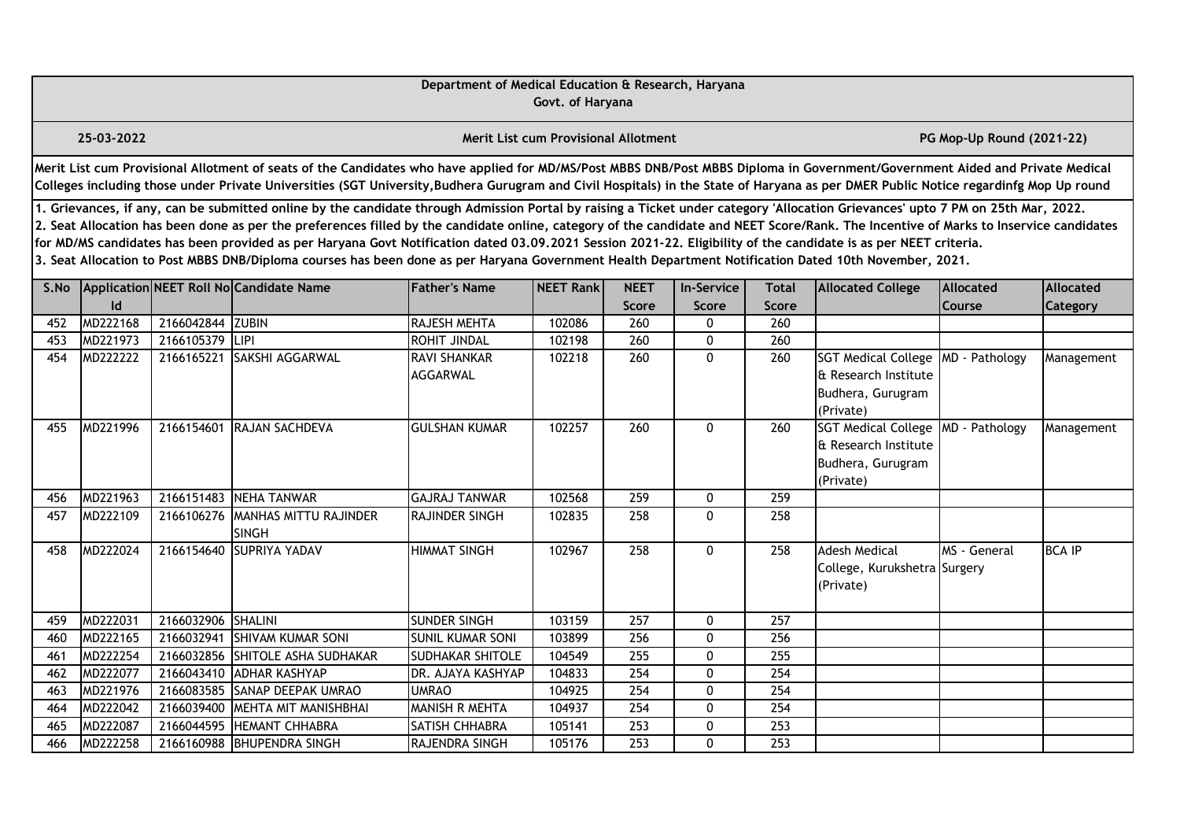|      |                                                                                                                                                                                                                                                                                                                                                                                                                                                                                                                                                                                                                                                                                                                                                  |                    |                                                                                                                                                                                                                                                                                                                                                                       | Department of Medical Education & Research, Haryana | Govt. of Haryana                            |                             |                                   |                              |                                                                                      |                            |                       |  |  |
|------|--------------------------------------------------------------------------------------------------------------------------------------------------------------------------------------------------------------------------------------------------------------------------------------------------------------------------------------------------------------------------------------------------------------------------------------------------------------------------------------------------------------------------------------------------------------------------------------------------------------------------------------------------------------------------------------------------------------------------------------------------|--------------------|-----------------------------------------------------------------------------------------------------------------------------------------------------------------------------------------------------------------------------------------------------------------------------------------------------------------------------------------------------------------------|-----------------------------------------------------|---------------------------------------------|-----------------------------|-----------------------------------|------------------------------|--------------------------------------------------------------------------------------|----------------------------|-----------------------|--|--|
|      | 25-03-2022                                                                                                                                                                                                                                                                                                                                                                                                                                                                                                                                                                                                                                                                                                                                       |                    |                                                                                                                                                                                                                                                                                                                                                                       |                                                     | <b>Merit List cum Provisional Allotment</b> |                             |                                   |                              |                                                                                      | PG Mop-Up Round (2021-22)  |                       |  |  |
|      |                                                                                                                                                                                                                                                                                                                                                                                                                                                                                                                                                                                                                                                                                                                                                  |                    | Merit List cum Provisional Allotment of seats of the Candidates who have applied for MD/MS/Post MBBS DNB/Post MBBS Diploma in Government/Government Aided and Private Medical<br>Colleges including those under Private Universities (SGT University, Budhera Gurugram and Civil Hospitals) in the State of Haryana as per DMER Public Notice regardinfg Mop Up round |                                                     |                                             |                             |                                   |                              |                                                                                      |                            |                       |  |  |
|      | 1. Grievances, if any, can be submitted online by the candidate through Admission Portal by raising a Ticket under category 'Allocation Grievances' upto 7 PM on 25th Mar, 2022.<br>2. Seat Allocation has been done as per the preferences filled by the candidate online, category of the candidate and NEET Score/Rank. The Incentive of Marks to Inservice candidates<br>for MD/MS candidates has been provided as per Haryana Govt Notification dated 03.09.2021 Session 2021-22. Eligibility of the candidate is as per NEET criteria.<br>3. Seat Allocation to Post MBBS DNB/Diploma courses has been done as per Haryana Government Health Department Notification Dated 10th November, 2021.<br>Application NEET Roll No Candidate Name |                    |                                                                                                                                                                                                                                                                                                                                                                       |                                                     |                                             |                             |                                   |                              |                                                                                      |                            |                       |  |  |
| S.No | $\mathsf{Id}$                                                                                                                                                                                                                                                                                                                                                                                                                                                                                                                                                                                                                                                                                                                                    |                    |                                                                                                                                                                                                                                                                                                                                                                       | <b>Father's Name</b>                                | NEET Rank                                   | <b>NEET</b><br><b>Score</b> | <b>In-Service</b><br><b>Score</b> | <b>Total</b><br><b>Score</b> | <b>Allocated College</b>                                                             | <b>Allocated</b><br>Course | Allocated<br>Category |  |  |
| 452  | MD222168                                                                                                                                                                                                                                                                                                                                                                                                                                                                                                                                                                                                                                                                                                                                         | 2166042844 ZUBIN   |                                                                                                                                                                                                                                                                                                                                                                       | <b>RAJESH MEHTA</b>                                 | 102086                                      | 260                         | $\Omega$                          | 260                          |                                                                                      |                            |                       |  |  |
| 453  | MD221973                                                                                                                                                                                                                                                                                                                                                                                                                                                                                                                                                                                                                                                                                                                                         | 2166105379         | LIPI                                                                                                                                                                                                                                                                                                                                                                  | <b>ROHIT JINDAL</b>                                 | 102198                                      | 260                         | 0                                 | 260                          |                                                                                      |                            |                       |  |  |
| 454  | MD222222                                                                                                                                                                                                                                                                                                                                                                                                                                                                                                                                                                                                                                                                                                                                         | 2166165221         | SAKSHI AGGARWAL                                                                                                                                                                                                                                                                                                                                                       | <b>RAVI SHANKAR</b><br><b>AGGARWAL</b>              | 102218                                      | 260                         | $\mathbf 0$                       | 260                          | <b>SGT Medical College</b><br>& Research Institute<br>Budhera, Gurugram<br>(Private) | MD - Pathology             | Management            |  |  |
| 455  | MD221996                                                                                                                                                                                                                                                                                                                                                                                                                                                                                                                                                                                                                                                                                                                                         | 2166154601         | RAJAN SACHDEVA                                                                                                                                                                                                                                                                                                                                                        | <b>GULSHAN KUMAR</b>                                | 102257                                      | $\overline{260}$            | 0                                 | 260                          | <b>SGT Medical College</b><br>& Research Institute<br>Budhera, Gurugram<br>(Private) | MD - Pathology             | Management            |  |  |
| 456  | MD221963                                                                                                                                                                                                                                                                                                                                                                                                                                                                                                                                                                                                                                                                                                                                         | 2166151483         | NEHA TANWAR                                                                                                                                                                                                                                                                                                                                                           | <b>GAJRAJ TANWAR</b>                                | 102568                                      | 259                         | 0                                 | 259                          |                                                                                      |                            |                       |  |  |
| 457  | MD222109                                                                                                                                                                                                                                                                                                                                                                                                                                                                                                                                                                                                                                                                                                                                         | 2166106276         | MANHAS MITTU RAJINDER<br><b>SINGH</b>                                                                                                                                                                                                                                                                                                                                 | RAJINDER SINGH                                      | 102835                                      | 258                         | $\mathbf 0$                       | 258                          |                                                                                      |                            |                       |  |  |
| 458  | MD222024                                                                                                                                                                                                                                                                                                                                                                                                                                                                                                                                                                                                                                                                                                                                         | 2166154640         | <b>ISUPRIYA YADAV</b>                                                                                                                                                                                                                                                                                                                                                 | <b>HIMMAT SINGH</b>                                 | 102967                                      | 258                         | $\mathbf{0}$                      | 258                          | <b>Adesh Medical</b><br>College, Kurukshetra Surgery<br>(Private)                    | MS - General               | <b>BCA IP</b>         |  |  |
| 459  | MD222031                                                                                                                                                                                                                                                                                                                                                                                                                                                                                                                                                                                                                                                                                                                                         | 2166032906 SHALINI |                                                                                                                                                                                                                                                                                                                                                                       | <b>SUNDER SINGH</b>                                 | 103159                                      | 257                         | 0                                 | 257                          |                                                                                      |                            |                       |  |  |
| 460  | MD222165                                                                                                                                                                                                                                                                                                                                                                                                                                                                                                                                                                                                                                                                                                                                         | 2166032941         | <b>SHIVAM KUMAR SONI</b>                                                                                                                                                                                                                                                                                                                                              | SUNIL KUMAR SONI                                    | 103899                                      | 256                         | 0                                 | 256                          |                                                                                      |                            |                       |  |  |
| 461  | MD222254                                                                                                                                                                                                                                                                                                                                                                                                                                                                                                                                                                                                                                                                                                                                         | 2166032856         | SHITOLE ASHA SUDHAKAR                                                                                                                                                                                                                                                                                                                                                 | <b>SUDHAKAR SHITOLE</b>                             | 104549                                      | 255                         | $\mathbf 0$                       | 255                          |                                                                                      |                            |                       |  |  |
| 462  | MD222077                                                                                                                                                                                                                                                                                                                                                                                                                                                                                                                                                                                                                                                                                                                                         | 2166043410         | <b>ADHAR KASHYAP</b>                                                                                                                                                                                                                                                                                                                                                  | DR. AJAYA KASHYAP                                   | 104833                                      | 254                         | $\mathbf{0}$                      | 254                          |                                                                                      |                            |                       |  |  |
| 463  | MD221976                                                                                                                                                                                                                                                                                                                                                                                                                                                                                                                                                                                                                                                                                                                                         | 2166083585         | <b>SANAP DEEPAK UMRAO</b>                                                                                                                                                                                                                                                                                                                                             | <b>UMRAO</b>                                        | 104925                                      | 254                         | 0                                 | 254                          |                                                                                      |                            |                       |  |  |
| 464  | MD222042                                                                                                                                                                                                                                                                                                                                                                                                                                                                                                                                                                                                                                                                                                                                         | 2166039400         | MEHTA MIT MANISHBHAI                                                                                                                                                                                                                                                                                                                                                  | <b>MANISH R MEHTA</b>                               | 104937                                      | $\overline{254}$            | $\mathbf 0$                       | 254                          |                                                                                      |                            |                       |  |  |
| 465  | MD222087                                                                                                                                                                                                                                                                                                                                                                                                                                                                                                                                                                                                                                                                                                                                         | 2166044595         | <b>HEMANT CHHABRA</b>                                                                                                                                                                                                                                                                                                                                                 | SATISH CHHABRA                                      | 105141                                      | 253                         | 0                                 | 253                          |                                                                                      |                            |                       |  |  |
| 466  | MD222258                                                                                                                                                                                                                                                                                                                                                                                                                                                                                                                                                                                                                                                                                                                                         |                    | 2166160988 BHUPENDRA SINGH                                                                                                                                                                                                                                                                                                                                            | <b>RAJENDRA SINGH</b>                               | 105176                                      | 253                         | $\mathbf 0$                       | 253                          |                                                                                      |                            |                       |  |  |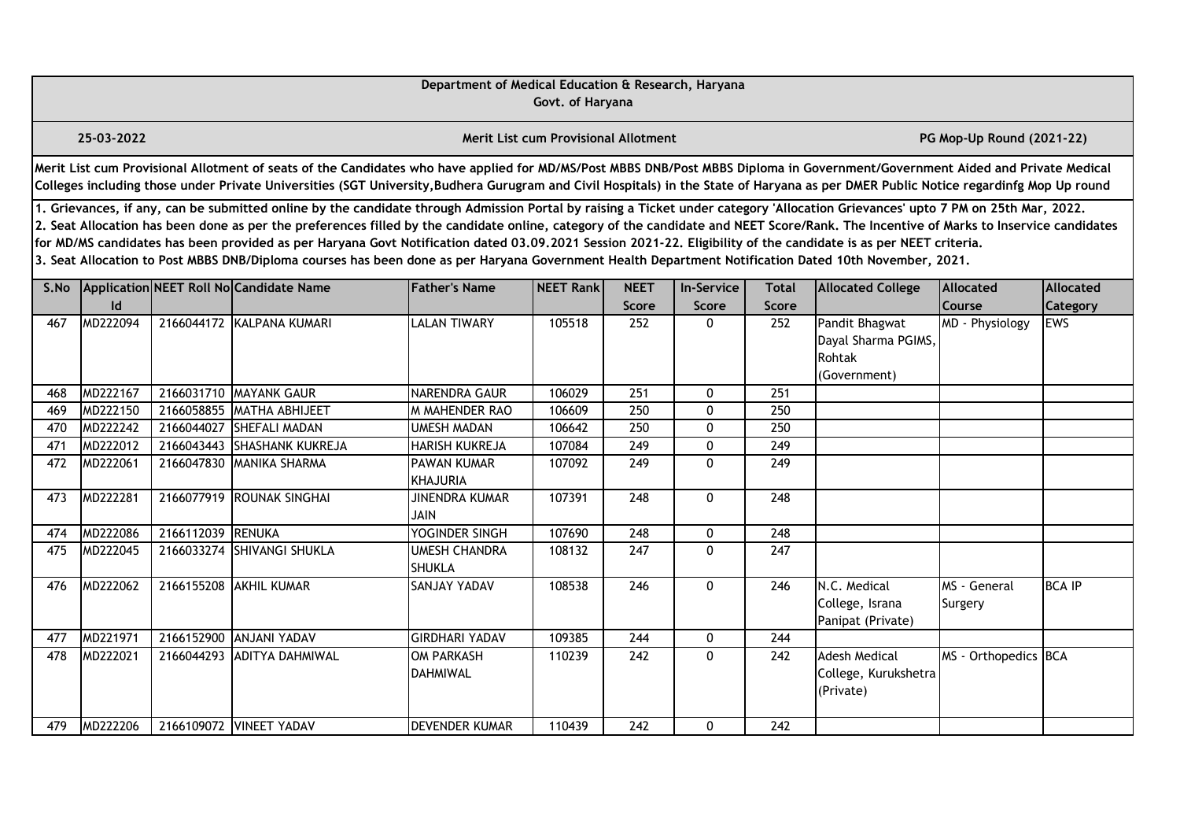| Department of Medical Education & Research, Haryana<br>Govt. of Haryana                                                                                                                                                                                                                                                                                                                                                                                                                                                                                                                                                                                                                               |                |                   |                                         |                                       |                                             |                     |                           |                     |                                                                 |                                  |                               |
|-------------------------------------------------------------------------------------------------------------------------------------------------------------------------------------------------------------------------------------------------------------------------------------------------------------------------------------------------------------------------------------------------------------------------------------------------------------------------------------------------------------------------------------------------------------------------------------------------------------------------------------------------------------------------------------------------------|----------------|-------------------|-----------------------------------------|---------------------------------------|---------------------------------------------|---------------------|---------------------------|---------------------|-----------------------------------------------------------------|----------------------------------|-------------------------------|
|                                                                                                                                                                                                                                                                                                                                                                                                                                                                                                                                                                                                                                                                                                       | 25-03-2022     |                   |                                         |                                       | <b>Merit List cum Provisional Allotment</b> |                     | PG Mop-Up Round (2021-22) |                     |                                                                 |                                  |                               |
| Merit List cum Provisional Allotment of seats of the Candidates who have applied for MD/MS/Post MBBS DNB/Post MBBS Diploma in Government/Government Aided and Private Medical<br>Colleges including those under Private Universities (SGT University, Budhera Gurugram and Civil Hospitals) in the State of Haryana as per DMER Public Notice regardinfg Mop Up round                                                                                                                                                                                                                                                                                                                                 |                |                   |                                         |                                       |                                             |                     |                           |                     |                                                                 |                                  |                               |
| 1. Grievances, if any, can be submitted online by the candidate through Admission Portal by raising a Ticket under category 'Allocation Grievances' upto 7 PM on 25th Mar, 2022.<br>2. Seat Allocation has been done as per the preferences filled by the candidate online, category of the candidate and NEET Score/Rank. The Incentive of Marks to Inservice candidates<br>for MD/MS candidates has been provided as per Haryana Govt Notification dated 03.09.2021 Session 2021-22. Eligibility of the candidate is as per NEET criteria.<br>3. Seat Allocation to Post MBBS DNB/Diploma courses has been done as per Haryana Government Health Department Notification Dated 10th November, 2021. |                |                   |                                         |                                       |                                             |                     |                           |                     |                                                                 |                                  |                               |
| S.No                                                                                                                                                                                                                                                                                                                                                                                                                                                                                                                                                                                                                                                                                                  |                |                   | Application NEET Roll No Candidate Name | <b>Father's Name</b>                  | <b>NEET Rank</b>                            | <b>NEET</b>         | <b>In-Service</b>         | <b>Total</b>        | <b>Allocated College</b>                                        | Allocated                        | Allocated                     |
| 467                                                                                                                                                                                                                                                                                                                                                                                                                                                                                                                                                                                                                                                                                                   | Id<br>MD222094 |                   | 2166044172 KALPANA KUMARI               | <b>LALAN TIWARY</b>                   | 105518                                      | <b>Score</b><br>252 | Score<br>0                | <b>Score</b><br>252 | Pandit Bhagwat<br>Dayal Sharma PGIMS,<br>Rohtak<br>(Government) | <b>Course</b><br>MD - Physiology | <b>Category</b><br><b>EWS</b> |
| 468                                                                                                                                                                                                                                                                                                                                                                                                                                                                                                                                                                                                                                                                                                   | MD222167       |                   | 2166031710 MAYANK GAUR                  | <b>NARENDRA GAUR</b>                  | 106029                                      | 251                 | 0                         | 251                 |                                                                 |                                  |                               |
| 469                                                                                                                                                                                                                                                                                                                                                                                                                                                                                                                                                                                                                                                                                                   | MD222150       |                   | 2166058855 MATHA ABHIJEET               | <b>M MAHENDER RAO</b>                 | 106609                                      | 250                 | $\mathbf{0}$              | 250                 |                                                                 |                                  |                               |
| 470                                                                                                                                                                                                                                                                                                                                                                                                                                                                                                                                                                                                                                                                                                   | MD222242       | 2166044027        | <b>SHEFALI MADAN</b>                    | <b>UMESH MADAN</b>                    | 106642                                      | 250                 | 0                         | 250                 |                                                                 |                                  |                               |
| 471                                                                                                                                                                                                                                                                                                                                                                                                                                                                                                                                                                                                                                                                                                   | MD222012       | 2166043443        | <b>SHASHANK KUKREJA</b>                 | <b>HARISH KUKREJA</b>                 | 107084                                      | 249                 | 0                         | 249                 |                                                                 |                                  |                               |
| 472                                                                                                                                                                                                                                                                                                                                                                                                                                                                                                                                                                                                                                                                                                   | MD222061       |                   | 2166047830 MANIKA SHARMA                | <b>PAWAN KUMAR</b><br><b>KHAJURIA</b> | 107092                                      | 249                 | $\mathbf 0$               | 249                 |                                                                 |                                  |                               |
| 473                                                                                                                                                                                                                                                                                                                                                                                                                                                                                                                                                                                                                                                                                                   | MD222281       | 2166077919        | <b>ROUNAK SINGHAI</b>                   | <b>JINENDRA KUMAR</b><br><b>JAIN</b>  | 107391                                      | 248                 | 0                         | 248                 |                                                                 |                                  |                               |
| 474                                                                                                                                                                                                                                                                                                                                                                                                                                                                                                                                                                                                                                                                                                   | MD222086       | 2166112039 RENUKA |                                         | YOGINDER SINGH                        | 107690                                      | $\overline{248}$    | 0                         | $\overline{248}$    |                                                                 |                                  |                               |
| 475                                                                                                                                                                                                                                                                                                                                                                                                                                                                                                                                                                                                                                                                                                   | MD222045       |                   | 2166033274 SHIVANGI SHUKLA              | <b>UMESH CHANDRA</b><br><b>SHUKLA</b> | 108132                                      | 247                 | $\mathbf{0}$              | 247                 |                                                                 |                                  |                               |
| 476                                                                                                                                                                                                                                                                                                                                                                                                                                                                                                                                                                                                                                                                                                   | MD222062       |                   | 2166155208 AKHIL KUMAR                  | SANJAY YADAV                          | 108538                                      | 246                 | $\mathbf{0}$              | 246                 | N.C. Medical<br>College, Israna<br>Panipat (Private)            | MS - General<br>Surgery          | <b>BCA IP</b>                 |
| 477                                                                                                                                                                                                                                                                                                                                                                                                                                                                                                                                                                                                                                                                                                   | MD221971       | 2166152900        | <b>ANJANI YADAV</b>                     | <b>GIRDHARI YADAV</b>                 | 109385                                      | 244                 | $\mathbf{0}$              | 244                 |                                                                 |                                  |                               |
| 478                                                                                                                                                                                                                                                                                                                                                                                                                                                                                                                                                                                                                                                                                                   | MD222021       | 2166044293        | <b>ADITYA DAHMIWAL</b>                  | <b>OM PARKASH</b><br><b>DAHMIWAL</b>  | 110239                                      | 242                 | $\mathbf{0}$              | 242                 | <b>Adesh Medical</b><br>College, Kurukshetra<br>(Private)       | MS - Orthopedics BCA             |                               |
| 479                                                                                                                                                                                                                                                                                                                                                                                                                                                                                                                                                                                                                                                                                                   | MD222206       |                   | 2166109072 VINEET YADAV                 | <b>DEVENDER KUMAR</b>                 | 110439                                      | 242                 | $\mathbf{0}$              | 242                 |                                                                 |                                  |                               |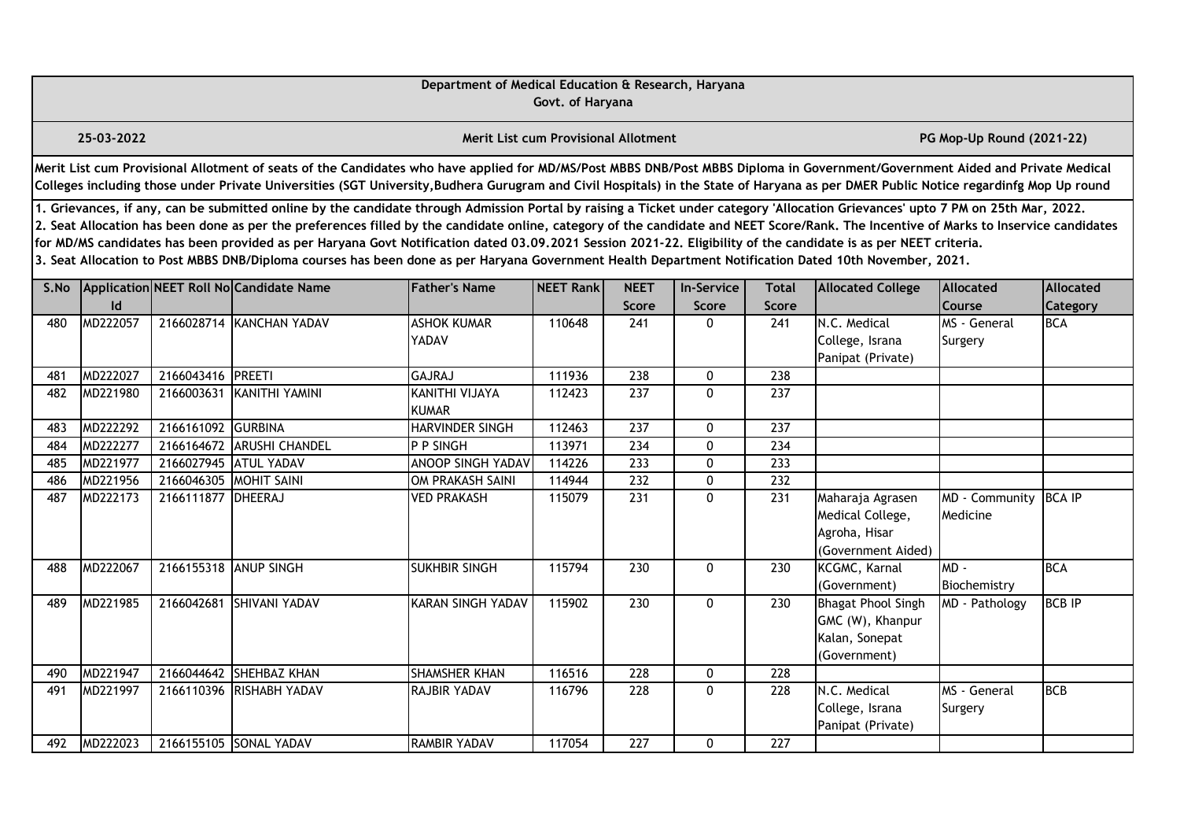| Department of Medical Education & Research, Haryana<br>Govt. of Haryana                                                                                                                                                                                                                                                                                                                                                                                                                                                                                                                                                                                                                               |            |                        |                                         |                             |                                             |                      |                                   |                              |                                                                                 |                                   |                              |  |
|-------------------------------------------------------------------------------------------------------------------------------------------------------------------------------------------------------------------------------------------------------------------------------------------------------------------------------------------------------------------------------------------------------------------------------------------------------------------------------------------------------------------------------------------------------------------------------------------------------------------------------------------------------------------------------------------------------|------------|------------------------|-----------------------------------------|-----------------------------|---------------------------------------------|----------------------|-----------------------------------|------------------------------|---------------------------------------------------------------------------------|-----------------------------------|------------------------------|--|
|                                                                                                                                                                                                                                                                                                                                                                                                                                                                                                                                                                                                                                                                                                       | 25-03-2022 |                        |                                         |                             | <b>Merit List cum Provisional Allotment</b> |                      |                                   |                              |                                                                                 | PG Mop-Up Round (2021-22)         |                              |  |
| Merit List cum Provisional Allotment of seats of the Candidates who have applied for MD/MS/Post MBBS DNB/Post MBBS Diploma in Government/Government Aided and Private Medical<br>Colleges including those under Private Universities (SGT University, Budhera Gurugram and Civil Hospitals) in the State of Haryana as per DMER Public Notice regardinfg Mop Up round                                                                                                                                                                                                                                                                                                                                 |            |                        |                                         |                             |                                             |                      |                                   |                              |                                                                                 |                                   |                              |  |
| 1. Grievances, if any, can be submitted online by the candidate through Admission Portal by raising a Ticket under category 'Allocation Grievances' upto 7 PM on 25th Mar, 2022.<br>2. Seat Allocation has been done as per the preferences filled by the candidate online, category of the candidate and NEET Score/Rank. The Incentive of Marks to Inservice candidates<br>for MD/MS candidates has been provided as per Haryana Govt Notification dated 03.09.2021 Session 2021-22. Eligibility of the candidate is as per NEET criteria.<br>3. Seat Allocation to Post MBBS DNB/Diploma courses has been done as per Haryana Government Health Department Notification Dated 10th November, 2021. |            |                        |                                         |                             |                                             |                      |                                   |                              |                                                                                 |                                   |                              |  |
| S.No                                                                                                                                                                                                                                                                                                                                                                                                                                                                                                                                                                                                                                                                                                  | Id         |                        | Application NEET Roll No Candidate Name | <b>Father's Name</b>        | NEET Rank                                   | <b>NEET</b><br>Score | <b>In-Service</b><br><b>Score</b> | <b>Total</b><br><b>Score</b> | <b>Allocated College</b>                                                        | <b>Allocated</b><br><b>Course</b> | Allocated<br><b>Category</b> |  |
| 480                                                                                                                                                                                                                                                                                                                                                                                                                                                                                                                                                                                                                                                                                                   | MD222057   |                        | 2166028714 KANCHAN YADAV                | <b>ASHOK KUMAR</b><br>YADAV | 110648                                      | 241                  | $\Omega$                          | 241                          | N.C. Medical<br>College, Israna<br>Panipat (Private)                            | MS - General<br>Surgery           | <b>BCA</b>                   |  |
| 481                                                                                                                                                                                                                                                                                                                                                                                                                                                                                                                                                                                                                                                                                                   | MD222027   | 2166043416 PREETI      |                                         | <b>GAJRAJ</b>               | 111936                                      | 238                  | 0                                 | $\overline{238}$             |                                                                                 |                                   |                              |  |
| 482                                                                                                                                                                                                                                                                                                                                                                                                                                                                                                                                                                                                                                                                                                   | MD221980   | 2166003631             | KANITHI YAMINI                          | KANITHI VIJAYA<br>KUMAR     | 112423                                      | 237                  | $\Omega$                          | 237                          |                                                                                 |                                   |                              |  |
| 483                                                                                                                                                                                                                                                                                                                                                                                                                                                                                                                                                                                                                                                                                                   | MD222292   | 2166161092             | <b>GURBINA</b>                          | HARVINDER SINGH             | 112463                                      | $\overline{237}$     | 0                                 | $\overline{237}$             |                                                                                 |                                   |                              |  |
| 484                                                                                                                                                                                                                                                                                                                                                                                                                                                                                                                                                                                                                                                                                                   | MD222277   | 2166164672             | <b>ARUSHI CHANDEL</b>                   | P P SINGH                   | 113971                                      | 234                  | $\mathbf{0}$                      | 234                          |                                                                                 |                                   |                              |  |
| 485                                                                                                                                                                                                                                                                                                                                                                                                                                                                                                                                                                                                                                                                                                   | MD221977   |                        | 2166027945 ATUL YADAV                   | <b>ANOOP SINGH YADAV</b>    | 114226                                      | 233                  | 0                                 | 233                          |                                                                                 |                                   |                              |  |
| 486                                                                                                                                                                                                                                                                                                                                                                                                                                                                                                                                                                                                                                                                                                   | MD221956   | 2166046305 MOHIT SAINI |                                         | <b>OM PRAKASH SAINI</b>     | 114944                                      | $\overline{232}$     | $\mathbf 0$                       | $\overline{232}$             |                                                                                 |                                   |                              |  |
| 487                                                                                                                                                                                                                                                                                                                                                                                                                                                                                                                                                                                                                                                                                                   | MD222173   | 2166111877 DHEERAJ     |                                         | <b>VED PRAKASH</b>          | 115079                                      | 231                  | $\mathbf{0}$                      | 231                          | Maharaja Agrasen<br>Medical College,<br>Agroha, Hisar<br>(Government Aided)     | MD - Community<br>Medicine        | <b>BCA IP</b>                |  |
| 488                                                                                                                                                                                                                                                                                                                                                                                                                                                                                                                                                                                                                                                                                                   | MD222067   | 2166155318 ANUP SINGH  |                                         | <b>SUKHBIR SINGH</b>        | 115794                                      | 230                  | $\mathbf 0$                       | 230                          | KCGMC, Karnal<br>(Government)                                                   | $MD -$<br>Biochemistry            | <b>BCA</b>                   |  |
| 489                                                                                                                                                                                                                                                                                                                                                                                                                                                                                                                                                                                                                                                                                                   | MD221985   | 2166042681             | <b>SHIVANI YADAV</b>                    | <b>KARAN SINGH YADAV</b>    | 115902                                      | $\overline{230}$     | $\mathbf{0}$                      | 230                          | <b>Bhagat Phool Singh</b><br>GMC (W), Khanpur<br>Kalan, Sonepat<br>(Government) | MD - Pathology                    | <b>BCB IP</b>                |  |
| 490                                                                                                                                                                                                                                                                                                                                                                                                                                                                                                                                                                                                                                                                                                   | MD221947   |                        | 2166044642 SHEHBAZ KHAN                 | <b>SHAMSHER KHAN</b>        | 116516                                      | 228                  | $\mathbf{0}$                      | 228                          |                                                                                 |                                   |                              |  |
| 491                                                                                                                                                                                                                                                                                                                                                                                                                                                                                                                                                                                                                                                                                                   | MD221997   |                        | 2166110396 RISHABH YADAV                | <b>RAJBIR YADAV</b>         | 116796                                      | 228                  | $\mathbf 0$                       | 228                          | N.C. Medical<br>College, Israna<br>Panipat (Private)                            | MS - General<br>Surgery           | <b>BCB</b>                   |  |
| 492                                                                                                                                                                                                                                                                                                                                                                                                                                                                                                                                                                                                                                                                                                   | MD222023   |                        | 2166155105 SONAL YADAV                  | <b>RAMBIR YADAV</b>         | 117054                                      | 227                  | 0                                 | 227                          |                                                                                 |                                   |                              |  |